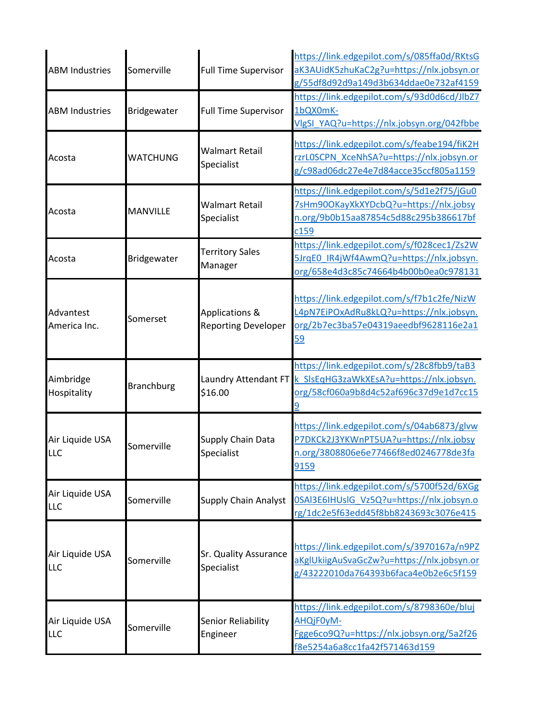| <b>ABM Industries</b>         | Somerville        | <b>Full Time Supervisor</b>                             | https://link.edgepilot.com/s/085ffa0d/RKtsG<br>aK3AUidK5zhuKaC2g?u=https://nlx.jobsyn.or<br>g/55df8d92d9a149d3b634ddae0e732af4159                     |
|-------------------------------|-------------------|---------------------------------------------------------|-------------------------------------------------------------------------------------------------------------------------------------------------------|
| <b>ABM Industries</b>         | Bridgewater       | <b>Full Time Supervisor</b>                             | https://link.edgepilot.com/s/93d0d6cd/JlbZ7<br>1bQX0mK-<br>VlgSI YAQ?u=https://nlx.jobsyn.org/042fbbe                                                 |
| Acosta                        | <b>WATCHUNG</b>   | <b>Walmart Retail</b><br>Specialist                     | https://link.edgepilot.com/s/feabe194/fiK2H<br>rzrLOSCPN XceNhSA?u=https://nlx.jobsyn.or<br>g/c98ad06dc27e4e7d84acce35ccf805a1159                     |
| Acosta                        | <b>MANVILLE</b>   | Walmart Retail<br>Specialist                            | https://link.edgepilot.com/s/5d1e2f75/jGu0<br>7sHm90OKayXkXYDcbQ?u=https://nlx.jobsy<br>n.org/9b0b15aa87854c5d88c295b386617bf<br>c159                 |
| Acosta                        | Bridgewater       | <b>Territory Sales</b><br>Manager                       | https://link.edgepilot.com/s/f028cec1/Zs2W<br>5JrqE0 IR4jWf4AwmQ?u=https://nlx.jobsyn.<br>org/658e4d3c85c74664b4b00b0ea0c978131                       |
| Advantest<br>America Inc.     | Somerset          | <b>Applications &amp;</b><br><b>Reporting Developer</b> | https://link.edgepilot.com/s/f7b1c2fe/NizW<br>L4pN7EiPOxAdRu8kLQ?u=https://nlx.jobsyn.<br>org/2b7ec3ba57e04319aeedbf9628116e2a1<br>59                 |
| Aimbridge<br>Hospitality      | <b>Branchburg</b> | \$16.00                                                 | https://link.edgepilot.com/s/28c8fbb9/taB3<br>Laundry Attendant FT k SIsEqHG3zaWkXEsA?u=https://nlx.jobsyn.<br>org/58cf060a9b8d4c52af696c37d9e1d7cc15 |
| Air Liquide USA<br><b>LLC</b> | Somerville        | Supply Chain Data<br>Specialist                         | https://link.edgepilot.com/s/04ab6873/glvw<br>P7DKCk2J3YKWnPT5UA?u=https://nlx.jobsy<br>n.org/3808806e6e77466f8ed0246778de3fa<br>9159                 |
| Air Liquide USA<br><b>LLC</b> | Somerville        | <b>Supply Chain Analyst</b>                             | https://link.edgepilot.com/s/5700f52d/6XGg<br>0SAI3E6IHUsIG Vz5Q?u=https://nlx.jobsyn.o<br>rg/1dc2e5f63edd45f8bb8243693c3076e415                      |
| Air Liquide USA<br><b>LLC</b> | Somerville        | Sr. Quality Assurance<br>Specialist                     | https://link.edgepilot.com/s/3970167a/n9PZ<br>aKglUkiigAuSvaGcZw?u=https://nlx.jobsyn.or<br>g/43222010da764393b6faca4e0b2e6c5f159                     |
| Air Liquide USA<br>LLC        | Somerville        | Senior Reliability<br>Engineer                          | https://link.edgepilot.com/s/8798360e/bluj<br>AHQjF0yM-<br>Fgge6co9Q?u=https://nlx.jobsyn.org/5a2f26<br>f8e5254a6a8cc1fa42f571463d159                 |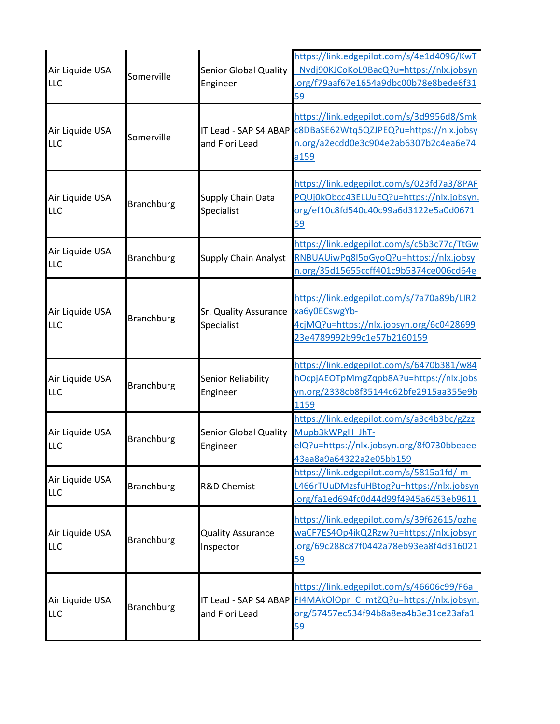| Air Liquide USA<br><b>LLC</b> | Somerville        | <b>Senior Global Quality</b><br>Engineer | https://link.edgepilot.com/s/4e1d4096/KwT<br>Nydj90KJCoKoL9BacQ?u=https://nlx.jobsyn<br>org/f79aaf67e1654a9dbc00b78e8bede6f31<br>59                         |
|-------------------------------|-------------------|------------------------------------------|-------------------------------------------------------------------------------------------------------------------------------------------------------------|
| Air Liquide USA<br><b>LLC</b> | Somerville        | and Fiori Lead                           | https://link.edgepilot.com/s/3d9956d8/Smk<br>IT Lead - SAP S4 ABAP C8DBaSE62Wtq5QZJPEQ?u=https://nlx.jobsy<br>n.org/a2ecdd0e3c904e2ab6307b2c4ea6e74<br>a159 |
| Air Liquide USA<br><b>LLC</b> | <b>Branchburg</b> | Supply Chain Data<br>Specialist          | https://link.edgepilot.com/s/023fd7a3/8PAF<br>PQUj0kObcc43ELUuEQ?u=https://nlx.jobsyn.<br>org/ef10c8fd540c40c99a6d3122e5a0d0671<br>59                       |
| Air Liquide USA<br>LLC        | <b>Branchburg</b> | <b>Supply Chain Analyst</b>              | https://link.edgepilot.com/s/c5b3c77c/TtGw<br>RNBUAUiwPq8I5oGyoQ?u=https://nlx.jobsy<br>n.org/35d15655ccff401c9b5374ce006cd64e                              |
| Air Liquide USA<br><b>LLC</b> | <b>Branchburg</b> | Sr. Quality Assurance<br>Specialist      | https://link.edgepilot.com/s/7a70a89b/LIR2<br>xa6y0ECswgYb-<br>4cjMQ?u=https://nlx.jobsyn.org/6c0428699<br>23e4789992b99c1e57b2160159                       |
| Air Liquide USA<br>LLC        | <b>Branchburg</b> | Senior Reliability<br>Engineer           | https://link.edgepilot.com/s/6470b381/w84<br>hOcpjAEOTpMmgZqpb8A?u=https://nlx.jobs<br>yn.org/2338cb8f35144c62bfe2915aa355e9b<br>1159                       |
| Air Liquide USA<br><b>LLC</b> | <b>Branchburg</b> | <b>Senior Global Quality</b><br>Engineer | https://link.edgepilot.com/s/a3c4b3bc/gZzz<br>Mupb3kWPgH JhT-<br>elQ?u=https://nlx.jobsyn.org/8f0730bbeaee<br>43aa8a9a64322a2e05bb159                       |
| Air Liquide USA<br><b>LLC</b> | <b>Branchburg</b> | <b>R&amp;D Chemist</b>                   | https://link.edgepilot.com/s/5815a1fd/-m-<br>L466rTUuDMzsfuHBtog?u=https://nlx.jobsyn<br>org/fa1ed694fc0d44d99f4945a6453eb9611                              |
| Air Liquide USA<br><b>LLC</b> | <b>Branchburg</b> | <b>Quality Assurance</b><br>Inspector    | https://link.edgepilot.com/s/39f62615/ozhe<br>waCF7ES4Op4ikQ2Rzw?u=https://nlx.jobsyn<br>org/69c288c87f0442a78eb93ea8f4d316021<br><u>59</u>                 |
| Air Liquide USA<br><b>LLC</b> | <b>Branchburg</b> | and Fiori Lead                           | https://link.edgepilot.com/s/46606c99/F6a<br>IT Lead - SAP S4 ABAP FI4MAkOlOpr C mtZQ?u=https://nlx.jobsyn.<br>org/57457ec534f94b8a8ea4b3e31ce23afa1<br>59  |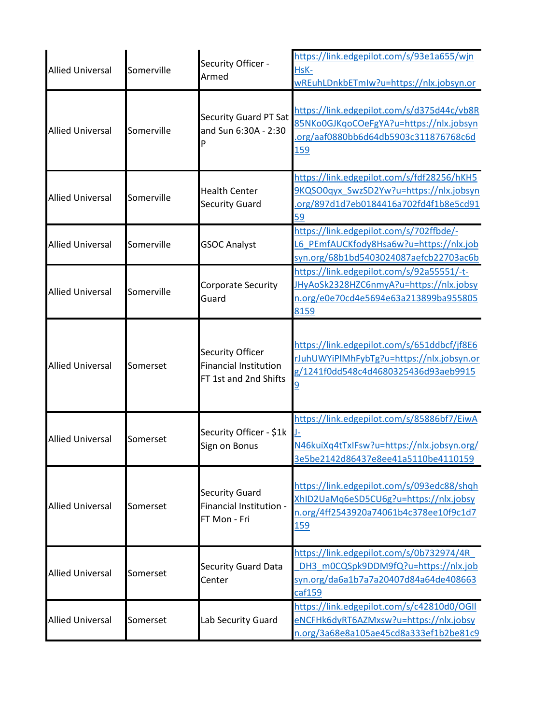| <b>Allied Universal</b> | Somerville | Security Officer -<br>Armed                                                      | https://link.edgepilot.com/s/93e1a655/wjn<br>HsK-<br>wREuhLDnkbETmIw?u=https://nlx.jobsyn.or                                                 |
|-------------------------|------------|----------------------------------------------------------------------------------|----------------------------------------------------------------------------------------------------------------------------------------------|
| <b>Allied Universal</b> | Somerville | <b>Security Guard PT Sat</b><br>and Sun 6:30A - 2:30                             | https://link.edgepilot.com/s/d375d44c/vb8R<br>85NKo0GJKqoCOeFgYA?u=https://nlx.jobsyn<br>org/aaf0880bb6d64db5903c311876768c6d<br>159         |
| <b>Allied Universal</b> | Somerville | <b>Health Center</b><br><b>Security Guard</b>                                    | https://link.edgepilot.com/s/fdf28256/hKH5<br>9KQSO0qyx SwzSD2Yw?u=https://nlx.jobsyn<br>.org/897d1d7eb0184416a702fd4f1b8e5cd91<br>59        |
| <b>Allied Universal</b> | Somerville | <b>GSOC Analyst</b>                                                              | https://link.edgepilot.com/s/702ffbde/-<br>L6 PEmfAUCKfody8Hsa6w?u=https://nlx.job<br>syn.org/68b1bd5403024087aefcb22703ac6b                 |
| <b>Allied Universal</b> | Somerville | Corporate Security<br>Guard                                                      | https://link.edgepilot.com/s/92a55551/-t-<br>JHyAoSk2328HZC6nmyA?u=https://nlx.jobsy<br>n.org/e0e70cd4e5694e63a213899ba955805<br>8159        |
| <b>Allied Universal</b> | Somerset   | <b>Security Officer</b><br><b>Financial Institution</b><br>FT 1st and 2nd Shifts | https://link.edgepilot.com/s/651ddbcf/jf8E6<br>rJuhUWYiPlMhFybTg?u=https://nlx.jobsyn.or<br>g/1241f0dd548c4d4680325436d93aeb9915             |
| <b>Allied Universal</b> | Somerset   | Security Officer - \$1k<br>Sign on Bonus                                         | https://link.edgepilot.com/s/85886bf7/EiwA<br>N46kuiXq4tTxIFsw?u=https://nlx.jobsyn.org/<br>3e5be2142d86437e8ee41a5110be4110159              |
| <b>Allied Universal</b> | Somerset   | <b>Security Guard</b><br>Financial Institution -<br>FT Mon - Fri                 | https://link.edgepilot.com/s/093edc88/shqh<br>XhID2UaMq6eSD5CU6g?u=https://nlx.jobsy<br>n.org/4ff2543920a74061b4c378ee10f9c1d7<br><u>159</u> |
| <b>Allied Universal</b> | Somerset   | <b>Security Guard Data</b><br>Center                                             | https://link.edgepilot.com/s/0b732974/4R<br>DH3 m0CQSpk9DDM9fQ?u=https://nlx.job<br>syn.org/da6a1b7a7a20407d84a64de408663<br>caf159          |
| <b>Allied Universal</b> | Somerset   | Lab Security Guard                                                               | https://link.edgepilot.com/s/c42810d0/OGII<br>eNCFHk6dyRT6AZMxsw?u=https://nlx.jobsy<br>n.org/3a68e8a105ae45cd8a333ef1b2be81c9               |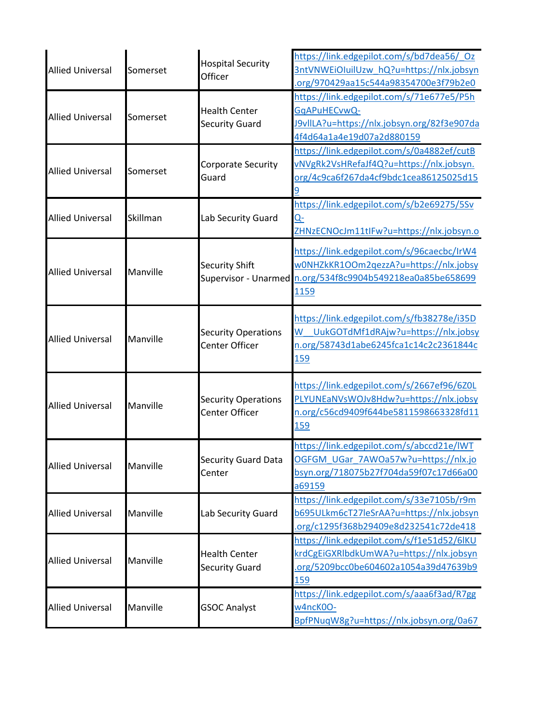| <b>Allied Universal</b> | Somerset | <b>Hospital Security</b><br>Officer                 | https://link.edgepilot.com/s/bd7dea56/ Oz<br>3ntVNWEiOluilUzw hQ?u=https://nlx.jobsyn<br>org/970429aa15c544a98354700e3f79b2e0                              |
|-------------------------|----------|-----------------------------------------------------|------------------------------------------------------------------------------------------------------------------------------------------------------------|
| <b>Allied Universal</b> | Somerset | <b>Health Center</b><br><b>Security Guard</b>       | https://link.edgepilot.com/s/71e677e5/P5h<br>GqAPuHECvwQ-<br>J9vIILA?u=https://nlx.jobsyn.org/82f3e907da<br>4f4d64a1a4e19d07a2d880159                      |
| <b>Allied Universal</b> | Somerset | Corporate Security<br>Guard                         | https://link.edgepilot.com/s/0a4882ef/cutB<br>vNVgRk2VsHRefaJf4Q?u=https://nlx.jobsyn.<br>org/4c9ca6f267da4cf9bdc1cea86125025d15                           |
| <b>Allied Universal</b> | Skillman | Lab Security Guard                                  | https://link.edgepilot.com/s/b2e69275/5Sv<br><u>Q-</u><br>ZHNzECNOcJm11tIFw?u=https://nlx.jobsyn.o                                                         |
| <b>Allied Universal</b> | Manville | Security Shift                                      | https://link.edgepilot.com/s/96caecbc/IrW4<br>w0NHZkKR1OOm2qezzA?u=https://nlx.jobsy<br>Supervisor - Unarmed n.org/534f8c9904b549218ea0a85be658699<br>1159 |
| <b>Allied Universal</b> | Manville | <b>Security Operations</b><br>Center Officer        | https://link.edgepilot.com/s/fb38278e/i35D<br>UukGOTdMf1dRAjw?u=https://nlx.jobsy<br>W<br>n.org/58743d1abe6245fca1c14c2c2361844c<br>159                    |
| <b>Allied Universal</b> | Manville | <b>Security Operations</b><br><b>Center Officer</b> | https://link.edgepilot.com/s/2667ef96/6Z0L<br>PLYUNEaNVsWOJv8Hdw?u=https://nlx.jobsy<br>n.org/c56cd9409f644be5811598663328fd11<br>159                      |
| <b>Allied Universal</b> | Manville | Security Guard Data<br>Center                       | https://link.edgepilot.com/s/abccd21e/IWT<br>OGFGM UGar 7AWOa57w?u=https://nlx.jo<br>bsyn.org/718075b27f704da59f07c17d66a00<br>a69159                      |
| <b>Allied Universal</b> | Manville | Lab Security Guard                                  | https://link.edgepilot.com/s/33e7105b/r9m<br>b695ULkm6cT27leSrAA?u=https://nlx.jobsyn<br>org/c1295f368b29409e8d232541c72de418                              |
| <b>Allied Universal</b> | Manville | <b>Health Center</b><br><b>Security Guard</b>       | https://link.edgepilot.com/s/f1e51d52/6lKU<br>krdCgEiGXRlbdkUmWA?u=https://nlx.jobsyn<br>org/5209bcc0be604602a1054a39d47639b9<br>159                       |
| <b>Allied Universal</b> | Manville | <b>GSOC Analyst</b>                                 | https://link.edgepilot.com/s/aaa6f3ad/R7gg<br>w4ncK0O-<br>BpfPNuqW8g?u=https://nlx.jobsyn.org/0a67                                                         |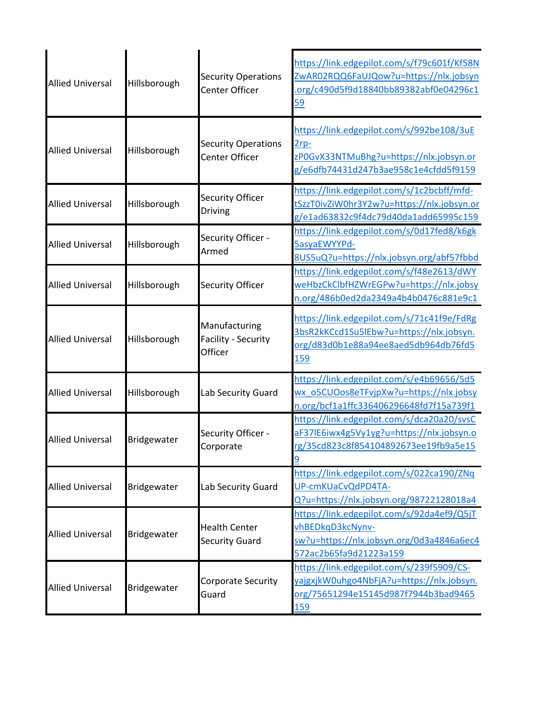| <b>Allied Universal</b> | Hillsborough | <b>Security Operations</b><br>Center Officer    | https://link.edgepilot.com/s/f79c601f/Kf58N<br>ZwAR02RQQ6FaUJQow?u=https://nlx.jobsyn<br>.org/c490d5f9d18840bb89382abf0e04296c1<br>59        |
|-------------------------|--------------|-------------------------------------------------|----------------------------------------------------------------------------------------------------------------------------------------------|
| <b>Allied Universal</b> | Hillsborough | <b>Security Operations</b><br>Center Officer    | https://link.edgepilot.com/s/992be108/3uE<br>$2rp-$<br>zPOGvX33NTMuBhg?u=https://nlx.jobsyn.or<br>g/e6dfb74431d247b3ae958c1e4cfdd5f9159      |
| <b>Allied Universal</b> | Hillsborough | Security Officer<br>Driving                     | https://link.edgepilot.com/s/1c2bcbff/mfd-<br>tSzzT0ivZiW0hr3Y2w?u=https://nlx.jobsyn.or<br>g/e1ad63832c9f4dc79d40da1add65995c159            |
| <b>Allied Universal</b> | Hillsborough | Security Officer -<br>Armed                     | https://link.edgepilot.com/s/0d17fed8/k6gk<br>5asyaEWYYPd-<br>8US5uQ?u=https://nlx.jobsyn.org/abf57fbbd                                      |
| <b>Allied Universal</b> | Hillsborough | <b>Security Officer</b>                         | https://link.edgepilot.com/s/f48e2613/dWY<br>weHbzCkClbfHZWrEGPw?u=https://nlx.jobsy<br>n.org/486b0ed2da2349a4b4b0476c881e9c1                |
| <b>Allied Universal</b> | Hillsborough | Manufacturing<br>Facility - Security<br>Officer | https://link.edgepilot.com/s/71c41f9e/FdRg<br>3bsR2kKCcd1Su5lEbw?u=https://nlx.jobsyn.<br>org/d83d0b1e88a94ee8aed5db964db76fd5<br><b>159</b> |
| <b>Allied Universal</b> | Hillsborough | Lab Security Guard                              | https://link.edgepilot.com/s/e4b69656/5d5<br>wx_o5CUOos8eTFvjpXw?u=https://nlx.jobsy<br>n.org/bcf1a1ffc336406296648fd7f15a739f1              |
| <b>Allied Universal</b> | Bridgewater  | Security Officer -<br>Corporate                 | https://link.edgepilot.com/s/dca20a20/svsC<br>aF37lE6iwx4g5Vy1yg?u=https://nlx.jobsyn.o<br>rg/35cd823c8f854104892673ee19fb9a5e15             |
| <b>Allied Universal</b> | Bridgewater  | Lab Security Guard                              | https://link.edgepilot.com/s/022ca190/ZNq<br>UP-cmKUaCvQdPD4TA-<br>Q?u=https://nlx.jobsyn.org/98722128018a4                                  |
| <b>Allied Universal</b> | Bridgewater  | <b>Health Center</b><br><b>Security Guard</b>   | https://link.edgepilot.com/s/92da4ef9/Q5jT<br>vhBEDkqD3kcNynv-<br>sw?u=https://nlx.jobsyn.org/0d3a4846a6ec4<br>572ac2b65fa9d21223a159        |
| <b>Allied Universal</b> | Bridgewater  | Corporate Security<br>Guard                     | https://link.edgepilot.com/s/239f5909/CS-<br>yajgxjkW0uhgo4NbFjA?u=https://nlx.jobsyn.<br>org/75651294e15145d987f7944b3bad9465<br>159        |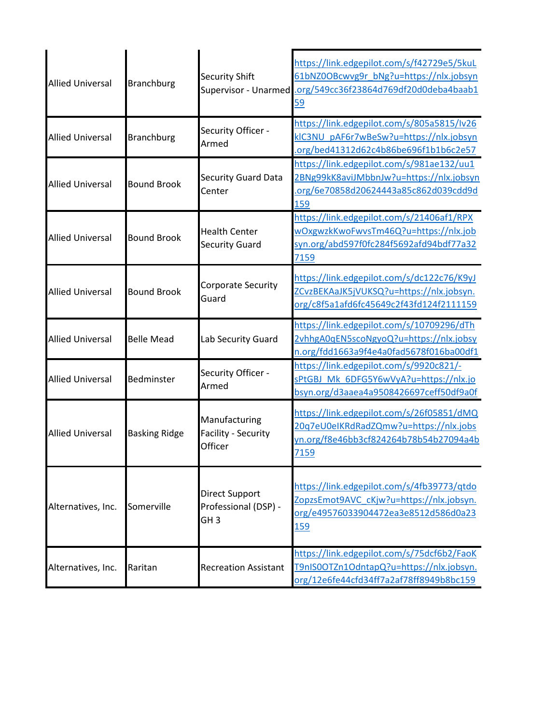| <b>Allied Universal</b> | <b>Branchburg</b>    | <b>Security Shift</b>                                            | https://link.edgepilot.com/s/f42729e5/5kuL<br>61bNZ0OBcwvg9r_bNg?u=https://nlx.jobsyn<br>Supervisor - Unarmed .org/549cc36f23864d769df20d0deba4baab1<br>59 |
|-------------------------|----------------------|------------------------------------------------------------------|------------------------------------------------------------------------------------------------------------------------------------------------------------|
| <b>Allied Universal</b> | <b>Branchburg</b>    | Security Officer -<br>Armed                                      | https://link.edgepilot.com/s/805a5815/Iv26<br>kIC3NU pAF6r7wBeSw?u=https://nlx.jobsyn<br>.org/bed41312d62c4b86be696f1b1b6c2e57                             |
| <b>Allied Universal</b> | <b>Bound Brook</b>   | <b>Security Guard Data</b><br>Center                             | https://link.edgepilot.com/s/981ae132/uu1<br>2BNg99kK8aviJMbbnJw?u=https://nlx.jobsyn<br>.org/6e70858d20624443a85c862d039cdd9d<br>159                      |
| <b>Allied Universal</b> | <b>Bound Brook</b>   | <b>Health Center</b><br><b>Security Guard</b>                    | https://link.edgepilot.com/s/21406af1/RPX<br>wOxgwzkKwoFwvsTm46Q?u=https://nlx.job<br>syn.org/abd597f0fc284f5692afd94bdf77a32<br>7159                      |
| <b>Allied Universal</b> | <b>Bound Brook</b>   | Corporate Security<br>Guard                                      | https://link.edgepilot.com/s/dc122c76/K9yJ<br>ZCvzBEKAaJK5jVUKSQ?u=https://nlx.jobsyn.<br>org/c8f5a1afd6fc45649c2f43fd124f2111159                          |
| <b>Allied Universal</b> | <b>Belle Mead</b>    | Lab Security Guard                                               | https://link.edgepilot.com/s/10709296/dTh<br>2vhhgA0qEN5scoNgyoQ?u=https://nlx.jobsy<br>n.org/fdd1663a9f4e4a0fad5678f016ba00df1                            |
| <b>Allied Universal</b> | Bedminster           | Security Officer -<br>Armed                                      | https://link.edgepilot.com/s/9920c821/-<br>sPtGBJ Mk 6DFG5Y6wVyA?u=https://nlx.jo<br>bsyn.org/d3aaea4a9508426697ceff50df9a0f                               |
| <b>Allied Universal</b> | <b>Basking Ridge</b> | Manufacturing<br>Facility - Security<br>Officer                  | https://link.edgepilot.com/s/26f05851/dMQ<br>20q7eU0eIKRdRadZQmw?u=https://nlx.jobs<br>yn.org/f8e46bb3cf824264b78b54b27094a4b<br><u>7159</u>               |
| Alternatives, Inc.      | Somerville           | <b>Direct Support</b><br>Professional (DSP) -<br>GH <sub>3</sub> | https://link.edgepilot.com/s/4fb39773/qtdo<br>ZopzsEmot9AVC cKjw?u=https://nlx.jobsyn.<br>org/e49576033904472ea3e8512d586d0a23<br><u>159</u>               |
| Alternatives, Inc.      | Raritan              | <b>Recreation Assistant</b>                                      | https://link.edgepilot.com/s/75dcf6b2/FaoK<br>T9nIS0OTZn1OdntapQ?u=https://nlx.jobsyn.<br>org/12e6fe44cfd34ff7a2af78ff8949b8bc159                          |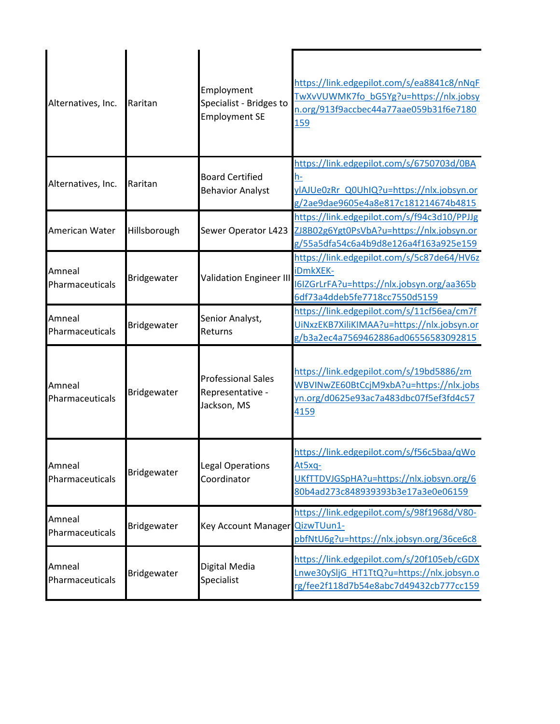| Alternatives, Inc.        | Raritan      | Employment<br>Specialist - Bridges to<br><b>Employment SE</b> | https://link.edgepilot.com/s/ea8841c8/nNqF<br>TwXvVUWMK7fo bG5Yg?u=https://nlx.jobsy<br>n.org/913f9accbec44a77aae059b31f6e7180<br><b>159</b> |
|---------------------------|--------------|---------------------------------------------------------------|----------------------------------------------------------------------------------------------------------------------------------------------|
| Alternatives, Inc.        | Raritan      | <b>Board Certified</b><br><b>Behavior Analyst</b>             | https://link.edgepilot.com/s/6750703d/0BA<br><u>h-</u><br>ylAJUe0zRr Q0UhIQ?u=https://nlx.jobsyn.or<br>g/2ae9dae9605e4a8e817c181214674b4815  |
| American Water            | Hillsborough | Sewer Operator L423                                           | https://link.edgepilot.com/s/f94c3d10/PPJJg<br>ZJ8B02g6Ygt0PsVbA?u=https://nlx.jobsyn.or<br>g/55a5dfa54c6a4b9d8e126a4f163a925e159            |
| Amneal<br>Pharmaceuticals | Bridgewater  | <b>Validation Engineer III</b>                                | https://link.edgepilot.com/s/5c87de64/HV6z<br>iDmkXEK-<br>I6IZGrLrFA?u=https://nlx.jobsyn.org/aa365b<br>6df73a4ddeb5fe7718cc7550d5159        |
| Amneal<br>Pharmaceuticals | Bridgewater  | Senior Analyst,<br>Returns                                    | https://link.edgepilot.com/s/11cf56ea/cm7f<br>UINxzEKB7XiliKIMAA?u=https://nlx.jobsyn.or<br>g/b3a2ec4a7569462886ad06556583092815             |
| Amneal<br>Pharmaceuticals | Bridgewater  | <b>Professional Sales</b><br>Representative -<br>Jackson, MS  | https://link.edgepilot.com/s/19bd5886/zm<br>WBVINwZE60BtCcjM9xbA?u=https://nlx.jobs<br>yn.org/d0625e93ac7a483dbc07f5ef3fd4c57<br>4159        |
| Amneal<br>Pharmaceuticals | Bridgewater  | Legal Operations<br>Coordinator                               | https://link.edgepilot.com/s/f56c5baa/qWo<br>At5xq-<br>UKfTTDVJGSpHA?u=https://nlx.jobsyn.org/6<br>80b4ad273c848939393b3e17a3e0e06159        |
| Amneal<br>Pharmaceuticals | Bridgewater  | <b>Key Account Manager</b>                                    | https://link.edgepilot.com/s/98f1968d/V80-<br>QizwTUun1-<br>pbfNtU6g?u=https://nlx.jobsyn.org/36ce6c8                                        |
| Amneal<br>Pharmaceuticals | Bridgewater  | Digital Media<br>Specialist                                   | https://link.edgepilot.com/s/20f105eb/cGDX<br>Lnwe30ySljG HT1TtQ?u=https://nlx.jobsyn.o<br>rg/fee2f118d7b54e8abc7d49432cb777cc159            |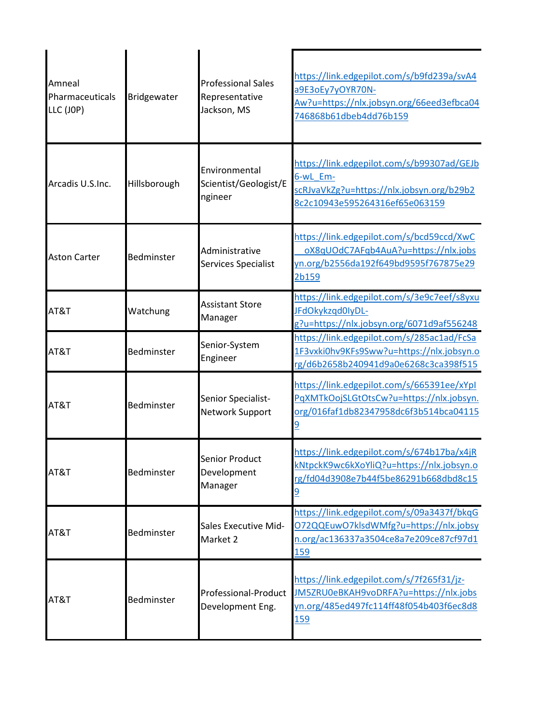| Amneal<br>Pharmaceuticals<br>LLC (JOP) | Bridgewater  | <b>Professional Sales</b><br>Representative<br>Jackson, MS | https://link.edgepilot.com/s/b9fd239a/svA4<br>a9E3oEy7yOYR70N-<br>Aw?u=https://nlx.jobsyn.org/66eed3efbca04<br>746868b61dbeb4dd76b159        |
|----------------------------------------|--------------|------------------------------------------------------------|----------------------------------------------------------------------------------------------------------------------------------------------|
| Arcadis U.S.Inc.                       | Hillsborough | Environmental<br>Scientist/Geologist/E<br>ngineer          | https://link.edgepilot.com/s/b99307ad/GEJb<br>6-wL Em-<br>scRJvaVkZg?u=https://nlx.jobsyn.org/b29b2<br>8c2c10943e595264316ef65e063159        |
| <b>Aston Carter</b>                    | Bedminster   | Administrative<br>Services Specialist                      | https://link.edgepilot.com/s/bcd59ccd/XwC<br>oX8qUOdC7AFqb4AuA?u=https://nlx.jobs<br>yn.org/b2556da192f649bd9595f767875e29<br>2b159          |
| AT&T                                   | Watchung     | <b>Assistant Store</b><br>Manager                          | https://link.edgepilot.com/s/3e9c7eef/s8yxu<br>JFdOkykzqd0lyDL-<br>g?u=https://nlx.jobsyn.org/6071d9af556248                                 |
| AT&T                                   | Bedminster   | Senior-System<br>Engineer                                  | https://link.edgepilot.com/s/285ac1ad/FcSa<br>1F3vxki0hv9KFs9Sww?u=https://nlx.jobsyn.o<br>rg/d6b2658b240941d9a0e6268c3ca398f515             |
| AT&T                                   | Bedminster   | Senior Specialist-<br>Network Support                      | https://link.edgepilot.com/s/665391ee/xYpl<br>PqXMTkOojSLGtOtsCw?u=https://nlx.jobsyn.<br>org/016faf1db82347958dc6f3b514bca04115             |
| AT&T                                   | Bedminster   | Senior Product<br>Development<br>Manager                   | https://link.edgepilot.com/s/674b17ba/x4jR<br>kNtpckK9wc6kXoYliQ?u=https://nlx.jobsyn.o<br>rg/fd04d3908e7b44f5be86291b668dbd8c15             |
| AT&T                                   | Bedminster   | <b>Sales Executive Mid-</b><br>Market 2                    | https://link.edgepilot.com/s/09a3437f/bkqG<br>072QQEuwO7klsdWMfg?u=https://nlx.jobsy<br>n.org/ac136337a3504ce8a7e209ce87cf97d1<br><u>159</u> |
| AT&T                                   | Bedminster   | Professional-Product<br>Development Eng.                   | https://link.edgepilot.com/s/7f265f31/jz-<br>JM5ZRU0eBKAH9voDRFA?u=https://nlx.jobs<br>yn.org/485ed497fc114ff48f054b403f6ec8d8<br><b>159</b> |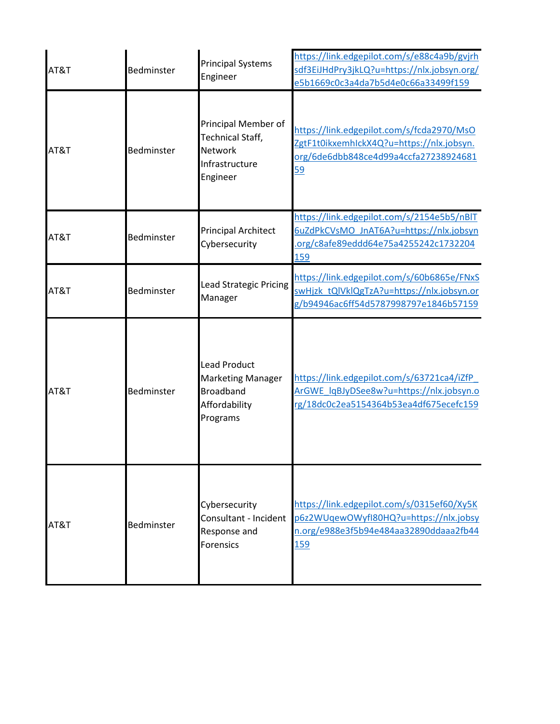| AT&T | Bedminster        | <b>Principal Systems</b><br>Engineer                                                             | https://link.edgepilot.com/s/e88c4a9b/gvjrh<br>sdf3EiJHdPry3jkLQ?u=https://nlx.jobsyn.org/<br>e5b1669c0c3a4da7b5d4e0c66a33499f159            |
|------|-------------------|--------------------------------------------------------------------------------------------------|----------------------------------------------------------------------------------------------------------------------------------------------|
| AT&T | <b>Bedminster</b> | Principal Member of<br>Technical Staff,<br><b>Network</b><br>Infrastructure<br>Engineer          | https://link.edgepilot.com/s/fcda2970/MsO<br>ZgtF1t0ikxemhlckX4Q?u=https://nlx.jobsyn.<br>org/6de6dbb848ce4d99a4ccfa27238924681<br><u>59</u> |
| AT&T | Bedminster        | <b>Principal Architect</b><br>Cybersecurity                                                      | https://link.edgepilot.com/s/2154e5b5/nBlT<br>6uZdPkCVsMO JnAT6A?u=https://nlx.jobsyn<br>.org/c8afe89eddd64e75a4255242c1732204<br>159        |
| AT&T | Bedminster        | <b>Lead Strategic Pricing</b><br>Manager                                                         | https://link.edgepilot.com/s/60b6865e/FNxS<br>swHjzk tQlVklQgTzA?u=https://nlx.jobsyn.or<br>g/b94946ac6ff54d5787998797e1846b57159            |
| AT&T | Bedminster        | <b>Lead Product</b><br><b>Marketing Manager</b><br><b>Broadband</b><br>Affordability<br>Programs | https://link.edgepilot.com/s/63721ca4/iZfP<br>ArGWE lqBJyDSee8w?u=https://nlx.jobsyn.o<br>rg/18dc0c2ea5154364b53ea4df675ecefc159             |
| AT&T | Bedminster        | Cybersecurity<br>Consultant - Incident<br>Response and<br>Forensics                              | https://link.edgepilot.com/s/0315ef60/Xy5K<br>p6z2WUqewOWyfI80HQ?u=https://nlx.jobsy<br>n.org/e988e3f5b94e484aa32890ddaaa2fb44<br><u>159</u> |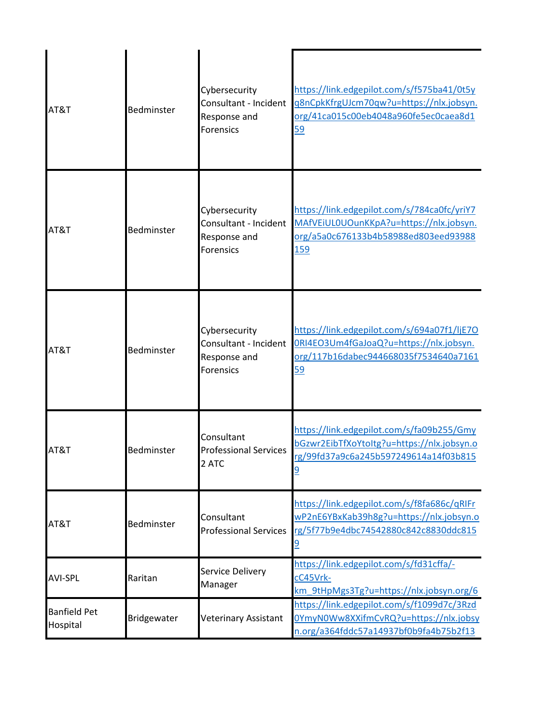| AT&T                            | Bedminster  | Cybersecurity<br>Consultant - Incident<br>Response and<br>Forensics        | https://link.edgepilot.com/s/f575ba41/0t5y<br>g8nCpkKfrgUJcm70qw?u=https://nlx.jobsyn.<br>org/41ca015c00eb4048a960fe5ec0caea8d1<br>59        |
|---------------------------------|-------------|----------------------------------------------------------------------------|----------------------------------------------------------------------------------------------------------------------------------------------|
| AT&T                            | Bedminster  | Cybersecurity<br>Consultant - Incident<br>Response and<br>Forensics        | https://link.edgepilot.com/s/784ca0fc/yriY7<br>MAfVEiUL0UOunKKpA?u=https://nlx.jobsyn.<br>org/a5a0c676133b4b58988ed803eed93988<br>159        |
| AT&T                            | Bedminster  | Cybersecurity<br>Consultant - Incident<br>Response and<br><b>Forensics</b> | https://link.edgepilot.com/s/694a07f1/ljE7O<br>ORI4EO3Um4fGaJoaQ?u=https://nlx.jobsyn.<br>org/117b16dabec944668035f7534640a7161<br><u>59</u> |
| AT&T                            | Bedminster  | Consultant<br><b>Professional Services</b><br>2 ATC                        | https://link.edgepilot.com/s/fa09b255/Gmy<br>bGzwr2EibTfXoYtoItg?u=https://nlx.jobsyn.o<br>rg/99fd37a9c6a245b597249614a14f03b815<br><u>9</u> |
| AT&T                            | Bedminster  | Consultant<br><b>Professional Services</b>                                 | https://link.edgepilot.com/s/f8fa686c/qRIFr<br>wP2nE6YBxKab39h8g?u=https://nlx.jobsyn.o<br>rg/5f77b9e4dbc74542880c842c8830ddc815<br><u>୨</u> |
| <b>AVI-SPL</b>                  | Raritan     | Service Delivery<br>Manager                                                | https://link.edgepilot.com/s/fd31cffa/-<br>cC45Vrk-<br>km_9tHpMgs3Tg?u=https://nlx.jobsyn.org/6                                              |
| <b>Banfield Pet</b><br>Hospital | Bridgewater | Veterinary Assistant                                                       | https://link.edgepilot.com/s/f1099d7c/3Rzd<br>0YmyN0Ww8XXifmCvRQ?u=https://nlx.jobsy<br>n.org/a364fddc57a14937bf0b9fa4b75b2f13               |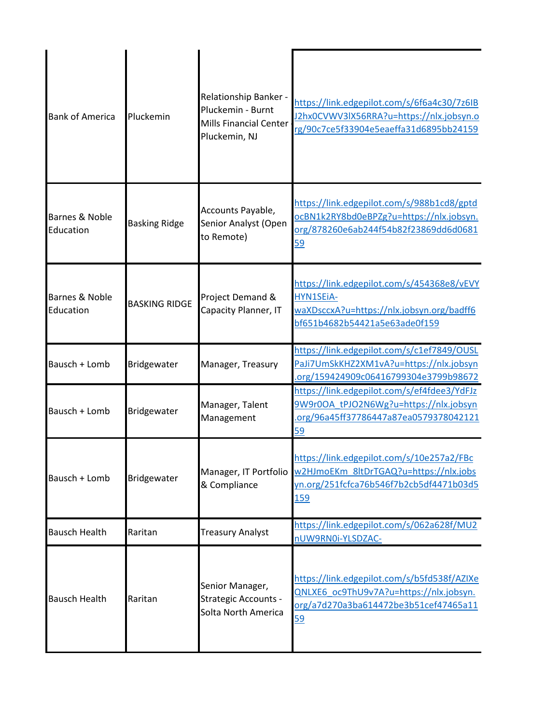| <b>Bank of America</b>      | Pluckemin            | Relationship Banker -<br>Pluckemin - Burnt<br>Mills Financial Center<br>Pluckemin, NJ | https://link.edgepilot.com/s/6f6a4c30/7z6IB<br>J2hx0CVWV3IX56RRA?u=https://nlx.jobsyn.o<br>rg/90c7ce5f33904e5eaeffa31d6895bb24159     |
|-----------------------------|----------------------|---------------------------------------------------------------------------------------|---------------------------------------------------------------------------------------------------------------------------------------|
| Barnes & Noble<br>Education | <b>Basking Ridge</b> | Accounts Payable,<br>Senior Analyst (Open<br>to Remote)                               | https://link.edgepilot.com/s/988b1cd8/gptd<br>ocBN1k2RY8bd0eBPZg?u=https://nlx.jobsyn.<br>org/878260e6ab244f54b82f23869dd6d0681<br>59 |
| Barnes & Noble<br>Education | <b>BASKING RIDGE</b> | Project Demand &<br>Capacity Planner, IT                                              | https://link.edgepilot.com/s/454368e8/vEVY<br>HYN1SEiA-<br>waXDsccxA?u=https://nlx.jobsyn.org/badff6<br>bf651b4682b54421a5e63ade0f159 |
| Bausch + Lomb               | Bridgewater          | Manager, Treasury                                                                     | https://link.edgepilot.com/s/c1ef7849/OUSL<br>PaJi7UmSkKHZ2XM1vA?u=https://nlx.jobsyn<br>org/159424909c06416799304e3799b98672         |
| Bausch + Lomb               | Bridgewater          | Manager, Talent<br>Management                                                         | https://link.edgepilot.com/s/ef4fdee3/YdFJz<br>9W9r0OA_tPJO2N6Wg?u=https://nlx.jobsyn<br>.org/96a45ff37786447a87ea0579378042121<br>59 |
| Bausch + Lomb               | Bridgewater          | Manager, IT Portfolio<br>& Compliance                                                 | https://link.edgepilot.com/s/10e257a2/FBc<br>w2HJmoEKm 8ltDrTGAQ?u=https://nlx.jobs<br>yn.org/251fcfca76b546f7b2cb5df4471b03d5<br>159 |
| <b>Bausch Health</b>        | Raritan              | <b>Treasury Analyst</b>                                                               | https://link.edgepilot.com/s/062a628f/MU2<br>nUW9RN0i-YLSDZAC-                                                                        |
| <b>Bausch Health</b>        | Raritan              | Senior Manager,<br><b>Strategic Accounts -</b><br>Solta North America                 | https://link.edgepilot.com/s/b5fd538f/AZIXe<br>QNLXE6_oc9ThU9v7A?u=https://nlx.jobsyn.<br>org/a7d270a3ba614472be3b51cef47465a11<br>59 |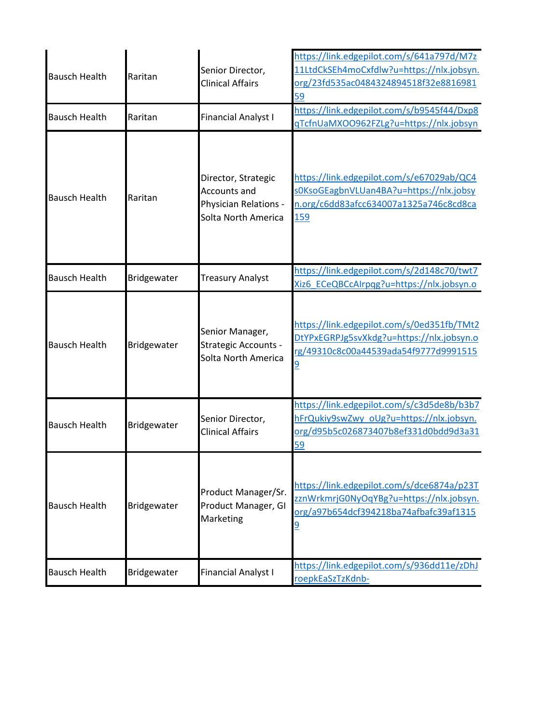| <b>Bausch Health</b> | Raritan     | Senior Director,<br><b>Clinical Affairs</b>                                                | https://link.edgepilot.com/s/641a797d/M7z<br>11LtdCkSEh4moCxfdlw?u=https://nlx.jobsyn.<br>org/23fd535ac0484324894518f32e8816981<br>59        |
|----------------------|-------------|--------------------------------------------------------------------------------------------|----------------------------------------------------------------------------------------------------------------------------------------------|
| <b>Bausch Health</b> | Raritan     | <b>Financial Analyst I</b>                                                                 | https://link.edgepilot.com/s/b9545f44/Dxp8<br>qTcfnUaMXOO962FZLg?u=https://nlx.jobsyn                                                        |
| <b>Bausch Health</b> | Raritan     | Director, Strategic<br><b>Accounts and</b><br>Physician Relations -<br>Solta North America | https://link.edgepilot.com/s/e67029ab/QC4<br>sOKsoGEagbnVLUan4BA?u=https://nlx.jobsy<br>n.org/c6dd83afcc634007a1325a746c8cd8ca<br>159        |
| <b>Bausch Health</b> | Bridgewater | <b>Treasury Analyst</b>                                                                    | https://link.edgepilot.com/s/2d148c70/twt7<br>Xiz6 ECeQBCcAIrpqg?u=https://nlx.jobsyn.o                                                      |
| <b>Bausch Health</b> | Bridgewater | Senior Manager,<br><b>Strategic Accounts -</b><br>Solta North America                      | https://link.edgepilot.com/s/0ed351fb/TMt2<br>DtYPxEGRPJg5svXkdg?u=https://nlx.jobsyn.o<br>rg/49310c8c00a44539ada54f9777d9991515             |
| <b>Bausch Health</b> | Bridgewater | Senior Director,<br><b>Clinical Affairs</b>                                                | https://link.edgepilot.com/s/c3d5de8b/b3b7<br>hFrQukiy9swZwy_oUg?u=https://nlx.jobsyn.<br>org/d95b5c026873407b8ef331d0bdd9d3a31<br><u>59</u> |
| <b>Bausch Health</b> | Bridgewater | Product Manager/Sr.<br>Product Manager, GI<br>Marketing                                    | https://link.edgepilot.com/s/dce6874a/p23T<br>zznWrkmrjG0NyOqYBg?u=https://nlx.jobsyn.<br>org/a97b654dcf394218ba74afbafc39af1315<br><u>១</u> |
| <b>Bausch Health</b> | Bridgewater | <b>Financial Analyst I</b>                                                                 | https://link.edgepilot.com/s/936dd11e/zDhJ<br>roepkEaSzTzKdnb-                                                                               |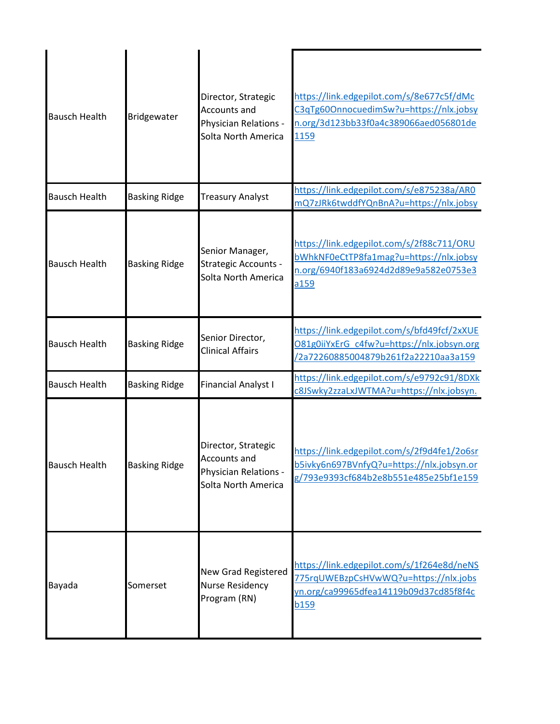| <b>Bausch Health</b> | Bridgewater          | Director, Strategic<br><b>Accounts and</b><br>Physician Relations -<br>Solta North America | https://link.edgepilot.com/s/8e677c5f/dMc<br>C3qTg60OnnocuedimSw?u=https://nlx.jobsy<br>n.org/3d123bb33f0a4c389066aed056801de<br>1159        |
|----------------------|----------------------|--------------------------------------------------------------------------------------------|----------------------------------------------------------------------------------------------------------------------------------------------|
| <b>Bausch Health</b> | <b>Basking Ridge</b> | <b>Treasury Analyst</b>                                                                    | https://link.edgepilot.com/s/e875238a/AR0<br>mQ7zJRk6twddfYQnBnA?u=https://nlx.jobsy                                                         |
| <b>Bausch Health</b> | <b>Basking Ridge</b> | Senior Manager,<br><b>Strategic Accounts -</b><br>Solta North America                      | https://link.edgepilot.com/s/2f88c711/ORU<br>bWhkNF0eCtTP8fa1mag?u=https://nlx.jobsy<br>n.org/6940f183a6924d2d89e9a582e0753e3<br>a159        |
| <b>Bausch Health</b> | <b>Basking Ridge</b> | Senior Director,<br><b>Clinical Affairs</b>                                                | https://link.edgepilot.com/s/bfd49fcf/2xXUE<br>O81g0iiYxErG c4fw?u=https://nlx.jobsyn.org<br>/2a72260885004879b261f2a22210aa3a159            |
| <b>Bausch Health</b> | <b>Basking Ridge</b> | <b>Financial Analyst I</b>                                                                 | https://link.edgepilot.com/s/e9792c91/8DXk<br>c8JSwky2zzaLxJWTMA?u=https://nlx.jobsyn.                                                       |
| <b>Bausch Health</b> | <b>Basking Ridge</b> | Director, Strategic<br><b>Accounts and</b><br>Physician Relations -<br>Solta North America | https://link.edgepilot.com/s/2f9d4fe1/2o6sr<br>b5ivky6n697BVnfyQ?u=https://nlx.jobsyn.or<br>g/793e9393cf684b2e8b551e485e25bf1e159            |
| Bayada               | Somerset             | New Grad Registered<br><b>Nurse Residency</b><br>Program (RN)                              | https://link.edgepilot.com/s/1f264e8d/neNS<br>775rqUWEBzpCsHVwWQ?u=https://nlx.jobs<br>yn.org/ca99965dfea14119b09d37cd85f8f4c<br><b>b159</b> |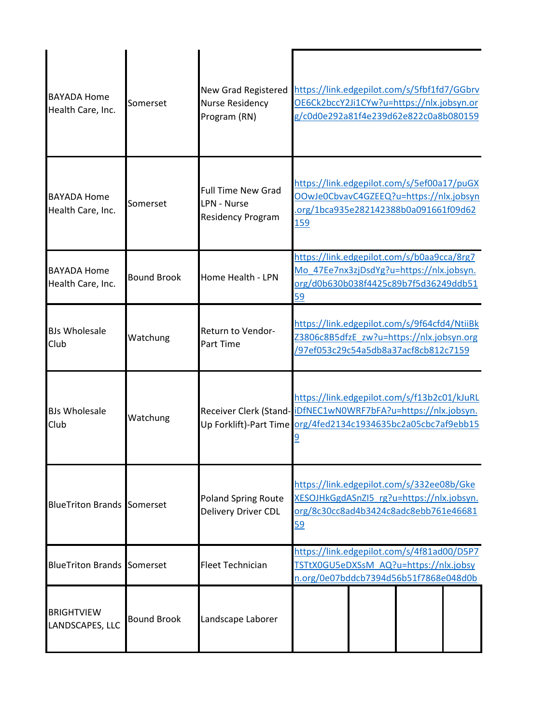| <b>BAYADA Home</b><br>Health Care, Inc. | Somerset           | <b>New Grad Registered</b><br><b>Nurse Residency</b><br>Program (RN)        | https://link.edgepilot.com/s/5fbf1fd7/GGbrv<br>OE6Ck2bccY2Ji1CYw?u=https://nlx.jobsyn.or<br>g/c0d0e292a81f4e239d62e822c0a8b080159                                              |
|-----------------------------------------|--------------------|-----------------------------------------------------------------------------|--------------------------------------------------------------------------------------------------------------------------------------------------------------------------------|
| <b>BAYADA Home</b><br>Health Care, Inc. | Somerset           | <b>Full Time New Grad</b><br><b>LPN - Nurse</b><br><b>Residency Program</b> | https://link.edgepilot.com/s/5ef00a17/puGX<br>OOwJe0CbvavC4GZEEQ?u=https://nlx.jobsyn<br>.org/1bca935e282142388b0a091661f09d62<br>159                                          |
| <b>BAYADA Home</b><br>Health Care, Inc. | <b>Bound Brook</b> | Home Health - LPN                                                           | https://link.edgepilot.com/s/b0aa9cca/8rg7<br>Mo 47Ee7nx3zjDsdYg?u=https://nlx.jobsyn.<br>org/d0b630b038f4425c89b7f5d36249ddb51<br>59                                          |
| <b>BJs Wholesale</b><br>Club            | Watchung           | Return to Vendor-<br><b>Part Time</b>                                       | https://link.edgepilot.com/s/9f64cfd4/NtiiBk<br>Z3806c8B5dfzE_zw?u=https://nlx.jobsyn.org<br>/97ef053c29c54a5db8a37acf8cb812c7159                                              |
| <b>BJs Wholesale</b><br>Club            | Watchung           |                                                                             | https://link.edgepilot.com/s/f13b2c01/kJuRL<br>Receiver Clerk (Stand- iDfNEC1wN0WRF7bFA?u=https://nlx.jobsyn.<br>Up Forklift)-Part Time org/4fed2134c1934635bc2a05cbc7af9ebb15 |
| <b>BlueTriton Brands Somerset</b>       |                    | <b>Poland Spring Route</b><br>Delivery Driver CDL                           | https://link.edgepilot.com/s/332ee08b/Gke<br>XESOJHkGgdASnZI5_rg?u=https://nlx.jobsyn.<br>org/8c30cc8ad4b3424c8adc8ebb761e46681<br>59                                          |
| <b>BlueTriton Brands Somerset</b>       |                    | <b>Fleet Technician</b>                                                     | https://link.edgepilot.com/s/4f81ad00/D5P7<br>TSTtX0GU5eDXSsM_AQ?u=https://nlx.jobsy<br>n.org/0e07bddcb7394d56b51f7868e048d0b                                                  |
| <b>BRIGHTVIEW</b><br>LANDSCAPES, LLC    | <b>Bound Brook</b> | Landscape Laborer                                                           |                                                                                                                                                                                |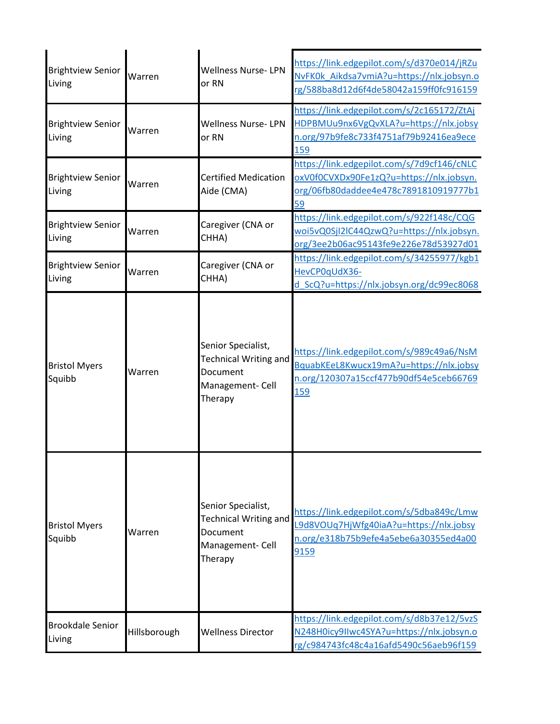| <b>Brightview Senior</b><br>Living | Warren       | <b>Wellness Nurse-LPN</b><br>or RN                                                            | https://link.edgepilot.com/s/d370e014/jRZu<br>NvFK0k_Aikdsa7vmiA?u=https://nlx.jobsyn.o<br>rg/588ba8d12d6f4de58042a159ff0fc916159            |
|------------------------------------|--------------|-----------------------------------------------------------------------------------------------|----------------------------------------------------------------------------------------------------------------------------------------------|
| <b>Brightview Senior</b><br>Living | Warren       | <b>Wellness Nurse-LPN</b><br>or RN                                                            | https://link.edgepilot.com/s/2c165172/ZtAj<br>HDPBMUu9nx6VgQvXLA?u=https://nlx.jobsy<br>n.org/97b9fe8c733f4751af79b92416ea9ece<br><u>159</u> |
| <b>Brightview Senior</b><br>Living | Warren       | <b>Certified Medication</b><br>Aide (CMA)                                                     | https://link.edgepilot.com/s/7d9cf146/cNLC<br>oxV0f0CVXDx90Fe1zQ?u=https://nlx.jobsyn.<br>org/06fb80daddee4e478c7891810919777b1<br>59        |
| <b>Brightview Senior</b><br>Living | Warren       | Caregiver (CNA or<br>CHHA)                                                                    | https://link.edgepilot.com/s/922f148c/CQG<br>woi5vQ0SjI2lC44QzwQ?u=https://nlx.jobsyn.<br>org/3ee2b06ac95143fe9e226e78d53927d01              |
| <b>Brightview Senior</b><br>Living | Warren       | Caregiver (CNA or<br>CHHA)                                                                    | https://link.edgepilot.com/s/34255977/kgb1<br>HevCP0qUdX36-<br>d ScQ?u=https://nlx.jobsyn.org/dc99ec8068                                     |
| <b>Bristol Myers</b><br>Squibb     | Warren       | Senior Specialist,<br><b>Technical Writing and</b><br>Document<br>Management- Cell<br>Therapy | https://link.edgepilot.com/s/989c49a6/NsM<br>BquabKEeL8Kwucx19mA?u=https://nlx.jobsy<br>n.org/120307a15ccf477b90df54e5ceb66769<br><b>159</b> |
| <b>Bristol Myers</b><br>Squibb     | Warren       | Senior Specialist,<br><b>Technical Writing and</b><br>Document<br>Management- Cell<br>Therapy | https://link.edgepilot.com/s/5dba849c/Lmw<br>L9d8VOUq7HjWfg40iaA?u=https://nlx.jobsy<br>n.org/e318b75b9efe4a5ebe6a30355ed4a00<br>9159        |
| <b>Brookdale Senior</b><br>Living  | Hillsborough | <b>Wellness Director</b>                                                                      | https://link.edgepilot.com/s/d8b37e12/5vzS<br>N248H0icy9IIwc4SYA?u=https://nlx.jobsyn.o<br>rg/c984743fc48c4a16afd5490c56aeb96f159            |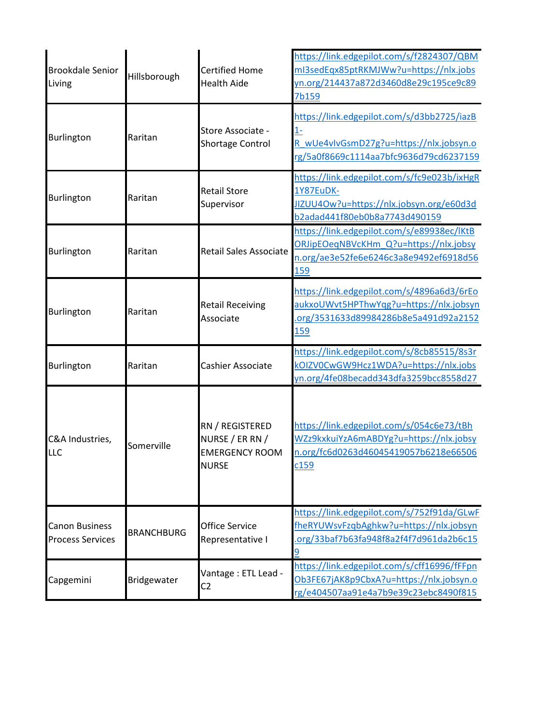| <b>Brookdale Senior</b><br>Living                | Hillsborough      | <b>Certified Home</b><br><b>Health Aide</b>                                 | https://link.edgepilot.com/s/f2824307/QBM<br>ml3sedEqx85ptRKMJWw?u=https://nlx.jobs<br>yn.org/214437a872d3460d8e29c195ce9c89<br>7b159       |
|--------------------------------------------------|-------------------|-----------------------------------------------------------------------------|---------------------------------------------------------------------------------------------------------------------------------------------|
| Burlington                                       | Raritan           | Store Associate -<br>Shortage Control                                       | https://link.edgepilot.com/s/d3bb2725/iazB<br>$1 -$<br>R_wUe4vIvGsmD27g?u=https://nlx.jobsyn.o<br>rg/5a0f8669c1114aa7bfc9636d79cd6237159    |
| Burlington                                       | Raritan           | <b>Retail Store</b><br>Supervisor                                           | https://link.edgepilot.com/s/fc9e023b/ixHgR<br>1Y87EuDK-<br>JIZUU4Ow?u=https://nlx.jobsyn.org/e60d3d<br>b2adad441f80eb0b8a7743d490159       |
| Burlington                                       | Raritan           | <b>Retail Sales Associate</b>                                               | https://link.edgepilot.com/s/e89938ec/lKtB<br>ORJipEOeqNBVcKHm Q?u=https://nlx.jobsy<br>n.org/ae3e52fe6e6246c3a8e9492ef6918d56<br>159       |
| Burlington                                       | Raritan           | <b>Retail Receiving</b><br>Associate                                        | https://link.edgepilot.com/s/4896a6d3/6rEo<br>aukxoUWvt5HPThwYqg?u=https://nlx.jobsyn<br>org/3531633d89984286b8e5a491d92a2152<br><u>159</u> |
| <b>Burlington</b>                                | Raritan           | Cashier Associate                                                           | https://link.edgepilot.com/s/8cb85515/8s3r<br>kOIZV0CwGW9Hcz1WDA?u=https://nlx.jobs<br>yn.org/4fe08becadd343dfa3259bcc8558d27               |
| C&A Industries,<br><b>LLC</b>                    | Somerville        | RN / REGISTERED<br>NURSE / ER RN /<br><b>EMERGENCY ROOM</b><br><b>NURSE</b> | https://link.edgepilot.com/s/054c6e73/tBh<br>WZz9kxkuiYzA6mABDYg?u=https://nlx.jobsy<br>n.org/fc6d0263d46045419057b6218e66506<br>c159       |
| <b>Canon Business</b><br><b>Process Services</b> | <b>BRANCHBURG</b> | Office Service<br>Representative I                                          | https://link.edgepilot.com/s/752f91da/GLwF<br>fheRYUWsvFzqbAghkw?u=https://nlx.jobsyn<br>org/33baf7b63fa948f8a2f4f7d961da2b6c15<br>9        |
| Capgemini                                        | Bridgewater       | Vantage: ETL Lead -<br>C <sub>2</sub>                                       | https://link.edgepilot.com/s/cff16996/fFFpn<br>Ob3FE67jAK8p9CbxA?u=https://nlx.jobsyn.o<br>rg/e404507aa91e4a7b9e39c23ebc8490f815            |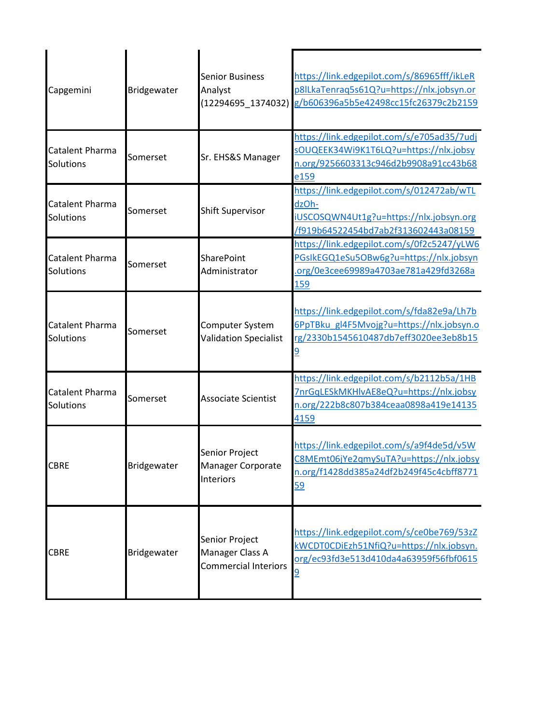| Capgemini                    | Bridgewater | <b>Senior Business</b><br>Analyst<br>(12294695 1374032)          | https://link.edgepilot.com/s/86965fff/ikLeR<br>p8ILkaTenraq5s61Q?u=https://nlx.jobsyn.or<br>g/b606396a5b5e42498cc15fc26379c2b2159            |
|------------------------------|-------------|------------------------------------------------------------------|----------------------------------------------------------------------------------------------------------------------------------------------|
| Catalent Pharma<br>Solutions | Somerset    | Sr. EHS&S Manager                                                | https://link.edgepilot.com/s/e705ad35/7udj<br>sOUQEEK34Wi9K1T6LQ?u=https://nlx.jobsy<br>n.org/9256603313c946d2b9908a91cc43b68<br>e159        |
| Catalent Pharma<br>Solutions | Somerset    | <b>Shift Supervisor</b>                                          | https://link.edgepilot.com/s/012472ab/wTL<br>dzOh-<br>iUSCOSQWN4Ut1g?u=https://nlx.jobsyn.org<br>/f919b64522454bd7ab2f313602443a08159        |
| Catalent Pharma<br>Solutions | Somerset    | <b>SharePoint</b><br>Administrator                               | https://link.edgepilot.com/s/0f2c5247/yLW6<br>PGsIkEGQ1eSu5OBw6g?u=https://nlx.jobsyn<br>org/0e3cee69989a4703ae781a429fd3268a<br>159         |
| Catalent Pharma<br>Solutions | Somerset    | Computer System<br><b>Validation Specialist</b>                  | https://link.edgepilot.com/s/fda82e9a/Lh7b<br>6PpTBku gl4F5Mvojg?u=https://nlx.jobsyn.o<br>rg/2330b1545610487db7eff3020ee3eb8b15             |
| Catalent Pharma<br>Solutions | Somerset    | <b>Associate Scientist</b>                                       | https://link.edgepilot.com/s/b2112b5a/1HB<br>7nrGqLESkMKHlvAE8eQ?u=https://nlx.jobsy<br>n.org/222b8c807b384ceaa0898a419e14135<br>4159        |
| <b>CBRE</b>                  | Bridgewater | Senior Project<br>Manager Corporate<br>Interiors                 | https://link.edgepilot.com/s/a9f4de5d/v5W<br>C8MEmt06jYe2qmySuTA?u=https://nlx.jobsy<br>n.org/f1428dd385a24df2b249f45c4cbff8771<br><u>59</u> |
| <b>CBRE</b>                  | Bridgewater | Senior Project<br>Manager Class A<br><b>Commercial Interiors</b> | https://link.edgepilot.com/s/ce0be769/53zZ<br>kWCDT0CD <u>iEzh51NfiQ?u=https://nlx.jobsyn.</u><br>org/ec93fd3e513d410da4a63959f56fbf0615     |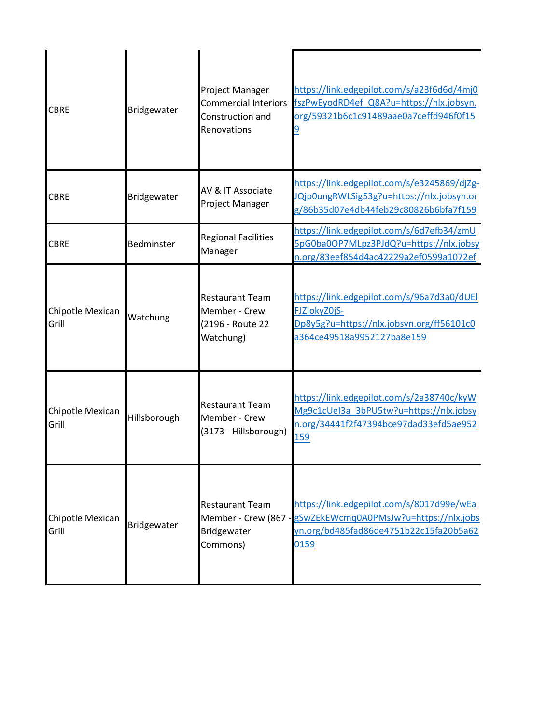| <b>CBRE</b>               | Bridgewater  | Project Manager<br><b>Commercial Interiors</b><br>Construction and<br>Renovations | https://link.edgepilot.com/s/a23f6d6d/4mj0<br>fszPwEyodRD4ef Q8A?u=https://nlx.jobsyn.<br>org/59321b6c1c91489aae0a7ceffd946f0f15<br>$\overline{9}$ |
|---------------------------|--------------|-----------------------------------------------------------------------------------|----------------------------------------------------------------------------------------------------------------------------------------------------|
| <b>CBRE</b>               | Bridgewater  | AV & IT Associate<br>Project Manager                                              | https://link.edgepilot.com/s/e3245869/djZg-<br>JQjp0ungRWLSig53g?u=https://nlx.jobsyn.or<br>g/86b35d07e4db44feb29c80826b6bfa7f159                  |
| <b>CBRE</b>               | Bedminster   | <b>Regional Facilities</b><br>Manager                                             | https://link.edgepilot.com/s/6d7efb34/zmU<br>5pG0ba0OP7MLpz3PJdQ?u=https://nlx.jobsy<br>n.org/83eef854d4ac42229a2ef0599a1072ef                     |
| Chipotle Mexican<br>Grill | Watchung     | <b>Restaurant Team</b><br>Member - Crew<br>(2196 - Route 22<br>Watchung)          | https://link.edgepilot.com/s/96a7d3a0/dUEI<br>FJZIokyZ0jS-<br>Dp8y5g?u=https://nlx.jobsyn.org/ff56101c0<br>a364ce49518a9952127ba8e159              |
| Chipotle Mexican<br>Grill | Hillsborough | <b>Restaurant Team</b><br>Member - Crew<br>(3173 - Hillsborough)                  | https://link.edgepilot.com/s/2a38740c/kyW<br>Mg9c1cUeI3a 3bPU5tw?u=https://nlx.jobsy<br>n.org/34441f2f47394bce97dad33efd5ae952<br>159              |
| Chipotle Mexican<br>Grill | Bridgewater  | <b>Restaurant Team</b><br>Member - Crew (867 -<br>Bridgewater<br>Commons)         | https://link.edgepilot.com/s/8017d99e/wEa<br>gSwZEkEWcmq0A0PMsJw?u=https://nlx.jobs<br>yn.org/bd485fad86de4751b22c15fa20b5a62<br>0159              |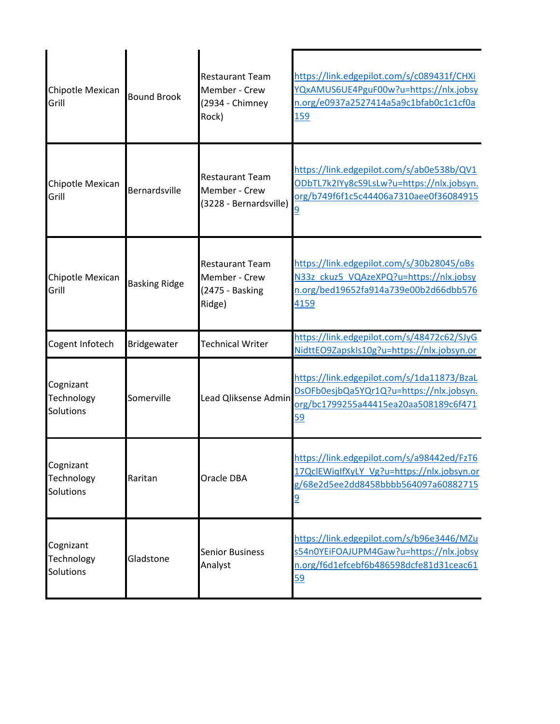| Chipotle Mexican<br>Grill            | <b>Bound Brook</b>   | <b>Restaurant Team</b><br>Member - Crew<br>(2934 - Chimney<br>Rock)  | https://link.edgepilot.com/s/c089431f/CHXi<br>YQxAMUS6UE4PguF00w?u=https://nlx.jobsy<br>n.org/e0937a2527414a5a9c1bfab0c1c1cf0a<br>159        |
|--------------------------------------|----------------------|----------------------------------------------------------------------|----------------------------------------------------------------------------------------------------------------------------------------------|
| Chipotle Mexican<br>Grill            | Bernardsville        | <b>Restaurant Team</b><br>Member - Crew<br>(3228 - Bernardsville)    | https://link.edgepilot.com/s/ab0e538b/QV1<br>ODbTL7k2IYy8cS9LsLw?u=https://nlx.jobsyn.<br>org/b749f6f1c5c44406a7310aee0f36084915<br>9        |
| Chipotle Mexican<br>Grill            | <b>Basking Ridge</b> | <b>Restaurant Team</b><br>Member - Crew<br>(2475 - Basking<br>Ridge) | https://link.edgepilot.com/s/30b28045/oBs<br>N33z ckuz5 VQAzeXPQ?u=https://nlx.jobsy<br>n.org/bed19652fa914a739e00b2d66dbb576<br>4159        |
| Cogent Infotech                      | Bridgewater          | <b>Technical Writer</b>                                              | https://link.edgepilot.com/s/48472c62/SJyG<br>NidttEO9ZapskIs10g?u=https://nlx.jobsyn.or                                                     |
| Cognizant<br>Technology<br>Solutions | Somerville           | Lead Qliksense Admin                                                 | https://link.edgepilot.com/s/1da11873/BzaL<br>DsOFb0esjbQa5YQr1Q?u=https://nlx.jobsyn.<br>org/bc1799255a44415ea20aa508189c6f471<br>59        |
| Cognizant<br>Technology<br>Solutions | Raritan              | Oracle DBA                                                           | https://link.edgepilot.com/s/a98442ed/FzT6<br>17QclEWiqIfXyLY Vg?u=https://nlx.jobsyn.or<br>g/68e2d5ee2dd8458bbbb564097a60882715<br><u>9</u> |
| Cognizant<br>Technology<br>Solutions | Gladstone            | <b>Senior Business</b><br>Analyst                                    | https://link.edgepilot.com/s/b96e3446/MZu<br>s54n0YEiFOAJUPM4Gaw?u=https://nlx.jobsy<br>n.org/f6d1efcebf6b486598dcfe81d31ceac61<br>59        |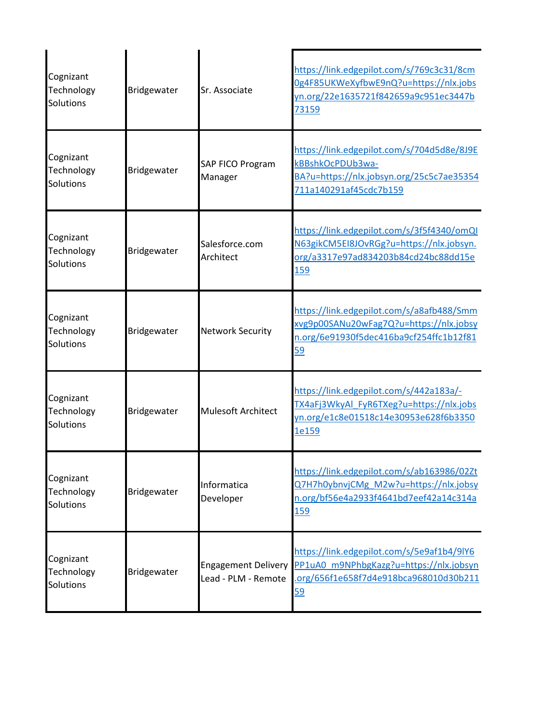| Cognizant<br>Technology<br>Solutions | Bridgewater | Sr. Associate                                     | https://link.edgepilot.com/s/769c3c31/8cm<br>0g4F85UKWeXyfbwE9nQ?u=https://nlx.jobs<br>yn.org/22e1635721f842659a9c951ec3447b<br>73159        |
|--------------------------------------|-------------|---------------------------------------------------|----------------------------------------------------------------------------------------------------------------------------------------------|
| Cognizant<br>Technology<br>Solutions | Bridgewater | SAP FICO Program<br>Manager                       | https://link.edgepilot.com/s/704d5d8e/8J9E<br>kBBshkOcPDUb3wa-<br>BA?u=https://nlx.jobsyn.org/25c5c7ae35354<br>711a140291af45cdc7b159        |
| Cognizant<br>Technology<br>Solutions | Bridgewater | Salesforce.com<br>Architect                       | https://link.edgepilot.com/s/3f5f4340/omQI<br>N63gikCM5EI8JOvRGg?u=https://nlx.jobsyn.<br>org/a3317e97ad834203b84cd24bc88dd15e<br><u>159</u> |
| Cognizant<br>Technology<br>Solutions | Bridgewater | <b>Network Security</b>                           | https://link.edgepilot.com/s/a8afb488/Smm<br>xvg9p00SANu20wFag7Q?u=https://nlx.jobsy<br>n.org/6e91930f5dec416ba9cf254ffc1b12f81<br>59        |
| Cognizant<br>Technology<br>Solutions | Bridgewater | <b>Mulesoft Architect</b>                         | https://link.edgepilot.com/s/442a183a/-<br>TX4aFj3WkyAl_FyR6TXeg?u=https://nlx.jobs<br>yn.org/e1c8e01518c14e30953e628f6b3350<br>1e159        |
| Cognizant<br>Technology<br>Solutions | Bridgewater | Informatica<br>Developer                          | https://link.edgepilot.com/s/ab163986/02Zt<br>Q7H7h0ybnvjCMg M2w?u=https://nlx.jobsy<br>n.org/bf56e4a2933f4641bd7eef42a14c314a<br><u>159</u> |
| Cognizant<br>Technology<br>Solutions | Bridgewater | <b>Engagement Delivery</b><br>Lead - PLM - Remote | https://link.edgepilot.com/s/5e9af1b4/9lY6<br>PP1uA0 m9NPhbgKazg?u=https://nlx.jobsyn<br>.org/656f1e658f7d4e918bca968010d30b211<br>59        |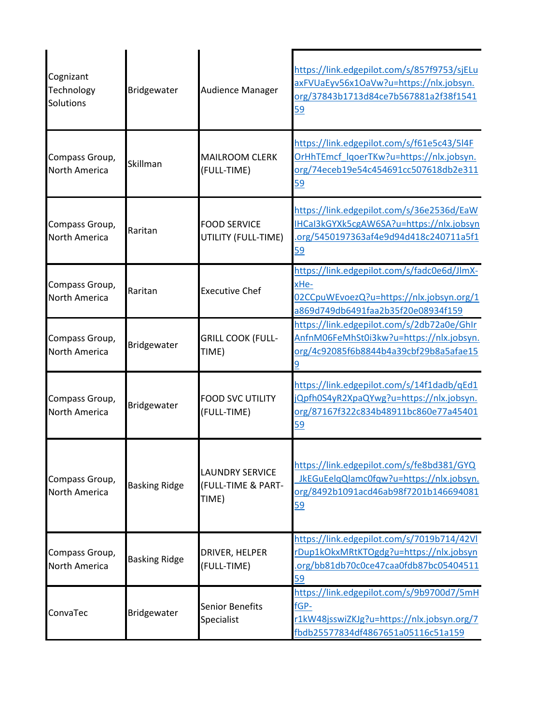| Cognizant<br>Technology<br>Solutions   | Bridgewater          | Audience Manager                                      | https://link.edgepilot.com/s/857f9753/sjELu<br>axFVUaEyv56x1OaVw?u=https://nlx.jobsyn.<br>org/37843b1713d84ce7b567881a2f38f1541<br>59        |
|----------------------------------------|----------------------|-------------------------------------------------------|----------------------------------------------------------------------------------------------------------------------------------------------|
| Compass Group,<br><b>North America</b> | Skillman             | <b>MAILROOM CLERK</b><br>(FULL-TIME)                  | https://link.edgepilot.com/s/f61e5c43/5l4F<br>OrHhTEmcf_lqoerTKw?u=https://nlx.jobsyn.<br>org/74eceb19e54c454691cc507618db2e311<br>59        |
| Compass Group,<br>North America        | Raritan              | <b>FOOD SERVICE</b><br>UTILITY (FULL-TIME)            | https://link.edgepilot.com/s/36e2536d/EaW<br>IHCaI3kGYXk5cgAW6SA?u=https://nlx.jobsyn<br>.org/5450197363af4e9d94d418c240711a5f1<br><u>59</u> |
| Compass Group,<br><b>North America</b> | Raritan              | <b>Executive Chef</b>                                 | https://link.edgepilot.com/s/fadc0e6d/JlmX-<br>xHe-<br>02CCpuWEvoezQ?u=https://nlx.jobsyn.org/1<br>a869d749db6491faa2b35f20e08934f159        |
| Compass Group,<br><b>North America</b> | Bridgewater          | <b>GRILL COOK (FULL-</b><br>TIME)                     | https://link.edgepilot.com/s/2db72a0e/GhIr<br>AnfnM06FeMhSt0i3kw?u=https://nlx.jobsyn.<br>org/4c92085f6b8844b4a39cbf29b8a5afae15             |
| Compass Group,<br><b>North America</b> | Bridgewater          | <b>FOOD SVC UTILITY</b><br>(FULL-TIME)                | https://link.edgepilot.com/s/14f1dadb/qEd1<br>jQpfh0S4yR2XpaQYwg?u=https://nlx.jobsyn.<br>org/87167f322c834b48911bc860e77a45401<br><u>59</u> |
| Compass Group,<br><b>North America</b> | <b>Basking Ridge</b> | <b>LAUNDRY SERVICE</b><br>(FULL-TIME & PART-<br>TIME) | https://link.edgepilot.com/s/fe8bd381/GYQ<br>JkEGuEelqQlamc0fqw?u=https://nlx.jobsyn.<br>org/8492b1091acd46ab98f7201b146694081<br><u>59</u>  |
| Compass Group,<br>North America        | <b>Basking Ridge</b> | DRIVER, HELPER<br>(FULL-TIME)                         | https://link.edgepilot.com/s/7019b714/42Vl<br>rDup1kOkxMRtKTOgdg?u=https://nlx.jobsyn<br>.org/bb81db70c0ce47caa0fdb87bc05404511<br><u>59</u> |
| ConvaTec                               | Bridgewater          | <b>Senior Benefits</b><br>Specialist                  | https://link.edgepilot.com/s/9b9700d7/5mH<br>fGP-<br>r1kW48jsswiZKJg?u=https://nlx.jobsyn.org/7<br>fbdb25577834df4867651a05116c51a159        |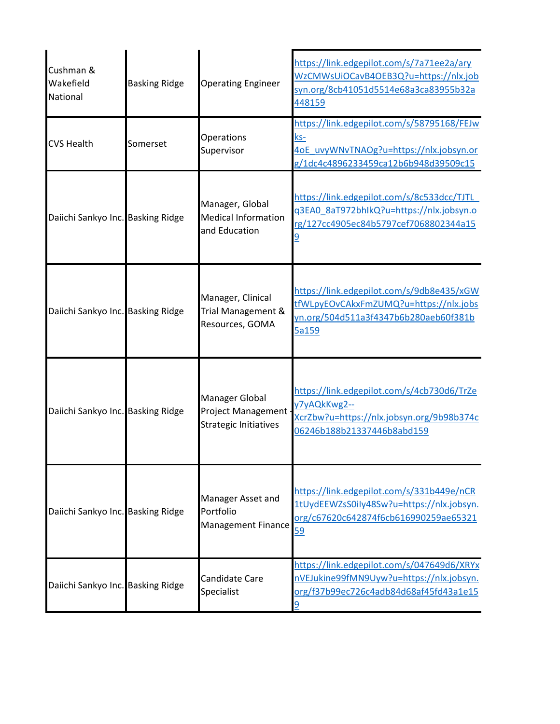| Cushman &<br>Wakefield<br>National | <b>Basking Ridge</b> | <b>Operating Engineer</b>                                                   | https://link.edgepilot.com/s/7a71ee2a/ary<br>WzCMWsUiOCavB4OEB3Q?u=https://nlx.job<br>syn.org/8cb41051d5514e68a3ca83955b32a<br>448159        |
|------------------------------------|----------------------|-----------------------------------------------------------------------------|----------------------------------------------------------------------------------------------------------------------------------------------|
| <b>CVS Health</b>                  | Somerset             | Operations<br>Supervisor                                                    | https://link.edgepilot.com/s/58795168/FEJw<br><u>ks-</u><br>4oE uvyWNvTNAOg?u=https://nlx.jobsyn.or<br>g/1dc4c4896233459ca12b6b948d39509c15  |
| Daiichi Sankyo Inc. Basking Ridge  |                      | Manager, Global<br><b>Medical Information</b><br>and Education              | https://link.edgepilot.com/s/8c533dcc/TJTL<br>q3EA0 8aT972bhIkQ?u=https://nlx.jobsyn.o<br>rg/127cc4905ec84b5797cef7068802344a15              |
| Daiichi Sankyo Inc. Basking Ridge  |                      | Manager, Clinical<br>Trial Management &<br>Resources, GOMA                  | https://link.edgepilot.com/s/9db8e435/xGW<br>tfWLpyEOvCAkxFmZUMQ?u=https://nlx.jobs<br>yn.org/504d511a3f4347b6b280aeb60f381b<br>5a159        |
| Daiichi Sankyo Inc. Basking Ridge  |                      | Manager Global<br><b>Project Management</b><br><b>Strategic Initiatives</b> | https://link.edgepilot.com/s/4cb730d6/TrZe<br>y7yAQkKwg2--<br>XcrZbw?u=https://nlx.jobsyn.org/9b98b374c<br>06246b188b21337446b8abd159        |
| Daiichi Sankyo Inc. Basking Ridge  |                      | Manager Asset and<br>Portfolio<br><b>Management Finance</b>                 | https://link.edgepilot.com/s/331b449e/nCR<br>1tUydEEWZsS0ily48Sw?u=https://nlx.jobsyn.<br>org/c67620c642874f6cb616990259ae65321<br>59        |
| Daiichi Sankyo Inc. Basking Ridge  |                      | Candidate Care<br>Specialist                                                | https://link.edgepilot.com/s/047649d6/XRYx<br>nVEJukine99fMN9Uyw?u=https://nlx.jobsyn.<br>org/f37b99ec726c4adb84d68af45fd43a1e15<br><u>9</u> |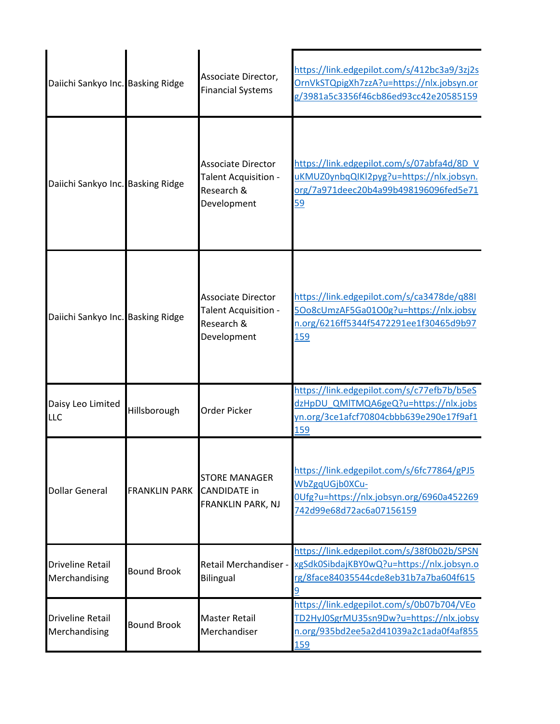| Daiichi Sankyo Inc. Basking Ridge        |                      | Associate Director,<br><b>Financial Systems</b>                                | https://link.edgepilot.com/s/412bc3a9/3zj2s<br>OrnVkSTQpigXh7zzA?u=https://nlx.jobsyn.or<br>g/3981a5c3356f46cb86ed93cc42e20585159     |
|------------------------------------------|----------------------|--------------------------------------------------------------------------------|---------------------------------------------------------------------------------------------------------------------------------------|
| Daiichi Sankyo Inc. Basking Ridge        |                      | <b>Associate Director</b><br>Talent Acquisition -<br>Research &<br>Development | https://link.edgepilot.com/s/07abfa4d/8D V<br>uKMUZ0ynbqQIKI2pyg?u=https://nlx.jobsyn.<br>org/7a971deec20b4a99b498196096fed5e71<br>59 |
| Daiichi Sankyo Inc. Basking Ridge        |                      | <b>Associate Director</b><br>Talent Acquisition -<br>Research &<br>Development | https://link.edgepilot.com/s/ca3478de/q88I<br>5Oo8cUmzAF5Ga01O0g?u=https://nlx.jobsy<br>n.org/6216ff5344f5472291ee1f30465d9b97<br>159 |
| Daisy Leo Limited<br>LLC                 | Hillsborough         | Order Picker                                                                   | https://link.edgepilot.com/s/c77efb7b/b5eS<br>dzHpDU_QMITMQA6geQ?u=https://nlx.jobs<br>yn.org/3ce1afcf70804cbbb639e290e17f9af1<br>159 |
| <b>Dollar General</b>                    | <b>FRANKLIN PARK</b> | <b>STORE MANAGER</b><br><b>CANDIDATE in</b><br>FRANKLIN PARK, NJ               | https://link.edgepilot.com/s/6fc77864/gPJ5<br>WbZgqUGjb0XCu-<br>0Ufg?u=https://nlx.jobsyn.org/6960a452269<br>742d99e68d72ac6a07156159 |
| <b>Driveline Retail</b><br>Merchandising | <b>Bound Brook</b>   | <b>Retail Merchandiser -</b><br><b>Bilingual</b>                               | https://link.edgepilot.com/s/38f0b02b/SPSN<br>xgSdk0SibdajKBY0wQ?u=https://nlx.jobsyn.o<br>rg/8face84035544cde8eb31b7a7ba604f615<br>9 |
| <b>Driveline Retail</b><br>Merchandising | <b>Bound Brook</b>   | <b>Master Retail</b><br>Merchandiser                                           | https://link.edgepilot.com/s/0b07b704/VEo<br>TD2HyJ0SgrMU35sn9Dw?u=https://nlx.jobsy<br>n.org/935bd2ee5a2d41039a2c1ada0f4af855<br>159 |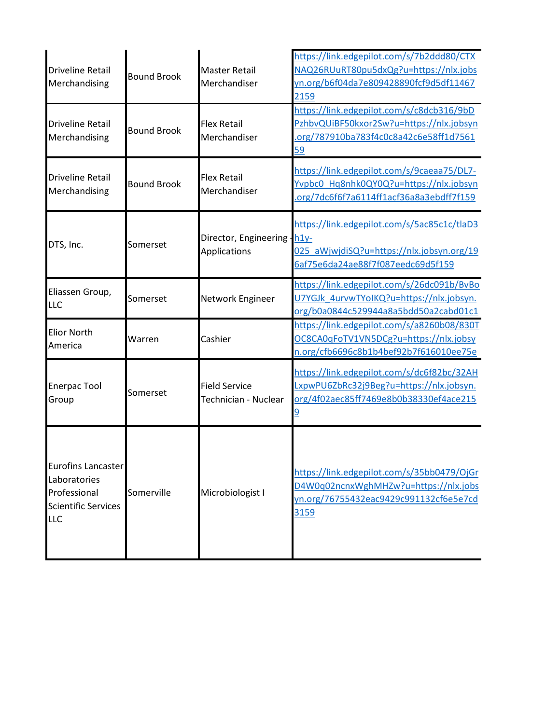| <b>Driveline Retail</b><br>Merchandising                                                              | <b>Bound Brook</b> | <b>Master Retail</b><br>Merchandiser         | https://link.edgepilot.com/s/7b2ddd80/CTX<br>NAQ26RUuRT80pu5dxQg?u=https://nlx.jobs<br>yn.org/b6f04da7e809428890fcf9d5df11467<br>2159 |
|-------------------------------------------------------------------------------------------------------|--------------------|----------------------------------------------|---------------------------------------------------------------------------------------------------------------------------------------|
| <b>Driveline Retail</b><br>Merchandising                                                              | <b>Bound Brook</b> | <b>Flex Retail</b><br>Merchandiser           | https://link.edgepilot.com/s/c8dcb316/9bD<br>PzhbvQUiBF50kxor2Sw?u=https://nlx.jobsyn<br>org/787910ba783f4c0c8a42c6e58ff1d7561<br>59  |
| <b>Driveline Retail</b><br>Merchandising                                                              | <b>Bound Brook</b> | <b>Flex Retail</b><br>Merchandiser           | https://link.edgepilot.com/s/9caeaa75/DL7-<br>Yvpbc0 Hq8nhk0QY0Q?u=https://nlx.jobsyn<br>org/7dc6f6f7a6114ff1acf36a8a3ebdff7f159      |
| DTS, Inc.                                                                                             | Somerset           | Director, Engineering - h1y-<br>Applications | https://link.edgepilot.com/s/5ac85c1c/tlaD3<br>025 aWjwjdiSQ?u=https://nlx.jobsyn.org/19<br>6af75e6da24ae88f7f087eedc69d5f159         |
| Eliassen Group,<br><b>LLC</b>                                                                         | Somerset           | Network Engineer                             | https://link.edgepilot.com/s/26dc091b/BvBo<br>U7YGJk 4urvwTYoIKQ?u=https://nlx.jobsyn.<br>org/b0a0844c529944a8a5bdd50a2cabd01c1       |
| <b>Elior North</b><br>America                                                                         | Warren             | Cashier                                      | https://link.edgepilot.com/s/a8260b08/830T<br>OC8CA0qFoTV1VN5DCg?u=https://nlx.jobsy<br>n.org/cfb6696c8b1b4bef92b7f616010ee75e        |
| <b>Enerpac Tool</b><br>Group                                                                          | Somerset           | <b>Field Service</b><br>Technician - Nuclear | https://link.edgepilot.com/s/dc6f82bc/32AH<br>LxpwPU6ZbRc32j9Beg?u=https://nlx.jobsyn.<br>org/4f02aec85ff7469e8b0b38330ef4ace215      |
| <b>Eurofins Lancaster</b><br>Laboratories<br>Professional<br><b>Scientific Services</b><br><b>LLC</b> | Somerville         | Microbiologist I                             | https://link.edgepilot.com/s/35bb0479/OjGr<br>D4W0q02ncnxWghMHZw?u=https://nlx.jobs<br>yn.org/76755432eac9429c991132cf6e5e7cd<br>3159 |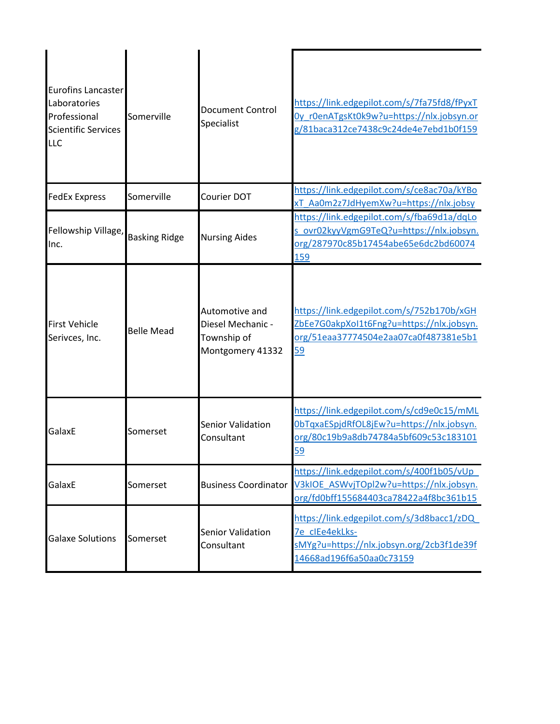| <b>Eurofins Lancaster</b><br>Laboratories<br>Professional<br><b>Scientific Services</b><br><b>LLC</b> | Somerville           | <b>Document Control</b><br>Specialist                                  | https://link.edgepilot.com/s/7fa75fd8/fPyxT<br>Oy rOenATgsKtOk9w?u=https://nlx.jobsyn.or<br>g/81baca312ce7438c9c24de4e7ebd1b0f159     |
|-------------------------------------------------------------------------------------------------------|----------------------|------------------------------------------------------------------------|---------------------------------------------------------------------------------------------------------------------------------------|
| <b>FedEx Express</b>                                                                                  | Somerville           | Courier DOT                                                            | https://link.edgepilot.com/s/ce8ac70a/kYBo<br>xT Aa0m2z7JdHyemXw?u=https://nlx.jobsy                                                  |
| Fellowship Village,<br>Inc.                                                                           | <b>Basking Ridge</b> | <b>Nursing Aides</b>                                                   | https://link.edgepilot.com/s/fba69d1a/dqLo<br>s ovr02kyyVgmG9TeQ?u=https://nlx.jobsyn.<br>org/287970c85b17454abe65e6dc2bd60074<br>159 |
| <b>First Vehicle</b><br>Serivces, Inc.                                                                | <b>Belle Mead</b>    | Automotive and<br>Diesel Mechanic -<br>Township of<br>Montgomery 41332 | https://link.edgepilot.com/s/752b170b/xGH<br>ZbEe7G0akpXoI1t6Fng?u=https://nlx.jobsyn.<br>org/51eaa37774504e2aa07ca0f487381e5b1<br>59 |
| GalaxE                                                                                                | Somerset             | <b>Senior Validation</b><br>Consultant                                 | https://link.edgepilot.com/s/cd9e0c15/mML<br>0bTqxaESpjdRfOL8jEw?u=https://nlx.jobsyn.<br>org/80c19b9a8db74784a5bf609c53c183101<br>59 |
| GalaxE                                                                                                | Somerset             | <b>Business Coordinator</b>                                            | https://link.edgepilot.com/s/400f1b05/vUp<br>V3kIOE ASWvjTOpl2w?u=https://nlx.jobsyn.<br>org/fd0bff155684403ca78422a4f8bc361b15       |
| <b>Galaxe Solutions</b>                                                                               | Somerset             | <b>Senior Validation</b><br>Consultant                                 | https://link.edgepilot.com/s/3d8bacc1/zDQ<br>7e clEe4ekLks-<br>sMYg?u=https://nlx.jobsyn.org/2cb3f1de39f<br>14668ad196f6a50aa0c73159  |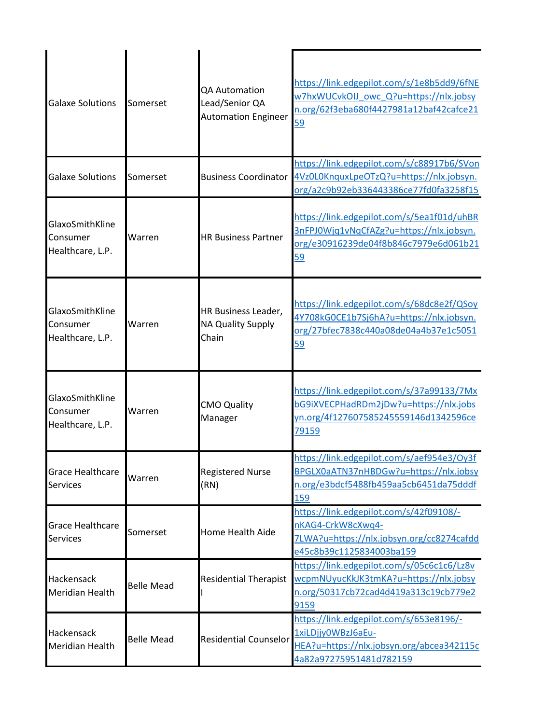| <b>Galaxe Solutions</b>                         | Somerset          | <b>OA Automation</b><br>Lead/Senior QA<br><b>Automation Engineer</b> | https://link.edgepilot.com/s/1e8b5dd9/6fNE<br>w7hxWUCvkOIJ owc Q?u=https://nlx.jobsy<br>n.org/62f3eba680f4427981a12baf42cafce21<br>59        |
|-------------------------------------------------|-------------------|----------------------------------------------------------------------|----------------------------------------------------------------------------------------------------------------------------------------------|
| <b>Galaxe Solutions</b>                         | Somerset          | <b>Business Coordinator</b>                                          | https://link.edgepilot.com/s/c88917b6/SVon<br>4Vz0L0KnquxLpeOTzQ?u=https://nlx.jobsyn.<br>org/a2c9b92eb336443386ce77fd0fa3258f15             |
| GlaxoSmithKline<br>Consumer<br>Healthcare, L.P. | Warren            | <b>HR Business Partner</b>                                           | https://link.edgepilot.com/s/5ea1f01d/uhBR<br>3nFPJ0Wjq1vNqCfAZg?u=https://nlx.jobsyn.<br>org/e30916239de04f8b846c7979e6d061b21<br>59        |
| GlaxoSmithKline<br>Consumer<br>Healthcare, L.P. | Warren            | HR Business Leader,<br><b>NA Quality Supply</b><br>Chain             | https://link.edgepilot.com/s/68dc8e2f/QSoy<br>4Y708kG0CE1b7Sj6hA?u=https://nlx.jobsyn.<br>org/27bfec7838c440a08de04a4b37e1c5051<br>59        |
| GlaxoSmithKline<br>Consumer<br>Healthcare, L.P. | Warren            | <b>CMO Quality</b><br>Manager                                        | https://link.edgepilot.com/s/37a99133/7Mx<br>bG9iXVECPHadRDm2jDw?u=https://nlx.jobs<br>yn.org/4f127607585245559146d1342596ce<br>79159        |
| <b>Grace Healthcare</b><br><b>Services</b>      | Warren            | <b>Registered Nurse</b><br>(RN)                                      | https://link.edgepilot.com/s/aef954e3/Oy3f<br>BPGLX0aATN37nHBDGw?u=https://nlx.jobsy<br>n.org/e3bdcf5488fb459aa5cb6451da75dddf<br><u>159</u> |
| <b>Grace Healthcare</b><br><b>Services</b>      | Somerset          | Home Health Aide                                                     | https://link.edgepilot.com/s/42f09108/-<br>nKAG4-CrkW8cXwq4-<br>7LWA?u=https://nlx.jobsyn.org/cc8274cafdd<br>e45c8b39c1125834003ba159        |
| Hackensack<br>Meridian Health                   | <b>Belle Mead</b> | <b>Residential Therapist</b>                                         | https://link.edgepilot.com/s/05c6c1c6/Lz8v<br>wcpmNUyucKkJK3tmKA?u=https://nlx.jobsy<br>n.org/50317cb72cad4d419a313c19cb779e2<br>9159        |
| Hackensack<br>Meridian Health                   | <b>Belle Mead</b> | <b>Residential Counselor</b>                                         | https://link.edgepilot.com/s/653e8196/-<br>1xiLDjjy0WBzJ6aEu-<br>HEA?u=https://nlx.jobsyn.org/abcea342115c<br>4a82a97275951481d782159        |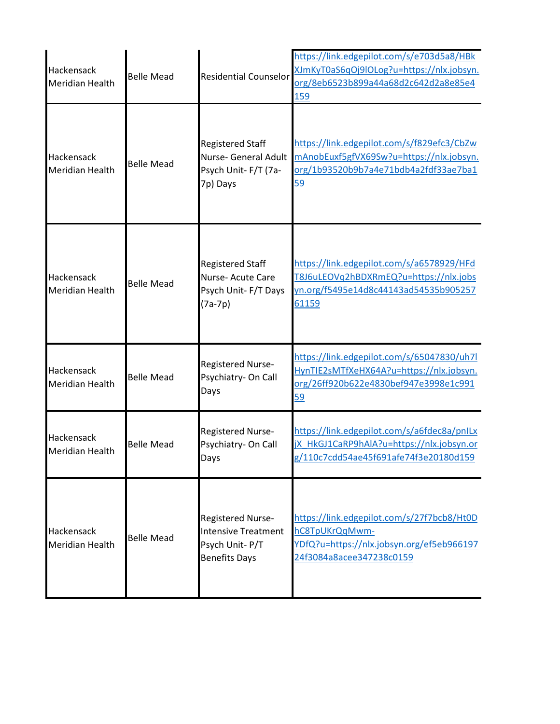| Hackensack<br><b>Meridian Health</b> | <b>Belle Mead</b> | <b>Residential Counselor</b>                                                              | https://link.edgepilot.com/s/e703d5a8/HBk<br>XJmKyT0aS6qOj9lOLog?u=https://nlx.jobsyn.<br>org/8eb6523b899a44a68d2c642d2a8e85e4<br>159 |
|--------------------------------------|-------------------|-------------------------------------------------------------------------------------------|---------------------------------------------------------------------------------------------------------------------------------------|
| Hackensack<br><b>Meridian Health</b> | <b>Belle Mead</b> | <b>Registered Staff</b><br><b>Nurse- General Adult</b><br>Psych Unit-F/T (7a-<br>7p) Days | https://link.edgepilot.com/s/f829efc3/CbZw<br>mAnobEuxf5gfVX69Sw?u=https://nlx.jobsyn.<br>org/1b93520b9b7a4e71bdb4a2fdf33ae7ba1<br>59 |
| Hackensack<br><b>Meridian Health</b> | <b>Belle Mead</b> | <b>Registered Staff</b><br>Nurse- Acute Care<br>Psych Unit- F/T Days<br>$(7a-7p)$         | https://link.edgepilot.com/s/a6578929/HFd<br>T8J6uLEOVg2hBDXRmEQ?u=https://nlx.jobs<br>yn.org/f5495e14d8c44143ad54535b905257<br>61159 |
| Hackensack<br><b>Meridian Health</b> | <b>Belle Mead</b> | Registered Nurse-<br>Psychiatry- On Call<br>Days                                          | https://link.edgepilot.com/s/65047830/uh7l<br>HynTIE2sMTfXeHX64A?u=https://nlx.jobsyn.<br>org/26ff920b622e4830bef947e3998e1c991<br>59 |
| Hackensack<br><b>Meridian Health</b> | <b>Belle Mead</b> | Registered Nurse-<br>Psychiatry- On Call<br>Days                                          | https://link.edgepilot.com/s/a6fdec8a/pnlLx<br>jX HkGJ1CaRP9hAlA?u=https://nlx.jobsyn.or<br>g/110c7cdd54ae45f691afe74f3e20180d159     |
| Hackensack<br><b>Meridian Health</b> | <b>Belle Mead</b> | Registered Nurse-<br><b>Intensive Treatment</b><br>Psych Unit-P/T<br><b>Benefits Days</b> | https://link.edgepilot.com/s/27f7bcb8/Ht0D<br>hC8TpUKrQqMwm-<br>YDfQ?u=https://nlx.jobsyn.org/ef5eb966197<br>24f3084a8acee347238c0159 |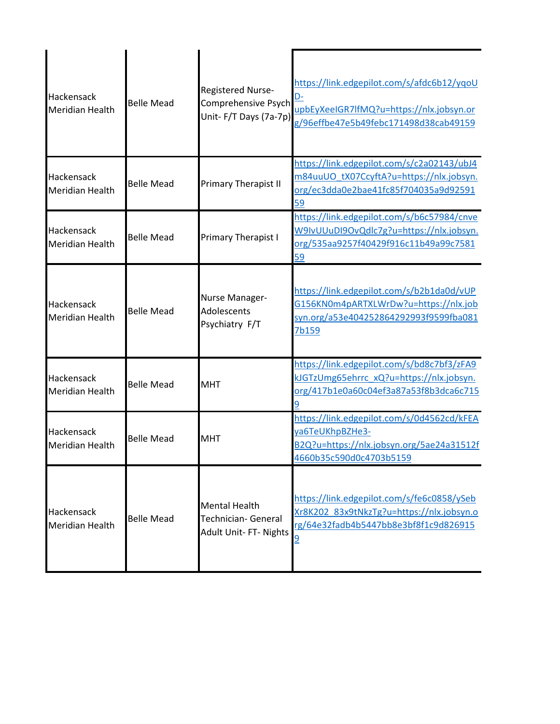| Hackensack<br><b>Meridian Health</b> | <b>Belle Mead</b> | Registered Nurse-<br>Comprehensive Psych<br>Unit-F/T Days (7a-7p)     | https://link.edgepilot.com/s/afdc6b12/yqoU<br>D-<br>upbEyXeeIGR7lfMQ?u=https://nlx.jobsyn.or<br>g/96effbe47e5b49febc171498d38cab49159 |
|--------------------------------------|-------------------|-----------------------------------------------------------------------|---------------------------------------------------------------------------------------------------------------------------------------|
| Hackensack<br><b>Meridian Health</b> | <b>Belle Mead</b> | Primary Therapist II                                                  | https://link.edgepilot.com/s/c2a02143/ubJ4<br>m84uuUO tX07CcyftA?u=https://nlx.jobsyn.<br>org/ec3dda0e2bae41fc85f704035a9d92591<br>59 |
| Hackensack<br><b>Meridian Health</b> | <b>Belle Mead</b> | Primary Therapist I                                                   | https://link.edgepilot.com/s/b6c57984/cnve<br>W9IvUUuDI9OvQdlc7g?u=https://nlx.jobsyn.<br>org/535aa9257f40429f916c11b49a99c7581<br>59 |
| Hackensack<br><b>Meridian Health</b> | <b>Belle Mead</b> | Nurse Manager-<br>Adolescents<br>Psychiatry F/T                       | https://link.edgepilot.com/s/b2b1da0d/vUP<br>G156KN0m4pARTXLWrDw?u=https://nlx.job<br>syn.org/a53e404252864292993f9599fba081<br>7b159 |
| Hackensack<br><b>Meridian Health</b> | <b>Belle Mead</b> | <b>MHT</b>                                                            | https://link.edgepilot.com/s/bd8c7bf3/zFA9<br>kJGTzUmg65ehrrc_xQ?u=https://nlx.jobsyn.<br>org/417b1e0a60c04ef3a87a53f8b3dca6c715      |
| Hackensack<br><b>Meridian Health</b> | <b>Belle Mead</b> | <b>MHT</b>                                                            | https://link.edgepilot.com/s/0d4562cd/kFEA<br>ya6TeUKhpBZHe3-<br>B2Q?u=https://nlx.jobsyn.org/5ae24a31512f<br>4660b35c590d0c4703b5159 |
| Hackensack<br><b>Meridian Health</b> | <b>Belle Mead</b> | <b>Mental Health</b><br>Technician- General<br>Adult Unit- FT- Nights | https://link.edgepilot.com/s/fe6c0858/ySeb<br>Xr8K202 83x9tNkzTg?u=https://nlx.jobsyn.o<br>rg/64e32fadb4b5447bb8e3bf8f1c9d826915      |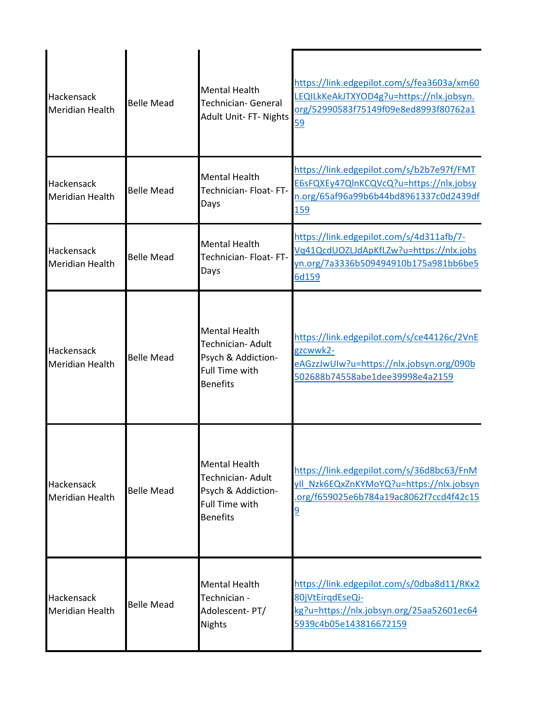| Hackensack<br><b>Meridian Health</b> | <b>Belle Mead</b> | <b>Mental Health</b><br><b>Technician- General</b><br>Adult Unit- FT- Nights                                | https://link.edgepilot.com/s/fea3603a/xm60<br>LEQILkKeAkJTXYOD4g?u=https://nlx.jobsyn.<br>org/52990583f75149f09e8ed8993f80762a1<br>59        |
|--------------------------------------|-------------------|-------------------------------------------------------------------------------------------------------------|----------------------------------------------------------------------------------------------------------------------------------------------|
| Hackensack<br><b>Meridian Health</b> | <b>Belle Mead</b> | <b>Mental Health</b><br>Technician- Float- FT-<br>Days                                                      | https://link.edgepilot.com/s/b2b7e97f/FMT<br>E6sFQXEy47QlnKCQVcQ?u=https://nlx.jobsy<br>n.org/65af96a99b6b44bd8961337c0d2439df<br>159        |
| Hackensack<br>Meridian Health        | <b>Belle Mead</b> | <b>Mental Health</b><br>Technician- Float- FT-<br>Days                                                      | https://link.edgepilot.com/s/4d311afb/7-<br>Vq41QcdUOZLJdApKfLZw?u=https://nlx.jobs<br>yn.org/7a3336b509494910b175a981bb6be5<br>6d159        |
| Hackensack<br><b>Meridian Health</b> | <b>Belle Mead</b> | <b>Mental Health</b><br>Technician- Adult<br>Psych & Addiction-<br><b>Full Time with</b><br><b>Benefits</b> | https://link.edgepilot.com/s/ce44126c/2VnE<br>gzcwwk2-<br>eAGzzJwUIw?u=https://nlx.jobsyn.org/090b<br>502688b74558abe1dee39998e4a2159        |
| Hackensack<br><b>Meridian Health</b> | <b>Belle Mead</b> | <b>Mental Health</b><br>Technician- Adult<br>Psych & Addiction-<br><b>Full Time with</b><br><b>Benefits</b> | https://link.edgepilot.com/s/36d8bc63/FnM<br>yll Nzk6EQxZnKYMoYQ?u=https://nlx.jobsyn<br>.org/f659025e6b784a19ac8062f7ccd4f42c15<br><u>و</u> |
| Hackensack<br><b>Meridian Health</b> | <b>Belle Mead</b> | <b>Mental Health</b><br>Technician -<br>Adolescent-PT/<br><b>Nights</b>                                     | https://link.edgepilot.com/s/0dba8d11/RKx2<br>80jVtEirgdEseQi-<br>kg?u=https://nlx.jobsyn.org/25aa52601ec64<br>5939c4b05e143816672159        |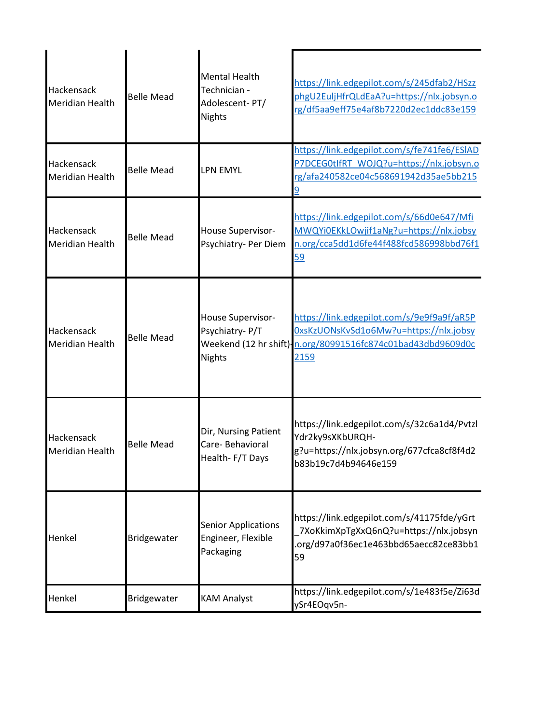| Hackensack<br>Meridian Health        | <b>Belle Mead</b> | <b>Mental Health</b><br>Technician -<br>Adolescent-PT/<br><b>Nights</b> | https://link.edgepilot.com/s/245dfab2/HSzz<br>phgU2EuljHfrQLdEaA?u=https://nlx.jobsyn.o<br>rg/df5aa9eff75e4af8b7220d2ec1ddc83e159                           |
|--------------------------------------|-------------------|-------------------------------------------------------------------------|-------------------------------------------------------------------------------------------------------------------------------------------------------------|
| Hackensack<br><b>Meridian Health</b> | <b>Belle Mead</b> | LPN EMYL                                                                | https://link.edgepilot.com/s/fe741fe6/ESIAD<br>P7DCEG0tIfRT WOJQ?u=https://nlx.jobsyn.o<br>rg/afa240582ce04c568691942d35ae5bb215                            |
| Hackensack<br><b>Meridian Health</b> | <b>Belle Mead</b> | House Supervisor-<br>Psychiatry- Per Diem                               | https://link.edgepilot.com/s/66d0e647/Mfi<br>MWQYi0EKkLOwjif1aNg?u=https://nlx.jobsy<br>n.org/cca5dd1d6fe44f488fcd586998bbd76f1<br>59                       |
| Hackensack<br>Meridian Health        | <b>Belle Mead</b> | House Supervisor-<br>Psychiatry-P/T<br><b>Nights</b>                    | https://link.edgepilot.com/s/9e9f9a9f/aR5P<br>OxsKzUONsKvSd1o6Mw?u=https://nlx.jobsy<br>Weekend (12 hr shift)-n.org/80991516fc874c01bad43dbd9609d0c<br>2159 |
| Hackensack<br><b>Meridian Health</b> | <b>Belle Mead</b> | Dir, Nursing Patient<br>Care-Behavioral<br>Health-F/T Days              | https://link.edgepilot.com/s/32c6a1d4/Pvtzl<br>Ydr2ky9sXKbURQH-<br>g?u=https://nlx.jobsyn.org/677cfca8cf8f4d2<br>b83b19c7d4b94646e159                       |
| Henkel                               | Bridgewater       | <b>Senior Applications</b><br>Engineer, Flexible<br>Packaging           | https://link.edgepilot.com/s/41175fde/yGrt<br>7XoKkimXpTgXxQ6nQ?u=https://nlx.jobsyn<br>.org/d97a0f36ec1e463bbd65aecc82ce83bb1<br>59                        |
| Henkel                               | Bridgewater       | <b>KAM Analyst</b>                                                      | https://link.edgepilot.com/s/1e483f5e/Zi63d<br>ySr4EOqv5n-                                                                                                  |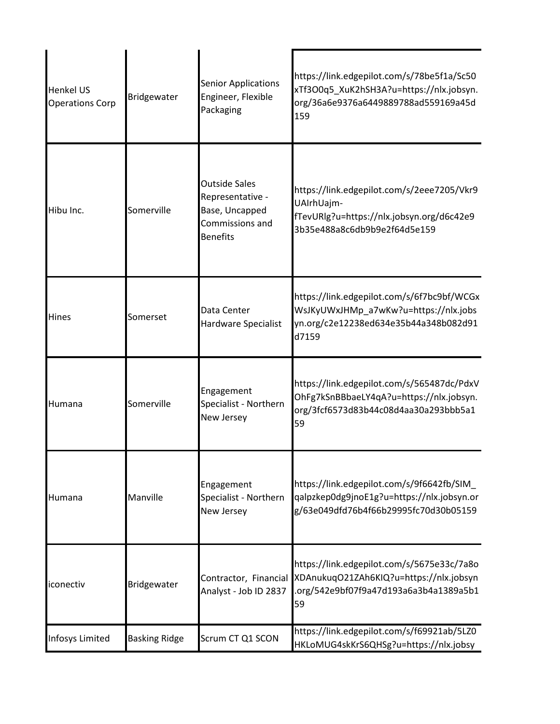| <b>Henkel US</b><br><b>Operations Corp</b> | Bridgewater          | <b>Senior Applications</b><br>Engineer, Flexible<br>Packaging                                    | https://link.edgepilot.com/s/78be5f1a/Sc50<br>xTf3O0q5_XuK2hSH3A?u=https://nlx.jobsyn.<br>org/36a6e9376a6449889788ad559169a45d<br>159 |
|--------------------------------------------|----------------------|--------------------------------------------------------------------------------------------------|---------------------------------------------------------------------------------------------------------------------------------------|
| Hibu Inc.                                  | Somerville           | <b>Outside Sales</b><br>Representative -<br>Base, Uncapped<br>Commissions and<br><b>Benefits</b> | https://link.edgepilot.com/s/2eee7205/Vkr9<br>UAIrhUajm-<br>fTevURlg?u=https://nlx.jobsyn.org/d6c42e9<br>3b35e488a8c6db9b9e2f64d5e159 |
| Hines                                      | Somerset             | Data Center<br>Hardware Specialist                                                               | https://link.edgepilot.com/s/6f7bc9bf/WCGx<br>WsJKyUWxJHMp_a7wKw?u=https://nlx.jobs<br>yn.org/c2e12238ed634e35b44a348b082d91<br>d7159 |
| Humana                                     | Somerville           | Engagement<br>Specialist - Northern<br>New Jersey                                                | https://link.edgepilot.com/s/565487dc/PdxV<br>OhFg7kSnBBbaeLY4qA?u=https://nlx.jobsyn.<br>org/3fcf6573d83b44c08d4aa30a293bbb5a1<br>59 |
| Humana                                     | Manville             | Engagement<br>Specialist - Northern<br>New Jersey                                                | https://link.edgepilot.com/s/9f6642fb/SIM<br>qalpzkep0dg9jnoE1g?u=https://nlx.jobsyn.or<br>g/63e049dfd76b4f66b29995fc70d30b05159      |
| iconectiv                                  | Bridgewater          | Contractor, Financial<br>Analyst - Job ID 2837                                                   | https://link.edgepilot.com/s/5675e33c/7a8o<br>XDAnukuqO21ZAh6KIQ?u=https://nlx.jobsyn<br>.org/542e9bf07f9a47d193a6a3b4a1389a5b1<br>59 |
| Infosys Limited                            | <b>Basking Ridge</b> | Scrum CT Q1 SCON                                                                                 | https://link.edgepilot.com/s/f69921ab/5LZ0<br>HKLoMUG4skKrS6QHSg?u=https://nlx.jobsy                                                  |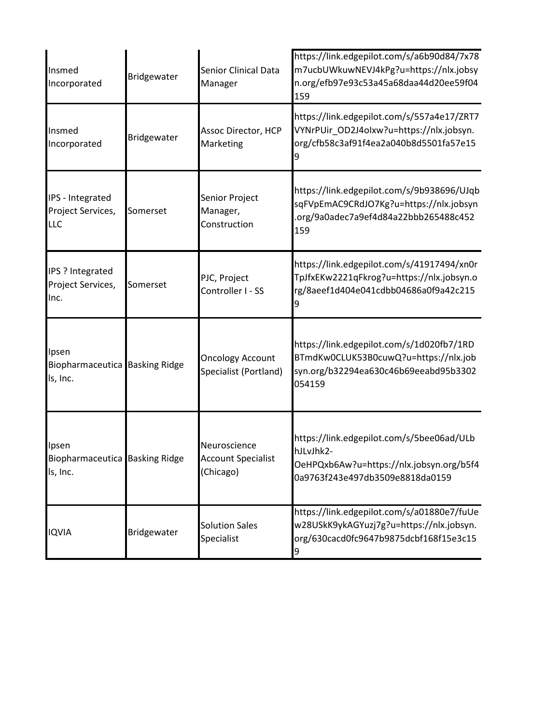| Insmed<br>Incorporated                              | Bridgewater | <b>Senior Clinical Data</b><br>Manager                 | https://link.edgepilot.com/s/a6b90d84/7x78<br>m7ucbUWkuwNEVJ4kPg?u=https://nlx.jobsy<br>n.org/efb97e93c53a45a68daa44d20ee59f04<br>159 |
|-----------------------------------------------------|-------------|--------------------------------------------------------|---------------------------------------------------------------------------------------------------------------------------------------|
| Insmed<br>Incorporated                              | Bridgewater | Assoc Director, HCP<br>Marketing                       | https://link.edgepilot.com/s/557a4e17/ZRT7<br>VYNrPUir_OD2J4olxw?u=https://nlx.jobsyn.<br>org/cfb58c3af91f4ea2a040b8d5501fa57e15      |
| IPS - Integrated<br>Project Services,<br><b>LLC</b> | Somerset    | Senior Project<br>Manager,<br>Construction             | https://link.edgepilot.com/s/9b938696/UJqb<br>sqFVpEmAC9CRdJO7Kg?u=https://nlx.jobsyn<br>org/9a0adec7a9ef4d84a22bbb265488c452<br>159  |
| IPS ? Integrated<br>Project Services,<br>Inc.       | Somerset    | PJC, Project<br>Controller I - SS                      | https://link.edgepilot.com/s/41917494/xn0r<br>TpJfxEKw2221qFkrog?u=https://nlx.jobsyn.o<br>rg/8aeef1d404e041cdbb04686a0f9a42c215      |
| Ipsen<br>Biopharmaceutica Basking Ridge<br>ls, Inc. |             | <b>Oncology Account</b><br>Specialist (Portland)       | https://link.edgepilot.com/s/1d020fb7/1RD<br>BTmdKw0CLUK53B0cuwQ?u=https://nlx.job<br>syn.org/b32294ea630c46b69eeabd95b3302<br>054159 |
| Ipsen<br>Biopharmaceutica Basking Ridge<br>ls, Inc. |             | Neuroscience<br><b>Account Specialist</b><br>(Chicago) | https://link.edgepilot.com/s/5bee06ad/ULb<br>hJLvJhk2-<br>OeHPQxb6Aw?u=https://nlx.jobsyn.org/b5f4<br>0a9763f243e497db3509e8818da0159 |
| <b>IQVIA</b>                                        | Bridgewater | <b>Solution Sales</b><br>Specialist                    | https://link.edgepilot.com/s/a01880e7/fuUe<br>w28USkK9ykAGYuzj7g?u=https://nlx.jobsyn.<br>org/630cacd0fc9647b9875dcbf168f15e3c15<br>9 |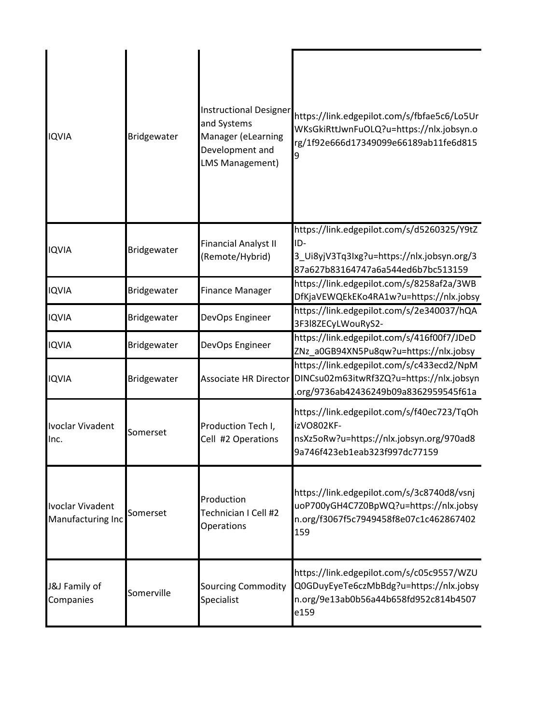| <b>IQVIA</b>                                 | Bridgewater | <b>Instructional Designer</b><br>and Systems<br>Manager (eLearning<br>Development and<br><b>LMS Management)</b> | https://link.edgepilot.com/s/fbfae5c6/Lo5Ur<br>WKsGkiRttJwnFuOLQ?u=https://nlx.jobsyn.o<br>rg/1f92e666d17349099e66189ab11fe6d815<br>9 |
|----------------------------------------------|-------------|-----------------------------------------------------------------------------------------------------------------|---------------------------------------------------------------------------------------------------------------------------------------|
| <b>IQVIA</b>                                 | Bridgewater | <b>Financial Analyst II</b><br>(Remote/Hybrid)                                                                  | https://link.edgepilot.com/s/d5260325/Y9tZ<br>ID-<br>3_Ui8yjV3Tq3Ixg?u=https://nlx.jobsyn.org/3<br>87a627b83164747a6a544ed6b7bc513159 |
| <b>IQVIA</b>                                 | Bridgewater | <b>Finance Manager</b>                                                                                          | https://link.edgepilot.com/s/8258af2a/3WB<br>DfKjaVEWQEkEKo4RA1w?u=https://nlx.jobsy                                                  |
| <b>IQVIA</b>                                 | Bridgewater | DevOps Engineer                                                                                                 | https://link.edgepilot.com/s/2e340037/hQA<br>3F3l8ZECyLWouRyS2-                                                                       |
| <b>IQVIA</b>                                 | Bridgewater | DevOps Engineer                                                                                                 | https://link.edgepilot.com/s/416f00f7/JDeD<br>ZNz_a0GB94XN5Pu8qw?u=https://nlx.jobsy                                                  |
| <b>IQVIA</b>                                 | Bridgewater | Associate HR Director                                                                                           | https://link.edgepilot.com/s/c433ecd2/NpM<br>DINCsu02m63itwRf3ZQ?u=https://nlx.jobsyn<br>.org/9736ab42436249b09a8362959545f61a        |
| Ivoclar Vivadent<br>Inc.                     | Somerset    | Production Tech I,<br>Cell #2 Operations                                                                        | https://link.edgepilot.com/s/f40ec723/TqOh<br>izVO802KF-<br>nsXz5oRw?u=https://nlx.jobsyn.org/970ad8<br>9a746f423eb1eab323f997dc77159 |
| <b>Ivoclar Vivadent</b><br>Manufacturing Inc | Somerset    | Production<br>Technician I Cell #2<br>Operations                                                                | https://link.edgepilot.com/s/3c8740d8/vsnj<br>uoP700yGH4C7Z0BpWQ?u=https://nlx.jobsy<br>n.org/f3067f5c7949458f8e07c1c462867402<br>159 |
| J&J Family of<br>Companies                   | Somerville  | <b>Sourcing Commodity</b><br>Specialist                                                                         | https://link.edgepilot.com/s/c05c9557/WZU<br>Q0GDuyEyeTe6czMbBdg?u=https://nlx.jobsy<br>n.org/9e13ab0b56a44b658fd952c814b4507<br>e159 |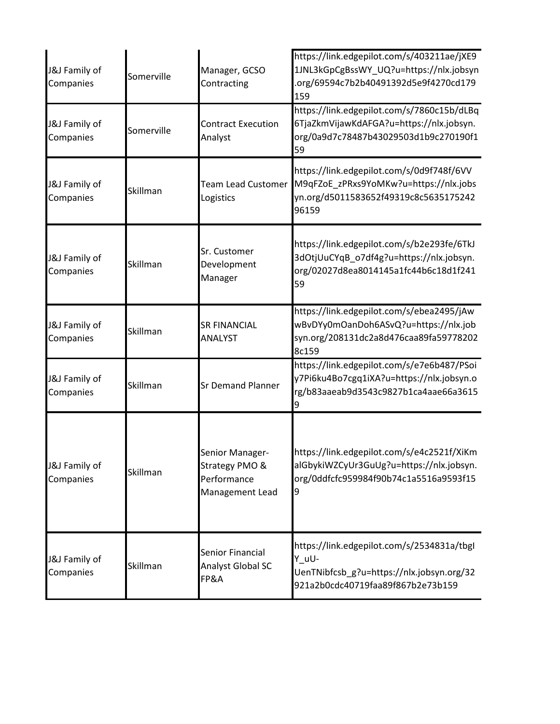| J&J Family of<br>Companies | Somerville | Manager, GCSO<br>Contracting                                        | https://link.edgepilot.com/s/403211ae/jXE9<br>1JNL3kGpCgBssWY UQ?u=https://nlx.jobsyn<br>org/69594c7b2b40491392d5e9f4270cd179<br>159  |
|----------------------------|------------|---------------------------------------------------------------------|---------------------------------------------------------------------------------------------------------------------------------------|
| J&J Family of<br>Companies | Somerville | <b>Contract Execution</b><br>Analyst                                | https://link.edgepilot.com/s/7860c15b/dLBq<br>6TjaZkmVijawKdAFGA?u=https://nlx.jobsyn.<br>org/0a9d7c78487b43029503d1b9c270190f1<br>59 |
| J&J Family of<br>Companies | Skillman   | <b>Team Lead Customer</b><br>Logistics                              | https://link.edgepilot.com/s/0d9f748f/6VV<br>M9qFZoE_zPRxs9YoMKw?u=https://nlx.jobs<br>yn.org/d5011583652f49319c8c5635175242<br>96159 |
| J&J Family of<br>Companies | Skillman   | Sr. Customer<br>Development<br>Manager                              | https://link.edgepilot.com/s/b2e293fe/6TkJ<br>3dOtjUuCYqB_o7df4g?u=https://nlx.jobsyn.<br>org/02027d8ea8014145a1fc44b6c18d1f241<br>59 |
| J&J Family of<br>Companies | Skillman   | <b>SR FINANCIAL</b><br><b>ANALYST</b>                               | https://link.edgepilot.com/s/ebea2495/jAw<br>wBvDYy0mOanDoh6ASvQ?u=https://nlx.job<br>syn.org/208131dc2a8d476caa89fa59778202<br>8c159 |
| J&J Family of<br>Companies | Skillman   | <b>Sr Demand Planner</b>                                            | https://link.edgepilot.com/s/e7e6b487/PSoi<br>y7Pi6ku4Bo7cgq1iXA?u=https://nlx.jobsyn.o<br>rg/b83aaeab9d3543c9827b1ca4aae66a3615      |
| J&J Family of<br>Companies | Skillman   | Senior Manager-<br>Strategy PMO &<br>Performance<br>Management Lead | https://link.edgepilot.com/s/e4c2521f/XiKm<br>alGbykiWZCyUr3GuUg?u=https://nlx.jobsyn.<br>org/0ddfcfc959984f90b74c1a5516a9593f15<br>9 |
| J&J Family of<br>Companies | Skillman   | Senior Financial<br>Analyst Global SC<br><b>FP&amp;A</b>            | https://link.edgepilot.com/s/2534831a/tbgl<br>Y_uU-<br>UenTNibfcsb_g?u=https://nlx.jobsyn.org/32<br>921a2b0cdc40719faa89f867b2e73b159 |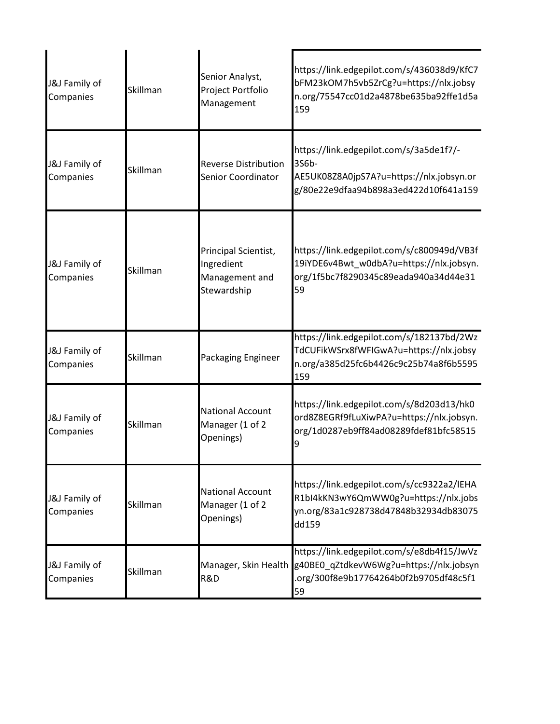| J&J Family of<br>Companies | Skillman | Senior Analyst,<br>Project Portfolio<br>Management                  | https://link.edgepilot.com/s/436038d9/KfC7<br>bFM23kOM7h5vb5ZrCg?u=https://nlx.jobsy<br>n.org/75547cc01d2a4878be635ba92ffe1d5a<br>159 |
|----------------------------|----------|---------------------------------------------------------------------|---------------------------------------------------------------------------------------------------------------------------------------|
| J&J Family of<br>Companies | Skillman | <b>Reverse Distribution</b><br>Senior Coordinator                   | https://link.edgepilot.com/s/3a5de1f7/-<br>3S6b-<br>AE5UK08Z8A0jpS7A?u=https://nlx.jobsyn.or<br>g/80e22e9dfaa94b898a3ed422d10f641a159 |
| J&J Family of<br>Companies | Skillman | Principal Scientist,<br>Ingredient<br>Management and<br>Stewardship | https://link.edgepilot.com/s/c800949d/VB3f<br>19iYDE6v4Bwt_w0dbA?u=https://nlx.jobsyn.<br>org/1f5bc7f8290345c89eada940a34d44e31<br>59 |
| J&J Family of<br>Companies | Skillman | Packaging Engineer                                                  | https://link.edgepilot.com/s/182137bd/2Wz<br>TdCUFikWSrx8fWFIGwA?u=https://nlx.jobsy<br>n.org/a385d25fc6b4426c9c25b74a8f6b5595<br>159 |
| J&J Family of<br>Companies | Skillman | <b>National Account</b><br>Manager (1 of 2<br>Openings)             | https://link.edgepilot.com/s/8d203d13/hk0<br>ord8Z8EGRf9fLuXiwPA?u=https://nlx.jobsyn.<br>org/1d0287eb9ff84ad08289fdef81bfc58515<br>9 |
| J&J Family of<br>Companies | Skillman | <b>National Account</b><br>Manager (1 of 2<br>Openings)             | https://link.edgepilot.com/s/cc9322a2/lEHA<br>R1bI4kKN3wY6QmWW0g?u=https://nlx.jobs<br>yn.org/83a1c928738d47848b32934db83075<br>dd159 |
| J&J Family of<br>Companies | Skillman | Manager, Skin Health<br>R&D                                         | https://link.edgepilot.com/s/e8db4f15/JwVz<br>g40BE0_qZtdkevW6Wg?u=https://nlx.jobsyn<br>.org/300f8e9b17764264b0f2b9705df48c5f1<br>59 |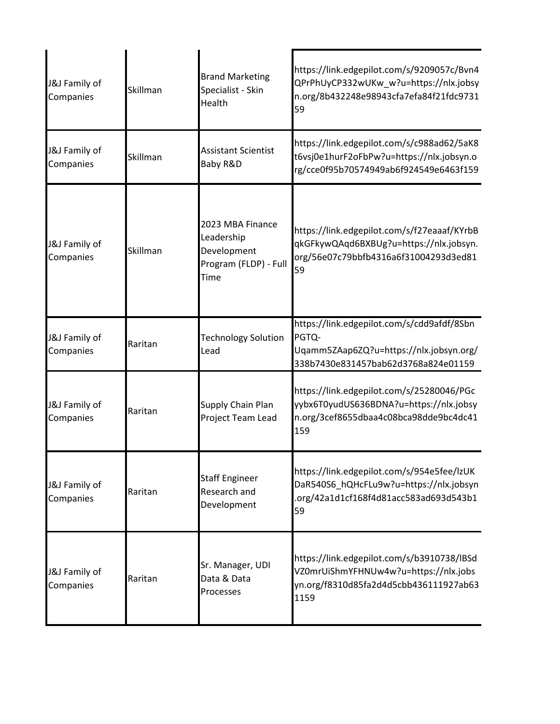| J&J Family of<br>Companies | Skillman | <b>Brand Marketing</b><br>Specialist - Skin<br>Health                          | https://link.edgepilot.com/s/9209057c/Bvn4<br>QPrPhUyCP332wUKw_w?u=https://nlx.jobsy<br>n.org/8b432248e98943cfa7efa84f21fdc9731<br>59 |
|----------------------------|----------|--------------------------------------------------------------------------------|---------------------------------------------------------------------------------------------------------------------------------------|
| J&J Family of<br>Companies | Skillman | <b>Assistant Scientist</b><br>Baby R&D                                         | https://link.edgepilot.com/s/c988ad62/5aK8<br>t6vsj0e1hurF2oFbPw?u=https://nlx.jobsyn.o<br>rg/cce0f95b70574949ab6f924549e6463f159     |
| J&J Family of<br>Companies | Skillman | 2023 MBA Finance<br>Leadership<br>Development<br>Program (FLDP) - Full<br>Time | https://link.edgepilot.com/s/f27eaaaf/KYrbB<br>qkGFkywQAqd6BXBUg?u=https://nlx.jobsyn.<br>org/56e07c79bbfb4316a6f31004293d3ed81<br>59 |
| J&J Family of<br>Companies | Raritan  | <b>Technology Solution</b><br>Lead                                             | https://link.edgepilot.com/s/cdd9afdf/8Sbn<br>PGTQ-<br>Uqamm5ZAap6ZQ?u=https://nlx.jobsyn.org/<br>338b7430e831457bab62d3768a824e01159 |
| J&J Family of<br>Companies | Raritan  | Supply Chain Plan<br>Project Team Lead                                         | https://link.edgepilot.com/s/25280046/PGc<br>yybx6T0yudUS636BDNA?u=https://nlx.jobsy<br>n.org/3cef8655dbaa4c08bca98dde9bc4dc41<br>159 |
| J&J Family of<br>Companies | Raritan  | <b>Staff Engineer</b><br>Research and<br>Development                           | https://link.edgepilot.com/s/954e5fee/lzUK<br>DaR540S6_hQHcFLu9w?u=https://nlx.jobsyn<br>.org/42a1d1cf168f4d81acc583ad693d543b1<br>59 |
| J&J Family of<br>Companies | Raritan  | Sr. Manager, UDI<br>Data & Data<br>Processes                                   | https://link.edgepilot.com/s/b3910738/lBSd<br>VZ0mrUiShmYFHNUw4w?u=https://nlx.jobs<br>yn.org/f8310d85fa2d4d5cbb436111927ab63<br>1159 |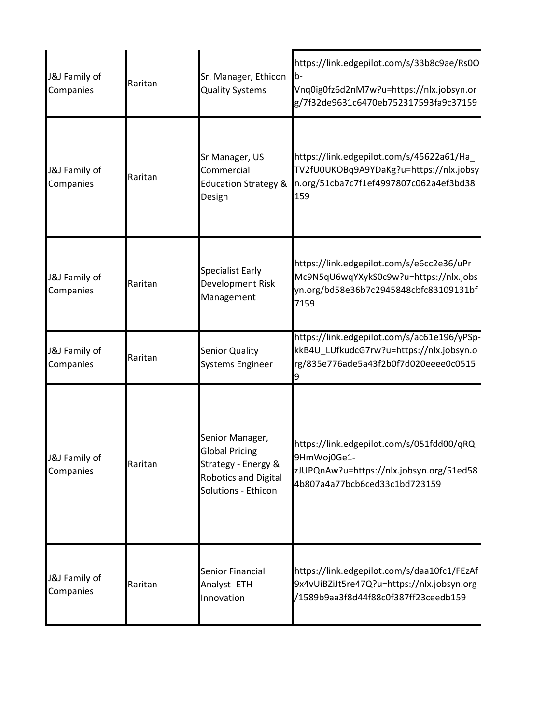| J&J Family of<br>Companies | Raritan | Sr. Manager, Ethicon<br><b>Quality Systems</b>                                                                 | https://link.edgepilot.com/s/33b8c9ae/Rs0O<br>b-<br>Vnq0ig0fz6d2nM7w?u=https://nlx.jobsyn.or<br>g/7f32de9631c6470eb752317593fa9c37159 |
|----------------------------|---------|----------------------------------------------------------------------------------------------------------------|---------------------------------------------------------------------------------------------------------------------------------------|
| J&J Family of<br>Companies | Raritan | Sr Manager, US<br>Commercial<br><b>Education Strategy &amp;</b><br>Design                                      | https://link.edgepilot.com/s/45622a61/Ha<br>TV2fU0UKOBq9A9YDaKg?u=https://nlx.jobsy<br>n.org/51cba7c7f1ef4997807c062a4ef3bd38<br>159  |
| J&J Family of<br>Companies | Raritan | <b>Specialist Early</b><br>Development Risk<br>Management                                                      | https://link.edgepilot.com/s/e6cc2e36/uPr<br>Mc9N5qU6wqYXykS0c9w?u=https://nlx.jobs<br>yn.org/bd58e36b7c2945848cbfc83109131bf<br>7159 |
| J&J Family of<br>Companies | Raritan | <b>Senior Quality</b><br><b>Systems Engineer</b>                                                               | https://link.edgepilot.com/s/ac61e196/yPSp-<br>kkB4U_LUfkudcG7rw?u=https://nlx.jobsyn.o<br>rg/835e776ade5a43f2b0f7d020eeee0c0515<br>9 |
| J&J Family of<br>Companies | Raritan | Senior Manager,<br><b>Global Pricing</b><br>Strategy - Energy &<br>Robotics and Digital<br>Solutions - Ethicon | https://link.edgepilot.com/s/051fdd00/qRQ<br>9HmWoj0Ge1-<br>zJUPQnAw?u=https://nlx.jobsyn.org/51ed58<br>4b807a4a77bcb6ced33c1bd723159 |
| J&J Family of<br>Companies | Raritan | Senior Financial<br>Analyst-ETH<br>Innovation                                                                  | https://link.edgepilot.com/s/daa10fc1/FEzAf<br>9x4vUiBZiJt5re47Q?u=https://nlx.jobsyn.org<br>/1589b9aa3f8d44f88c0f387ff23ceedb159     |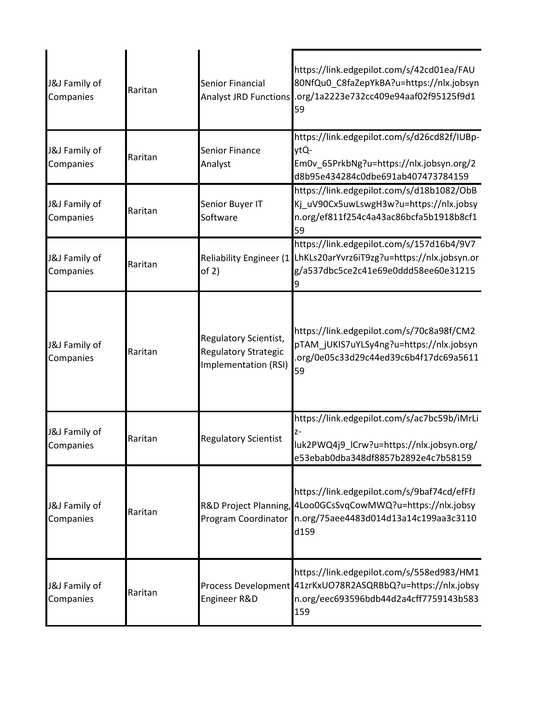| J&J Family of<br>Companies | Raritan | Senior Financial<br><b>Analyst JRD Functions</b>                      | https://link.edgepilot.com/s/42cd01ea/FAU<br>80NfQu0_C8faZepYkBA?u=https://nlx.jobsyn<br>.org/1a2223e732cc409e94aaf02f95125f9d1<br>59                       |
|----------------------------|---------|-----------------------------------------------------------------------|-------------------------------------------------------------------------------------------------------------------------------------------------------------|
| J&J Family of<br>Companies | Raritan | <b>Senior Finance</b><br>Analyst                                      | https://link.edgepilot.com/s/d26cd82f/IUBp-<br>ytQ-<br>Em0v 65PrkbNg?u=https://nlx.jobsyn.org/2<br>d8b95e434284c0dbe691ab407473784159                       |
| J&J Family of<br>Companies | Raritan | Senior Buyer IT<br>Software                                           | https://link.edgepilot.com/s/d18b1082/ObB<br>Kj_uV90Cx5uwLswgH3w?u=https://nlx.jobsy<br>n.org/ef811f254c4a43ac86bcfa5b1918b8cf1<br>59                       |
| J&J Family of<br>Companies | Raritan | of 2)                                                                 | https://link.edgepilot.com/s/157d16b4/9V7<br>Reliability Engineer (1 LhKLs20arYvrz6iT9zg?u=https://nlx.jobsyn.or<br>g/a537dbc5ce2c41e69e0ddd58ee60e31215    |
| J&J Family of<br>Companies | Raritan | Regulatory Scientist,<br>Regulatory Strategic<br>Implementation (RSI) | https://link.edgepilot.com/s/70c8a98f/CM2<br>pTAM_jUKIS7uYLSy4ng?u=https://nlx.jobsyn<br>.org/0e05c33d29c44ed39c6b4f17dc69a5611<br>59                       |
| J&J Family of<br>Companies | Raritan | <b>Regulatory Scientist</b>                                           | https://link.edgepilot.com/s/ac7bc59b/iMrLi<br>z-<br>luk2PWQ4j9_ICrw?u=https://nlx.jobsyn.org/<br>e53ebab0dba348df8857b2892e4c7b58159                       |
| J&J Family of<br>Companies | Raritan | Program Coordinator                                                   | https://link.edgepilot.com/s/9baf74cd/efFfJ<br>R&D Project Planning, 4Loo0GCsSvqCowMWQ?u=https://nlx.jobsy<br>n.org/75aee4483d014d13a14c199aa3c3110<br>d159 |
| J&J Family of<br>Companies | Raritan | Engineer R&D                                                          | https://link.edgepilot.com/s/558ed983/HM1<br>Process Development 41zrKxUO78R2ASQRBbQ?u=https://nlx.jobsy<br>n.org/eec693596bdb44d2a4cff7759143b583<br>159   |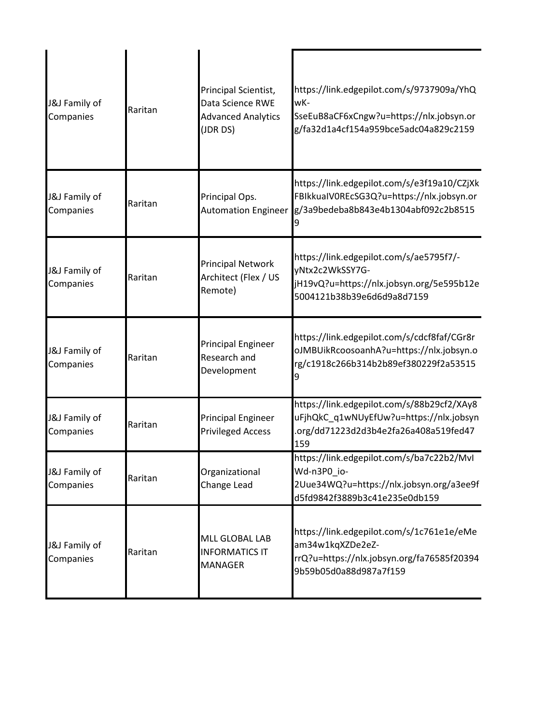| J&J Family of<br>Companies            | Raritan | Principal Scientist,<br>Data Science RWE<br><b>Advanced Analytics</b><br>(JDR DS) | https://link.edgepilot.com/s/9737909a/YhQ<br>wK-<br>SseEuB8aCF6xCngw?u=https://nlx.jobsyn.or<br>g/fa32d1a4cf154a959bce5adc04a829c2159 |
|---------------------------------------|---------|-----------------------------------------------------------------------------------|---------------------------------------------------------------------------------------------------------------------------------------|
| J&J Family of<br>Companies            | Raritan | Principal Ops.<br><b>Automation Engineer</b>                                      | https://link.edgepilot.com/s/e3f19a10/CZjXk<br>FBIkkuaIV0REcSG3Q?u=https://nlx.jobsyn.or<br>g/3a9bedeba8b843e4b1304abf092c2b8515      |
| J&J Family of<br>Companies            | Raritan | <b>Principal Network</b><br>Architect (Flex / US<br>Remote)                       | https://link.edgepilot.com/s/ae5795f7/-<br>yNtx2c2WkSSY7G-<br>jH19vQ?u=https://nlx.jobsyn.org/5e595b12e<br>5004121b38b39e6d6d9a8d7159 |
| <b>J&amp;J</b> Family of<br>Companies | Raritan | <b>Principal Engineer</b><br>Research and<br>Development                          | https://link.edgepilot.com/s/cdcf8faf/CGr8r<br>oJMBUikRcoosoanhA?u=https://nlx.jobsyn.o<br>rg/c1918c266b314b2b89ef380229f2a53515      |
| J&J Family of<br>Companies            | Raritan | <b>Principal Engineer</b><br><b>Privileged Access</b>                             | https://link.edgepilot.com/s/88b29cf2/XAy8<br>uFjhQkC_q1wNUyEfUw?u=https://nlx.jobsyn<br>.org/dd71223d2d3b4e2fa26a408a519fed47<br>159 |
| J&J Family of<br>Companies            | Raritan | Organizational<br>Change Lead                                                     | https://link.edgepilot.com/s/ba7c22b2/MvI<br>Wd-n3P0_io-<br>2Uue34WQ?u=https://nlx.jobsyn.org/a3ee9f<br>d5fd9842f3889b3c41e235e0db159 |
| J&J Family of<br>Companies            | Raritan | <b>MLL GLOBAL LAB</b><br><b>INFORMATICS IT</b><br><b>MANAGER</b>                  | https://link.edgepilot.com/s/1c761e1e/eMe<br>am34w1kqXZDe2eZ-<br>rrQ?u=https://nlx.jobsyn.org/fa76585f20394<br>9b59b05d0a88d987a7f159 |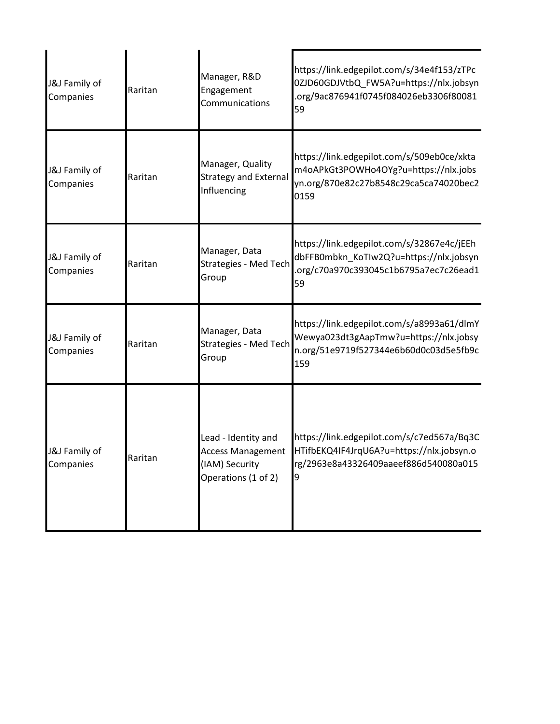| J&J Family of<br>Companies | Raritan | Manager, R&D<br>Engagement<br>Communications                                             | https://link.edgepilot.com/s/34e4f153/zTPc<br>0ZJD60GDJVtbQ_FW5A?u=https://nlx.jobsyn<br>.org/9ac876941f0745f084026eb3306f80081<br>59 |
|----------------------------|---------|------------------------------------------------------------------------------------------|---------------------------------------------------------------------------------------------------------------------------------------|
| J&J Family of<br>Companies | Raritan | Manager, Quality<br><b>Strategy and External</b><br>Influencing                          | https://link.edgepilot.com/s/509eb0ce/xkta<br>m4oAPkGt3POWHo4OYg?u=https://nlx.jobs<br>yn.org/870e82c27b8548c29ca5ca74020bec2<br>0159 |
| J&J Family of<br>Companies | Raritan | Manager, Data<br><b>Strategies - Med Tech</b><br>Group                                   | https://link.edgepilot.com/s/32867e4c/jEEh<br>dbFFB0mbkn_KoTIw2Q?u=https://nlx.jobsyn<br>.org/c70a970c393045c1b6795a7ec7c26ead1<br>59 |
| J&J Family of<br>Companies | Raritan | Manager, Data<br><b>Strategies - Med Tech</b><br>Group                                   | https://link.edgepilot.com/s/a8993a61/dlmY<br>Wewya023dt3gAapTmw?u=https://nlx.jobsy<br>n.org/51e9719f527344e6b60d0c03d5e5fb9c<br>159 |
| J&J Family of<br>Companies | Raritan | Lead - Identity and<br><b>Access Management</b><br>(IAM) Security<br>Operations (1 of 2) | https://link.edgepilot.com/s/c7ed567a/Bq3C<br>HTifbEKQ4IF4JrqU6A?u=https://nlx.jobsyn.o<br>rg/2963e8a43326409aaeef886d540080a015      |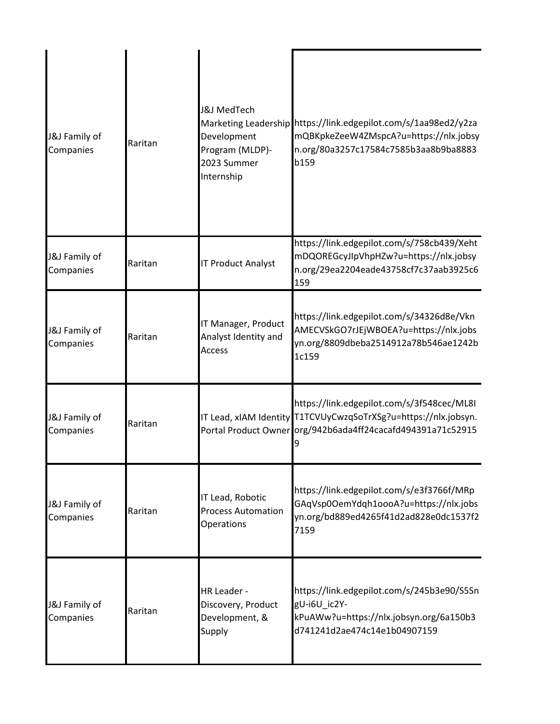| J&J Family of<br>Companies | Raritan | <b>J&amp;J MedTech</b><br>Development<br>Program (MLDP)-<br>2023 Summer<br>Internship | Marketing Leadership https://link.edgepilot.com/s/1aa98ed2/y2za<br>mQBKpkeZeeW4ZMspcA?u=https://nlx.jobsy<br>n.org/80a3257c17584c7585b3aa8b9ba8883<br>b159                   |
|----------------------------|---------|---------------------------------------------------------------------------------------|------------------------------------------------------------------------------------------------------------------------------------------------------------------------------|
| J&J Family of<br>Companies | Raritan | <b>IT Product Analyst</b>                                                             | https://link.edgepilot.com/s/758cb439/Xeht<br>mDQOREGcyJIpVhpHZw?u=https://nlx.jobsy<br>n.org/29ea2204eade43758cf7c37aab3925c6<br>159                                        |
| J&J Family of<br>Companies | Raritan | IT Manager, Product<br>Analyst Identity and<br><b>Access</b>                          | https://link.edgepilot.com/s/34326d8e/Vkn<br>AMECVSkGO7rJEjWBOEA?u=https://nlx.jobs<br>yn.org/8809dbeba2514912a78b546ae1242b<br>1c159                                        |
| J&J Family of<br>Companies | Raritan |                                                                                       | https://link.edgepilot.com/s/3f548cec/ML8I<br>IT Lead, xIAM Identity T1TCVUyCwzqSoTrXSg?u=https://nlx.jobsyn.<br>Portal Product Owner org/942b6ada4ff24cacafd494391a71c52915 |
| J&J Family of<br>Companies | Raritan | IT Lead, Robotic<br><b>Process Automation</b><br>Operations                           | https://link.edgepilot.com/s/e3f3766f/MRp<br>GAqVsp0OemYdqh1oooA?u=https://nlx.jobs<br>yn.org/bd889ed4265f41d2ad828e0dc1537f2<br>7159                                        |
| J&J Family of<br>Companies | Raritan | <b>HR Leader -</b><br>Discovery, Product<br>Development, &<br>Supply                  | https://link.edgepilot.com/s/245b3e90/S5Sn<br>gU-i6U_ic2Y-<br>kPuAWw?u=https://nlx.jobsyn.org/6a150b3<br>d741241d2ae474c14e1b04907159                                        |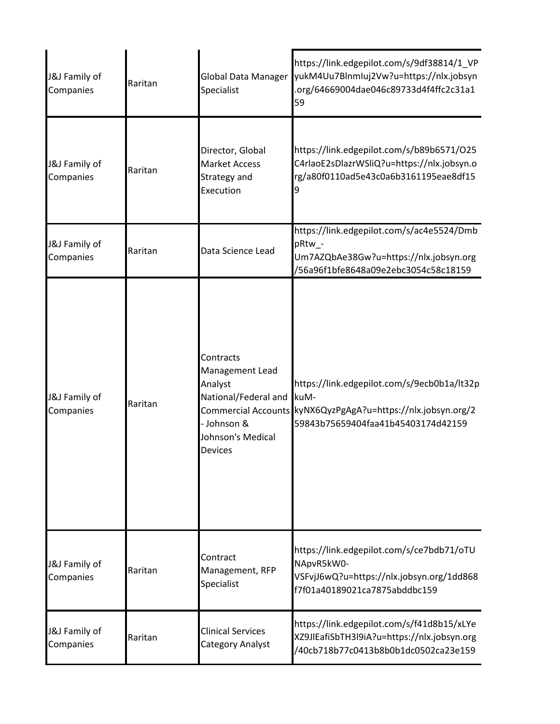| J&J Family of<br>Companies | Raritan | <b>Global Data Manager</b><br>Specialist                                                                       | https://link.edgepilot.com/s/9df38814/1_VP<br>yukM4Uu7BlnmIuj2Vw?u=https://nlx.jobsyn<br>.org/64669004dae046c89733d4f4ffc2c31a1<br>59                     |
|----------------------------|---------|----------------------------------------------------------------------------------------------------------------|-----------------------------------------------------------------------------------------------------------------------------------------------------------|
| J&J Family of<br>Companies | Raritan | Director, Global<br><b>Market Access</b><br>Strategy and<br>Execution                                          | https://link.edgepilot.com/s/b89b6571/O25<br>C4rlaoE2sDlazrWSliQ?u=https://nlx.jobsyn.o<br>rg/a80f0110ad5e43c0a6b3161195eae8df15<br>9                     |
| J&J Family of<br>Companies | Raritan | Data Science Lead                                                                                              | https://link.edgepilot.com/s/ac4e5524/Dmb<br>pRtw_-<br>Um7AZQbAe38Gw?u=https://nlx.jobsyn.org<br>/56a96f1bfe8648a09e2ebc3054c58c18159                     |
| J&J Family of<br>Companies | Raritan | Contracts<br>Management Lead<br>Analyst<br>National/Federal and<br>- Johnson &<br>Johnson's Medical<br>Devices | https://link.edgepilot.com/s/9ecb0b1a/lt32p<br>kuM-<br>Commercial Accounts KyNX6QyzPgAgA?u=https://nlx.jobsyn.org/2<br>59843b75659404faa41b45403174d42159 |
| J&J Family of<br>Companies | Raritan | Contract<br>Management, RFP<br>Specialist                                                                      | https://link.edgepilot.com/s/ce7bdb71/oTU<br>NApvR5kW0-<br>VSFvjJ6wQ?u=https://nlx.jobsyn.org/1dd868<br>f7f01a40189021ca7875abddbc159                     |
| J&J Family of<br>Companies | Raritan | <b>Clinical Services</b><br><b>Category Analyst</b>                                                            | https://link.edgepilot.com/s/f41d8b15/xLYe<br>XZ9JlEafiSbTH3l9iA?u=https://nlx.jobsyn.org<br>/40cb718b77c0413b8b0b1dc0502ca23e159                         |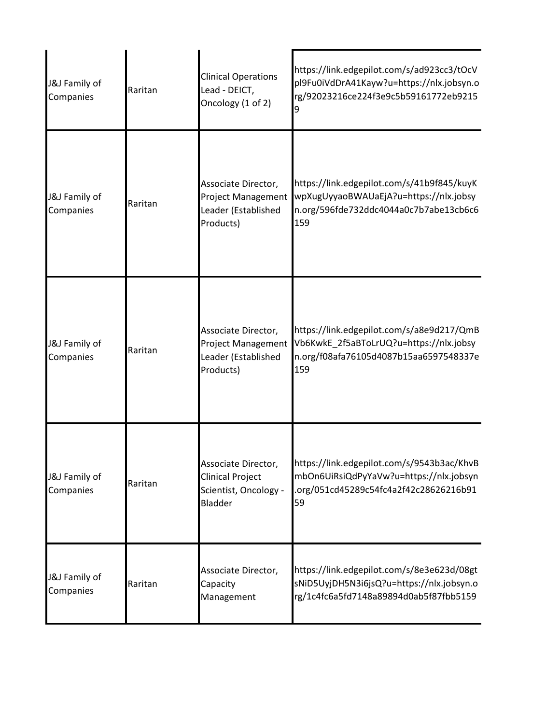| J&J Family of<br>Companies | Raritan | <b>Clinical Operations</b><br>Lead - DEICT,<br>Oncology (1 of 2)                          | https://link.edgepilot.com/s/ad923cc3/tOcV<br>pl9Fu0iVdDrA41Kayw?u=https://nlx.jobsyn.o<br>rg/92023216ce224f3e9c5b59161772eb9215<br>9 |
|----------------------------|---------|-------------------------------------------------------------------------------------------|---------------------------------------------------------------------------------------------------------------------------------------|
| J&J Family of<br>Companies | Raritan | Associate Director,<br><b>Project Management</b><br>Leader (Established<br>Products)      | https://link.edgepilot.com/s/41b9f845/kuyK<br>wpXugUyyaoBWAUaEjA?u=https://nlx.jobsy<br>n.org/596fde732ddc4044a0c7b7abe13cb6c6<br>159 |
| J&J Family of<br>Companies | Raritan | Associate Director,<br><b>Project Management</b><br>Leader (Established<br>Products)      | https://link.edgepilot.com/s/a8e9d217/QmB<br>Vb6KwkE_2f5aBToLrUQ?u=https://nlx.jobsy<br>n.org/f08afa76105d4087b15aa6597548337e<br>159 |
| J&J Family of<br>Companies | Raritan | Associate Director,<br><b>Clinical Project</b><br>Scientist, Oncology -<br><b>Bladder</b> | https://link.edgepilot.com/s/9543b3ac/KhvB<br>mbOn6UiRsiQdPyYaVw?u=https://nlx.jobsyn<br>.org/051cd45289c54fc4a2f42c28626216b91<br>59 |
| J&J Family of<br>Companies | Raritan | Associate Director,<br>Capacity<br>Management                                             | https://link.edgepilot.com/s/8e3e623d/08gt<br>sNiD5UyjDH5N3i6jsQ?u=https://nlx.jobsyn.o<br>rg/1c4fc6a5fd7148a89894d0ab5f87fbb5159     |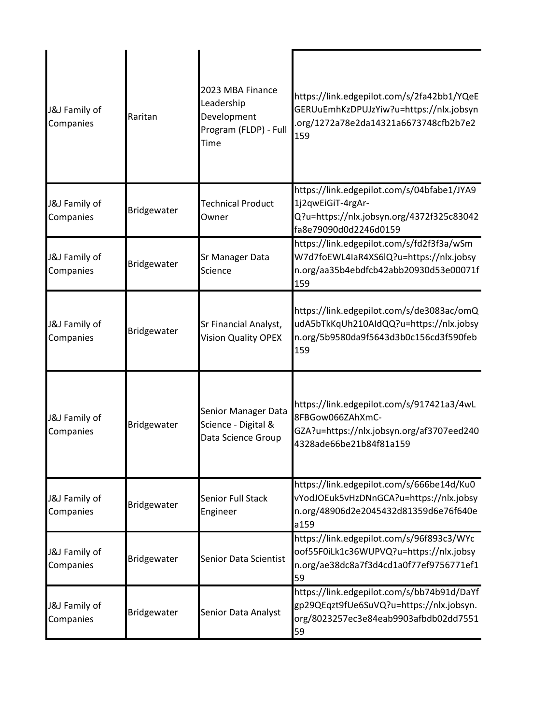| J&J Family of<br>Companies            | Raritan     | 2023 MBA Finance<br>Leadership<br>Development<br>Program (FLDP) - Full<br>Time | https://link.edgepilot.com/s/2fa42bb1/YQeE<br>GERUuEmhKzDPUJzYiw?u=https://nlx.jobsyn<br>.org/1272a78e2da14321a6673748cfb2b7e2<br>159 |
|---------------------------------------|-------------|--------------------------------------------------------------------------------|---------------------------------------------------------------------------------------------------------------------------------------|
| J&J Family of<br>Companies            | Bridgewater | <b>Technical Product</b><br>Owner                                              | https://link.edgepilot.com/s/04bfabe1/JYA9<br>1j2qwEiGiT-4rgAr-<br>Q?u=https://nlx.jobsyn.org/4372f325c83042<br>fa8e79090d0d2246d0159 |
| J&J Family of<br>Companies            | Bridgewater | Sr Manager Data<br>Science                                                     | https://link.edgepilot.com/s/fd2f3f3a/wSm<br>W7d7foEWL4IaR4XS6lQ?u=https://nlx.jobsy<br>n.org/aa35b4ebdfcb42abb20930d53e00071f<br>159 |
| <b>J&amp;J</b> Family of<br>Companies | Bridgewater | Sr Financial Analyst,<br><b>Vision Quality OPEX</b>                            | https://link.edgepilot.com/s/de3083ac/omQ<br>udA5bTkKqUh210AIdQQ?u=https://nlx.jobsy<br>n.org/5b9580da9f5643d3b0c156cd3f590feb<br>159 |
| J&J Family of<br>Companies            | Bridgewater | Senior Manager Data<br>Science - Digital &<br>Data Science Group               | https://link.edgepilot.com/s/917421a3/4wL<br>8FBGow066ZAhXmC-<br>GZA?u=https://nlx.jobsyn.org/af3707eed240<br>4328ade66be21b84f81a159 |
| <b>J&amp;J</b> Family of<br>Companies | Bridgewater | <b>Senior Full Stack</b><br>Engineer                                           | https://link.edgepilot.com/s/666be14d/Ku0<br>vYodJOEuk5vHzDNnGCA?u=https://nlx.jobsy<br>n.org/48906d2e2045432d81359d6e76f640e<br>a159 |
| <b>J&amp;J</b> Family of<br>Companies | Bridgewater | Senior Data Scientist                                                          | https://link.edgepilot.com/s/96f893c3/WYc<br>oof55F0iLk1c36WUPVQ?u=https://nlx.jobsy<br>n.org/ae38dc8a7f3d4cd1a0f77ef9756771ef1<br>59 |
| J&J Family of<br>Companies            | Bridgewater | Senior Data Analyst                                                            | https://link.edgepilot.com/s/bb74b91d/DaYf<br>gp29QEqzt9fUe6SuVQ?u=https://nlx.jobsyn.<br>org/8023257ec3e84eab9903afbdb02dd7551<br>59 |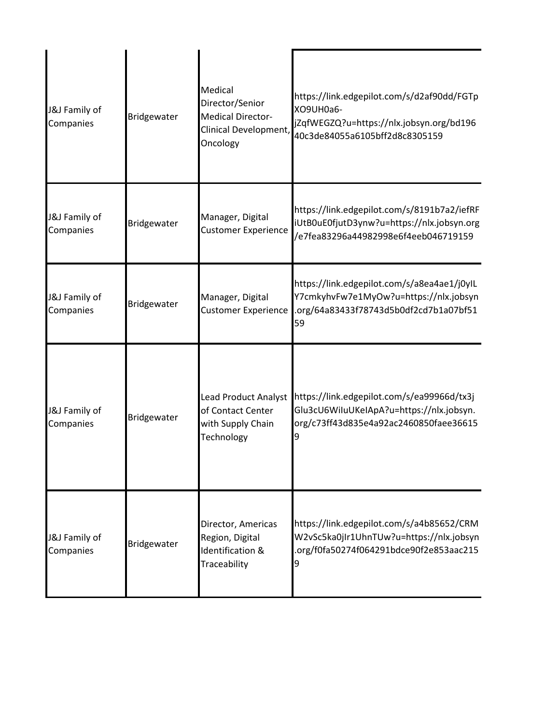| J&J Family of<br>Companies | Bridgewater | Medical<br>Director/Senior<br><b>Medical Director-</b><br>Clinical Development,<br>Oncology | https://link.edgepilot.com/s/d2af90dd/FGTp<br>XO9UH0a6-<br>jZqfWEGZQ?u=https://nlx.jobsyn.org/bd196<br>40c3de84055a6105bff2d8c8305159 |
|----------------------------|-------------|---------------------------------------------------------------------------------------------|---------------------------------------------------------------------------------------------------------------------------------------|
| J&J Family of<br>Companies | Bridgewater | Manager, Digital<br><b>Customer Experience</b>                                              | https://link.edgepilot.com/s/8191b7a2/iefRF<br>iUtB0uE0fjutD3ynw?u=https://nlx.jobsyn.org<br>/e7fea83296a44982998e6f4eeb046719159     |
| J&J Family of<br>Companies | Bridgewater | Manager, Digital<br><b>Customer Experience</b>                                              | https://link.edgepilot.com/s/a8ea4ae1/j0yIL<br>Y7cmkyhvFw7e1MyOw?u=https://nlx.jobsyn<br>.org/64a83433f78743d5b0df2cd7b1a07bf51<br>59 |
| J&J Family of<br>Companies | Bridgewater | <b>Lead Product Analyst</b><br>of Contact Center<br>with Supply Chain<br>Technology         | https://link.edgepilot.com/s/ea99966d/tx3j<br>Glu3cU6WiluUKeIApA?u=https://nlx.jobsyn.<br>org/c73ff43d835e4a92ac2460850faee36615<br>9 |
| J&J Family of<br>Companies | Bridgewater | Director, Americas<br>Region, Digital<br><b>Identification &amp;</b><br>Traceability        | https://link.edgepilot.com/s/a4b85652/CRM<br>W2vSc5ka0jIr1UhnTUw?u=https://nlx.jobsyn<br>.org/f0fa50274f064291bdce90f2e853aac215<br>9 |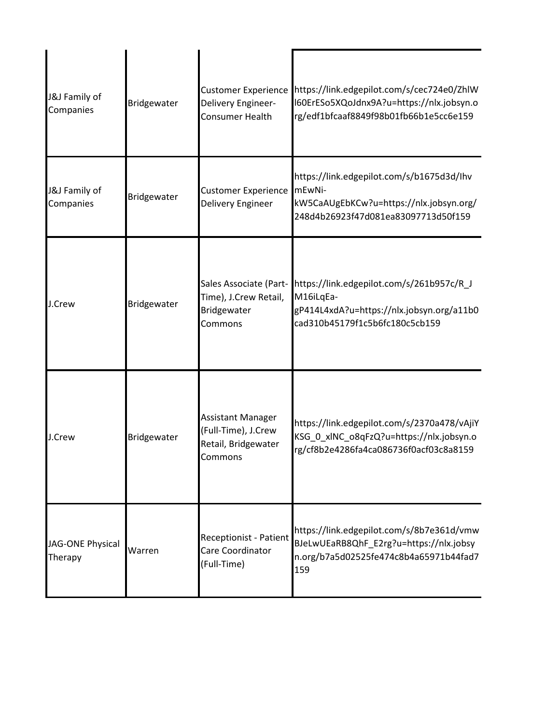| J&J Family of<br>Companies  | Bridgewater | <b>Customer Experience</b><br>Delivery Engineer-<br>Consumer Health               | https://link.edgepilot.com/s/cec724e0/ZhlW<br>I60ErESo5XQoJdnx9A?u=https://nlx.jobsyn.o<br>rg/edf1bfcaaf8849f98b01fb66b1e5cc6e159     |
|-----------------------------|-------------|-----------------------------------------------------------------------------------|---------------------------------------------------------------------------------------------------------------------------------------|
| J&J Family of<br>Companies  | Bridgewater | <b>Customer Experience</b><br>Delivery Engineer                                   | https://link.edgepilot.com/s/b1675d3d/lhv<br>mEwNi-<br>kW5CaAUgEbKCw?u=https://nlx.jobsyn.org/<br>248d4b26923f47d081ea83097713d50f159 |
| J.Crew                      | Bridgewater | Sales Associate (Part-<br>Time), J.Crew Retail,<br>Bridgewater<br>Commons         | https://link.edgepilot.com/s/261b957c/R_J<br>M16iLqEa-<br>gP414L4xdA?u=https://nlx.jobsyn.org/a11b0<br>cad310b45179f1c5b6fc180c5cb159 |
| J.Crew                      | Bridgewater | <b>Assistant Manager</b><br>(Full-Time), J.Crew<br>Retail, Bridgewater<br>Commons | https://link.edgepilot.com/s/2370a478/vAjiY<br>KSG_0_xlNC_o8qFzQ?u=https://nlx.jobsyn.o<br>rg/cf8b2e4286fa4ca086736f0acf03c8a8159     |
| JAG-ONE Physical<br>Therapy | Warren      | <b>Receptionist - Patient</b><br>Care Coordinator<br>(Full-Time)                  | https://link.edgepilot.com/s/8b7e361d/vmw<br>BJeLwUEaRB8QhF_E2rg?u=https://nlx.jobsy<br>n.org/b7a5d02525fe474c8b4a65971b44fad7<br>159 |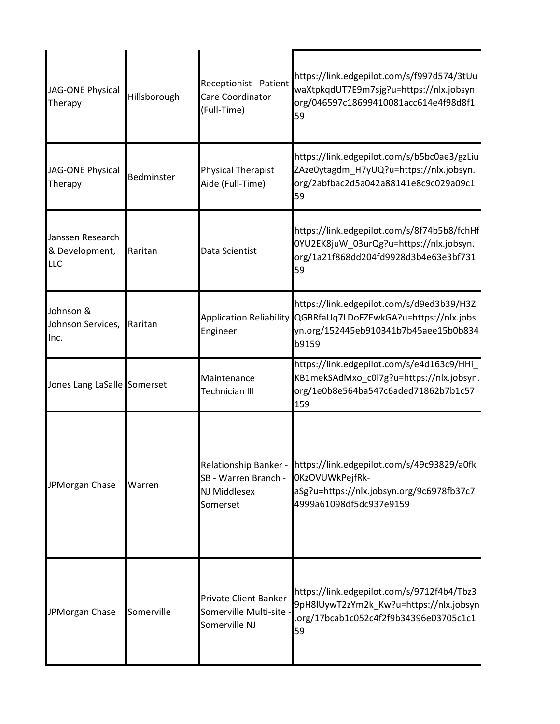| JAG-ONE Physical<br>Therapy                      | Hillsborough | <b>Receptionist - Patient</b><br>Care Coordinator<br>(Full-Time)  | https://link.edgepilot.com/s/f997d574/3tUu<br>waXtpkqdUT7E9m7sjg?u=https://nlx.jobsyn.<br>org/046597c18699410081acc614e4f98d8f1<br>59                       |
|--------------------------------------------------|--------------|-------------------------------------------------------------------|-------------------------------------------------------------------------------------------------------------------------------------------------------------|
| JAG-ONE Physical<br>Therapy                      | Bedminster   | <b>Physical Therapist</b><br>Aide (Full-Time)                     | https://link.edgepilot.com/s/b5bc0ae3/gzLiu<br>ZAze0ytagdm_H7yUQ?u=https://nlx.jobsyn.<br>org/2abfbac2d5a042a88141e8c9c029a09c1<br>59                       |
| Janssen Research<br>& Development,<br><b>LLC</b> | Raritan      | Data Scientist                                                    | https://link.edgepilot.com/s/8f74b5b8/fchHf<br>0YU2EK8juW_03urQg?u=https://nlx.jobsyn.<br>org/1a21f868dd204fd9928d3b4e63e3bf731<br>59                       |
| Johnson &<br>Johnson Services,<br>Inc.           | Raritan      | <b>Application Reliability</b><br>Engineer                        | https://link.edgepilot.com/s/d9ed3b39/H3Z<br>QGBRfaUq7LDoFZEwkGA?u=https://nlx.jobs<br>yn.org/152445eb910341b7b45aee15b0b834<br>b9159                       |
| Jones Lang LaSalle Somerset                      |              | Maintenance<br>Technician III                                     | https://link.edgepilot.com/s/e4d163c9/HHi<br>KB1mekSAdMxo_c0l7g?u=https://nlx.jobsyn.<br>org/1e0b8e564ba547c6aded71862b7b1c57<br>159                        |
| JPMorgan Chase                                   | Warren       | SB - Warren Branch -<br>NJ Middlesex<br>Somerset                  | Relationship Banker - https://link.edgepilot.com/s/49c93829/a0fk<br>OKzOVUWkPejfRk-<br>aSg?u=https://nlx.jobsyn.org/9c6978fb37c7<br>4999a61098df5dc937e9159 |
| JPMorgan Chase                                   | Somerville   | Private Client Banker<br>Somerville Multi-site ·<br>Somerville NJ | https://link.edgepilot.com/s/9712f4b4/Tbz3<br>9pH8lUywT2zYm2k_Kw?u=https://nlx.jobsyn<br>org/17bcab1c052c4f2f9b34396e03705c1c1<br>59                        |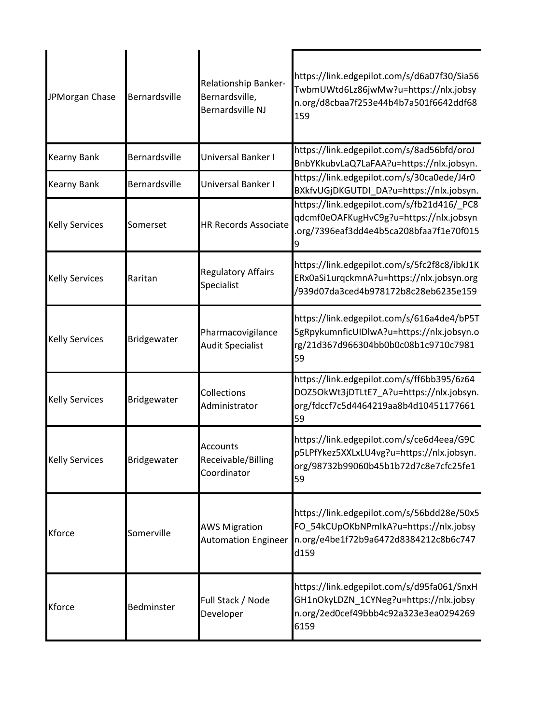| JPMorgan Chase        | Bernardsville | Relationship Banker-<br>Bernardsville,<br>Bernardsville NJ | https://link.edgepilot.com/s/d6a07f30/Sia56<br>TwbmUWtd6Lz86jwMw?u=https://nlx.jobsy<br>n.org/d8cbaa7f253e44b4b7a501f6642ddf68<br>159 |
|-----------------------|---------------|------------------------------------------------------------|---------------------------------------------------------------------------------------------------------------------------------------|
| Kearny Bank           | Bernardsville | Universal Banker I                                         | https://link.edgepilot.com/s/8ad56bfd/oroJ<br>BnbYKkubvLaQ7LaFAA?u=https://nlx.jobsyn.                                                |
| Kearny Bank           | Bernardsville | Universal Banker I                                         | https://link.edgepilot.com/s/30ca0ede/J4r0<br>BXkfvUGjDKGUTDI_DA?u=https://nlx.jobsyn.                                                |
| <b>Kelly Services</b> | Somerset      | <b>HR Records Associate</b>                                | https://link.edgepilot.com/s/fb21d416/_PC8<br>qdcmf0eOAFKugHvC9g?u=https://nlx.jobsyn<br>org/7396eaf3dd4e4b5ca208bfaa7f1e70f015       |
| <b>Kelly Services</b> | Raritan       | <b>Regulatory Affairs</b><br>Specialist                    | https://link.edgepilot.com/s/5fc2f8c8/ibkJ1K<br>ERx0aSi1urqckmnA?u=https://nlx.jobsyn.org<br>/939d07da3ced4b978172b8c28eb6235e159     |
| <b>Kelly Services</b> | Bridgewater   | Pharmacovigilance<br><b>Audit Specialist</b>               | https://link.edgepilot.com/s/616a4de4/bP5T<br>5gRpykumnficUIDlwA?u=https://nlx.jobsyn.o<br>rg/21d367d966304bb0b0c08b1c9710c7981<br>59 |
| <b>Kelly Services</b> | Bridgewater   | Collections<br>Administrator                               | https://link.edgepilot.com/s/ff6bb395/6z64<br>DOZ5OkWt3jDTLtE7_A?u=https://nlx.jobsyn.<br>org/fdccf7c5d4464219aa8b4d10451177661<br>59 |
| <b>Kelly Services</b> | Bridgewater   | Accounts<br>Receivable/Billing<br>Coordinator              | https://link.edgepilot.com/s/ce6d4eea/G9C<br>p5LPfYkez5XXLxLU4vg?u=https://nlx.jobsyn.<br>org/98732b99060b45b1b72d7c8e7cfc25fe1<br>59 |
| Kforce                | Somerville    | <b>AWS Migration</b><br><b>Automation Engineer</b>         | https://link.edgepilot.com/s/56bdd28e/50x5<br>FO_54kCUpOKbNPmlkA?u=https://nlx.jobsy<br>n.org/e4be1f72b9a6472d8384212c8b6c747<br>d159 |
| Kforce                | Bedminster    | Full Stack / Node<br>Developer                             | https://link.edgepilot.com/s/d95fa061/SnxH<br>GH1nOkyLDZN_1CYNeg?u=https://nlx.jobsy<br>n.org/2ed0cef49bbb4c92a323e3ea0294269<br>6159 |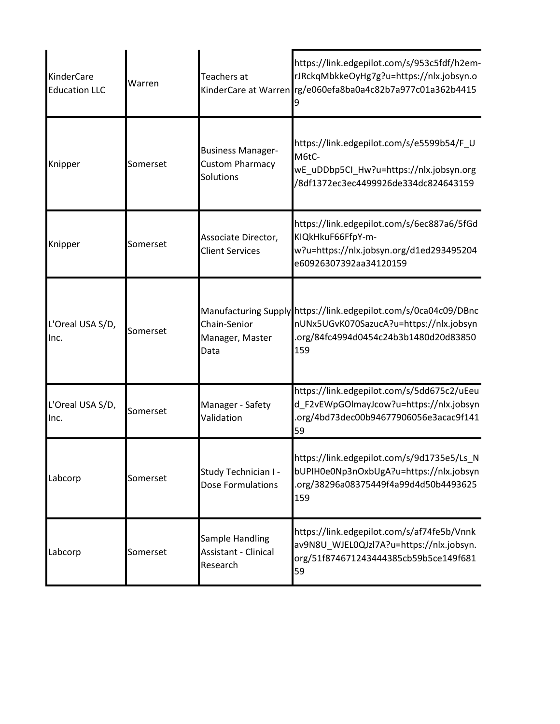| <b>KinderCare</b><br><b>Education LLC</b> | Warren   | Teachers at                                                     | https://link.edgepilot.com/s/953c5fdf/h2em-<br>rJRckqMbkkeOyHg7g?u=https://nlx.jobsyn.o<br>KinderCare at Warren rg/e060efa8ba0a4c82b7a977c01a362b4415      |
|-------------------------------------------|----------|-----------------------------------------------------------------|------------------------------------------------------------------------------------------------------------------------------------------------------------|
| Knipper                                   | Somerset | <b>Business Manager-</b><br><b>Custom Pharmacy</b><br>Solutions | https://link.edgepilot.com/s/e5599b54/F_U<br>M6tC-<br>wE_uDDbp5Cl_Hw?u=https://nlx.jobsyn.org<br>/8df1372ec3ec4499926de334dc824643159                      |
| Knipper                                   | Somerset | Associate Director,<br><b>Client Services</b>                   | https://link.edgepilot.com/s/6ec887a6/5fGd<br>KIQkHkuF66FfpY-m-<br>w?u=https://nlx.jobsyn.org/d1ed293495204<br>e60926307392aa34120159                      |
| L'Oreal USA S/D,<br>Inc.                  | Somerset | Chain-Senior<br>Manager, Master<br>Data                         | Manufacturing Supply https://link.edgepilot.com/s/0ca04c09/DBnc<br>nUNx5UGvK070SazucA?u=https://nlx.jobsyn<br>.org/84fc4994d0454c24b3b1480d20d83850<br>159 |
| L'Oreal USA S/D,<br>Inc.                  | Somerset | Manager - Safety<br>Validation                                  | https://link.edgepilot.com/s/5dd675c2/uEeu<br>d_F2vEWpGOImayJcow?u=https://nlx.jobsyn<br>.org/4bd73dec00b94677906056e3acac9f141<br>59                      |
| Labcorp                                   | Somerset | Study Technician I -<br>Dose Formulations                       | https://link.edgepilot.com/s/9d1735e5/Ls_N<br>bUPIH0e0Np3nOxbUgA?u=https://nlx.jobsyn<br>.org/38296a08375449f4a99d4d50b4493625<br>159                      |
| Labcorp                                   | Somerset | Sample Handling<br><b>Assistant - Clinical</b><br>Research      | https://link.edgepilot.com/s/af74fe5b/Vnnk<br>av9N8U_WJEL0QJzl7A?u=https://nlx.jobsyn.<br>org/51f874671243444385cb59b5ce149f681<br>59                      |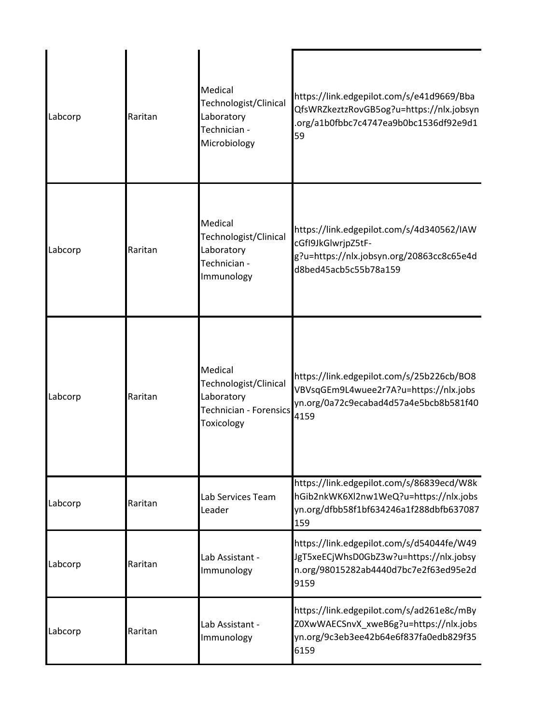| Labcorp | Raritan | Medical<br>Technologist/Clinical<br>Laboratory<br>Technician -<br>Microbiology                | https://link.edgepilot.com/s/e41d9669/Bba<br>QfsWRZkeztzRovGB5og?u=https://nlx.jobsyn<br>.org/a1b0fbbc7c4747ea9b0bc1536df92e9d1<br>59 |
|---------|---------|-----------------------------------------------------------------------------------------------|---------------------------------------------------------------------------------------------------------------------------------------|
| Labcorp | Raritan | Medical<br>Technologist/Clinical<br>Laboratory<br>Technician -<br>Immunology                  | https://link.edgepilot.com/s/4d340562/IAW<br>cGfI9JkGlwrjpZ5tF-<br>g?u=https://nlx.jobsyn.org/20863cc8c65e4d<br>d8bed45acb5c55b78a159 |
| Labcorp | Raritan | Medical<br>Technologist/Clinical<br>Laboratory<br><b>Technician - Forensics</b><br>Toxicology | https://link.edgepilot.com/s/25b226cb/BO8<br>VBVsqGEm9L4wuee2r7A?u=https://nlx.jobs<br>yn.org/0a72c9ecabad4d57a4e5bcb8b581f40<br>4159 |
| Labcorp | Raritan | Lab Services Team<br>Leader                                                                   | https://link.edgepilot.com/s/86839ecd/W8k<br>hGib2nkWK6Xl2nw1WeQ?u=https://nlx.jobs<br>yn.org/dfbb58f1bf634246a1f288dbfb637087<br>159 |
| Labcorp | Raritan | Lab Assistant -<br>Immunology                                                                 | https://link.edgepilot.com/s/d54044fe/W49<br>JgT5xeECjWhsD0GbZ3w?u=https://nlx.jobsy<br>n.org/98015282ab4440d7bc7e2f63ed95e2d<br>9159 |
| Labcorp | Raritan | Lab Assistant -<br>Immunology                                                                 | https://link.edgepilot.com/s/ad261e8c/mBy<br>Z0XwWAECSnvX_xweB6g?u=https://nlx.jobs<br>yn.org/9c3eb3ee42b64e6f837fa0edb829f35<br>6159 |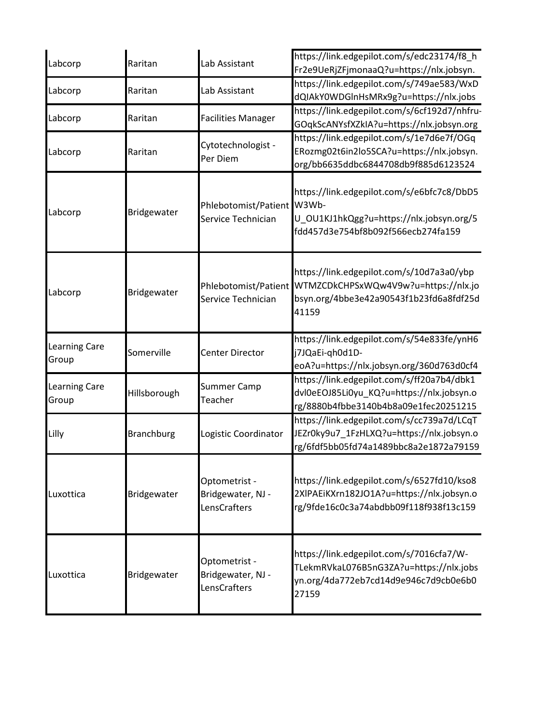| Labcorp                       | Raritan           | Lab Assistant                                      | https://link.edgepilot.com/s/edc23174/f8_h<br>Fr2e9UeRjZFjmonaaQ?u=https://nlx.jobsyn.                                                |
|-------------------------------|-------------------|----------------------------------------------------|---------------------------------------------------------------------------------------------------------------------------------------|
| Labcorp                       | Raritan           | Lab Assistant                                      | https://link.edgepilot.com/s/749ae583/WxD<br>dQIAkY0WDGInHsMRx9g?u=https://nlx.jobs                                                   |
| Labcorp                       | Raritan           | <b>Facilities Manager</b>                          | https://link.edgepilot.com/s/6cf192d7/nhfru-<br>GOqkScANYsfXZkIA?u=https://nlx.jobsyn.org                                             |
| Labcorp                       | Raritan           | Cytotechnologist -<br>Per Diem                     | https://link.edgepilot.com/s/1e7d6e7f/OGq<br>ERozmg02t6in2lo5SCA?u=https://nlx.jobsyn.<br>org/bb6635ddbc6844708db9f885d6123524        |
| Labcorp                       | Bridgewater       | Phlebotomist/Patient<br>Service Technician         | https://link.edgepilot.com/s/e6bfc7c8/DbD5<br>W3Wb-<br>U_OU1KJ1hkQgg?u=https://nlx.jobsyn.org/5<br>fdd457d3e754bf8b092f566ecb274fa159 |
| Labcorp                       | Bridgewater       | Phlebotomist/Patient<br>Service Technician         | https://link.edgepilot.com/s/10d7a3a0/ybp<br>WTMZCDkCHPSxWQw4V9w?u=https://nlx.jo<br>bsyn.org/4bbe3e42a90543f1b23fd6a8fdf25d<br>41159 |
| <b>Learning Care</b><br>Group | Somerville        | Center Director                                    | https://link.edgepilot.com/s/54e833fe/ynH6<br>j7JQaEi-qh0d1D-<br>eoA?u=https://nlx.jobsyn.org/360d763d0cf4                            |
| Learning Care<br>Group        | Hillsborough      | <b>Summer Camp</b><br>Teacher                      | https://link.edgepilot.com/s/ff20a7b4/dbk1<br>dvl0eEOJ85Li0yu_KQ?u=https://nlx.jobsyn.o<br>rg/8880b4fbbe3140b4b8a09e1fec20251215      |
| Lilly                         | <b>Branchburg</b> | Logistic Coordinator                               | https://link.edgepilot.com/s/cc739a7d/LCqT<br>JEZr0ky9u7_1FzHLXQ?u=https://nlx.jobsyn.o<br>rg/6fdf5bb05fd74a1489bbc8a2e1872a79159     |
| Luxottica                     | Bridgewater       | Optometrist -<br>Bridgewater, NJ -<br>LensCrafters | https://link.edgepilot.com/s/6527fd10/kso8<br>2XIPAEiKXrn182JO1A?u=https://nlx.jobsyn.o<br>rg/9fde16c0c3a74abdbb09f118f938f13c159     |
| Luxottica                     | Bridgewater       | Optometrist -<br>Bridgewater, NJ -<br>LensCrafters | https://link.edgepilot.com/s/7016cfa7/W-<br>TLekmRVkaL076B5nG3ZA?u=https://nlx.jobs<br>yn.org/4da772eb7cd14d9e946c7d9cb0e6b0<br>27159 |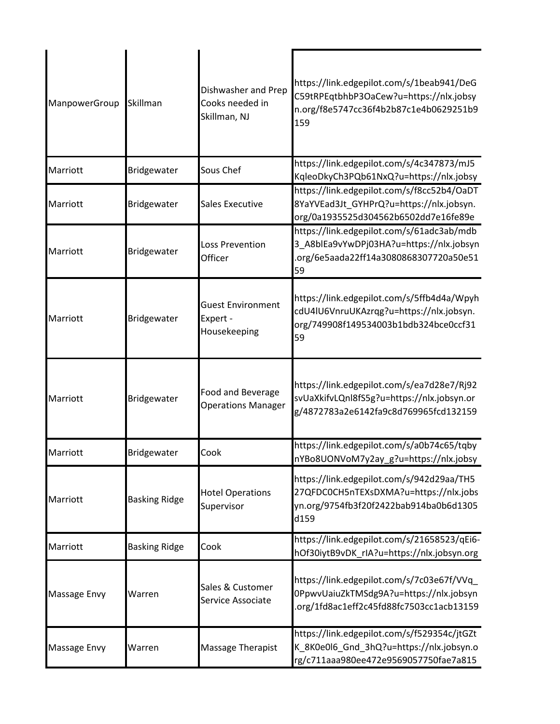| ManpowerGroup | Skillman             | Dishwasher and Prep<br>Cooks needed in<br>Skillman, NJ | https://link.edgepilot.com/s/1beab941/DeG<br>C59tRPEqtbhbP3OaCew?u=https://nlx.jobsy<br>n.org/f8e5747cc36f4b2b87c1e4b0629251b9<br>159 |
|---------------|----------------------|--------------------------------------------------------|---------------------------------------------------------------------------------------------------------------------------------------|
| Marriott      | Bridgewater          | Sous Chef                                              | https://link.edgepilot.com/s/4c347873/mJ5<br>KqleoDkyCh3PQb61NxQ?u=https://nlx.jobsy                                                  |
| Marriott      | Bridgewater          | <b>Sales Executive</b>                                 | https://link.edgepilot.com/s/f8cc52b4/OaDT<br>8YaYVEad3Jt_GYHPrQ?u=https://nlx.jobsyn.<br>org/0a1935525d304562b6502dd7e16fe89e        |
| Marriott      | Bridgewater          | <b>Loss Prevention</b><br>Officer                      | https://link.edgepilot.com/s/61adc3ab/mdb<br>3_A8blEa9vYwDPj03HA?u=https://nlx.jobsyn<br>org/6e5aada22ff14a3080868307720a50e51<br>59  |
| Marriott      | Bridgewater          | <b>Guest Environment</b><br>Expert -<br>Housekeeping   | https://link.edgepilot.com/s/5ffb4d4a/Wpyh<br>cdU4IU6VnruUKAzrqg?u=https://nlx.jobsyn.<br>org/749908f149534003b1bdb324bce0ccf31<br>59 |
| Marriott      | Bridgewater          | Food and Beverage<br><b>Operations Manager</b>         | https://link.edgepilot.com/s/ea7d28e7/Rj92<br>svUaXkifvLQnl8fS5g?u=https://nlx.jobsyn.or<br>g/4872783a2e6142fa9c8d769965fcd132159     |
| Marriott      | Bridgewater          | Cook                                                   | https://link.edgepilot.com/s/a0b74c65/tqby<br>nYBo8UONVoM7y2ay_g?u=https://nlx.jobsy                                                  |
| Marriott      | <b>Basking Ridge</b> | <b>Hotel Operations</b><br>Supervisor                  | https://link.edgepilot.com/s/942d29aa/TH5<br>27QFDC0CH5nTEXsDXMA?u=https://nlx.jobs<br>yn.org/9754fb3f20f2422bab914ba0b6d1305<br>d159 |
| Marriott      | <b>Basking Ridge</b> | Cook                                                   | https://link.edgepilot.com/s/21658523/qEi6-<br>hOf30iytB9vDK_rIA?u=https://nlx.jobsyn.org                                             |
| Massage Envy  | Warren               | Sales & Customer<br>Service Associate                  | https://link.edgepilot.com/s/7c03e67f/VVq<br>0PpwvUaiuZkTMSdg9A?u=https://nlx.jobsyn<br>.org/1fd8ac1eff2c45fd88fc7503cc1acb13159      |
| Massage Envy  | Warren               | Massage Therapist                                      | https://link.edgepilot.com/s/f529354c/jtGZt<br>K_8K0e0l6_Gnd_3hQ?u=https://nlx.jobsyn.o<br>rg/c711aaa980ee472e9569057750fae7a815      |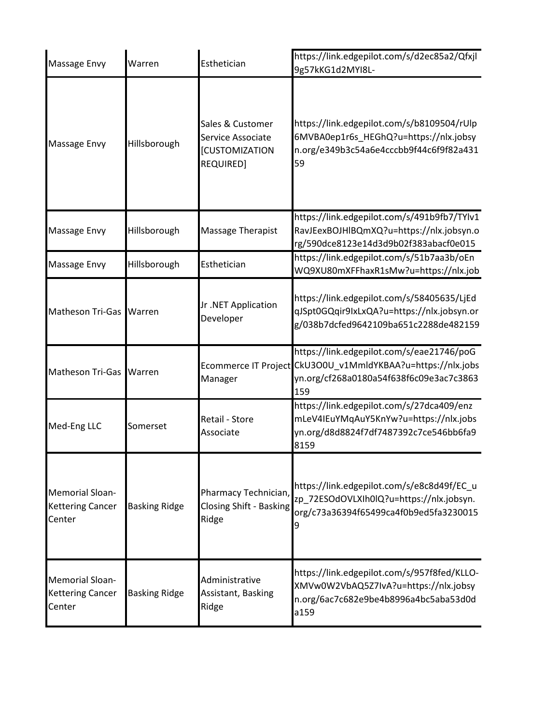| Massage Envy                                                | Warren               | Esthetician                                                                 | https://link.edgepilot.com/s/d2ec85a2/Qfxjl<br>9g57kKG1d2MYI8L-                                                                                            |
|-------------------------------------------------------------|----------------------|-----------------------------------------------------------------------------|------------------------------------------------------------------------------------------------------------------------------------------------------------|
| Massage Envy                                                | Hillsborough         | Sales & Customer<br>Service Associate<br><b>[CUSTOMIZATION</b><br>REQUIRED] | https://link.edgepilot.com/s/b8109504/rUlp<br>6MVBA0ep1r6s_HEGhQ?u=https://nlx.jobsy<br>n.org/e349b3c54a6e4cccbb9f44c6f9f82a431<br>59                      |
| Massage Envy                                                | Hillsborough         | <b>Massage Therapist</b>                                                    | https://link.edgepilot.com/s/491b9fb7/TYlv1<br>RavJEexBOJHlBQmXQ?u=https://nlx.jobsyn.o<br>rg/590dce8123e14d3d9b02f383abacf0e015                           |
| Massage Envy                                                | Hillsborough         | Esthetician                                                                 | https://link.edgepilot.com/s/51b7aa3b/oEn<br>WQ9XU80mXFFhaxR1sMw?u=https://nlx.job                                                                         |
| Matheson Tri-Gas Warren                                     |                      | Jr.NET Application<br>Developer                                             | https://link.edgepilot.com/s/58405635/LjEd<br>qJSpt0GQqir9IxLxQA?u=https://nlx.jobsyn.or<br>g/038b7dcfed9642109ba651c2288de482159                          |
| Matheson Tri-Gas Warren                                     |                      | Manager                                                                     | https://link.edgepilot.com/s/eae21746/poG<br>Ecommerce IT Project CkU3O0U_v1MmldYKBAA?u=https://nlx.jobs<br>yn.org/cf268a0180a54f638f6c09e3ac7c3863<br>159 |
| Med-Eng LLC                                                 | Somerset             | Retail - Store<br>Associate                                                 | https://link.edgepilot.com/s/27dca409/enz<br>mLeV4IEuYMqAuY5KnYw?u=https://nlx.jobs<br>yn.org/d8d8824f7df7487392c7ce546bb6fa9<br>8159                      |
| <b>Memorial Sloan-</b><br><b>Kettering Cancer</b><br>Center | <b>Basking Ridge</b> | Pharmacy Technician,<br><b>Closing Shift - Basking</b><br>Ridge             | https://link.edgepilot.com/s/e8c8d49f/EC u<br>zp_72ESOdOVLXIh0lQ?u=https://nlx.jobsyn.<br>org/c73a36394f65499ca4f0b9ed5fa3230015<br>9                      |
| <b>Memorial Sloan-</b><br><b>Kettering Cancer</b><br>Center | <b>Basking Ridge</b> | Administrative<br>Assistant, Basking<br>Ridge                               | https://link.edgepilot.com/s/957f8fed/KLLO-<br>XMVw0W2VbAQ5Z7IvA?u=https://nlx.jobsy<br>n.org/6ac7c682e9be4b8996a4bc5aba53d0d<br>a159                      |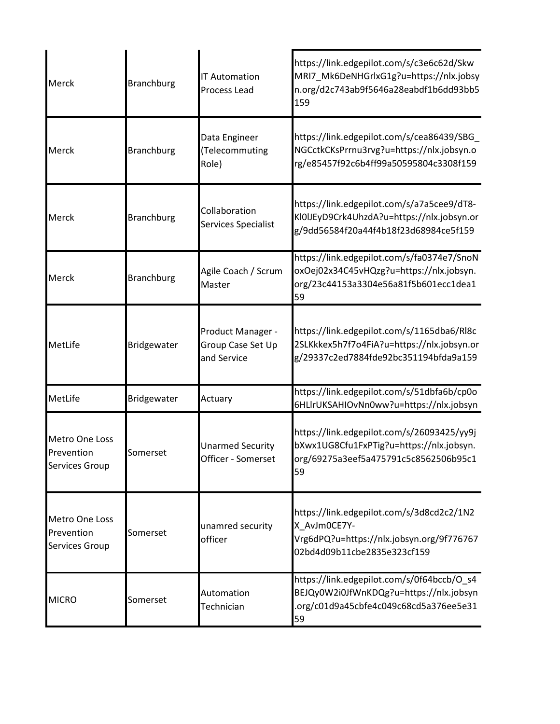| Merck                                                 | <b>Branchburg</b> | <b>IT Automation</b><br>Process Lead                  | https://link.edgepilot.com/s/c3e6c62d/Skw<br>MRI7_Mk6DeNHGrlxG1g?u=https://nlx.jobsy<br>n.org/d2c743ab9f5646a28eabdf1b6dd93bb5<br>159 |
|-------------------------------------------------------|-------------------|-------------------------------------------------------|---------------------------------------------------------------------------------------------------------------------------------------|
| Merck                                                 | <b>Branchburg</b> | Data Engineer<br>(Telecommuting<br>Role)              | https://link.edgepilot.com/s/cea86439/SBG<br>NGCctkCKsPrrnu3rvg?u=https://nlx.jobsyn.o<br>rg/e85457f92c6b4ff99a50595804c3308f159      |
| Merck                                                 | <b>Branchburg</b> | Collaboration<br>Services Specialist                  | https://link.edgepilot.com/s/a7a5cee9/dT8-<br>KI0IJEyD9Crk4UhzdA?u=https://nlx.jobsyn.or<br>g/9dd56584f20a44f4b18f23d68984ce5f159     |
| Merck                                                 | <b>Branchburg</b> | Agile Coach / Scrum<br>Master                         | https://link.edgepilot.com/s/fa0374e7/SnoN<br>oxOej02x34C45vHQzg?u=https://nlx.jobsyn.<br>org/23c44153a3304e56a81f5b601ecc1dea1<br>59 |
| MetLife                                               | Bridgewater       | Product Manager -<br>Group Case Set Up<br>and Service | https://link.edgepilot.com/s/1165dba6/Rl8c<br>2SLKkkex5h7f7o4FiA?u=https://nlx.jobsyn.or<br>g/29337c2ed7884fde92bc351194bfda9a159     |
| MetLife                                               | Bridgewater       | Actuary                                               | https://link.edgepilot.com/s/51dbfa6b/cp0o<br>6HLlrUKSAHIOvNn0ww?u=https://nlx.jobsyn                                                 |
| Metro One Loss<br>Prevention<br><b>Services Group</b> | Somerset          | <b>Unarmed Security</b><br>Officer - Somerset         | https://link.edgepilot.com/s/26093425/yy9j<br>bXwx1UG8Cfu1FxPTig?u=https://nlx.jobsyn.<br>org/69275a3eef5a475791c5c8562506b95c1<br>59 |
| <b>Metro One Loss</b><br>Prevention<br>Services Group | Somerset          | unamred security<br>officer                           | https://link.edgepilot.com/s/3d8cd2c2/1N2<br>X AvJm0CE7Y-<br>Vrg6dPQ?u=https://nlx.jobsyn.org/9f776767<br>02bd4d09b11cbe2835e323cf159 |
| <b>MICRO</b>                                          | Somerset          | Automation<br>Technician                              | https://link.edgepilot.com/s/0f64bccb/O_s4<br>BEJQy0W2i0JfWnKDQg?u=https://nlx.jobsyn<br>.org/c01d9a45cbfe4c049c68cd5a376ee5e31<br>59 |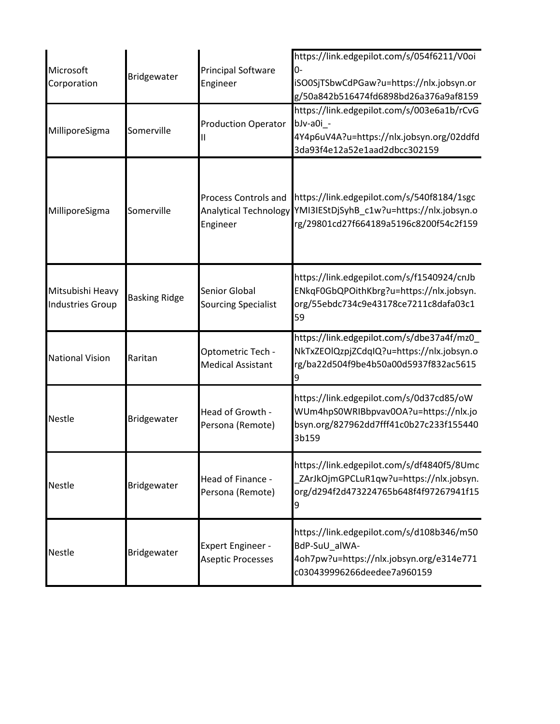| Microsoft<br>Corporation                    | Bridgewater          | <b>Principal Software</b><br>Engineer                            | https://link.edgepilot.com/s/054f6211/V0oi<br>0-<br>iSO0SjTSbwCdPGaw?u=https://nlx.jobsyn.or<br>g/50a842b516474fd6898bd26a376a9af8159 |
|---------------------------------------------|----------------------|------------------------------------------------------------------|---------------------------------------------------------------------------------------------------------------------------------------|
| MilliporeSigma                              | Somerville           | <b>Production Operator</b>                                       | https://link.edgepilot.com/s/003e6a1b/rCvG<br>bJv-a0i -<br>4Y4p6uV4A?u=https://nlx.jobsyn.org/02ddfd<br>3da93f4e12a52e1aad2dbcc302159 |
| MilliporeSigma                              | Somerville           | Process Controls and<br><b>Analytical Technology</b><br>Engineer | https://link.edgepilot.com/s/540f8184/1sgc<br>YMI3IEStDjSyhB_c1w?u=https://nlx.jobsyn.o<br>rg/29801cd27f664189a5196c8200f54c2f159     |
| Mitsubishi Heavy<br><b>Industries Group</b> | <b>Basking Ridge</b> | <b>Senior Global</b><br><b>Sourcing Specialist</b>               | https://link.edgepilot.com/s/f1540924/cnJb<br>ENkqF0GbQPOithKbrg?u=https://nlx.jobsyn.<br>org/55ebdc734c9e43178ce7211c8dafa03c1<br>59 |
| <b>National Vision</b>                      | Raritan              | Optometric Tech -<br><b>Medical Assistant</b>                    | https://link.edgepilot.com/s/dbe37a4f/mz0<br>NkTxZEOlQzpjZCdqIQ?u=https://nlx.jobsyn.o<br>rg/ba22d504f9be4b50a00d5937f832ac5615       |
| <b>Nestle</b>                               | Bridgewater          | Head of Growth -<br>Persona (Remote)                             | https://link.edgepilot.com/s/0d37cd85/oW<br>WUm4hpS0WRIBbpvav0OA?u=https://nlx.jo<br>bsyn.org/827962dd7fff41c0b27c233f155440<br>3b159 |
| <b>Nestle</b>                               | Bridgewater          | Head of Finance -<br>Persona (Remote)                            | https://link.edgepilot.com/s/df4840f5/8Umc<br>ZArJkOjmGPCLuR1qw?u=https://nlx.jobsyn.<br>org/d294f2d473224765b648f4f97267941f15<br>9  |
| <b>Nestle</b>                               | Bridgewater          | <b>Expert Engineer -</b><br><b>Aseptic Processes</b>             | https://link.edgepilot.com/s/d108b346/m50<br>BdP-SuU_alWA-<br>4oh7pw?u=https://nlx.jobsyn.org/e314e771<br>c030439996266deedee7a960159 |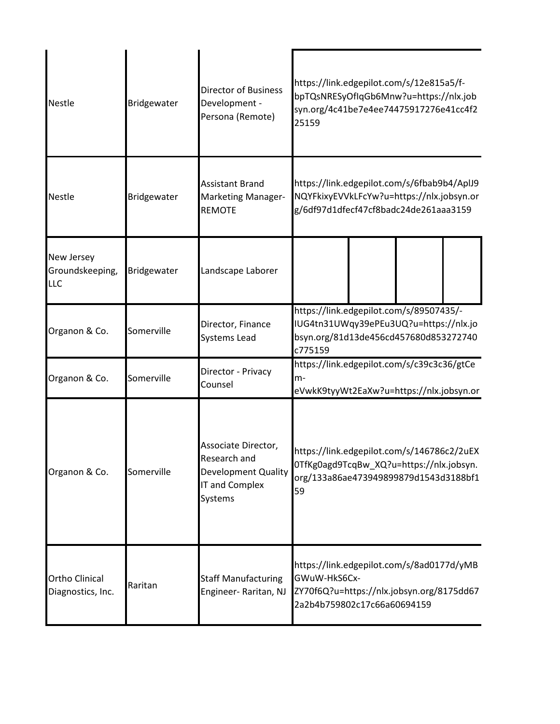| <b>Nestle</b>                              | Bridgewater | <b>Director of Business</b><br>Development -<br>Persona (Remote)                               | https://link.edgepilot.com/s/12e815a5/f-<br>bpTQsNRESyOfIqGb6Mnw?u=https://nlx.job<br>syn.org/4c41be7e4ee74475917276e41cc4f2<br>25159 |
|--------------------------------------------|-------------|------------------------------------------------------------------------------------------------|---------------------------------------------------------------------------------------------------------------------------------------|
| <b>Nestle</b>                              | Bridgewater | <b>Assistant Brand</b><br>Marketing Manager-<br><b>REMOTE</b>                                  | https://link.edgepilot.com/s/6fbab9b4/AplJ9<br>NQYFkixyEVVkLFcYw?u=https://nlx.jobsyn.or<br>g/6df97d1dfecf47cf8badc24de261aaa3159     |
| New Jersey<br>Groundskeeping,<br>LLC       | Bridgewater | Landscape Laborer                                                                              |                                                                                                                                       |
| Organon & Co.                              | Somerville  | Director, Finance<br>Systems Lead                                                              | https://link.edgepilot.com/s/89507435/-<br>IUG4tn31UWqy39ePEu3UQ?u=https://nlx.jo<br>bsyn.org/81d13de456cd457680d853272740<br>c775159 |
| Organon & Co.                              | Somerville  | Director - Privacy<br>Counsel                                                                  | https://link.edgepilot.com/s/c39c3c36/gtCe<br>m-<br>eVwkK9tyyWt2EaXw?u=https://nlx.jobsyn.or                                          |
| Organon & Co.                              | Somerville  | Associate Director,<br>Research and<br><b>Development Quality</b><br>IT and Complex<br>Systems | https://link.edgepilot.com/s/146786c2/2uEX<br>OTfKg0agd9TcqBw_XQ?u=https://nlx.jobsyn.<br>org/133a86ae473949899879d1543d3188bf1<br>59 |
| <b>Ortho Clinical</b><br>Diagnostics, Inc. | Raritan     | <b>Staff Manufacturing</b><br>Engineer-Raritan, NJ                                             | https://link.edgepilot.com/s/8ad0177d/yMB<br>GWuW-HkS6Cx-<br>ZY70f6Q?u=https://nlx.jobsyn.org/8175dd67<br>2a2b4b759802c17c66a60694159 |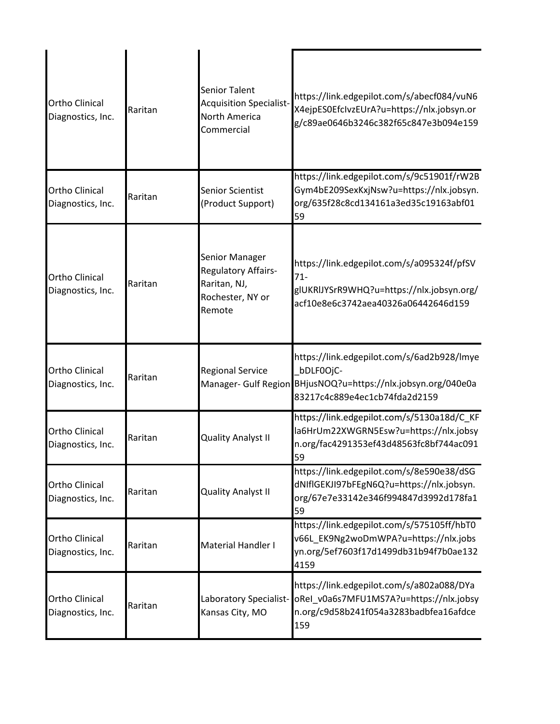| <b>Ortho Clinical</b><br>Diagnostics, Inc. | Raritan | <b>Senior Talent</b><br><b>Acquisition Specialist-</b><br>North America<br>Commercial | https://link.edgepilot.com/s/abecf084/vuN6<br>X4ejpES0EfcIvzEUrA?u=https://nlx.jobsyn.or<br>g/c89ae0646b3246c382f65c847e3b094e159                         |
|--------------------------------------------|---------|---------------------------------------------------------------------------------------|-----------------------------------------------------------------------------------------------------------------------------------------------------------|
| <b>Ortho Clinical</b><br>Diagnostics, Inc. | Raritan | <b>Senior Scientist</b><br>(Product Support)                                          | https://link.edgepilot.com/s/9c51901f/rW2B<br>Gym4bE209SexKxjNsw?u=https://nlx.jobsyn.<br>org/635f28c8cd134161a3ed35c19163abf01<br>59                     |
| <b>Ortho Clinical</b><br>Diagnostics, Inc. | Raritan | Senior Manager<br>Regulatory Affairs-<br>Raritan, NJ,<br>Rochester, NY or<br>Remote   | https://link.edgepilot.com/s/a095324f/pfSV<br>$71 -$<br>glUKRIJYSrR9WHQ?u=https://nlx.jobsyn.org/<br>acf10e8e6c3742aea40326a06442646d159                  |
| <b>Ortho Clinical</b><br>Diagnostics, Inc. | Raritan | <b>Regional Service</b>                                                               | https://link.edgepilot.com/s/6ad2b928/lmye<br>bDLF0OjC-<br>Manager- Gulf Region BHjusNOQ?u=https://nlx.jobsyn.org/040e0a<br>83217c4c889e4ec1cb74fda2d2159 |
| <b>Ortho Clinical</b><br>Diagnostics, Inc. | Raritan | <b>Quality Analyst II</b>                                                             | https://link.edgepilot.com/s/5130a18d/C_KF<br>la6HrUm22XWGRN5Esw?u=https://nlx.jobsy<br>n.org/fac4291353ef43d48563fc8bf744ac091<br>59                     |
| <b>Ortho Clinical</b><br>Diagnostics, Inc. | Raritan | <b>Quality Analyst II</b>                                                             | https://link.edgepilot.com/s/8e590e38/dSG<br>dNIfIGEKJI97bFEgN6Q?u=https://nlx.jobsyn.<br>org/67e7e33142e346f994847d3992d178fa1<br>59                     |
| Ortho Clinical<br>Diagnostics, Inc.        | Raritan | Material Handler I                                                                    | https://link.edgepilot.com/s/575105ff/hbT0<br>v66L EK9Ng2woDmWPA?u=https://nlx.jobs<br>yn.org/5ef7603f17d1499db31b94f7b0ae132<br>4159                     |
| Ortho Clinical<br>Diagnostics, Inc.        | Raritan | Laboratory Specialist-<br>Kansas City, MO                                             | https://link.edgepilot.com/s/a802a088/DYa<br>oRel_v0a6s7MFU1MS7A?u=https://nlx.jobsy<br>n.org/c9d58b241f054a3283badbfea16afdce<br>159                     |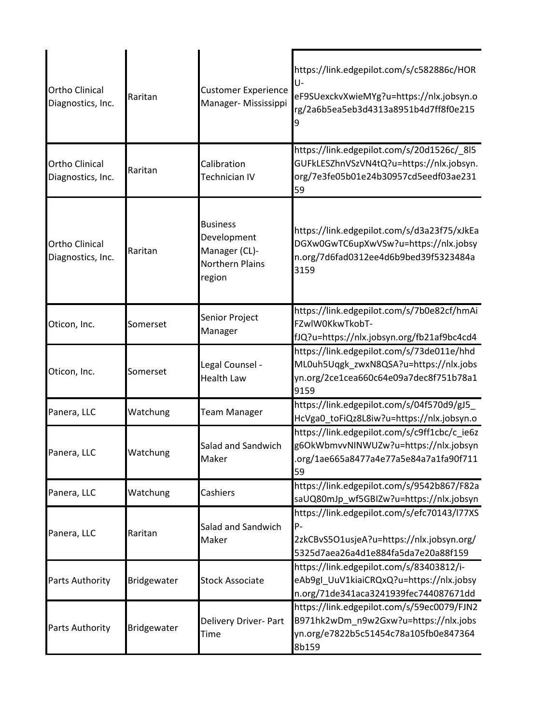| <b>Ortho Clinical</b><br>Diagnostics, Inc. | Raritan     | <b>Customer Experience</b><br>Manager- Mississippi                                  | https://link.edgepilot.com/s/c582886c/HOR<br>U-<br>eF9SUexckvXwieMYg?u=https://nlx.jobsyn.o<br>rg/2a6b5ea5eb3d4313a8951b4d7ff8f0e215<br>9 |
|--------------------------------------------|-------------|-------------------------------------------------------------------------------------|-------------------------------------------------------------------------------------------------------------------------------------------|
| <b>Ortho Clinical</b><br>Diagnostics, Inc. | Raritan     | Calibration<br>Technician IV                                                        | https://link.edgepilot.com/s/20d1526c/ 8l5<br>GUFkLESZhnVSzVN4tQ?u=https://nlx.jobsyn.<br>org/7e3fe05b01e24b30957cd5eedf03ae231<br>59     |
| <b>Ortho Clinical</b><br>Diagnostics, Inc. | Raritan     | <b>Business</b><br>Development<br>Manager (CL)-<br><b>Northern Plains</b><br>region | https://link.edgepilot.com/s/d3a23f75/xJkEa<br>DGXw0GwTC6upXwVSw?u=https://nlx.jobsy<br>n.org/7d6fad0312ee4d6b9bed39f5323484a<br>3159     |
| Oticon, Inc.                               | Somerset    | Senior Project<br>Manager                                                           | https://link.edgepilot.com/s/7b0e82cf/hmAi<br>FZwlW0KkwTkobT-<br>fJQ?u=https://nlx.jobsyn.org/fb21af9bc4cd4                               |
| Oticon, Inc.                               | Somerset    | Legal Counsel -<br><b>Health Law</b>                                                | https://link.edgepilot.com/s/73de011e/hhd<br>ML0uh5Uqgk_zwxN8QSA?u=https://nlx.jobs<br>yn.org/2ce1cea660c64e09a7dec8f751b78a1<br>9159     |
| Panera, LLC                                | Watchung    | <b>Team Manager</b>                                                                 | https://link.edgepilot.com/s/04f570d9/gJ5_<br>HcVga0_toFiQz8L8iw?u=https://nlx.jobsyn.o                                                   |
| Panera, LLC                                | Watchung    | Salad and Sandwich<br>Maker                                                         | https://link.edgepilot.com/s/c9ff1cbc/c_ie6z<br>g6OkWbmvvNINWUZw?u=https://nlx.jobsyn<br>.org/1ae665a8477a4e77a5e84a7a1fa90f711<br>59     |
| Panera, LLC                                | Watchung    | Cashiers                                                                            | https://link.edgepilot.com/s/9542b867/F82a<br>saUQ80mJp_wf5GBIZw?u=https://nlx.jobsyn                                                     |
| Panera, LLC                                | Raritan     | Salad and Sandwich<br>Maker                                                         | https://link.edgepilot.com/s/efc70143/l77XS<br>P-<br>2zkCBvS5O1usjeA?u=https://nlx.jobsyn.org/<br>5325d7aea26a4d1e884fa5da7e20a88f159     |
| Parts Authority                            | Bridgewater | <b>Stock Associate</b>                                                              | https://link.edgepilot.com/s/83403812/i-<br>eAb9gl_UuV1kiaiCRQxQ?u=https://nlx.jobsy<br>n.org/71de341aca3241939fec744087671dd             |
| Parts Authority                            | Bridgewater | Delivery Driver- Part<br>Time                                                       | https://link.edgepilot.com/s/59ec0079/FJN2<br>B971hk2wDm_n9w2Gxw?u=https://nlx.jobs<br>yn.org/e7822b5c51454c78a105fb0e847364<br>8b159     |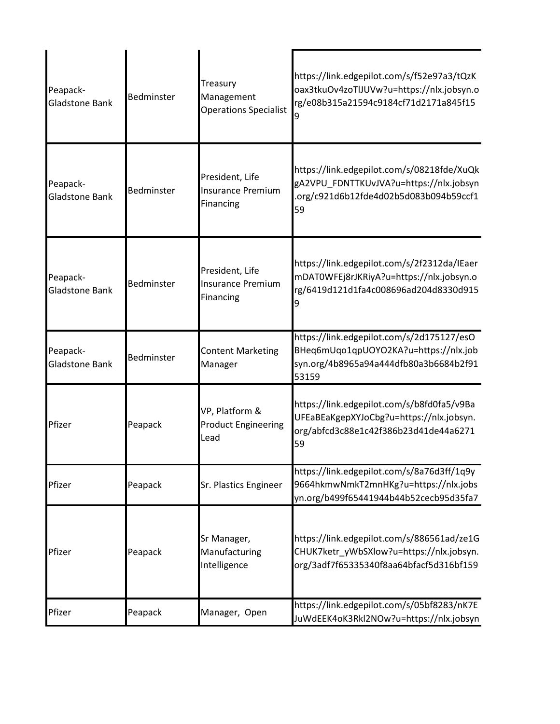| Peapack-<br>Gladstone Bank        | Bedminster        | Treasury<br>Management<br><b>Operations Specialist</b>   | https://link.edgepilot.com/s/f52e97a3/tQzK<br>oax3tkuOv4zoTlJUVw?u=https://nlx.jobsyn.o<br>rg/e08b315a21594c9184cf71d2171a845f15      |
|-----------------------------------|-------------------|----------------------------------------------------------|---------------------------------------------------------------------------------------------------------------------------------------|
| Peapack-<br><b>Gladstone Bank</b> | Bedminster        | President, Life<br><b>Insurance Premium</b><br>Financing | https://link.edgepilot.com/s/08218fde/XuQk<br>gA2VPU_FDNTTKUvJVA?u=https://nlx.jobsyn<br>.org/c921d6b12fde4d02b5d083b094b59ccf1<br>59 |
| Peapack-<br>Gladstone Bank        | <b>Bedminster</b> | President, Life<br><b>Insurance Premium</b><br>Financing | https://link.edgepilot.com/s/2f2312da/IEaer<br>mDAT0WFEj8rJKRiyA?u=https://nlx.jobsyn.o<br>rg/6419d121d1fa4c008696ad204d8330d915      |
| Peapack-<br>Gladstone Bank        | Bedminster        | <b>Content Marketing</b><br>Manager                      | https://link.edgepilot.com/s/2d175127/esO<br>BHeq6mUqo1qpUOYO2KA?u=https://nlx.job<br>syn.org/4b8965a94a444dfb80a3b6684b2f91<br>53159 |
| Pfizer                            | Peapack           | VP, Platform &<br><b>Product Engineering</b><br>Lead     | https://link.edgepilot.com/s/b8fd0fa5/v9Ba<br>UFEaBEaKgepXYJoCbg?u=https://nlx.jobsyn.<br>org/abfcd3c88e1c42f386b23d41de44a6271<br>59 |
| Pfizer                            | Peapack           | Sr. Plastics Engineer                                    | https://link.edgepilot.com/s/8a76d3ff/1q9y<br>9664hkmwNmkT2mnHKg?u=https://nlx.jobs<br>yn.org/b499f65441944b44b52cecb95d35fa7         |
| Pfizer                            | Peapack           | Sr Manager,<br>Manufacturing<br>Intelligence             | https://link.edgepilot.com/s/886561ad/ze1G<br>CHUK7ketr yWbSXlow?u=https://nlx.jobsyn.<br>org/3adf7f65335340f8aa64bfacf5d316bf159     |
| Pfizer                            | Peapack           | Manager, Open                                            | https://link.edgepilot.com/s/05bf8283/nK7E<br>JuWdEEK4oK3Rkl2NOw?u=https://nlx.jobsyn                                                 |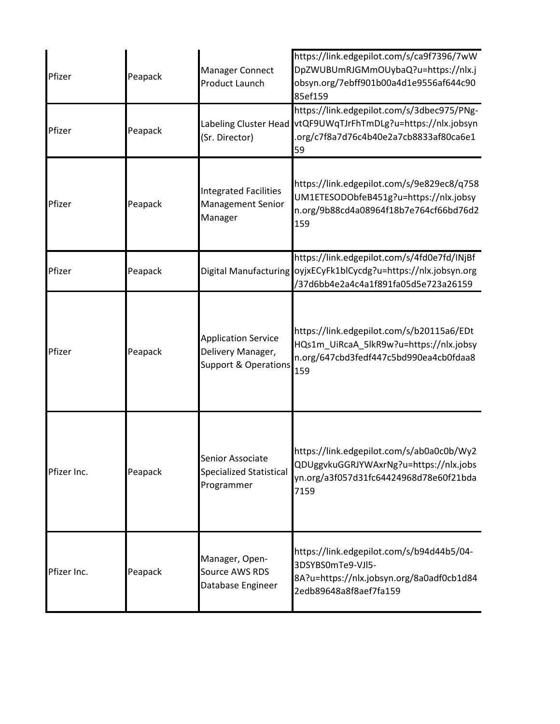| Pfizer      | Peapack | <b>Manager Connect</b><br>Product Launch                                           | https://link.edgepilot.com/s/ca9f7396/7wW<br>DpZWUBUmRJGMmOUybaQ?u=https://nlx.j<br>obsyn.org/7ebff901b00a4d1e9556af644c90<br>85ef159                       |
|-------------|---------|------------------------------------------------------------------------------------|-------------------------------------------------------------------------------------------------------------------------------------------------------------|
| Pfizer      | Peapack | (Sr. Director)                                                                     | https://link.edgepilot.com/s/3dbec975/PNg-<br>Labeling Cluster Head vtQF9UWqTJrFhTmDLg?u=https://nlx.jobsyn<br>.org/c7f8a7d76c4b40e2a7cb8833af80ca6e1<br>59 |
| Pfizer      | Peapack | <b>Integrated Facilities</b><br><b>Management Senior</b><br>Manager                | https://link.edgepilot.com/s/9e829ec8/q758<br>UM1ETESODObfeB451g?u=https://nlx.jobsy<br>n.org/9b88cd4a08964f18b7e764cf66bd76d2<br>159                       |
| Pfizer      | Peapack |                                                                                    | https://link.edgepilot.com/s/4fd0e7fd/INjBf<br>Digital Manufacturing oyjxECyFk1blCycdg?u=https://nlx.jobsyn.org<br>/37d6bb4e2a4c4a1f891fa05d5e723a26159     |
| Pfizer      | Peapack | <b>Application Service</b><br>Delivery Manager,<br><b>Support &amp; Operations</b> | https://link.edgepilot.com/s/b20115a6/EDt<br>HQs1m_UiRcaA_5lkR9w?u=https://nlx.jobsy<br>n.org/647cbd3fedf447c5bd990ea4cb0fdaa8<br>159                       |
| Pfizer Inc. | Peapack | Senior Associate<br><b>Specialized Statistical</b><br>Programmer                   | https://link.edgepilot.com/s/ab0a0c0b/Wy2<br>QDUggvkuGGRJYWAxrNg?u=https://nlx.jobs<br>yn.org/a3f057d31fc64424968d78e60f21bda<br>7159                       |
| Pfizer Inc. | Peapack | Manager, Open-<br>Source AWS RDS<br>Database Engineer                              | https://link.edgepilot.com/s/b94d44b5/04-<br>3DSYBS0mTe9-VJI5-<br>8A?u=https://nlx.jobsyn.org/8a0adf0cb1d84<br>2edb89648a8f8aef7fa159                       |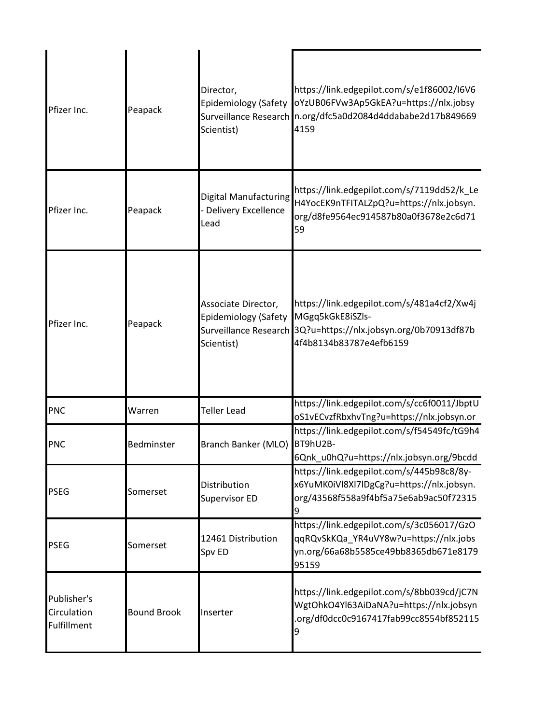| Pfizer Inc.                                      | Peapack            | Director,<br>Scientist)                                          | https://link.edgepilot.com/s/e1f86002/I6V6<br>Epidemiology (Safety oYzUB06FVw3Ap5GkEA?u=https://nlx.jobsy<br>Surveillance Research n.org/dfc5a0d2084d4ddababe2d17b849669<br>4159 |
|--------------------------------------------------|--------------------|------------------------------------------------------------------|----------------------------------------------------------------------------------------------------------------------------------------------------------------------------------|
| Pfizer Inc.                                      | Peapack            | Digital Manufacturing<br><b>Delivery Excellence</b><br>Lead      | https://link.edgepilot.com/s/7119dd52/k_Le<br>H4YocEK9nTFITALZpQ?u=https://nlx.jobsyn.<br>org/d8fe9564ec914587b80a0f3678e2c6d71<br>59                                            |
| Pfizer Inc.                                      | Peapack            | Associate Director,<br><b>Epidemiology (Safety</b><br>Scientist) | https://link.edgepilot.com/s/481a4cf2/Xw4j<br>MGgq5kGkE8iSZls-<br>Surveillance Research 3Q?u=https://nlx.jobsyn.org/0b70913df87b<br>4f4b8134b83787e4efb6159                      |
| <b>PNC</b>                                       | Warren             | <b>Teller Lead</b>                                               | https://link.edgepilot.com/s/cc6f0011/JbptU<br>oS1vECvzfRbxhvTng?u=https://nlx.jobsyn.or                                                                                         |
| <b>PNC</b>                                       | Bedminster         | Branch Banker (MLO) BT9hU2B-                                     | https://link.edgepilot.com/s/f54549fc/tG9h4<br>6Qnk_u0hQ?u=https://nlx.jobsyn.org/9bcdd                                                                                          |
| <b>PSEG</b>                                      | Somerset           | Distribution<br>Supervisor ED                                    | https://link.edgepilot.com/s/445b98c8/8y-<br>x6YuMK0iVl8Xl7lDgCg?u=https://nlx.jobsyn.<br>org/43568f558a9f4bf5a75e6ab9ac50f72315<br>9                                            |
| <b>PSEG</b>                                      | Somerset           | 12461 Distribution<br>Spv ED                                     | https://link.edgepilot.com/s/3c056017/GzO<br>qqRQvSkKQa_YR4uVY8w?u=https://nlx.jobs<br>yn.org/66a68b5585ce49bb8365db671e8179<br>95159                                            |
| Publisher's<br>Circulation<br><b>Fulfillment</b> | <b>Bound Brook</b> | Inserter                                                         | https://link.edgepilot.com/s/8bb039cd/jC7N<br>WgtOhkO4Yl63AiDaNA?u=https://nlx.jobsyn<br>org/df0dcc0c9167417fab99cc8554bf852115<br>9                                             |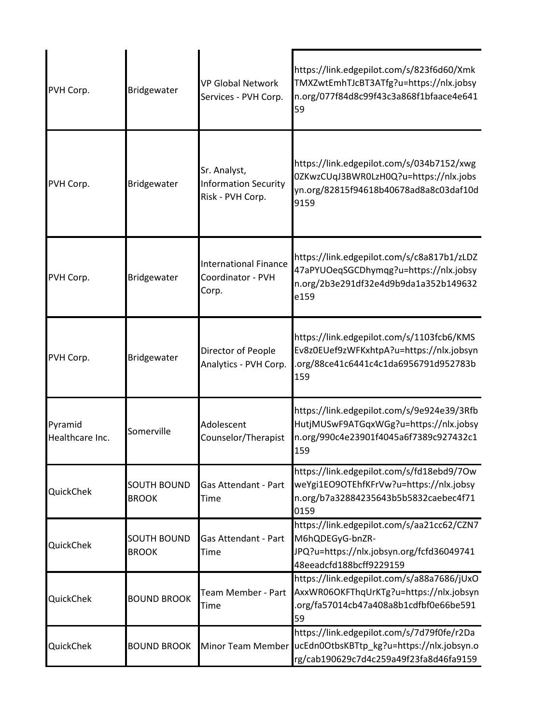| PVH Corp.                  | Bridgewater                        | <b>VP Global Network</b><br>Services - PVH Corp.                | https://link.edgepilot.com/s/823f6d60/Xmk<br>TMXZwtEmhTJcBT3ATfg?u=https://nlx.jobsy<br>n.org/077f84d8c99f43c3a868f1bfaace4e641<br>59 |
|----------------------------|------------------------------------|-----------------------------------------------------------------|---------------------------------------------------------------------------------------------------------------------------------------|
| PVH Corp.                  | Bridgewater                        | Sr. Analyst,<br><b>Information Security</b><br>Risk - PVH Corp. | https://link.edgepilot.com/s/034b7152/xwg<br>0ZKwzCUqJ3BWR0LzH0Q?u=https://nlx.jobs<br>yn.org/82815f94618b40678ad8a8c03daf10d<br>9159 |
| PVH Corp.                  | Bridgewater                        | <b>International Finance</b><br>Coordinator - PVH<br>Corp.      | https://link.edgepilot.com/s/c8a817b1/zLDZ<br>47aPYUOeqSGCDhymqg?u=https://nlx.jobsy<br>n.org/2b3e291df32e4d9b9da1a352b149632<br>e159 |
| PVH Corp.                  | Bridgewater                        | Director of People<br>Analytics - PVH Corp.                     | https://link.edgepilot.com/s/1103fcb6/KMS<br>Ev8z0EUef9zWFKxhtpA?u=https://nlx.jobsyn<br>.org/88ce41c6441c4c1da6956791d952783b<br>159 |
| Pyramid<br>Healthcare Inc. | Somerville                         | Adolescent<br>Counselor/Therapist                               | https://link.edgepilot.com/s/9e924e39/3Rfb<br>HutjMUSwF9ATGqxWGg?u=https://nlx.jobsy<br>n.org/990c4e23901f4045a6f7389c927432c1<br>159 |
| QuickChek                  | <b>SOUTH BOUND</b><br><b>BROOK</b> | Gas Attendant - Part<br>Time                                    | https://link.edgepilot.com/s/fd18ebd9/7Ow<br>weYgi1EO9OTEhfKFrVw?u=https://nlx.jobsy<br>n.org/b7a32884235643b5b5832caebec4f71<br>0159 |
| QuickChek                  | <b>SOUTH BOUND</b><br><b>BROOK</b> | <b>Gas Attendant - Part</b><br>Time                             | https://link.edgepilot.com/s/aa21cc62/CZN7<br>M6hQDEGyG-bnZR-<br>JPQ?u=https://nlx.jobsyn.org/fcfd36049741<br>48eeadcfd188bcff9229159 |
| QuickChek                  | <b>BOUND BROOK</b>                 | Team Member - Part<br>Time                                      | https://link.edgepilot.com/s/a88a7686/jUxO<br>AxxWR06OKFThqUrKTg?u=https://nlx.jobsyn<br>org/fa57014cb47a408a8b1cdfbf0e66be591<br>59  |
| QuickChek                  | <b>BOUND BROOK</b>                 | Minor Team Member                                               | https://link.edgepilot.com/s/7d79f0fe/r2Da<br>ucEdn0OtbsKBTtp_kg?u=https://nlx.jobsyn.o<br>rg/cab190629c7d4c259a49f23fa8d46fa9159     |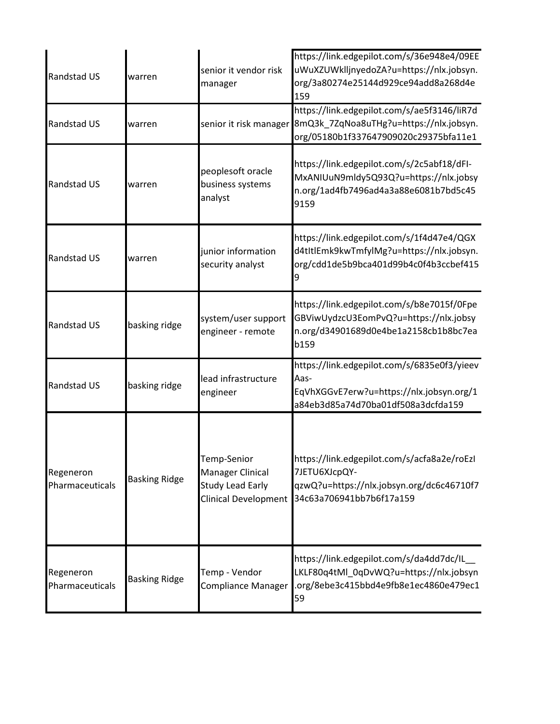| Randstad US                  | warren               | senior it vendor risk<br>manager                                                                 | https://link.edgepilot.com/s/36e948e4/09EE<br>uWuXZUWklljnyedoZA?u=https://nlx.jobsyn.<br>org/3a80274e25144d929ce94add8a268d4e<br>159 |
|------------------------------|----------------------|--------------------------------------------------------------------------------------------------|---------------------------------------------------------------------------------------------------------------------------------------|
| Randstad US                  | warren               | senior it risk manager                                                                           | https://link.edgepilot.com/s/ae5f3146/liR7d<br>8mQ3k_7ZqNoa8uTHg?u=https://nlx.jobsyn.<br>org/05180b1f337647909020c29375bfa11e1       |
| Randstad US                  | warren               | peoplesoft oracle<br>business systems<br>analyst                                                 | https://link.edgepilot.com/s/2c5abf18/dFI-<br>MxANIUuN9mldy5Q93Q?u=https://nlx.jobsy<br>n.org/1ad4fb7496ad4a3a88e6081b7bd5c45<br>9159 |
| Randstad US                  | warren               | junior information<br>security analyst                                                           | https://link.edgepilot.com/s/1f4d47e4/QGX<br>d4tItlEmk9kwTmfylMg?u=https://nlx.jobsyn.<br>org/cdd1de5b9bca401d99b4c0f4b3ccbef415      |
| Randstad US                  | basking ridge        | system/user support<br>engineer - remote                                                         | https://link.edgepilot.com/s/b8e7015f/0Fpe<br>GBViwUydzcU3EomPvQ?u=https://nlx.jobsy<br>n.org/d34901689d0e4be1a2158cb1b8bc7ea<br>b159 |
| Randstad US                  | basking ridge        | lead infrastructure<br>engineer                                                                  | https://link.edgepilot.com/s/6835e0f3/yieev<br>Aas-<br>EqVhXGGvE7erw?u=https://nlx.jobsyn.org/1<br>a84eb3d85a74d70ba01df508a3dcfda159 |
| Regeneron<br>Pharmaceuticals | <b>Basking Ridge</b> | Temp-Senior<br><b>Manager Clinical</b><br><b>Study Lead Early</b><br><b>Clinical Development</b> | https://link.edgepilot.com/s/acfa8a2e/roEzI<br>7JETU6XJcpQY-<br>qzwQ?u=https://nlx.jobsyn.org/dc6c46710f7<br>34c63a706941bb7b6f17a159 |
| Regeneron<br>Pharmaceuticals | <b>Basking Ridge</b> | Temp - Vendor<br><b>Compliance Manager</b>                                                       | https://link.edgepilot.com/s/da4dd7dc/IL<br>LKLF80q4tMl_0qDvWQ?u=https://nlx.jobsyn<br>.org/8ebe3c415bbd4e9fb8e1ec4860e479ec1<br>59   |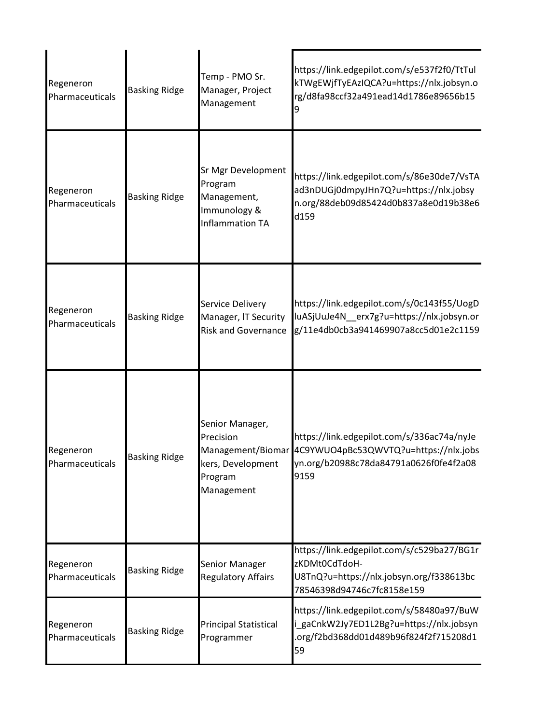| Regeneron<br>Pharmaceuticals | <b>Basking Ridge</b> | Temp - PMO Sr.<br>Manager, Project<br>Management                                                | https://link.edgepilot.com/s/e537f2f0/TtTul<br>kTWgEWjfTyEAzIQCA?u=https://nlx.jobsyn.o<br>rg/d8fa98ccf32a491ead14d1786e89656b15<br>9 |
|------------------------------|----------------------|-------------------------------------------------------------------------------------------------|---------------------------------------------------------------------------------------------------------------------------------------|
| Regeneron<br>Pharmaceuticals | <b>Basking Ridge</b> | Sr Mgr Development<br>Program<br>Management,<br>Immunology &<br><b>Inflammation TA</b>          | https://link.edgepilot.com/s/86e30de7/VsTA<br>ad3nDUGj0dmpyJHn7Q?u=https://nlx.jobsy<br>n.org/88deb09d85424d0b837a8e0d19b38e6<br>d159 |
| Regeneron<br>Pharmaceuticals | <b>Basking Ridge</b> | Service Delivery<br>Manager, IT Security<br><b>Risk and Governance</b>                          | https://link.edgepilot.com/s/0c143f55/UogD<br>luASjUuJe4N_erx7g?u=https://nlx.jobsyn.or<br>g/11e4db0cb3a941469907a8cc5d01e2c1159      |
| Regeneron<br>Pharmaceuticals | <b>Basking Ridge</b> | Senior Manager,<br>Precision<br>Management/Biomar<br>kers, Development<br>Program<br>Management | https://link.edgepilot.com/s/336ac74a/nyJe<br>4C9YWUO4pBc53QWVTQ?u=https://nlx.jobs<br>yn.org/b20988c78da84791a0626f0fe4f2a08<br>9159 |
| Regeneron<br>Pharmaceuticals | <b>Basking Ridge</b> | Senior Manager<br><b>Regulatory Affairs</b>                                                     | https://link.edgepilot.com/s/c529ba27/BG1r<br>zKDMt0CdTdoH-<br>U8TnQ?u=https://nlx.jobsyn.org/f338613bc<br>78546398d94746c7fc8158e159 |
| Regeneron<br>Pharmaceuticals | <b>Basking Ridge</b> | <b>Principal Statistical</b><br>Programmer                                                      | https://link.edgepilot.com/s/58480a97/BuW<br>i_gaCnkW2Jy7ED1L2Bg?u=https://nlx.jobsyn<br>.org/f2bd368dd01d489b96f824f2f715208d1<br>59 |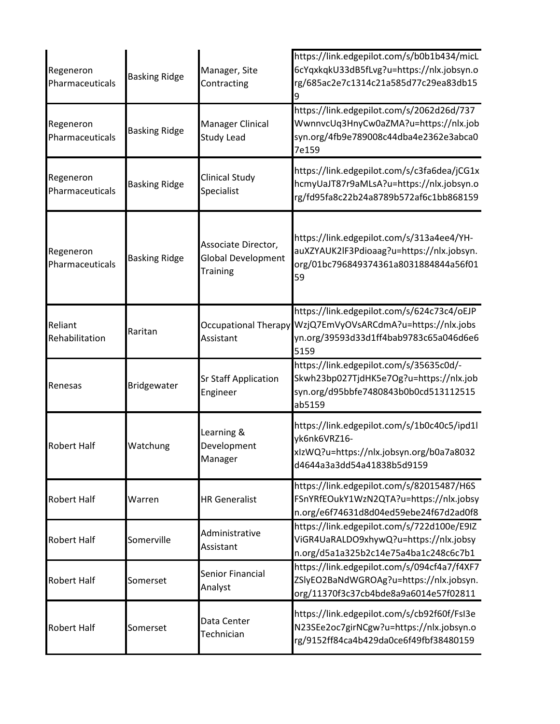| Regeneron<br>Pharmaceuticals | <b>Basking Ridge</b> | Manager, Site<br>Contracting                                        | https://link.edgepilot.com/s/b0b1b434/micL<br>6cYqxkqkU33dB5fLvg?u=https://nlx.jobsyn.o<br>rg/685ac2e7c1314c21a585d77c29ea83db15      |
|------------------------------|----------------------|---------------------------------------------------------------------|---------------------------------------------------------------------------------------------------------------------------------------|
| Regeneron<br>Pharmaceuticals | <b>Basking Ridge</b> | <b>Manager Clinical</b><br><b>Study Lead</b>                        | https://link.edgepilot.com/s/2062d26d/737<br>WwnnvcUq3HnyCw0aZMA?u=https://nlx.job<br>syn.org/4fb9e789008c44dba4e2362e3abca0<br>7e159 |
| Regeneron<br>Pharmaceuticals | <b>Basking Ridge</b> | <b>Clinical Study</b><br>Specialist                                 | https://link.edgepilot.com/s/c3fa6dea/jCG1x<br>hcmyUaJT87r9aMLsA?u=https://nlx.jobsyn.o<br>rg/fd95fa8c22b24a8789b572af6c1bb868159     |
| Regeneron<br>Pharmaceuticals | <b>Basking Ridge</b> | Associate Director,<br><b>Global Development</b><br><b>Training</b> | https://link.edgepilot.com/s/313a4ee4/YH-<br>auXZYAUK2lF3Pdioaag?u=https://nlx.jobsyn.<br>org/01bc796849374361a8031884844a56f01<br>59 |
| Reliant<br>Rehabilitation    | Raritan              | <b>Occupational Therapy</b><br>Assistant                            | https://link.edgepilot.com/s/624c73c4/oEJP<br>WzjQ7EmVyOVsARCdmA?u=https://nlx.jobs<br>yn.org/39593d33d1ff4bab9783c65a046d6e6<br>5159 |
| Renesas                      | Bridgewater          | <b>Sr Staff Application</b><br>Engineer                             | https://link.edgepilot.com/s/35635c0d/-<br>Skwh23bp027TjdHK5e7Og?u=https://nlx.job<br>syn.org/d95bbfe7480843b0b0cd513112515<br>ab5159 |
| <b>Robert Half</b>           | Watchung             | Learning &<br>Development<br>Manager                                | https://link.edgepilot.com/s/1b0c40c5/ipd1l<br>yk6nk6VRZ16-<br>xlzWQ?u=https://nlx.jobsyn.org/b0a7a8032<br>d4644a3a3dd54a41838b5d9159 |
| <b>Robert Half</b>           | Warren               | <b>HR Generalist</b>                                                | https://link.edgepilot.com/s/82015487/H6S<br>FSnYRfEOukY1WzN2QTA?u=https://nlx.jobsy<br>n.org/e6f74631d8d04ed59ebe24f67d2ad0f8        |
| <b>Robert Half</b>           | Somerville           | Administrative<br>Assistant                                         | https://link.edgepilot.com/s/722d100e/E9IZ<br>ViGR4UaRALDO9xhywQ?u=https://nlx.jobsy<br>n.org/d5a1a325b2c14e75a4ba1c248c6c7b1         |
| <b>Robert Half</b>           | Somerset             | <b>Senior Financial</b><br>Analyst                                  | https://link.edgepilot.com/s/094cf4a7/f4XF7<br>ZSlyEO2BaNdWGROAg?u=https://nlx.jobsyn.<br>org/11370f3c37cb4bde8a9a6014e57f02811       |
| <b>Robert Half</b>           | Somerset             | Data Center<br>Technician                                           | https://link.edgepilot.com/s/cb92f60f/FsI3e<br>N23SEe2oc7girNCgw?u=https://nlx.jobsyn.o<br>rg/9152ff84ca4b429da0ce6f49fbf38480159     |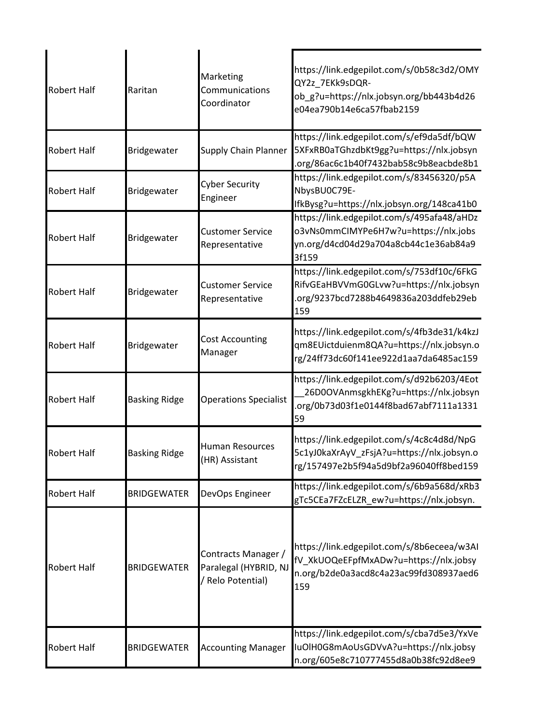| <b>Robert Half</b> | Raritan              | Marketing<br>Communications<br>Coordinator                      | https://link.edgepilot.com/s/0b58c3d2/OMY<br>QY2z_7EKk9sDQR-<br>ob_g?u=https://nlx.jobsyn.org/bb443b4d26<br>e04ea790b14e6ca57fbab2159 |
|--------------------|----------------------|-----------------------------------------------------------------|---------------------------------------------------------------------------------------------------------------------------------------|
| <b>Robert Half</b> | Bridgewater          | <b>Supply Chain Planner</b>                                     | https://link.edgepilot.com/s/ef9da5df/bQW<br>5XFxRB0aTGhzdbKt9gg?u=https://nlx.jobsyn<br>.org/86ac6c1b40f7432bab58c9b8eacbde8b1       |
| <b>Robert Half</b> | Bridgewater          | <b>Cyber Security</b><br>Engineer                               | https://link.edgepilot.com/s/83456320/p5A<br>NbysBU0C79E-<br>IfkBysg?u=https://nlx.jobsyn.org/148ca41b0                               |
| <b>Robert Half</b> | Bridgewater          | <b>Customer Service</b><br>Representative                       | https://link.edgepilot.com/s/495afa48/aHDz<br>o3vNs0mmCIMYPe6H7w?u=https://nlx.jobs<br>yn.org/d4cd04d29a704a8cb44c1e36ab84a9<br>3f159 |
| <b>Robert Half</b> | Bridgewater          | <b>Customer Service</b><br>Representative                       | https://link.edgepilot.com/s/753df10c/6FkG<br>RifvGEaHBVVmG0GLvw?u=https://nlx.jobsyn<br>org/9237bcd7288b4649836a203ddfeb29eb<br>159  |
| <b>Robert Half</b> | Bridgewater          | <b>Cost Accounting</b><br>Manager                               | https://link.edgepilot.com/s/4fb3de31/k4kzJ<br>qm8EUictduienm8QA?u=https://nlx.jobsyn.o<br>rg/24ff73dc60f141ee922d1aa7da6485ac159     |
| <b>Robert Half</b> | <b>Basking Ridge</b> | <b>Operations Specialist</b>                                    | https://link.edgepilot.com/s/d92b6203/4Eot<br>26D0OVAnmsgkhEKg?u=https://nlx.jobsyn<br>.org/0b73d03f1e0144f8bad67abf7111a1331<br>59   |
| <b>Robert Half</b> | <b>Basking Ridge</b> | <b>Human Resources</b><br>(HR) Assistant                        | https://link.edgepilot.com/s/4c8c4d8d/NpG<br>5c1yJ0kaXrAyV_zFsjA?u=https://nlx.jobsyn.o<br>rg/157497e2b5f94a5d9bf2a96040ff8bed159     |
| <b>Robert Half</b> | <b>BRIDGEWATER</b>   | DevOps Engineer                                                 | https://link.edgepilot.com/s/6b9a568d/xRb3<br>gTc5CEa7FZcELZR ew?u=https://nlx.jobsyn.                                                |
| <b>Robert Half</b> | <b>BRIDGEWATER</b>   | Contracts Manager /<br>Paralegal (HYBRID, NJ<br>Relo Potential) | https://link.edgepilot.com/s/8b6eceea/w3AI<br>fV_XkUOQeEFpfMxADw?u=https://nlx.jobsy<br>n.org/b2de0a3acd8c4a23ac99fd308937aed6<br>159 |
| Robert Half        | <b>BRIDGEWATER</b>   | <b>Accounting Manager</b>                                       | https://link.edgepilot.com/s/cba7d5e3/YxVe<br>IuOlH0G8mAoUsGDVvA?u=https://nlx.jobsy<br>n.org/605e8c710777455d8a0b38fc92d8ee9         |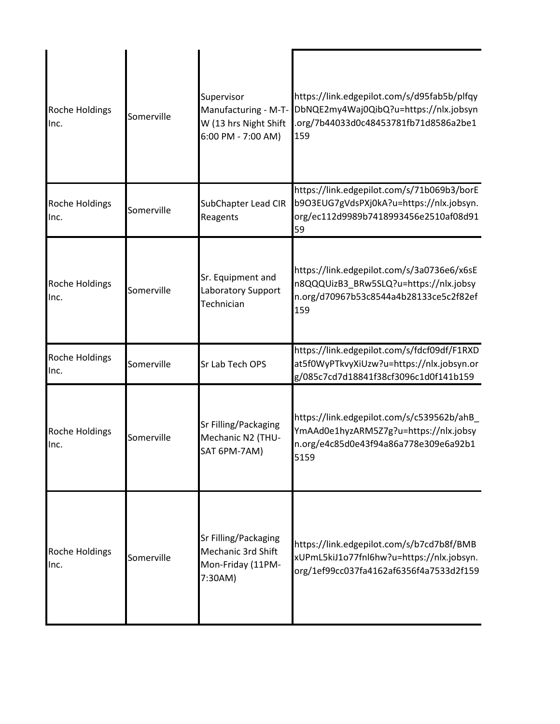| Roche Holdings<br>Inc.        | Somerville | Supervisor<br>Manufacturing - M-T-<br>W (13 hrs Night Shift<br>6:00 PM - 7:00 AM) | https://link.edgepilot.com/s/d95fab5b/plfqy<br>DbNQE2my4Waj0QibQ?u=https://nlx.jobsyn<br>.org/7b44033d0c48453781fb71d8586a2be1<br>159 |
|-------------------------------|------------|-----------------------------------------------------------------------------------|---------------------------------------------------------------------------------------------------------------------------------------|
| Roche Holdings<br>Inc.        | Somerville | SubChapter Lead CIR<br>Reagents                                                   | https://link.edgepilot.com/s/71b069b3/borE<br>b9O3EUG7gVdsPXj0kA?u=https://nlx.jobsyn.<br>org/ec112d9989b7418993456e2510af08d91<br>59 |
| Roche Holdings<br>Inc.        | Somerville | Sr. Equipment and<br>Laboratory Support<br>Technician                             | https://link.edgepilot.com/s/3a0736e6/x6sE<br>n8QQQUizB3 BRw5SLQ?u=https://nlx.jobsy<br>n.org/d70967b53c8544a4b28133ce5c2f82ef<br>159 |
| Roche Holdings<br>Inc.        | Somerville | Sr Lab Tech OPS                                                                   | https://link.edgepilot.com/s/fdcf09df/F1RXD<br>at5f0WyPTkvyXiUzw?u=https://nlx.jobsyn.or<br>g/085c7cd7d18841f38cf3096c1d0f141b159     |
| Roche Holdings<br>Inc.        | Somerville | Sr Filling/Packaging<br>Mechanic N2 (THU-<br>SAT 6PM-7AM)                         | https://link.edgepilot.com/s/c539562b/ahB_<br>YmAAd0e1hyzARM5Z7g?u=https://nlx.jobsy<br>n.org/e4c85d0e43f94a86a778e309e6a92b1<br>5159 |
| <b>Roche Holdings</b><br>Inc. | Somerville | Sr Filling/Packaging<br>Mechanic 3rd Shift<br>Mon-Friday (11PM-<br>7:30AM)        | https://link.edgepilot.com/s/b7cd7b8f/BMB<br>xUPmL5kiJ1o77fnl6hw?u=https://nlx.jobsyn.<br>org/1ef99cc037fa4162af6356f4a7533d2f159     |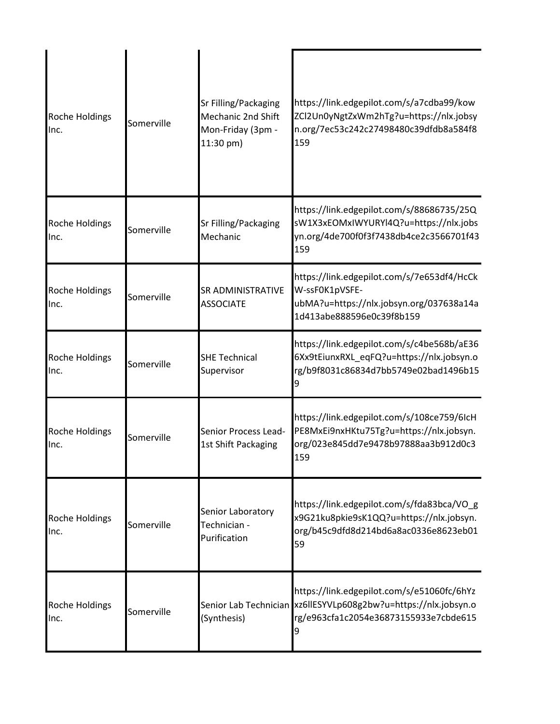| Roche Holdings<br>Inc.        | Somerville | Sr Filling/Packaging<br><b>Mechanic 2nd Shift</b><br>Mon-Friday (3pm -<br>11:30 pm) | https://link.edgepilot.com/s/a7cdba99/kow<br>ZCl2Un0yNgtZxWm2hTg?u=https://nlx.jobsy<br>n.org/7ec53c242c27498480c39dfdb8a584f8<br>159                       |
|-------------------------------|------------|-------------------------------------------------------------------------------------|-------------------------------------------------------------------------------------------------------------------------------------------------------------|
| Roche Holdings<br>Inc.        | Somerville | Sr Filling/Packaging<br>Mechanic                                                    | https://link.edgepilot.com/s/88686735/25Q<br>sW1X3xEOMxIWYURYI4Q?u=https://nlx.jobs<br>yn.org/4de700f0f3f7438db4ce2c3566701f43<br>159                       |
| <b>Roche Holdings</b><br>Inc. | Somerville | <b>SR ADMINISTRATIVE</b><br><b>ASSOCIATE</b>                                        | https://link.edgepilot.com/s/7e653df4/HcCk<br>W-ssF0K1pVSFE-<br>ubMA?u=https://nlx.jobsyn.org/037638a14a<br>1d413abe888596e0c39f8b159                       |
| Roche Holdings<br>Inc.        | Somerville | <b>SHE Technical</b><br>Supervisor                                                  | https://link.edgepilot.com/s/c4be568b/aE36<br>6Xx9tEiunxRXL_eqFQ?u=https://nlx.jobsyn.o<br>rg/b9f8031c86834d7bb5749e02bad1496b15                            |
| Roche Holdings<br>Inc.        | Somerville | Senior Process Lead-<br>1st Shift Packaging                                         | https://link.edgepilot.com/s/108ce759/6lcH<br>PE8MxEi9nxHKtu75Tg?u=https://nlx.jobsyn.<br>org/023e845dd7e9478b97888aa3b912d0c3<br>159                       |
| <b>Roche Holdings</b><br>Inc. | Somerville | Senior Laboratory<br>Technician -<br>Purification                                   | https://link.edgepilot.com/s/fda83bca/VO_g<br>x9G21ku8pkie9sK1QQ?u=https://nlx.jobsyn.<br>org/b45c9dfd8d214bd6a8ac0336e8623eb01<br>59                       |
| <b>Roche Holdings</b><br>Inc. | Somerville | (Synthesis)                                                                         | https://link.edgepilot.com/s/e51060fc/6hYz<br>Senior Lab Technician xz6llESYVLp608g2bw?u=https://nlx.jobsyn.o<br>rg/e963cfa1c2054e36873155933e7cbde615<br>9 |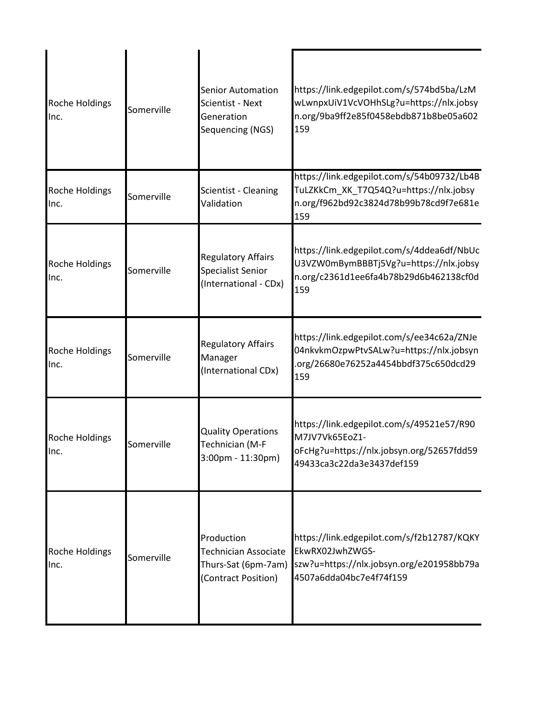| Roche Holdings<br>Inc.        | Somerville | <b>Senior Automation</b><br>Scientist - Next<br>Generation<br>Sequencing (NGS)          | https://link.edgepilot.com/s/574bd5ba/LzM<br>wLwnpxUiV1VcVOHhSLg?u=https://nlx.jobsy<br>n.org/9ba9ff2e85f0458ebdb871b8be05a602<br>159 |
|-------------------------------|------------|-----------------------------------------------------------------------------------------|---------------------------------------------------------------------------------------------------------------------------------------|
| Roche Holdings<br>Inc.        | Somerville | Scientist - Cleaning<br>Validation                                                      | https://link.edgepilot.com/s/54b09732/Lb4B<br>TuLZKkCm_XK_T7Q54Q?u=https://nlx.jobsy<br>n.org/f962bd92c3824d78b99b78cd9f7e681e<br>159 |
| Roche Holdings<br>Inc.        | Somerville | <b>Regulatory Affairs</b><br>Specialist Senior<br>(International - CDx)                 | https://link.edgepilot.com/s/4ddea6df/NbUc<br>U3VZW0mBymBBBTj5Vg?u=https://nlx.jobsy<br>n.org/c2361d1ee6fa4b78b29d6b462138cf0d<br>159 |
| Roche Holdings<br>Inc.        | Somerville | <b>Regulatory Affairs</b><br>Manager<br>(International CDx)                             | https://link.edgepilot.com/s/ee34c62a/ZNJe<br>04nkvkmOzpwPtvSALw?u=https://nlx.jobsyn<br>org/26680e76252a4454bbdf375c650dcd29<br>159  |
| <b>Roche Holdings</b><br>Inc. | Somerville | <b>Quality Operations</b><br>Technician (M-F<br>$3:00$ pm - 11:30pm)                    | https://link.edgepilot.com/s/49521e57/R90<br>M7JV7Vk65EoZ1-<br>oFcHg?u=https://nlx.jobsyn.org/52657fdd59<br>49433ca3c22da3e3437def159 |
| <b>Roche Holdings</b><br>Inc. | Somerville | Production<br><b>Technician Associate</b><br>Thurs-Sat (6pm-7am)<br>(Contract Position) | https://link.edgepilot.com/s/f2b12787/KQKY<br>EkwRX02JwhZWGS-<br>szw?u=https://nlx.jobsyn.org/e201958bb79a<br>4507a6dda04bc7e4f74f159 |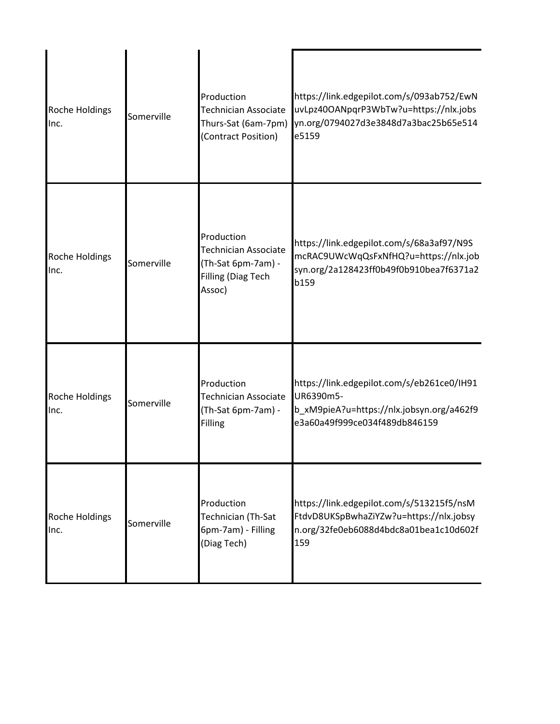| Roche Holdings<br>Inc. | Somerville | Production<br><b>Technician Associate</b><br>Thurs-Sat (6am-7pm)<br>(Contract Position)  | https://link.edgepilot.com/s/093ab752/EwN<br>uvLpz40OANpqrP3WbTw?u=https://nlx.jobs<br>yn.org/0794027d3e3848d7a3bac25b65e514<br>e5159 |
|------------------------|------------|------------------------------------------------------------------------------------------|---------------------------------------------------------------------------------------------------------------------------------------|
| Roche Holdings<br>Inc. | Somerville | Production<br>Technician Associate<br>(Th-Sat 6pm-7am) -<br>Filling (Diag Tech<br>Assoc) | https://link.edgepilot.com/s/68a3af97/N9S<br>mcRAC9UWcWqQsFxNfHQ?u=https://nlx.job<br>syn.org/2a128423ff0b49f0b910bea7f6371a2<br>b159 |
| Roche Holdings<br>Inc. | Somerville | Production<br><b>Technician Associate</b><br>(Th-Sat 6pm-7am) -<br>Filling               | https://link.edgepilot.com/s/eb261ce0/IH91<br>UR6390m5-<br>b_xM9pieA?u=https://nlx.jobsyn.org/a462f9<br>e3a60a49f999ce034f489db846159 |
| Roche Holdings<br>Inc. | Somerville | Production<br>Technician (Th-Sat<br>6pm-7am) - Filling<br>(Diag Tech)                    | https://link.edgepilot.com/s/513215f5/nsM<br>FtdvD8UKSpBwhaZiYZw?u=https://nlx.jobsy<br>n.org/32fe0eb6088d4bdc8a01bea1c10d602f<br>159 |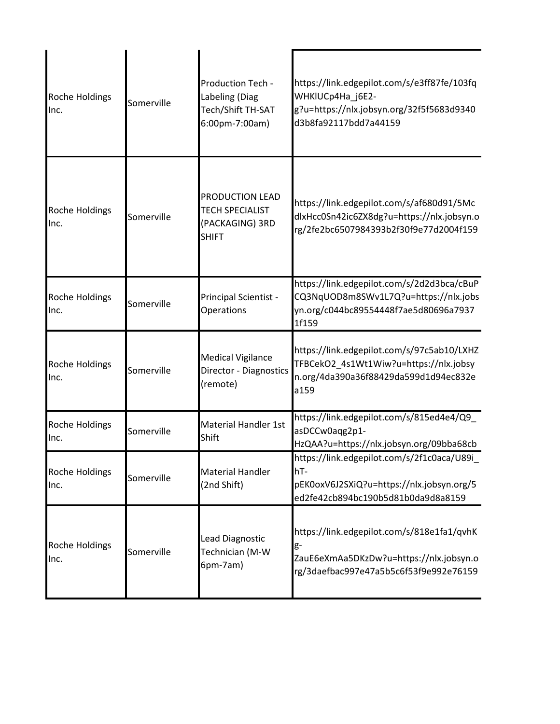| <b>Roche Holdings</b><br>Inc. | Somerville | Production Tech -<br>Labeling (Diag<br>Tech/Shift TH-SAT<br>6:00pm-7:00am)   | https://link.edgepilot.com/s/e3ff87fe/103fq<br>WHKIUCp4Ha j6E2-<br>g?u=https://nlx.jobsyn.org/32f5f5683d9340<br>d3b8fa92117bdd7a44159 |
|-------------------------------|------------|------------------------------------------------------------------------------|---------------------------------------------------------------------------------------------------------------------------------------|
| <b>Roche Holdings</b><br>Inc. | Somerville | PRODUCTION LEAD<br><b>TECH SPECIALIST</b><br>(PACKAGING) 3RD<br><b>SHIFT</b> | https://link.edgepilot.com/s/af680d91/5Mc<br>dlxHcc0Sn42ic6ZX8dg?u=https://nlx.jobsyn.o<br>rg/2fe2bc6507984393b2f30f9e77d2004f159     |
| Roche Holdings<br>Inc.        | Somerville | Principal Scientist -<br>Operations                                          | https://link.edgepilot.com/s/2d2d3bca/cBuP<br>CQ3NqUOD8m8SWv1L7Q?u=https://nlx.jobs<br>yn.org/c044bc89554448f7ae5d80696a7937<br>1f159 |
| Roche Holdings<br>Inc.        | Somerville | <b>Medical Vigilance</b><br>Director - Diagnostics<br>(remote)               | https://link.edgepilot.com/s/97c5ab10/LXHZ<br>TFBCekO2_4s1Wt1Wiw?u=https://nlx.jobsy<br>n.org/4da390a36f88429da599d1d94ec832e<br>a159 |
| Roche Holdings<br>Inc.        | Somerville | <b>Material Handler 1st</b><br>Shift                                         | https://link.edgepilot.com/s/815ed4e4/Q9_<br>asDCCw0aqg2p1-<br>HzQAA?u=https://nlx.jobsyn.org/09bba68cb                               |
| Roche Holdings<br>Inc.        | Somerville | <b>Material Handler</b><br>(2nd Shift)                                       | https://link.edgepilot.com/s/2f1c0aca/U89i_<br>hT-<br>pEK0oxV6J2SXiQ?u=https://nlx.jobsyn.org/5<br>ed2fe42cb894bc190b5d81b0da9d8a8159 |
| Roche Holdings<br>Inc.        | Somerville | Lead Diagnostic<br>Technician (M-W<br>6pm-7am)                               | https://link.edgepilot.com/s/818e1fa1/qvhK<br>g-<br>ZauE6eXmAa5DKzDw?u=https://nlx.jobsyn.o<br>rg/3daefbac997e47a5b5c6f53f9e992e76159 |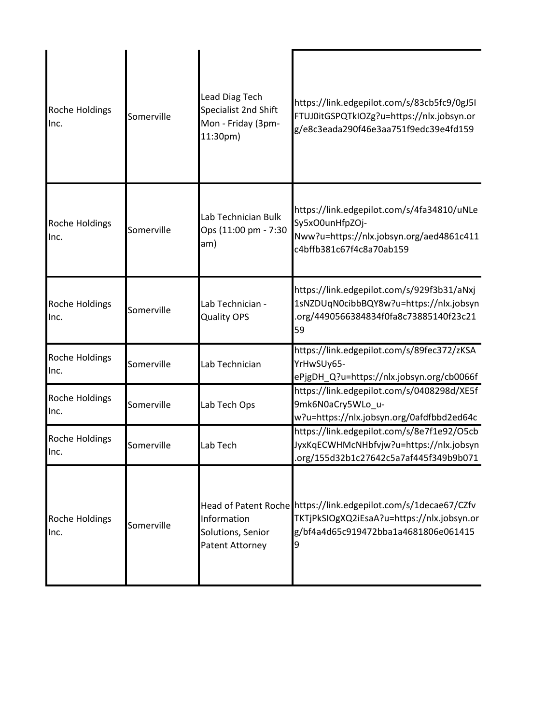| Roche Holdings<br>Inc.        | Somerville | <b>Lead Diag Tech</b><br>Specialist 2nd Shift<br>Mon - Friday (3pm-<br>11:30pm) | https://link.edgepilot.com/s/83cb5fc9/0gJ5I<br>FTUJ0itGSPQTkIOZg?u=https://nlx.jobsyn.or<br>g/e8c3eada290f46e3aa751f9edc39e4fd159                          |
|-------------------------------|------------|---------------------------------------------------------------------------------|------------------------------------------------------------------------------------------------------------------------------------------------------------|
| Roche Holdings<br>Inc.        | Somerville | Lab Technician Bulk<br>Ops (11:00 pm - 7:30<br>am)                              | https://link.edgepilot.com/s/4fa34810/uNLe<br>Sy5xO0unHfpZOj-<br>Nww?u=https://nlx.jobsyn.org/aed4861c411<br>c4bffb381c67f4c8a70ab159                      |
| Roche Holdings<br>Inc.        | Somerville | Lab Technician -<br><b>Quality OPS</b>                                          | https://link.edgepilot.com/s/929f3b31/aNxj<br>1sNZDUqN0cibbBQY8w?u=https://nlx.jobsyn<br>.org/4490566384834f0fa8c73885140f23c21<br>59                      |
| Roche Holdings<br>Inc.        | Somerville | Lab Technician                                                                  | https://link.edgepilot.com/s/89fec372/zKSA<br>YrHwSUy65-<br>ePjgDH_Q?u=https://nlx.jobsyn.org/cb0066f                                                      |
| Roche Holdings<br>Inc.        | Somerville | Lab Tech Ops                                                                    | https://link.edgepilot.com/s/0408298d/XE5f<br>9mk6N0aCry5WLo_u-<br>w?u=https://nlx.jobsyn.org/0afdfbbd2ed64c                                               |
| Roche Holdings<br>IInc.       | Somerville | Lab Tech                                                                        | https://link.edgepilot.com/s/8e7f1e92/O5cb<br>JyxKqECWHMcNHbfvjw?u=https://nlx.jobsyn<br>.org/155d32b1c27642c5a7af445f349b9b071                            |
| <b>Roche Holdings</b><br>Inc. | Somerville | Information<br>Solutions, Senior<br><b>Patent Attorney</b>                      | Head of Patent Roche https://link.edgepilot.com/s/1decae67/CZfv<br>TKTjPkSIOgXQ2iEsaA?u=https://nlx.jobsyn.or<br>g/bf4a4d65c919472bba1a4681806e061415<br>9 |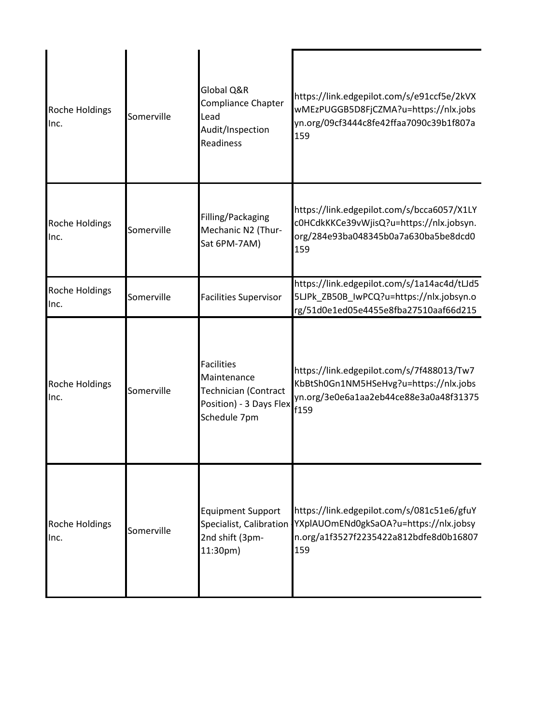| <b>Roche Holdings</b><br>Inc. | Somerville | Global Q&R<br>Compliance Chapter<br>Lead<br>Audit/Inspection<br><b>Readiness</b>                           | https://link.edgepilot.com/s/e91ccf5e/2kVX<br>wMEzPUGGB5D8FjCZMA?u=https://nlx.jobs<br>yn.org/09cf3444c8fe42ffaa7090c39b1f807a<br>159 |
|-------------------------------|------------|------------------------------------------------------------------------------------------------------------|---------------------------------------------------------------------------------------------------------------------------------------|
| Roche Holdings<br>Inc.        | Somerville | Filling/Packaging<br>Mechanic N2 (Thur-<br>Sat 6PM-7AM)                                                    | https://link.edgepilot.com/s/bcca6057/X1LY<br>c0HCdkKKCe39vWjisQ?u=https://nlx.jobsyn.<br>org/284e93ba048345b0a7a630ba5be8dcd0<br>159 |
| <b>Roche Holdings</b><br>Inc. | Somerville | <b>Facilities Supervisor</b>                                                                               | https://link.edgepilot.com/s/1a14ac4d/tLJd5<br>5LJPk ZB50B lwPCQ?u=https://nlx.jobsyn.o<br>rg/51d0e1ed05e4455e8fba27510aaf66d215      |
| Roche Holdings<br>Inc.        | Somerville | <b>Facilities</b><br>Maintenance<br><b>Technician (Contract</b><br>Position) - 3 Days Flex<br>Schedule 7pm | https://link.edgepilot.com/s/7f488013/Tw7<br>KbBtSh0Gn1NM5HSeHvg?u=https://nlx.jobs<br>yn.org/3e0e6a1aa2eb44ce88e3a0a48f31375<br>f159 |
| Roche Holdings<br>Inc.        | Somerville | <b>Equipment Support</b><br>Specialist, Calibration<br>2nd shift (3pm-<br>11:30pm)                         | https://link.edgepilot.com/s/081c51e6/gfuY<br>YXplAUOmENd0gkSaOA?u=https://nlx.jobsy<br>n.org/a1f3527f2235422a812bdfe8d0b16807<br>159 |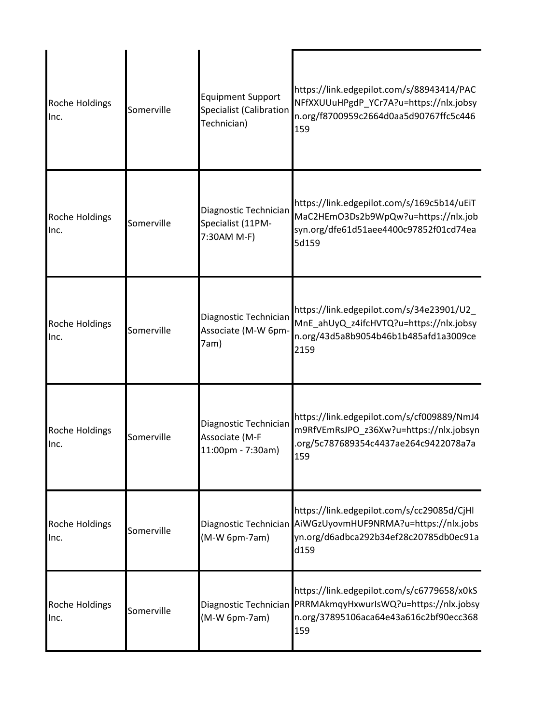| Roche Holdings<br>Inc.        | Somerville | <b>Equipment Support</b><br><b>Specialist (Calibration</b><br>Technician) | https://link.edgepilot.com/s/88943414/PAC<br>NFfXXUUuHPgdP YCr7A?u=https://nlx.jobsy<br>n.org/f8700959c2664d0aa5d90767ffc5c446<br>159                       |
|-------------------------------|------------|---------------------------------------------------------------------------|-------------------------------------------------------------------------------------------------------------------------------------------------------------|
| Roche Holdings<br>Inc.        | Somerville | Diagnostic Technician<br>Specialist (11PM-<br>7:30AM M-F)                 | https://link.edgepilot.com/s/169c5b14/uEiT<br>MaC2HEmO3Ds2b9WpQw?u=https://nlx.job<br>syn.org/dfe61d51aee4400c97852f01cd74ea<br>5d159                       |
| Roche Holdings<br>Inc.        | Somerville | Diagnostic Technician<br>Associate (M-W 6pm-<br>7am)                      | https://link.edgepilot.com/s/34e23901/U2_<br>MnE_ahUyQ_z4ifcHVTQ?u=https://nlx.jobsy<br>n.org/43d5a8b9054b46b1b485afd1a3009ce<br>2159                       |
| <b>Roche Holdings</b><br>Inc. | Somerville | Diagnostic Technician<br>Associate (M-F<br>11:00pm - 7:30am)              | https://link.edgepilot.com/s/cf009889/NmJ4<br>m9RfVEmRsJPO_z36Xw?u=https://nlx.jobsyn<br>.org/5c787689354c4437ae264c9422078a7a<br>159                       |
| Roche Holdings<br>Inc.        | Somerville | (M-W 6pm-7am)                                                             | https://link.edgepilot.com/s/cc29085d/CjHl<br>Diagnostic Technician AiWGzUyovmHUF9NRMA?u=https://nlx.jobs<br>yn.org/d6adbca292b34ef28c20785db0ec91a<br>d159 |
| Roche Holdings<br>Inc.        | Somerville | Diagnostic Technician<br>(M-W 6pm-7am)                                    | https://link.edgepilot.com/s/c6779658/x0kS<br>PRRMAkmqyHxwurlsWQ?u=https://nlx.jobsy<br>n.org/37895106aca64e43a616c2bf90ecc368<br>159                       |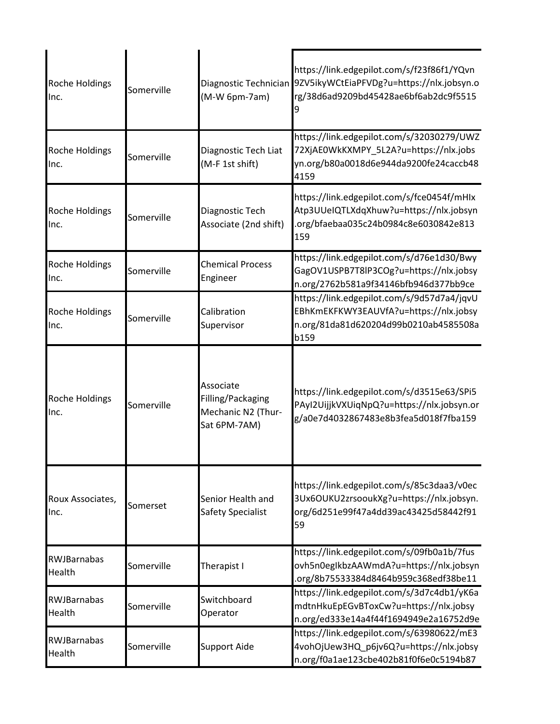| Roche Holdings<br>Inc.        | Somerville | Diagnostic Technician<br>(M-W 6pm-7am)                               | https://link.edgepilot.com/s/f23f86f1/YQvn<br>9ZV5ikyWCtEiaPFVDg?u=https://nlx.jobsyn.o<br>rg/38d6ad9209bd45428ae6bf6ab2dc9f5515      |
|-------------------------------|------------|----------------------------------------------------------------------|---------------------------------------------------------------------------------------------------------------------------------------|
| Roche Holdings<br>Inc.        | Somerville | Diagnostic Tech Liat<br>(M-F 1st shift)                              | https://link.edgepilot.com/s/32030279/UWZ<br>72XjAE0WkKXMPY_5L2A?u=https://nlx.jobs<br>yn.org/b80a0018d6e944da9200fe24caccb48<br>4159 |
| Roche Holdings<br>Inc.        | Somerville | Diagnostic Tech<br>Associate (2nd shift)                             | https://link.edgepilot.com/s/fce0454f/mHIx<br>Atp3UUeIQTLXdqXhuw?u=https://nlx.jobsyn<br>.org/bfaebaa035c24b0984c8e6030842e813<br>159 |
| <b>Roche Holdings</b><br>Inc. | Somerville | <b>Chemical Process</b><br>Engineer                                  | https://link.edgepilot.com/s/d76e1d30/Bwy<br>GagOV1USPB7T8lP3COg?u=https://nlx.jobsy<br>n.org/2762b581a9f34146bfb946d377bb9ce         |
| Roche Holdings<br>Inc.        | Somerville | Calibration<br>Supervisor                                            | https://link.edgepilot.com/s/9d57d7a4/jqvU<br>EBhKmEKFKWY3EAUVfA?u=https://nlx.jobsy<br>n.org/81da81d620204d99b0210ab4585508a<br>b159 |
| Roche Holdings<br>Inc.        | Somerville | Associate<br>Filling/Packaging<br>Mechanic N2 (Thur-<br>Sat 6PM-7AM) | https://link.edgepilot.com/s/d3515e63/SPi5<br>PAyI2UijjkVXUiqNpQ?u=https://nlx.jobsyn.or<br>g/a0e7d4032867483e8b3fea5d018f7fba159     |
| Roux Associates,<br>Inc.      | Somerset   | Senior Health and<br>Safety Specialist                               | https://link.edgepilot.com/s/85c3daa3/v0ec<br>3Ux6OUKU2zrsooukXg?u=https://nlx.jobsyn.<br>org/6d251e99f47a4dd39ac43425d58442f91<br>59 |
| RWJBarnabas<br>Health         | Somerville | Therapist I                                                          | https://link.edgepilot.com/s/09fb0a1b/7fus<br>ovh5n0egIkbzAAWmdA?u=https://nlx.jobsyn<br>.org/8b75533384d8464b959c368edf38be11        |
| <b>RWJBarnabas</b><br>Health  | Somerville | Switchboard<br>Operator                                              | https://link.edgepilot.com/s/3d7c4db1/yK6a<br>mdtnHkuEpEGvBToxCw?u=https://nlx.jobsy<br>n.org/ed333e14a4f44f1694949e2a16752d9e        |
| RWJBarnabas<br>Health         | Somerville | <b>Support Aide</b>                                                  | https://link.edgepilot.com/s/63980622/mE3<br>4vohOjUew3HQ_p6jv6Q?u=https://nlx.jobsy<br>n.org/f0a1ae123cbe402b81f0f6e0c5194b87        |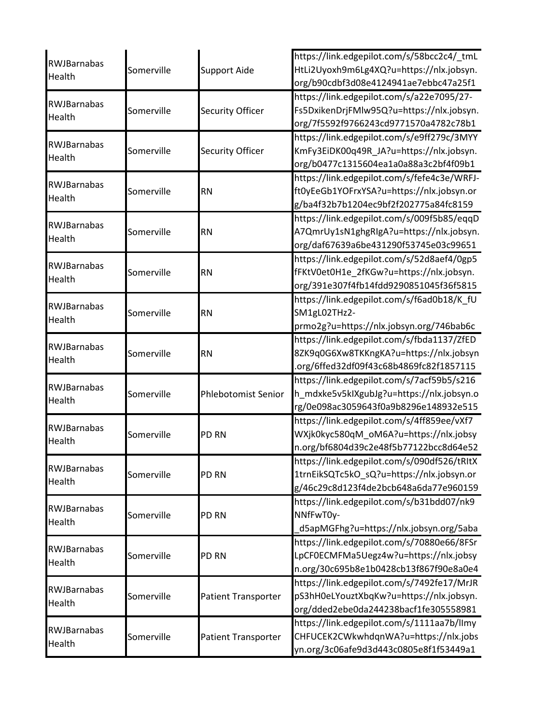|                              |            |                            | https://link.edgepilot.com/s/58bcc2c4/_tmL  |
|------------------------------|------------|----------------------------|---------------------------------------------|
| RWJBarnabas<br>Health        | Somerville | <b>Support Aide</b>        | HtLi2Uyoxh9m6Lg4XQ?u=https://nlx.jobsyn.    |
|                              |            |                            | org/b90cdbf3d08e4124941ae7ebbc47a25f1       |
|                              |            |                            | https://link.edgepilot.com/s/a22e7095/27-   |
| <b>RWJBarnabas</b>           | Somerville | Security Officer           | Fs5DxikenDrjFMlw95Q?u=https://nlx.jobsyn.   |
| <b>Health</b>                |            |                            | org/7f5592f9766243cd9771570a4782c78b1       |
|                              |            |                            | https://link.edgepilot.com/s/e9ff279c/3MYY  |
| RWJBarnabas                  | Somerville | Security Officer           | KmFy3EiDK00q49R JA?u=https://nlx.jobsyn.    |
| Health                       |            |                            | org/b0477c1315604ea1a0a88a3c2bf4f09b1       |
| <b>RWJBarnabas</b>           |            |                            | https://link.edgepilot.com/s/fefe4c3e/WRFJ- |
| Health                       | Somerville | <b>RN</b>                  | ft0yEeGb1YOFrxYSA?u=https://nlx.jobsyn.or   |
|                              |            |                            | g/ba4f32b7b1204ec9bf2f202775a84fc8159       |
| <b>RWJBarnabas</b>           |            |                            | https://link.edgepilot.com/s/009f5b85/eqqD  |
| Health                       | Somerville | <b>RN</b>                  | A7QmrUy1sN1ghgRIgA?u=https://nlx.jobsyn.    |
|                              |            |                            | org/daf67639a6be431290f53745e03c99651       |
|                              |            |                            | https://link.edgepilot.com/s/52d8aef4/0gp5  |
| <b>RWJBarnabas</b><br>Health | Somerville | <b>RN</b>                  | fFKtV0et0H1e_2fKGw?u=https://nlx.jobsyn.    |
|                              |            |                            | org/391e307f4fb14fdd9290851045f36f5815      |
| RWJBarnabas                  |            |                            | https://link.edgepilot.com/s/f6ad0b18/K_fU  |
|                              | Somerville | <b>RN</b>                  | SM1gL02THz2-                                |
| Health                       |            |                            | prmo2g?u=https://nlx.jobsyn.org/746bab6c    |
| RWJBarnabas                  |            |                            | https://link.edgepilot.com/s/fbda1137/ZfED  |
|                              | Somerville | <b>RN</b>                  | 8ZK9q0G6Xw8TKKngKA?u=https://nlx.jobsyn     |
| Health                       |            |                            | .org/6ffed32df09f43c68b4869fc82f1857115     |
| <b>RWJBarnabas</b>           |            |                            | https://link.edgepilot.com/s/7acf59b5/s216  |
| Health                       | Somerville | Phlebotomist Senior        | h_mdxke5v5kIXgubJg?u=https://nlx.jobsyn.o   |
|                              |            |                            | rg/0e098ac3059643f0a9b8296e148932e515       |
| <b>RWJBarnabas</b>           |            |                            | https://link.edgepilot.com/s/4ff859ee/vXf7  |
| Health                       | Somerville | <b>PD RN</b>               | WXjk0kyc580qM_oM6A?u=https://nlx.jobsy      |
|                              |            |                            | n.org/bf6804d39c2e48f5b77122bcc8d64e52      |
| RWJBarnabas                  |            |                            | https://link.edgepilot.com/s/090df526/tRItX |
| Health                       | Somerville | PD RN                      | 1trnEikSQTc5kO sQ?u=https://nlx.jobsyn.or   |
|                              |            |                            | g/46c29c8d123f4de2bcb648a6da77e960159       |
| <b>RWJBarnabas</b>           |            |                            | https://link.edgepilot.com/s/b31bdd07/nk9   |
| Health                       | Somerville | PD RN                      | NNfFwT0y-                                   |
|                              |            |                            | d5apMGFhg?u=https://nlx.jobsyn.org/5aba     |
| <b>RWJBarnabas</b>           |            |                            | https://link.edgepilot.com/s/70880e66/8FSr  |
|                              | Somerville | PD RN                      | LpCF0ECMFMa5Uegz4w?u=https://nlx.jobsy      |
| Health                       |            |                            | n.org/30c695b8e1b0428cb13f867f90e8a0e4      |
|                              |            |                            | https://link.edgepilot.com/s/7492fe17/MrJR  |
| <b>RWJBarnabas</b><br>Health | Somerville | <b>Patient Transporter</b> | pS3hH0eLYouztXbqKw?u=https://nlx.jobsyn.    |
|                              |            |                            | org/dded2ebe0da244238bacf1fe305558981       |
| <b>RWJBarnabas</b>           |            |                            | https://link.edgepilot.com/s/1111aa7b/llmy  |
|                              | Somerville | Patient Transporter        | CHFUCEK2CWkwhdqnWA?u=https://nlx.jobs       |
| Health                       |            |                            | yn.org/3c06afe9d3d443c0805e8f1f53449a1      |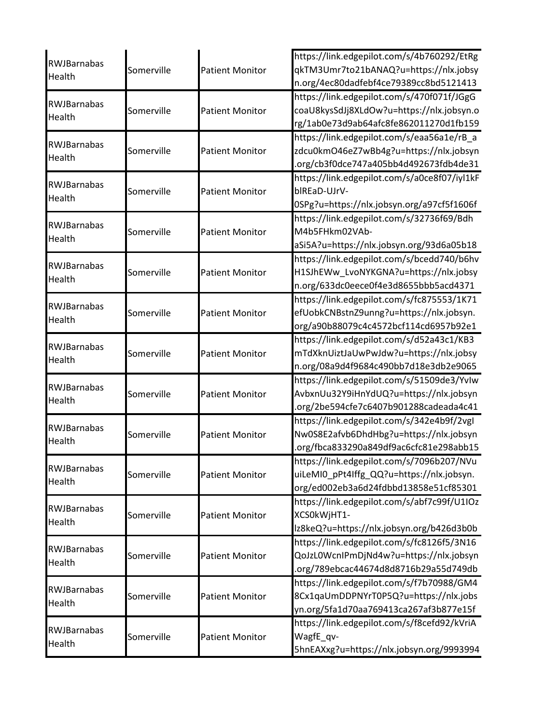| <b>RWJBarnabas</b>                        |                          |                                                  | https://link.edgepilot.com/s/4b760292/EtRg                                                                                                                                                                                                                                      |
|-------------------------------------------|--------------------------|--------------------------------------------------|---------------------------------------------------------------------------------------------------------------------------------------------------------------------------------------------------------------------------------------------------------------------------------|
|                                           | Somerville               | <b>Patient Monitor</b>                           | qkTM3Umr7to21bANAQ?u=https://nlx.jobsy                                                                                                                                                                                                                                          |
| Health                                    |                          |                                                  | n.org/4ec80dadfebf4ce79389cc8bd5121413                                                                                                                                                                                                                                          |
|                                           |                          |                                                  | https://link.edgepilot.com/s/470f071f/JGgG                                                                                                                                                                                                                                      |
| <b>RWJBarnabas</b>                        | Somerville               | <b>Patient Monitor</b>                           | coaU8kysSdJj8XLdOw?u=https://nlx.jobsyn.o                                                                                                                                                                                                                                       |
| Health                                    |                          |                                                  | rg/1ab0e73d9ab64afc8fe862011270d1fb159                                                                                                                                                                                                                                          |
|                                           |                          |                                                  | https://link.edgepilot.com/s/eaa56a1e/rB_a                                                                                                                                                                                                                                      |
| RWJBarnabas                               | Somerville               | <b>Patient Monitor</b>                           | zdcu0kmO46eZ7wBb4g?u=https://nlx.jobsyn                                                                                                                                                                                                                                         |
| Health                                    |                          |                                                  | .org/cb3f0dce747a405bb4d492673fdb4de31                                                                                                                                                                                                                                          |
|                                           |                          |                                                  | https://link.edgepilot.com/s/a0ce8f07/iyl1kF                                                                                                                                                                                                                                    |
| <b>RWJBarnabas</b>                        | Somerville               | <b>Patient Monitor</b>                           | blREaD-UJrV-                                                                                                                                                                                                                                                                    |
| Health                                    |                          |                                                  | 0SPg?u=https://nlx.jobsyn.org/a97cf5f1606f                                                                                                                                                                                                                                      |
|                                           |                          |                                                  | https://link.edgepilot.com/s/32736f69/Bdh                                                                                                                                                                                                                                       |
| <b>RWJBarnabas</b>                        | Somerville               | <b>Patient Monitor</b>                           | M4b5FHkm02VAb-                                                                                                                                                                                                                                                                  |
| Health                                    |                          |                                                  | aSi5A?u=https://nlx.jobsyn.org/93d6a05b18                                                                                                                                                                                                                                       |
|                                           |                          |                                                  | https://link.edgepilot.com/s/bcedd740/b6hv                                                                                                                                                                                                                                      |
| RWJBarnabas                               | Somerville               | <b>Patient Monitor</b>                           | H1SJhEWw_LvoNYKGNA?u=https://nlx.jobsy                                                                                                                                                                                                                                          |
| Health                                    |                          |                                                  | n.org/633dc0eece0f4e3d8655bbb5acd4371                                                                                                                                                                                                                                           |
|                                           |                          |                                                  | https://link.edgepilot.com/s/fc875553/1K71                                                                                                                                                                                                                                      |
| <b>RWJBarnabas</b>                        | Somerville               | <b>Patient Monitor</b>                           | efUobkCNBstnZ9unng?u=https://nlx.jobsyn.                                                                                                                                                                                                                                        |
| Health                                    |                          |                                                  | org/a90b88079c4c4572bcf114cd6957b92e1                                                                                                                                                                                                                                           |
|                                           |                          |                                                  | https://link.edgepilot.com/s/d52a43c1/KB3                                                                                                                                                                                                                                       |
| <b>RWJBarnabas</b>                        | Somerville               | <b>Patient Monitor</b>                           | mTdXknUiztJaUwPwJdw?u=https://nlx.jobsy                                                                                                                                                                                                                                         |
| Health                                    |                          |                                                  | n.org/08a9d4f9684c490bb7d18e3db2e9065                                                                                                                                                                                                                                           |
|                                           |                          |                                                  | https://link.edgepilot.com/s/51509de3/YvIw                                                                                                                                                                                                                                      |
| <b>RWJBarnabas</b>                        | Somerville               | <b>Patient Monitor</b>                           | AvbxnUu32Y9iHnYdUQ?u=https://nlx.jobsyn                                                                                                                                                                                                                                         |
| Health                                    |                          |                                                  | .org/2be594cfe7c6407b901288cadeada4c41                                                                                                                                                                                                                                          |
|                                           |                          |                                                  | https://link.edgepilot.com/s/342e4b9f/2vgl                                                                                                                                                                                                                                      |
| <b>RWJBarnabas</b>                        | Somerville               | <b>Patient Monitor</b>                           | Nw0S8E2afvb6DhdHbg?u=https://nlx.jobsyn                                                                                                                                                                                                                                         |
| Health                                    |                          |                                                  | .org/fbca833290a849df9ac6cfc81e298abb15                                                                                                                                                                                                                                         |
|                                           |                          |                                                  | https://link.edgepilot.com/s/7096b207/NVu                                                                                                                                                                                                                                       |
| RWJBarnabas                               | Somerville               | <b>Patient Monitor</b>                           | uiLeMI0 pPt4Iffg QQ?u=https://nlx.jobsyn.                                                                                                                                                                                                                                       |
| Health                                    |                          |                                                  | org/ed002eb3a6d24fdbbd13858e51cf85301                                                                                                                                                                                                                                           |
|                                           |                          |                                                  | https://link.edgepilot.com/s/abf7c99f/U1IOz                                                                                                                                                                                                                                     |
| <b>RWJBarnabas</b>                        | Somerville               | <b>Patient Monitor</b>                           | XCS0kWjHT1-                                                                                                                                                                                                                                                                     |
| Health                                    |                          |                                                  | lz8keQ?u=https://nlx.jobsyn.org/b426d3b0b                                                                                                                                                                                                                                       |
|                                           |                          |                                                  | https://link.edgepilot.com/s/fc8126f5/3N16                                                                                                                                                                                                                                      |
| <b>RWJBarnabas</b>                        | Somerville               | <b>Patient Monitor</b>                           | QoJzL0WcnIPmDjNd4w?u=https://nlx.jobsyn                                                                                                                                                                                                                                         |
|                                           |                          |                                                  |                                                                                                                                                                                                                                                                                 |
|                                           |                          |                                                  |                                                                                                                                                                                                                                                                                 |
|                                           |                          |                                                  |                                                                                                                                                                                                                                                                                 |
|                                           |                          |                                                  |                                                                                                                                                                                                                                                                                 |
|                                           |                          |                                                  |                                                                                                                                                                                                                                                                                 |
| RWJBarnabas                               |                          |                                                  |                                                                                                                                                                                                                                                                                 |
|                                           |                          |                                                  |                                                                                                                                                                                                                                                                                 |
| Health<br>RWJBarnabas<br>Health<br>Health | Somerville<br>Somerville | <b>Patient Monitor</b><br><b>Patient Monitor</b> | .org/789ebcac44674d8d8716b29a55d749db<br>https://link.edgepilot.com/s/f7b70988/GM4<br>8Cx1qaUmDDPNYrT0P5Q?u=https://nlx.jobs<br>yn.org/5fa1d70aa769413ca267af3b877e15f<br>https://link.edgepilot.com/s/f8cefd92/kVriA<br>WagfE_qv-<br>5hnEAXxg?u=https://nlx.jobsyn.org/9993994 |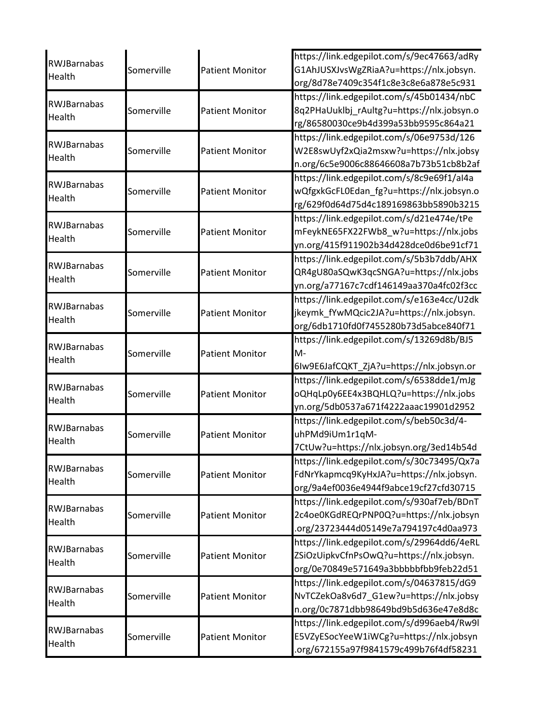|                       |            |                        | https://link.edgepilot.com/s/9ec47663/adRy |
|-----------------------|------------|------------------------|--------------------------------------------|
| <b>RWJBarnabas</b>    | Somerville | <b>Patient Monitor</b> | G1AhJUSXJvsWgZRiaA?u=https://nlx.jobsyn.   |
| Health                |            |                        | org/8d78e7409c354f1c8e3c8e6a878e5c931      |
|                       |            |                        | https://link.edgepilot.com/s/45b01434/nbC  |
| RWJBarnabas           | Somerville | <b>Patient Monitor</b> | 8q2PHaUuklbj_rAultg?u=https://nlx.jobsyn.o |
| Health                |            |                        | rg/86580030ce9b4d399a53bb9595c864a21       |
|                       |            |                        | https://link.edgepilot.com/s/06e9753d/126  |
| <b>RWJBarnabas</b>    | Somerville | <b>Patient Monitor</b> | W2E8swUyf2xQia2msxw?u=https://nlx.jobsy    |
| Health                |            |                        | n.org/6c5e9006c88646608a7b73b51cb8b2af     |
| RWJBarnabas           |            |                        | https://link.edgepilot.com/s/8c9e69f1/al4a |
|                       | Somerville | <b>Patient Monitor</b> | wQfgxkGcFL0Edan_fg?u=https://nlx.jobsyn.o  |
| Health                |            |                        | rg/629f0d64d75d4c189169863bb5890b3215      |
|                       |            |                        | https://link.edgepilot.com/s/d21e474e/tPe  |
| RWJBarnabas           | Somerville | <b>Patient Monitor</b> | mFeykNE65FX22FWb8_w?u=https://nlx.jobs     |
| Health                |            |                        | yn.org/415f911902b34d428dce0d6be91cf71     |
|                       |            |                        | https://link.edgepilot.com/s/5b3b7ddb/AHX  |
| RWJBarnabas           | Somerville | <b>Patient Monitor</b> | QR4gU80aSQwK3qcSNGA?u=https://nlx.jobs     |
| Health                |            |                        | yn.org/a77167c7cdf146149aa370a4fc02f3cc    |
|                       |            |                        | https://link.edgepilot.com/s/e163e4cc/U2dk |
| RWJBarnabas           | Somerville | <b>Patient Monitor</b> | jkeymk_fYwMQcic2JA?u=https://nlx.jobsyn.   |
| Health                |            |                        | org/6db1710fd0f7455280b73d5abce840f71      |
|                       |            |                        | https://link.edgepilot.com/s/13269d8b/BJ5  |
| RWJBarnabas           | Somerville | <b>Patient Monitor</b> | M-                                         |
| Health                |            |                        | 6Iw9E6JafCQKT_ZjA?u=https://nlx.jobsyn.or  |
| <b>RWJBarnabas</b>    |            |                        | https://link.edgepilot.com/s/6538dde1/mJg  |
| Health                | Somerville | <b>Patient Monitor</b> | oQHqLp0y6EE4x3BQHLQ?u=https://nlx.jobs     |
|                       |            |                        | yn.org/5db0537a671f4222aaac19901d2952      |
| RWJBarnabas           |            |                        | https://link.edgepilot.com/s/beb50c3d/4-   |
| Health                | Somerville | <b>Patient Monitor</b> | uhPMd9iUm1r1qM-                            |
|                       |            |                        | 7CtUw?u=https://nlx.jobsyn.org/3ed14b54d   |
| RWJBarnabas           |            |                        | https://link.edgepilot.com/s/30c73495/Qx7a |
| Health                | Somerville | <b>Patient Monitor</b> | FdNrYkapmcq9KyHxJA?u=https://nlx.jobsyn.   |
|                       |            |                        | org/9a4ef0036e4944f9abce19cf27cfd30715     |
| <b>RWJBarnabas</b>    |            |                        | https://link.edgepilot.com/s/930af7eb/BDnT |
| Health                | Somerville | <b>Patient Monitor</b> | 2c4oe0KGdREQrPNP0Q?u=https://nlx.jobsyn    |
|                       |            |                        | org/23723444d05149e7a794197c4d0aa973       |
| RWJBarnabas           |            |                        | https://link.edgepilot.com/s/29964dd6/4eRL |
| Health                | Somerville | <b>Patient Monitor</b> | ZSiOzUipkvCfnPsOwQ?u=https://nlx.jobsyn.   |
|                       |            |                        | org/0e70849e571649a3bbbbbfbb9feb22d51      |
|                       |            |                        | https://link.edgepilot.com/s/04637815/dG9  |
| RWJBarnabas<br>Health | Somerville | <b>Patient Monitor</b> | NvTCZekOa8v6d7_G1ew?u=https://nlx.jobsy    |
|                       |            |                        | n.org/0c7871dbb98649bd9b5d636e47e8d8c      |
| RWJBarnabas           |            |                        | https://link.edgepilot.com/s/d996aeb4/Rw9l |
|                       | Somerville | <b>Patient Monitor</b> | E5VZyESocYeeW1iWCg?u=https://nlx.jobsyn    |
| Health                |            |                        | .org/672155a97f9841579c499b76f4df58231     |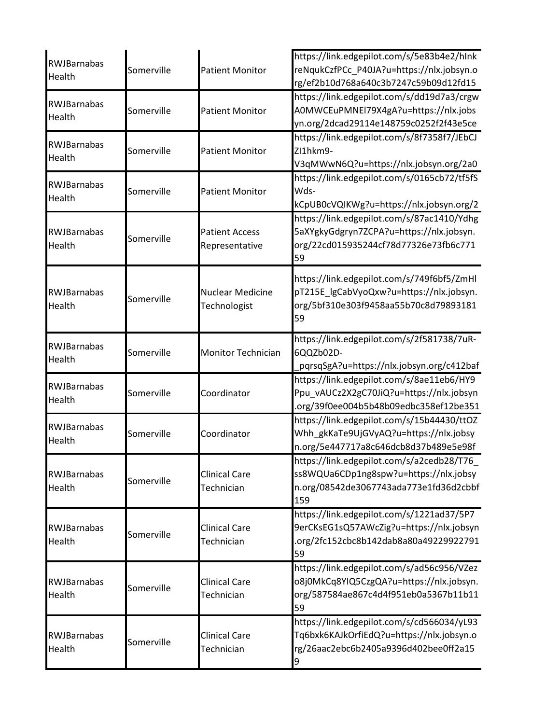| RWJBarnabas<br>Health               | Somerville | <b>Patient Monitor</b>                  | https://link.edgepilot.com/s/5e83b4e2/hlnk<br>reNqukCzfPCc_P40JA?u=https://nlx.jobsyn.o<br>rg/ef2b10d768a640c3b7247c59b09d12fd15      |
|-------------------------------------|------------|-----------------------------------------|---------------------------------------------------------------------------------------------------------------------------------------|
| RWJBarnabas<br>Health               | Somerville | <b>Patient Monitor</b>                  | https://link.edgepilot.com/s/dd19d7a3/crgw<br>A0MWCEuPMNEI79X4gA?u=https://nlx.jobs<br>yn.org/2dcad29114e148759c0252f2f43e5ce         |
| RWJBarnabas<br><b>Health</b>        | Somerville | <b>Patient Monitor</b>                  | https://link.edgepilot.com/s/8f7358f7/JEbCJ<br>ZI1hkm9-<br>V3qMWwN6Q?u=https://nlx.jobsyn.org/2a0                                     |
| <b>RWJBarnabas</b><br>Health        | Somerville | <b>Patient Monitor</b>                  | https://link.edgepilot.com/s/0165cb72/tf5fS<br>Wds-<br>kCpUB0cVQIKWg?u=https://nlx.jobsyn.org/2                                       |
| <b>RWJBarnabas</b><br>Health        | Somerville | <b>Patient Access</b><br>Representative | https://link.edgepilot.com/s/87ac1410/Ydhg<br>5aXYgkyGdgryn7ZCPA?u=https://nlx.jobsyn.<br>org/22cd015935244cf78d77326e73fb6c771<br>59 |
| <b>RWJBarnabas</b><br>Health        | Somerville | <b>Nuclear Medicine</b><br>Technologist | https://link.edgepilot.com/s/749f6bf5/ZmHl<br>pT215E_lgCabVyoQxw?u=https://nlx.jobsyn.<br>org/5bf310e303f9458aa55b70c8d79893181<br>59 |
| <b>RWJBarnabas</b><br>Health        | Somerville | <b>Monitor Technician</b>               | https://link.edgepilot.com/s/2f581738/7uR-<br>6QQZb02D-<br>.pqrsqSgA?u=https://nlx.jobsyn.org/c412baf                                 |
| <b>RWJBarnabas</b><br>Health        | Somerville | Coordinator                             | https://link.edgepilot.com/s/8ae11eb6/HY9<br>Ppu_vAUCz2X2gC70JiQ?u=https://nlx.jobsyn<br>.org/39f0ee004b5b48b09edbc358ef12be351       |
| <b>RWJBarnabas</b><br>Health        | Somerville | Coordinator                             | https://link.edgepilot.com/s/15b44430/ttOZ<br>Whh_gkKaTe9UjGVyAQ?u=https://nlx.jobsy<br>n.org/5e447717a8c646dcb8d37b489e5e98f         |
| <b>RWJBarnabas</b><br><b>Health</b> | Somerville | <b>Clinical Care</b><br>Technician      | https://link.edgepilot.com/s/a2cedb28/T76<br>ss8WQUa6CDp1ng8spw?u=https://nlx.jobsy<br>n.org/08542de3067743ada773e1fd36d2cbbf<br>159  |
| <b>RWJBarnabas</b><br>Health        | Somerville | <b>Clinical Care</b><br>Technician      | https://link.edgepilot.com/s/1221ad37/5P7<br>9erCKsEG1sQ57AWcZig?u=https://nlx.jobsyn<br>.org/2fc152cbc8b142dab8a80a49229922791<br>59 |
| <b>RWJBarnabas</b><br>Health        | Somerville | <b>Clinical Care</b><br>Technician      | https://link.edgepilot.com/s/ad56c956/VZez<br>o8j0MkCq8YIQ5CzgQA?u=https://nlx.jobsyn.<br>org/587584ae867c4d4f951eb0a5367b11b11<br>59 |
| <b>RWJBarnabas</b><br>Health        | Somerville | <b>Clinical Care</b><br>Technician      | https://link.edgepilot.com/s/cd566034/yL93<br>Tq6bxk6KAJkOrfiEdQ?u=https://nlx.jobsyn.o<br>rg/26aac2ebc6b2405a9396d402bee0ff2a15<br>9 |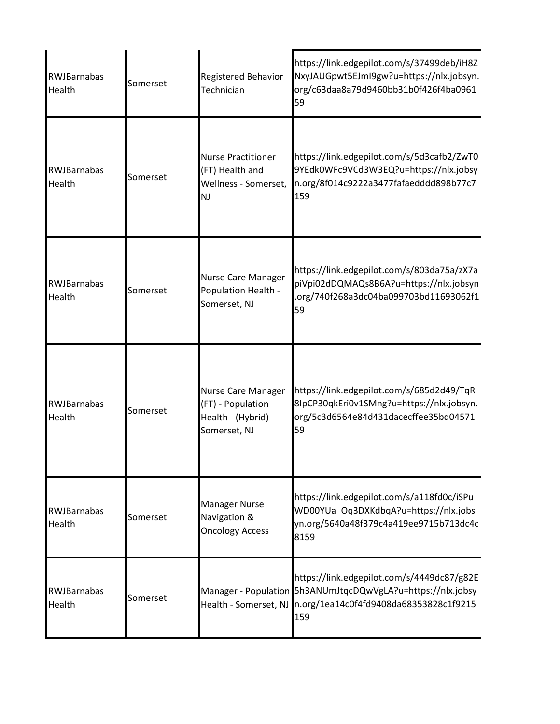| <b>RWJBarnabas</b><br>Health | Somerset | <b>Registered Behavior</b><br>Technician                                          | https://link.edgepilot.com/s/37499deb/iH8Z<br>NxyJAUGpwt5EJmI9gw?u=https://nlx.jobsyn.<br>org/c63daa8a79d9460bb31b0f426f4ba0961<br>59                                            |
|------------------------------|----------|-----------------------------------------------------------------------------------|----------------------------------------------------------------------------------------------------------------------------------------------------------------------------------|
| <b>RWJBarnabas</b><br>Health | Somerset | <b>Nurse Practitioner</b><br>(FT) Health and<br>Wellness - Somerset,<br><b>NJ</b> | https://link.edgepilot.com/s/5d3cafb2/ZwT0<br>9YEdk0WFc9VCd3W3EQ?u=https://nlx.jobsy<br>n.org/8f014c9222a3477fafaedddd898b77c7<br>159                                            |
| <b>RWJBarnabas</b><br>Health | Somerset | Nurse Care Manager -<br>Population Health -<br>Somerset, NJ                       | https://link.edgepilot.com/s/803da75a/zX7a<br>piVpi02dDQMAQs8B6A?u=https://nlx.jobsyn<br>.org/740f268a3dc04ba099703bd11693062f1<br>59                                            |
| <b>RWJBarnabas</b><br>Health | Somerset | Nurse Care Manager<br>(FT) - Population<br>Health - (Hybrid)<br>Somerset, NJ      | https://link.edgepilot.com/s/685d2d49/TqR<br>8IpCP30qkEri0v1SMng?u=https://nlx.jobsyn.<br>org/5c3d6564e84d431dacecffee35bd04571<br>59                                            |
| <b>RWJBarnabas</b><br>Health | Somerset | <b>Manager Nurse</b><br>Navigation &<br><b>Oncology Access</b>                    | https://link.edgepilot.com/s/a118fd0c/iSPu<br>WD00YUa_Oq3DXKdbqA?u=https://nlx.jobs<br>yn.org/5640a48f379c4a419ee9715b713dc4c<br>8159                                            |
| <b>RWJBarnabas</b><br>Health | Somerset |                                                                                   | https://link.edgepilot.com/s/4449dc87/g82E<br>Manager - Population 5h3ANUmJtqcDQwVgLA?u=https://nlx.jobsy<br>Health - Somerset, NJ n.org/1ea14c0f4fd9408da68353828c1f9215<br>159 |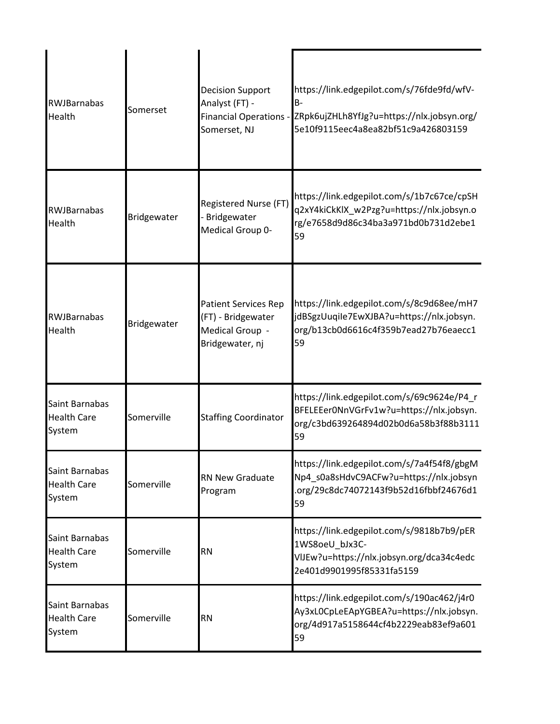| <b>RWJBarnabas</b><br>Health                   | Somerset    | <b>Decision Support</b><br>Analyst (FT) -<br><b>Financial Operations -</b><br>Somerset, NJ | https://link.edgepilot.com/s/76fde9fd/wfV-<br>$B -$<br>ZRpk6ujZHLh8YfJg?u=https://nlx.jobsyn.org/<br>5e10f9115eec4a8ea82bf51c9a426803159 |
|------------------------------------------------|-------------|--------------------------------------------------------------------------------------------|------------------------------------------------------------------------------------------------------------------------------------------|
| RWJBarnabas<br>Health                          | Bridgewater | Registered Nurse (FT)<br>Bridgewater<br>Medical Group 0-                                   | https://link.edgepilot.com/s/1b7c67ce/cpSH<br>q2xY4kiCkKlX_w2Pzg?u=https://nlx.jobsyn.o<br>rg/e7658d9d86c34ba3a971bd0b731d2ebe1<br>59    |
| <b>RWJBarnabas</b><br>Health                   | Bridgewater | <b>Patient Services Rep</b><br>(FT) - Bridgewater<br>Medical Group -<br>Bridgewater, nj    | https://link.edgepilot.com/s/8c9d68ee/mH7<br>jdBSgzUuqiIe7EwXJBA?u=https://nlx.jobsyn.<br>org/b13cb0d6616c4f359b7ead27b76eaecc1<br>59    |
| Saint Barnabas<br><b>Health Care</b><br>System | Somerville  | <b>Staffing Coordinator</b>                                                                | https://link.edgepilot.com/s/69c9624e/P4_r<br>BFELEEer0NnVGrFv1w?u=https://nlx.jobsyn.<br>org/c3bd639264894d02b0d6a58b3f88b3111<br>59    |
| Saint Barnabas<br><b>Health Care</b><br>System | Somerville  | <b>RN New Graduate</b><br>Program                                                          | https://link.edgepilot.com/s/7a4f54f8/gbgM<br>Np4 s0a8sHdvC9ACFw?u=https://nlx.jobsyn<br>.org/29c8dc74072143f9b52d16fbbf24676d1<br>59    |
| Saint Barnabas<br><b>Health Care</b><br>System | Somerville  | <b>RN</b>                                                                                  | https://link.edgepilot.com/s/9818b7b9/pER<br>1WS8oeU bJx3C-<br>VIJEw?u=https://nlx.jobsyn.org/dca34c4edc<br>2e401d9901995f85331fa5159    |
| Saint Barnabas<br><b>Health Care</b><br>System | Somerville  | <b>RN</b>                                                                                  | https://link.edgepilot.com/s/190ac462/j4r0<br>Ay3xL0CpLeEApYGBEA?u=https://nlx.jobsyn.<br>org/4d917a5158644cf4b2229eab83ef9a601<br>59    |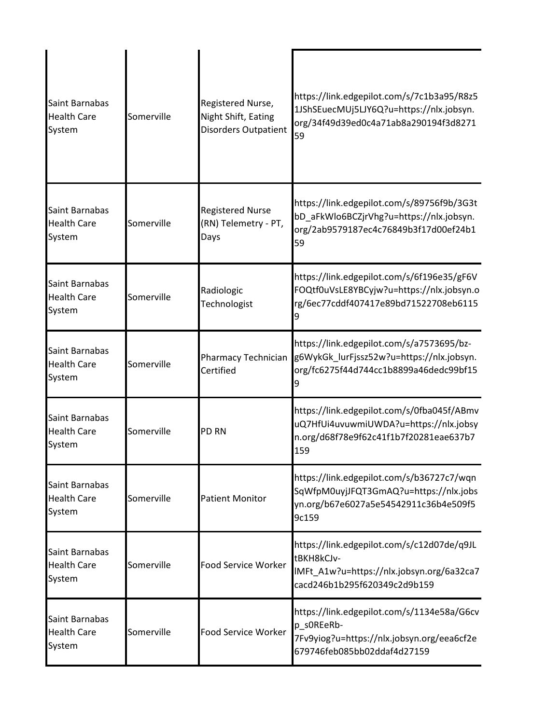| Saint Barnabas<br><b>Health Care</b><br>System | Somerville | Registered Nurse,<br>Night Shift, Eating<br>Disorders Outpatient | https://link.edgepilot.com/s/7c1b3a95/R8z5<br>1JShSEuecMUj5LJY6Q?u=https://nlx.jobsyn.<br>org/34f49d39ed0c4a71ab8a290194f3d8271<br>59 |
|------------------------------------------------|------------|------------------------------------------------------------------|---------------------------------------------------------------------------------------------------------------------------------------|
| Saint Barnabas<br><b>Health Care</b><br>System | Somerville | <b>Registered Nurse</b><br>(RN) Telemetry - PT,<br>Days          | https://link.edgepilot.com/s/89756f9b/3G3t<br>bD_aFkWlo6BCZjrVhg?u=https://nlx.jobsyn.<br>org/2ab9579187ec4c76849b3f17d00ef24b1<br>59 |
| Saint Barnabas<br><b>Health Care</b><br>System | Somerville | Radiologic<br>Technologist                                       | https://link.edgepilot.com/s/6f196e35/gF6V<br>FOQtf0uVsLE8YBCyjw?u=https://nlx.jobsyn.o<br>rg/6ec77cddf407417e89bd71522708eb6115      |
| Saint Barnabas<br><b>Health Care</b><br>System | Somerville | <b>Pharmacy Technician</b><br>Certified                          | https://link.edgepilot.com/s/a7573695/bz-<br>g6WykGk_lurFjssz52w?u=https://nlx.jobsyn.<br>org/fc6275f44d744cc1b8899a46dedc99bf15      |
| Saint Barnabas<br><b>Health Care</b><br>System | Somerville | PD RN                                                            | https://link.edgepilot.com/s/0fba045f/ABmv<br>uQ7HfUi4uvuwmiUWDA?u=https://nlx.jobsy<br>n.org/d68f78e9f62c41f1b7f20281eae637b7<br>159 |
| Saint Barnabas<br><b>Health Care</b><br>System | Somerville | <b>Patient Monitor</b>                                           | https://link.edgepilot.com/s/b36727c7/wqn<br>SqWfpM0uyjJFQT3GmAQ?u=https://nlx.jobs<br>yn.org/b67e6027a5e54542911c36b4e509f5<br>9c159 |
| Saint Barnabas<br><b>Health Care</b><br>System | Somerville | <b>Food Service Worker</b>                                       | https://link.edgepilot.com/s/c12d07de/q9JL<br>tBKH8kCJv-<br>IMFt A1w?u=https://nlx.jobsyn.org/6a32ca7<br>cacd246b1b295f620349c2d9b159 |
| Saint Barnabas<br><b>Health Care</b><br>System | Somerville | <b>Food Service Worker</b>                                       | https://link.edgepilot.com/s/1134e58a/G6cv<br>p_s0REeRb-<br>7Fv9yiog?u=https://nlx.jobsyn.org/eea6cf2e<br>679746feb085bb02ddaf4d27159 |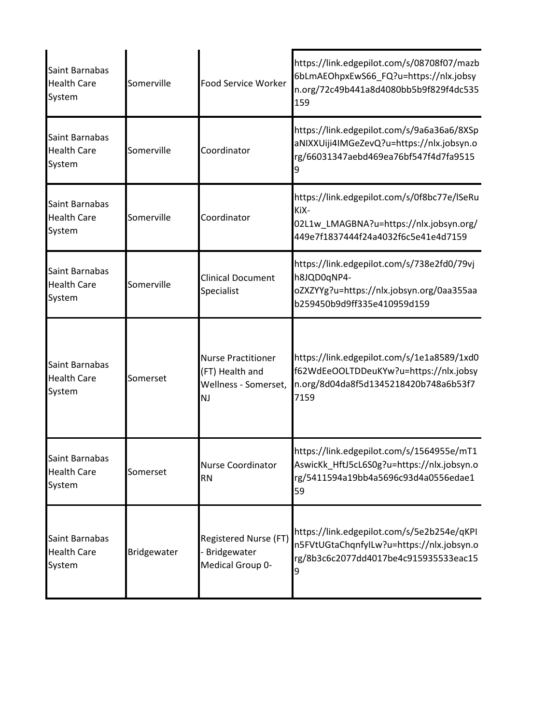| Saint Barnabas<br><b>Health Care</b><br>System | Somerville  | <b>Food Service Worker</b>                                                        | https://link.edgepilot.com/s/08708f07/mazb<br>6bLmAEOhpxEwS66_FQ?u=https://nlx.jobsy<br>n.org/72c49b441a8d4080bb5b9f829f4dc535<br>159 |
|------------------------------------------------|-------------|-----------------------------------------------------------------------------------|---------------------------------------------------------------------------------------------------------------------------------------|
| Saint Barnabas<br><b>Health Care</b><br>System | Somerville  | Coordinator                                                                       | https://link.edgepilot.com/s/9a6a36a6/8XSp<br>aNIXXUiji4IMGeZevQ?u=https://nlx.jobsyn.o<br>rg/66031347aebd469ea76bf547f4d7fa9515      |
| Saint Barnabas<br><b>Health Care</b><br>System | Somerville  | Coordinator                                                                       | https://link.edgepilot.com/s/0f8bc77e/lSeRu<br>KiX-<br>02L1w_LMAGBNA?u=https://nlx.jobsyn.org/<br>449e7f1837444f24a4032f6c5e41e4d7159 |
| Saint Barnabas<br><b>Health Care</b><br>System | Somerville  | <b>Clinical Document</b><br>Specialist                                            | https://link.edgepilot.com/s/738e2fd0/79vj<br>h8JQD0qNP4-<br>oZXZYYg?u=https://nlx.jobsyn.org/0aa355aa<br>b259450b9d9ff335e410959d159 |
| Saint Barnabas<br><b>Health Care</b><br>System | Somerset    | <b>Nurse Practitioner</b><br>(FT) Health and<br>Wellness - Somerset,<br><b>NJ</b> | https://link.edgepilot.com/s/1e1a8589/1xd0<br>f62WdEeOOLTDDeuKYw?u=https://nlx.jobsy<br>n.org/8d04da8f5d1345218420b748a6b53f7<br>7159 |
| Saint Barnabas<br><b>Health Care</b><br>System | Somerset    | <b>Nurse Coordinator</b><br><b>RN</b>                                             | https://link.edgepilot.com/s/1564955e/mT1<br>AswicKk_HftJ5cL6S0g?u=https://nlx.jobsyn.o<br>rg/5411594a19bb4a5696c93d4a0556edae1<br>59 |
| Saint Barnabas<br><b>Health Care</b><br>System | Bridgewater | Registered Nurse (FT)<br>Bridgewater<br>Medical Group 0-                          | https://link.edgepilot.com/s/5e2b254e/qKPI<br>n5FVtUGtaChqnfyILw?u=https://nlx.jobsyn.o<br>rg/8b3c6c2077dd4017be4c915935533eac15<br>9 |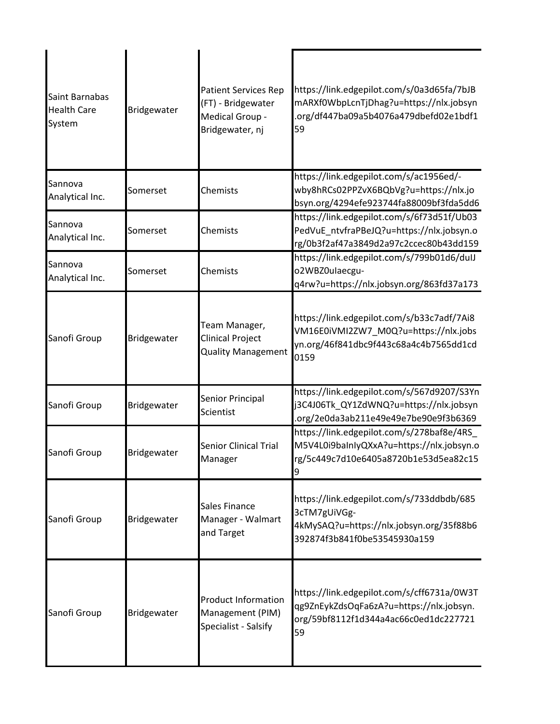| Saint Barnabas<br><b>Health Care</b><br>System | Bridgewater | <b>Patient Services Rep</b><br>(FT) - Bridgewater<br>Medical Group -<br>Bridgewater, nj | https://link.edgepilot.com/s/0a3d65fa/7bJB<br>mARXf0WbpLcnTjDhag?u=https://nlx.jobsyn<br>org/df447ba09a5b4076a479dbefd02e1bdf1<br>59  |
|------------------------------------------------|-------------|-----------------------------------------------------------------------------------------|---------------------------------------------------------------------------------------------------------------------------------------|
| Sannova<br>Analytical Inc.                     | Somerset    | Chemists                                                                                | https://link.edgepilot.com/s/ac1956ed/-<br>wby8hRCs02PPZvX6BQbVg?u=https://nlx.jo<br>bsyn.org/4294efe923744fa88009bf3fda5dd6          |
| Sannova<br>Analytical Inc.                     | Somerset    | Chemists                                                                                | https://link.edgepilot.com/s/6f73d51f/Ub03<br>PedVuE ntvfraPBeJQ?u=https://nlx.jobsyn.o<br>rg/0b3f2af47a3849d2a97c2ccec80b43dd159     |
| Sannova<br>Analytical Inc.                     | Somerset    | Chemists                                                                                | https://link.edgepilot.com/s/799b01d6/dulJ<br>o2WBZ0ulaecgu-<br>q4rw?u=https://nlx.jobsyn.org/863fd37a173                             |
| Sanofi Group                                   | Bridgewater | Team Manager,<br><b>Clinical Project</b><br><b>Quality Management</b>                   | https://link.edgepilot.com/s/b33c7adf/7Ai8<br>VM16E0iVMI2ZW7_M0Q?u=https://nlx.jobs<br>yn.org/46f841dbc9f443c68a4c4b7565dd1cd<br>0159 |
| Sanofi Group                                   | Bridgewater | Senior Principal<br>Scientist                                                           | https://link.edgepilot.com/s/567d9207/S3Yn<br>j3C4J06Tk_QY1ZdWNQ?u=https://nlx.jobsyn<br>org/2e0da3ab211e49e49e7be90e9f3b6369         |
| Sanofi Group                                   | Bridgewater | <b>Senior Clinical Trial</b><br>Manager                                                 | https://link.edgepilot.com/s/278baf8e/4RS<br>M5V4L0i9baInIyQXxA?u=https://nlx.jobsyn.o<br>rg/5c449c7d10e6405a8720b1e53d5ea82c15       |
| Sanofi Group                                   | Bridgewater | Sales Finance<br>Manager - Walmart<br>and Target                                        | https://link.edgepilot.com/s/733ddbdb/685<br>3cTM7gUiVGg-<br>4kMySAQ?u=https://nlx.jobsyn.org/35f88b6<br>392874f3b841f0be53545930a159 |
| Sanofi Group                                   | Bridgewater | <b>Product Information</b><br>Management (PIM)<br>Specialist - Salsify                  | https://link.edgepilot.com/s/cff6731a/0W3T<br>qg9ZnEykZdsOqFa6zA?u=https://nlx.jobsyn.<br>org/59bf8112f1d344a4ac66c0ed1dc227721<br>59 |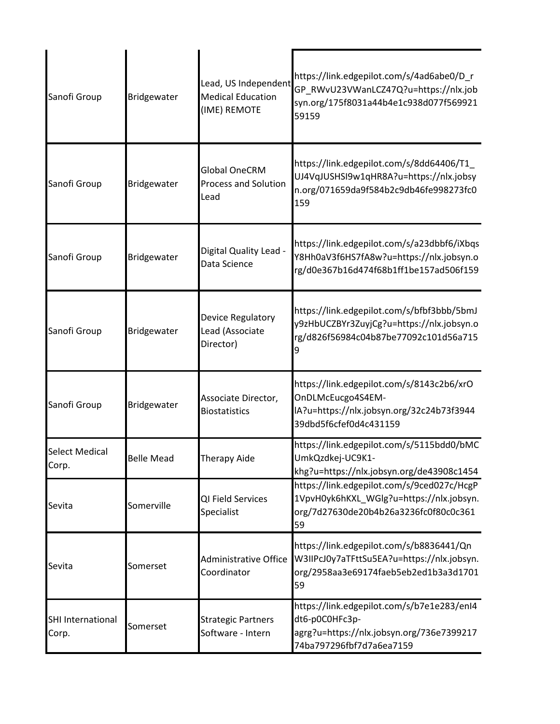| Sanofi Group                   | Bridgewater       | Lead, US Independent<br><b>Medical Education</b><br>(IME) REMOTE | https://link.edgepilot.com/s/4ad6abe0/D_r<br>GP_RWvU23VWanLCZ47Q?u=https://nlx.job<br>syn.org/175f8031a44b4e1c938d077f569921<br>59159 |
|--------------------------------|-------------------|------------------------------------------------------------------|---------------------------------------------------------------------------------------------------------------------------------------|
| Sanofi Group                   | Bridgewater       | <b>Global OneCRM</b><br><b>Process and Solution</b><br>Lead      | https://link.edgepilot.com/s/8dd64406/T1_<br>UJ4VqJUSHSI9w1qHR8A?u=https://nlx.jobsy<br>n.org/071659da9f584b2c9db46fe998273fc0<br>159 |
| Sanofi Group                   | Bridgewater       | Digital Quality Lead -<br>Data Science                           | https://link.edgepilot.com/s/a23dbbf6/iXbqs<br>Y8Hh0aV3f6HS7fA8w?u=https://nlx.jobsyn.o<br>rg/d0e367b16d474f68b1ff1be157ad506f159     |
| Sanofi Group                   | Bridgewater       | Device Regulatory<br>Lead (Associate<br>Director)                | https://link.edgepilot.com/s/bfbf3bbb/5bmJ<br>y9zHbUCZBYr3ZuyjCg?u=https://nlx.jobsyn.o<br>rg/d826f56984c04b87be77092c101d56a715      |
| Sanofi Group                   | Bridgewater       | Associate Director,<br><b>Biostatistics</b>                      | https://link.edgepilot.com/s/8143c2b6/xrO<br>OnDLMcEucgo4S4EM-<br>IA?u=https://nlx.jobsyn.org/32c24b73f3944<br>39dbd5f6cfef0d4c431159 |
| <b>Select Medical</b><br>Corp. | <b>Belle Mead</b> | <b>Therapy Aide</b>                                              | https://link.edgepilot.com/s/5115bdd0/bMC<br>UmkQzdkej-UC9K1-<br>khg?u=https://nlx.jobsyn.org/de43908c1454                            |
| Sevita                         | Somerville        | QI Field Services<br>Specialist                                  | https://link.edgepilot.com/s/9ced027c/HcgP<br>1VpvH0yk6hKXL_WGlg?u=https://nlx.jobsyn.<br>org/7d27630de20b4b26a3236fc0f80c0c361<br>59 |
| Sevita                         | Somerset          | Administrative Office<br>Coordinator                             | https://link.edgepilot.com/s/b8836441/Qn<br>W3IIPcJ0y7aTFttSu5EA?u=https://nlx.jobsyn.<br>org/2958aa3e69174faeb5eb2ed1b3a3d1701<br>59 |
| SHI International<br>Corp.     | Somerset          | <b>Strategic Partners</b><br>Software - Intern                   | https://link.edgepilot.com/s/b7e1e283/enI4<br>dt6-p0C0HFc3p-<br>agrg?u=https://nlx.jobsyn.org/736e7399217<br>74ba797296fbf7d7a6ea7159 |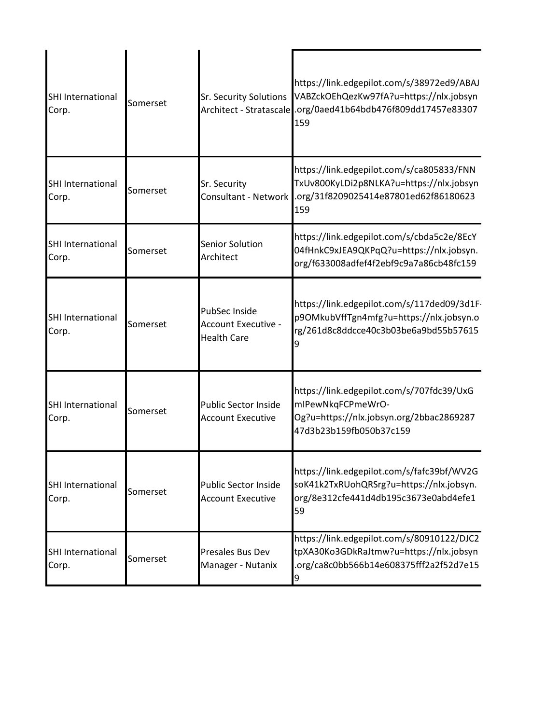| <b>SHI International</b><br>Corp. | Somerset | <b>Sr. Security Solutions</b>                                     | https://link.edgepilot.com/s/38972ed9/ABAJ<br>VABZckOEhQezKw97fA?u=https://nlx.jobsyn<br>Architect - Stratascale .org/0aed41b64bdb476f809dd17457e83307<br>159 |
|-----------------------------------|----------|-------------------------------------------------------------------|---------------------------------------------------------------------------------------------------------------------------------------------------------------|
| <b>SHI International</b><br>Corp. | Somerset | Sr. Security<br><b>Consultant - Network</b>                       | https://link.edgepilot.com/s/ca805833/FNN<br>TxUv800KyLDi2p8NLKA?u=https://nlx.jobsyn<br>.org/31f8209025414e87801ed62f86180623<br>159                         |
| <b>SHI International</b><br>Corp. | Somerset | Senior Solution<br>Architect                                      | https://link.edgepilot.com/s/cbda5c2e/8EcY<br>04fHnkC9xJEA9QKPqQ?u=https://nlx.jobsyn.<br>org/f633008adfef4f2ebf9c9a7a86cb48fc159                             |
| <b>SHI International</b><br>Corp. | Somerset | PubSec Inside<br><b>Account Executive -</b><br><b>Health Care</b> | https://link.edgepilot.com/s/117ded09/3d1F-<br>p9OMkubVffTgn4mfg?u=https://nlx.jobsyn.o<br>rg/261d8c8ddcce40c3b03be6a9bd55b57615<br>9                         |
| <b>SHI International</b><br>Corp. | Somerset | <b>Public Sector Inside</b><br><b>Account Executive</b>           | https://link.edgepilot.com/s/707fdc39/UxG<br>mIPewNkqFCPmeWrO-<br>Og?u=https://nlx.jobsyn.org/2bbac2869287<br>47d3b23b159fb050b37c159                         |
| <b>SHI International</b><br>Corp. | Somerset | <b>Public Sector Inside</b><br><b>Account Executive</b>           | https://link.edgepilot.com/s/fafc39bf/WV2G<br>soK41k2TxRUohQRSrg?u=https://nlx.jobsyn.<br>org/8e312cfe441d4db195c3673e0abd4efe1<br>59                         |
| SHI International<br>Corp.        | Somerset | Presales Bus Dev<br>Manager - Nutanix                             | https://link.edgepilot.com/s/80910122/DJC2<br>tpXA30Ko3GDkRaJtmw?u=https://nlx.jobsyn<br>.org/ca8c0bb566b14e608375fff2a2f52d7e15<br>9                         |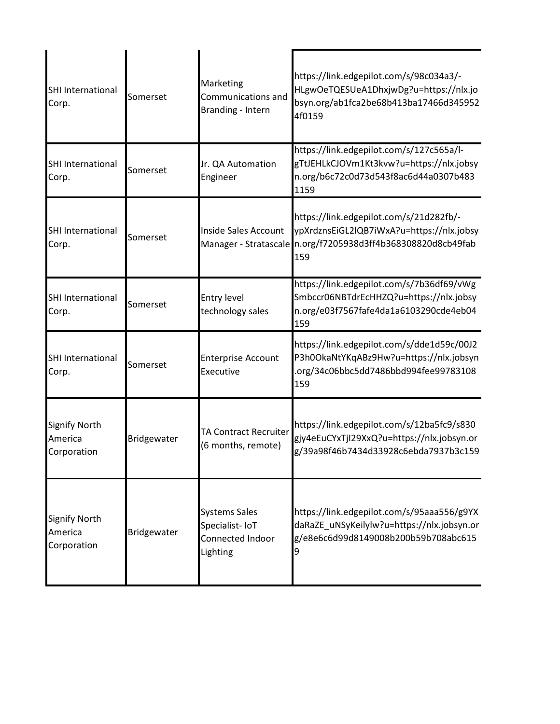| SHI International<br>Corp.                     | Somerset    | Marketing<br>Communications and<br><b>Branding - Intern</b>            | https://link.edgepilot.com/s/98c034a3/-<br>HLgwOeTQESUeA1DhxjwDg?u=https://nlx.jo<br>bsyn.org/ab1fca2be68b413ba17466d345952<br>4f0159                       |
|------------------------------------------------|-------------|------------------------------------------------------------------------|-------------------------------------------------------------------------------------------------------------------------------------------------------------|
| SHI International<br>Corp.                     | Somerset    | Jr. QA Automation<br>Engineer                                          | https://link.edgepilot.com/s/127c565a/l-<br>gTtJEHLkCJOVm1Kt3kvw?u=https://nlx.jobsy<br>n.org/b6c72c0d73d543f8ac6d44a0307b483<br>1159                       |
| SHI International<br>Corp.                     | Somerset    | <b>Inside Sales Account</b>                                            | https://link.edgepilot.com/s/21d282fb/-<br>ypXrdznsEiGL2lQB7iWxA?u=https://nlx.jobsy<br>Manager - Stratascale n.org/f7205938d3ff4b368308820d8cb49fab<br>159 |
| SHI International<br>Corp.                     | Somerset    | <b>Entry level</b><br>technology sales                                 | https://link.edgepilot.com/s/7b36df69/vWg<br>Smbccr06NBTdrEcHHZQ?u=https://nlx.jobsy<br>n.org/e03f7567fafe4da1a6103290cde4eb04<br>159                       |
| <b>SHI International</b><br>Corp.              | Somerset    | <b>Enterprise Account</b><br>Executive                                 | https://link.edgepilot.com/s/dde1d59c/00J2<br>P3h0OkaNtYKqABz9Hw?u=https://nlx.jobsyn<br>org/34c06bbc5dd7486bbd994fee99783108<br>159                        |
| <b>Signify North</b><br>America<br>Corporation | Bridgewater | <b>TA Contract Recruiter</b><br>(6 months, remote)                     | https://link.edgepilot.com/s/12ba5fc9/s830<br>gjy4eEuCYxTjI29XxQ?u=https://nlx.jobsyn.or<br>g/39a98f46b7434d33928c6ebda7937b3c159                           |
| <b>Signify North</b><br>America<br>Corporation | Bridgewater | <b>Systems Sales</b><br>Specialist-IoT<br>Connected Indoor<br>Lighting | https://link.edgepilot.com/s/95aaa556/g9YX<br>daRaZE uNSyKeilylw?u=https://nlx.jobsyn.or<br>g/e8e6c6d99d8149008b200b59b708abc615                            |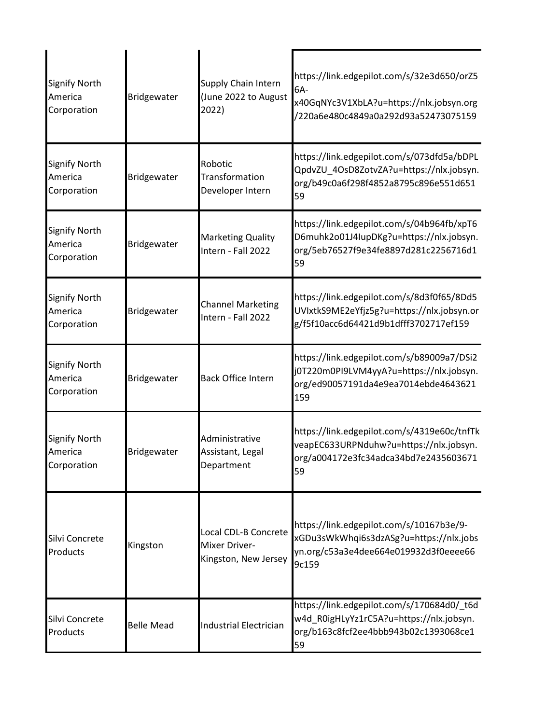| Signify North<br>America<br>Corporation        | Bridgewater        | Supply Chain Intern<br>(June 2022 to August<br>2022)          | https://link.edgepilot.com/s/32e3d650/orZ5<br>6A-<br>x40GqNYc3V1XbLA?u=https://nlx.jobsyn.org<br>/220a6e480c4849a0a292d93a52473075159 |
|------------------------------------------------|--------------------|---------------------------------------------------------------|---------------------------------------------------------------------------------------------------------------------------------------|
| <b>Signify North</b><br>America<br>Corporation | Bridgewater        | Robotic<br>Transformation<br>Developer Intern                 | https://link.edgepilot.com/s/073dfd5a/bDPL<br>QpdvZU_4OsD8ZotvZA?u=https://nlx.jobsyn.<br>org/b49c0a6f298f4852a8795c896e551d651<br>59 |
| <b>Signify North</b><br>America<br>Corporation | Bridgewater        | <b>Marketing Quality</b><br>Intern - Fall 2022                | https://link.edgepilot.com/s/04b964fb/xpT6<br>D6muhk2o01J4IupDKg?u=https://nlx.jobsyn.<br>org/5eb76527f9e34fe8897d281c2256716d1<br>59 |
| <b>Signify North</b><br>America<br>Corporation | Bridgewater        | <b>Channel Marketing</b><br>Intern - Fall 2022                | https://link.edgepilot.com/s/8d3f0f65/8Dd5<br>UVIxtkS9ME2eYfjz5g?u=https://nlx.jobsyn.or<br>g/f5f10acc6d64421d9b1dfff3702717ef159     |
| <b>Signify North</b><br>America<br>Corporation | Bridgewater        | <b>Back Office Intern</b>                                     | https://link.edgepilot.com/s/b89009a7/DSi2<br>j0T220m0PI9LVM4yyA?u=https://nlx.jobsyn.<br>org/ed90057191da4e9ea7014ebde4643621<br>159 |
| <b>Signify North</b><br>America<br>Corporation | <b>Bridgewater</b> | Administrative<br>Assistant, Legal<br>Department              | https://link.edgepilot.com/s/4319e60c/tnfTk<br>veapEC633URPNduhw?u=https://nlx.jobsyn.<br>org/a004172e3fc34adca34bd7e2435603671<br>59 |
| Silvi Concrete<br>Products                     | Kingston           | Local CDL-B Concrete<br>Mixer Driver-<br>Kingston, New Jersey | https://link.edgepilot.com/s/10167b3e/9-<br>xGDu3sWkWhqi6s3dzASg?u=https://nlx.jobs<br>yn.org/c53a3e4dee664e019932d3f0eeee66<br>9c159 |
| Silvi Concrete<br>Products                     | <b>Belle Mead</b>  | <b>Industrial Electrician</b>                                 | https://link.edgepilot.com/s/170684d0/_t6d<br>w4d R0igHLyYz1rC5A?u=https://nlx.jobsyn.<br>org/b163c8fcf2ee4bbb943b02c1393068ce1<br>59 |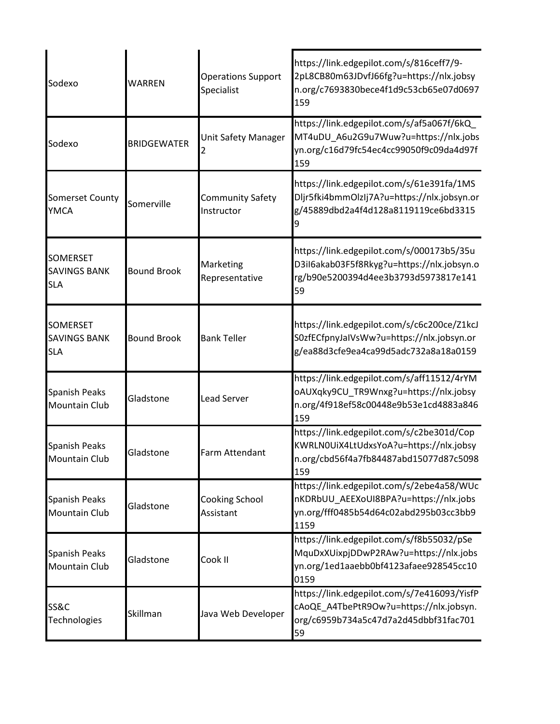| Sodexo                                               | WARREN             | <b>Operations Support</b><br>Specialist | https://link.edgepilot.com/s/816ceff7/9-<br>2pL8CB80m63JDvfJ66fg?u=https://nlx.jobsy<br>n.org/c7693830bece4f1d9c53cb65e07d0697<br>159 |
|------------------------------------------------------|--------------------|-----------------------------------------|---------------------------------------------------------------------------------------------------------------------------------------|
| Sodexo                                               | <b>BRIDGEWATER</b> | Unit Safety Manager                     | https://link.edgepilot.com/s/af5a067f/6kQ<br>MT4uDU_A6u2G9u7Wuw?u=https://nlx.jobs<br>yn.org/c16d79fc54ec4cc99050f9c09da4d97f<br>159  |
| Somerset County<br><b>YMCA</b>                       | Somerville         | Community Safety<br>Instructor          | https://link.edgepilot.com/s/61e391fa/1MS<br>Dljr5fki4bmmOlzIj7A?u=https://nlx.jobsyn.or<br>g/45889dbd2a4f4d128a8119119ce6bd3315      |
| <b>SOMERSET</b><br><b>SAVINGS BANK</b><br><b>SLA</b> | <b>Bound Brook</b> | Marketing<br>Representative             | https://link.edgepilot.com/s/000173b5/35u<br>D3il6akab03F5f8Rkyg?u=https://nlx.jobsyn.o<br>rg/b90e5200394d4ee3b3793d5973817e141<br>59 |
| <b>SOMERSET</b><br><b>SAVINGS BANK</b><br><b>SLA</b> | <b>Bound Brook</b> | <b>Bank Teller</b>                      | https://link.edgepilot.com/s/c6c200ce/Z1kcJ<br>S0zfECfpnyJaIVsWw?u=https://nlx.jobsyn.or<br>g/ea88d3cfe9ea4ca99d5adc732a8a18a0159     |
| <b>Spanish Peaks</b><br><b>Mountain Club</b>         | Gladstone          | <b>Lead Server</b>                      | https://link.edgepilot.com/s/aff11512/4rYM<br>oAUXqky9CU_TR9Wnxg?u=https://nlx.jobsy<br>n.org/4f918ef58c00448e9b53e1cd4883a846<br>159 |
| <b>Spanish Peaks</b><br><b>Mountain Club</b>         | Gladstone          | Farm Attendant                          | https://link.edgepilot.com/s/c2be301d/Cop<br>KWRLN0UiX4LtUdxsYoA?u=https://nlx.jobsy<br>n.org/cbd56f4a7fb84487abd15077d87c5098<br>159 |
| <b>Spanish Peaks</b><br><b>Mountain Club</b>         | Gladstone          | Cooking School<br>Assistant             | https://link.edgepilot.com/s/2ebe4a58/WUc<br>nKDRbUU_AEEXoUI8BPA?u=https://nlx.jobs<br>yn.org/fff0485b54d64c02abd295b03cc3bb9<br>1159 |
| <b>Spanish Peaks</b><br><b>Mountain Club</b>         | Gladstone          | Cook II                                 | https://link.edgepilot.com/s/f8b55032/pSe<br>MquDxXUixpjDDwP2RAw?u=https://nlx.jobs<br>yn.org/1ed1aaebb0bf4123afaee928545cc10<br>0159 |
| <b>SS&amp;C</b><br><b>Technologies</b>               | Skillman           | Java Web Developer                      | https://link.edgepilot.com/s/7e416093/YisfP<br>cAoQE A4TbePtR9Ow?u=https://nlx.jobsyn.<br>org/c6959b734a5c47d7a2d45dbbf31fac701<br>59 |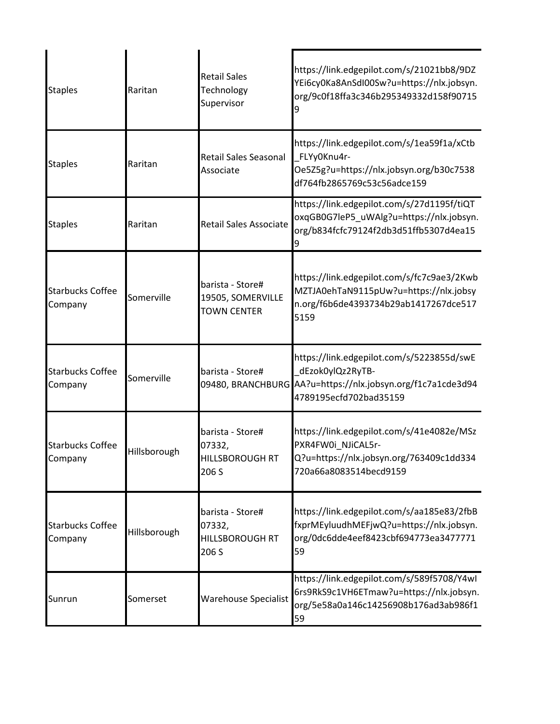| <b>Staples</b>                     | Raritan      | <b>Retail Sales</b><br>Technology<br>Supervisor               | https://link.edgepilot.com/s/21021bb8/9DZ<br>YEi6cy0Ka8AnSdI00Sw?u=https://nlx.jobsyn.<br>org/9c0f18ffa3c346b295349332d158f90715                       |
|------------------------------------|--------------|---------------------------------------------------------------|--------------------------------------------------------------------------------------------------------------------------------------------------------|
| <b>Staples</b>                     | Raritan      | Retail Sales Seasonal<br>Associate                            | https://link.edgepilot.com/s/1ea59f1a/xCtb<br>FLYy0Knu4r-<br>Oe5Z5g?u=https://nlx.jobsyn.org/b30c7538<br>df764fb2865769c53c56adce159                   |
| <b>Staples</b>                     | Raritan      | <b>Retail Sales Associate</b>                                 | https://link.edgepilot.com/s/27d1195f/tiQT<br>oxqGB0G7leP5_uWAlg?u=https://nlx.jobsyn.<br>org/b834fcfc79124f2db3d51ffb5307d4ea15                       |
| <b>Starbucks Coffee</b><br>Company | Somerville   | barista - Store#<br>19505, SOMERVILLE<br><b>TOWN CENTER</b>   | https://link.edgepilot.com/s/fc7c9ae3/2Kwb<br>MZTJA0ehTaN9115pUw?u=https://nlx.jobsy<br>n.org/f6b6de4393734b29ab1417267dce517<br>5159                  |
| <b>Starbucks Coffee</b><br>Company | Somerville   | barista - Store#                                              | https://link.edgepilot.com/s/5223855d/swE<br>dEzok0ylQz2RyTB-<br>09480, BRANCHBURG AA?u=https://nlx.jobsyn.org/f1c7a1cde3d94<br>4789195ecfd702bad35159 |
| <b>Starbucks Coffee</b><br>Company | Hillsborough | barista - Store#<br>07332,<br><b>HILLSBOROUGH RT</b><br>206 S | https://link.edgepilot.com/s/41e4082e/MSz<br>PXR4FW0i NJiCAL5r-<br>Q?u=https://nlx.jobsyn.org/763409c1dd334<br>720a66a8083514becd9159                  |
| <b>Starbucks Coffee</b><br>Company | Hillsborough | barista - Store#<br>07332,<br><b>HILLSBOROUGH RT</b><br>206 S | https://link.edgepilot.com/s/aa185e83/2fbB<br>fxprMEyluudhMEFjwQ?u=https://nlx.jobsyn.<br>org/0dc6dde4eef8423cbf694773ea3477771<br>59                  |
| Sunrun                             | Somerset     | Warehouse Specialist                                          | https://link.edgepilot.com/s/589f5708/Y4wl<br>6rs9RkS9c1VH6ETmaw?u=https://nlx.jobsyn.<br>org/5e58a0a146c14256908b176ad3ab986f1<br>59                  |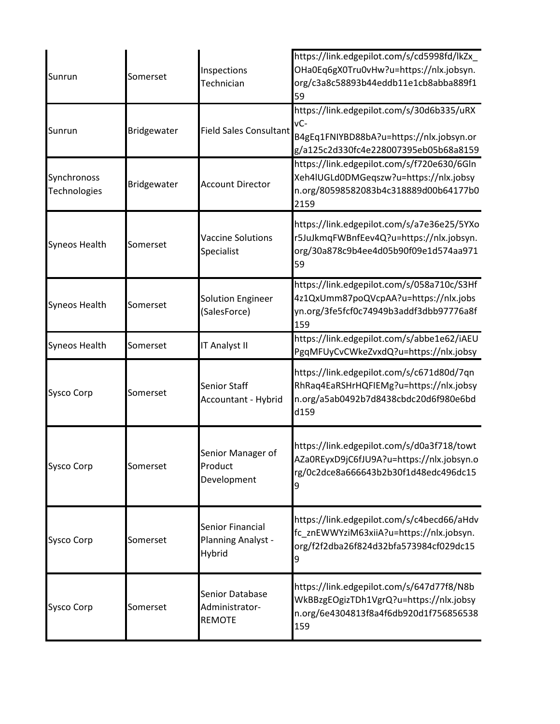| Sunrun                      | Somerset    | Inspections<br>Technician                          | https://link.edgepilot.com/s/cd5998fd/lkZx_<br>OHa0Eq6gX0Tru0vHw?u=https://nlx.jobsyn.<br>org/c3a8c58893b44eddb11e1cb8abba889f1<br>59   |
|-----------------------------|-------------|----------------------------------------------------|-----------------------------------------------------------------------------------------------------------------------------------------|
| Sunrun                      | Bridgewater | <b>Field Sales Consultant</b>                      | https://link.edgepilot.com/s/30d6b335/uRX<br>$VC-$<br>B4gEq1FNIYBD88bA?u=https://nlx.jobsyn.or<br>g/a125c2d330fc4e228007395eb05b68a8159 |
| Synchronoss<br>Technologies | Bridgewater | <b>Account Director</b>                            | https://link.edgepilot.com/s/f720e630/6Gln<br>Xeh4lUGLd0DMGeqszw?u=https://nlx.jobsy<br>n.org/80598582083b4c318889d00b64177b0<br>2159   |
| <b>Syneos Health</b>        | Somerset    | <b>Vaccine Solutions</b><br>Specialist             | https://link.edgepilot.com/s/a7e36e25/5YXo<br>r5JuJkmqFWBnfEev4Q?u=https://nlx.jobsyn.<br>org/30a878c9b4ee4d05b90f09e1d574aa971<br>59   |
| <b>Syneos Health</b>        | Somerset    | <b>Solution Engineer</b><br>(SalesForce)           | https://link.edgepilot.com/s/058a710c/S3Hf<br>4z1QxUmm87poQVcpAA?u=https://nlx.jobs<br>yn.org/3fe5fcf0c74949b3addf3dbb97776a8f<br>159   |
| <b>Syneos Health</b>        | Somerset    | IT Analyst II                                      | https://link.edgepilot.com/s/abbe1e62/iAEU<br>PgqMFUyCvCWkeZvxdQ?u=https://nlx.jobsy                                                    |
| <b>Sysco Corp</b>           | Somerset    | <b>Senior Staff</b><br>Accountant - Hybrid         | https://link.edgepilot.com/s/c671d80d/7qn<br>RhRaq4EaRSHrHQFIEMg?u=https://nlx.jobsy<br>n.org/a5ab0492b7d8438cbdc20d6f980e6bd<br>d159   |
| <b>Sysco Corp</b>           | Somerset    | Senior Manager of<br>Product<br>Development        | https://link.edgepilot.com/s/d0a3f718/towt<br>AZa0REyxD9jC6fJU9A?u=https://nlx.jobsyn.o<br>rg/0c2dce8a666643b2b30f1d48edc496dc15<br>9   |
| <b>Sysco Corp</b>           | Somerset    | Senior Financial<br>Planning Analyst -<br>Hybrid   | https://link.edgepilot.com/s/c4becd66/aHdv<br>fc_znEWWYziM63xiiA?u=https://nlx.jobsyn.<br>org/f2f2dba26f824d32bfa573984cf029dc15        |
| <b>Sysco Corp</b>           | Somerset    | Senior Database<br>Administrator-<br><b>REMOTE</b> | https://link.edgepilot.com/s/647d77f8/N8b<br>WkBBzgEOgizTDh1VgrQ?u=https://nlx.jobsy<br>n.org/6e4304813f8a4f6db920d1f756856538<br>159   |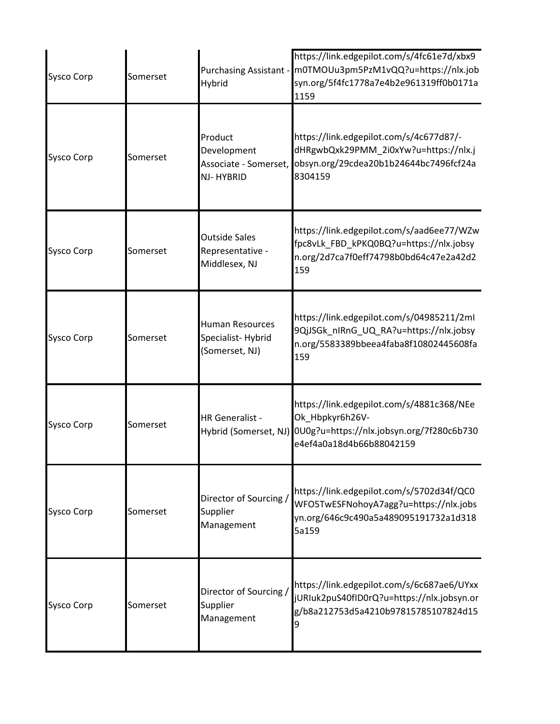| <b>Sysco Corp</b> | Somerset | Hybrid                                                        | https://link.edgepilot.com/s/4fc61e7d/xbx9<br>Purchasing Assistant - m0TMOUu3pm5PzM1vQQ?u=https://nlx.job<br>syn.org/5f4fc1778a7e4b2e961319ff0b0171a<br>1159 |
|-------------------|----------|---------------------------------------------------------------|--------------------------------------------------------------------------------------------------------------------------------------------------------------|
| <b>Sysco Corp</b> | Somerset | Product<br>Development<br>Associate - Somerset,<br>NJ-HYBRID  | https://link.edgepilot.com/s/4c677d87/-<br>dHRgwbQxk29PMM_2i0xYw?u=https://nlx.j<br>obsyn.org/29cdea20b1b24644bc7496fcf24a<br>8304159                        |
| <b>Sysco Corp</b> | Somerset | <b>Outside Sales</b><br>Representative -<br>Middlesex, NJ     | https://link.edgepilot.com/s/aad6ee77/WZw<br>fpc8vLk_FBD_kPKQ0BQ?u=https://nlx.jobsy<br>n.org/2d7ca7f0eff74798b0bd64c47e2a42d2<br>159                        |
| <b>Sysco Corp</b> | Somerset | <b>Human Resources</b><br>Specialist-Hybrid<br>(Somerset, NJ) | https://link.edgepilot.com/s/04985211/2ml<br>9QjJSGk_nIRnG_UQ_RA?u=https://nlx.jobsy<br>n.org/5583389bbeea4faba8f10802445608fa<br>159                        |
| <b>Sysco Corp</b> | Somerset | HR Generalist -                                               | https://link.edgepilot.com/s/4881c368/NEe<br>Ok_Hbpkyr6h26V-<br>Hybrid (Somerset, NJ) 0U0g?u=https://nlx.jobsyn.org/7f280c6b730<br>e4ef4a0a18d4b66b88042159  |
| <b>Sysco Corp</b> | Somerset | Director of Sourcing /<br>Supplier<br>Management              | https://link.edgepilot.com/s/5702d34f/QC0<br>WFO5TwESFNohoyA7agg?u=https://nlx.jobs<br>yn.org/646c9c490a5a489095191732a1d318<br>5a159                        |
| <b>Sysco Corp</b> | Somerset | Director of Sourcing /<br>Supplier<br>Management              | https://link.edgepilot.com/s/6c687ae6/UYxx<br>jURIuk2puS40fID0rQ?u=https://nlx.jobsyn.or<br>g/b8a212753d5a4210b97815785107824d15<br>9                        |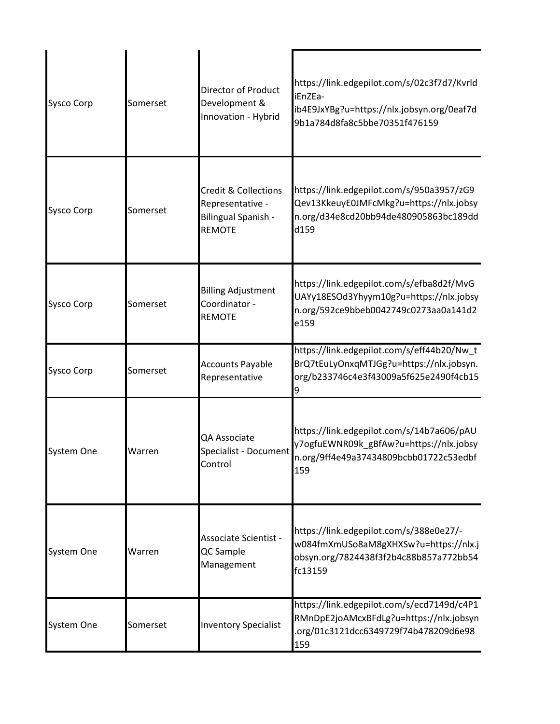| <b>Sysco Corp</b> | Somerset | <b>Director of Product</b><br>Development &<br>Innovation - Hybrid                                 | https://link.edgepilot.com/s/02c3f7d7/Kvrld<br>iEnZEa-<br>ib4E9JxYBg?u=https://nlx.jobsyn.org/0eaf7d<br>9b1a784d8fa8c5bbe70351f476159 |
|-------------------|----------|----------------------------------------------------------------------------------------------------|---------------------------------------------------------------------------------------------------------------------------------------|
| Sysco Corp        | Somerset | <b>Credit &amp; Collections</b><br>Representative -<br><b>Bilingual Spanish -</b><br><b>REMOTE</b> | https://link.edgepilot.com/s/950a3957/zG9<br>Qev13KkeuyE0JMFcMkg?u=https://nlx.jobsy<br>n.org/d34e8cd20bb94de480905863bc189dd<br>d159 |
| <b>Sysco Corp</b> | Somerset | <b>Billing Adjustment</b><br>Coordinator -<br><b>REMOTE</b>                                        | https://link.edgepilot.com/s/efba8d2f/MvG<br>UAYy18ESOd3Yhyym10g?u=https://nlx.jobsy<br>n.org/592ce9bbeb0042749c0273aa0a141d2<br>e159 |
| Sysco Corp        | Somerset | <b>Accounts Payable</b><br>Representative                                                          | https://link.edgepilot.com/s/eff44b20/Nw_t<br>BrQ7tEuLyOnxqMTJGg?u=https://nlx.jobsyn.<br>org/b233746c4e3f43009a5f625e2490f4cb15      |
| <b>System One</b> | Warren   | QA Associate<br>Specialist - Document<br>Control                                                   | https://link.edgepilot.com/s/14b7a606/pAU<br>y7ogfuEWNR09k_gBfAw?u=https://nlx.jobsy<br>n.org/9ff4e49a37434809bcbb01722c53edbf<br>159 |
| System One        | Warren   | Associate Scientist -<br>QC Sample<br>Management                                                   | https://link.edgepilot.com/s/388e0e27/-<br>w084fmXmUSo8aM8gXHXSw?u=https://nlx.j<br>obsyn.org/7824438f3f2b4c88b857a772bb54<br>fc13159 |
| System One        | Somerset | <b>Inventory Specialist</b>                                                                        | https://link.edgepilot.com/s/ecd7149d/c4P1<br>RMnDpE2joAMcxBFdLg?u=https://nlx.jobsyn<br>org/01c3121dcc6349729f74b478209d6e98<br>159  |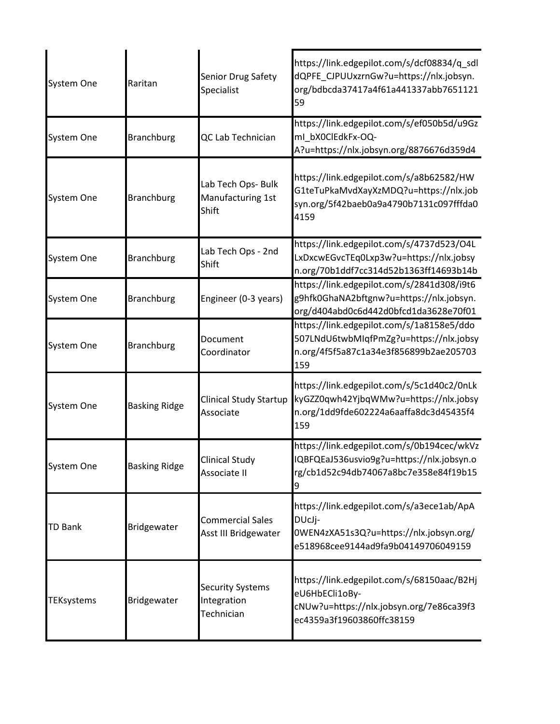| System One        | Raritan              | Senior Drug Safety<br>Specialist                     | https://link.edgepilot.com/s/dcf08834/q_sdl<br>dQPFE_CJPUUxzrnGw?u=https://nlx.jobsyn.<br>org/bdbcda37417a4f61a441337abb7651121<br>59 |
|-------------------|----------------------|------------------------------------------------------|---------------------------------------------------------------------------------------------------------------------------------------|
| System One        | <b>Branchburg</b>    | QC Lab Technician                                    | https://link.edgepilot.com/s/ef050b5d/u9Gz<br>ml_bX0ClEdkFx-OQ-<br>A?u=https://nlx.jobsyn.org/8876676d359d4                           |
| System One        | <b>Branchburg</b>    | Lab Tech Ops- Bulk<br>Manufacturing 1st<br>Shift     | https://link.edgepilot.com/s/a8b62582/HW<br>G1teTuPkaMvdXayXzMDQ?u=https://nlx.job<br>syn.org/5f42baeb0a9a4790b7131c097fffda0<br>4159 |
| System One        | <b>Branchburg</b>    | Lab Tech Ops - 2nd<br>Shift                          | https://link.edgepilot.com/s/4737d523/O4L<br>LxDxcwEGvcTEq0Lxp3w?u=https://nlx.jobsy<br>n.org/70b1ddf7cc314d52b1363ff14693b14b        |
| System One        | <b>Branchburg</b>    | Engineer (0-3 years)                                 | https://link.edgepilot.com/s/2841d308/i9t6<br>g9hfk0GhaNA2bftgnw?u=https://nlx.jobsyn.<br>org/d404abd0c6d442d0bfcd1da3628e70f01       |
| System One        | <b>Branchburg</b>    | Document<br>Coordinator                              | https://link.edgepilot.com/s/1a8158e5/ddo<br>507LNdU6twbMIqfPmZg?u=https://nlx.jobsy<br>n.org/4f5f5a87c1a34e3f856899b2ae205703<br>159 |
| System One        | <b>Basking Ridge</b> | <b>Clinical Study Startup</b><br>Associate           | https://link.edgepilot.com/s/5c1d40c2/0nLk<br>kyGZZ0qwh42YjbqWMw?u=https://nlx.jobsy<br>n.org/1dd9fde602224a6aaffa8dc3d45435f4<br>159 |
| System One        | <b>Basking Ridge</b> | <b>Clinical Study</b><br>Associate II                | https://link.edgepilot.com/s/0b194cec/wkVz<br>IQBFQEaJ536usvio9g?u=https://nlx.jobsyn.o<br>rg/cb1d52c94db74067a8bc7e358e84f19b15<br>9 |
| <b>TD Bank</b>    | Bridgewater          | <b>Commercial Sales</b><br>Asst III Bridgewater      | https://link.edgepilot.com/s/a3ece1ab/ApA<br>DUcJi-<br>0WEN4zXA51s3Q?u=https://nlx.jobsyn.org/<br>e518968cee9144ad9fa9b04149706049159 |
| <b>TEKsystems</b> | Bridgewater          | <b>Security Systems</b><br>Integration<br>Technician | https://link.edgepilot.com/s/68150aac/B2Hj<br>eU6HbECli1oBy-<br>cNUw?u=https://nlx.jobsyn.org/7e86ca39f3<br>ec4359a3f19603860ffc38159 |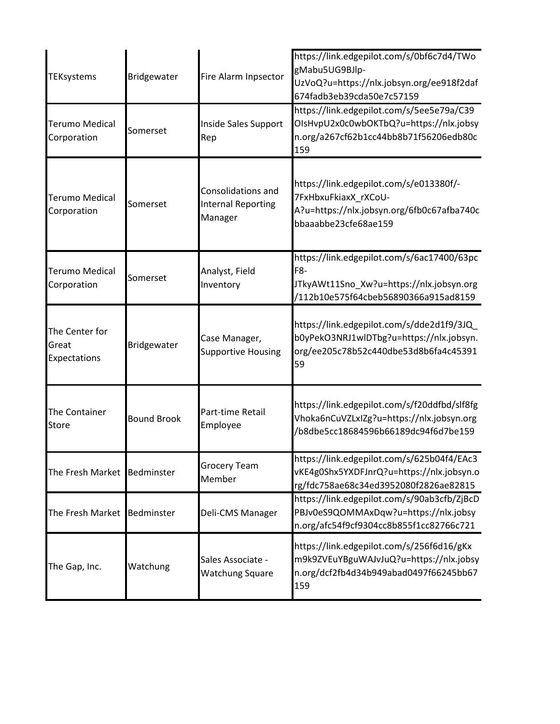| <b>TEKsystems</b>                       | Bridgewater        | Fire Alarm Inpsector                                       | https://link.edgepilot.com/s/0bf6c7d4/TWo<br>gMabu5UG9BJlp-<br>UzVoQ?u=https://nlx.jobsyn.org/ee918f2daf<br>674fadb3eb39cda50e7c57159 |
|-----------------------------------------|--------------------|------------------------------------------------------------|---------------------------------------------------------------------------------------------------------------------------------------|
| <b>Terumo Medical</b><br>Corporation    | Somerset           | Inside Sales Support<br>Rep                                | https://link.edgepilot.com/s/5ee5e79a/C39<br>OIsHvpU2x0c0wbOKTbQ?u=https://nlx.jobsy<br>n.org/a267cf62b1cc44bb8b71f56206edb80c<br>159 |
| <b>Terumo Medical</b><br>Corporation    | Somerset           | Consolidations and<br><b>Internal Reporting</b><br>Manager | https://link.edgepilot.com/s/e013380f/-<br>7FxHbxuFkiaxX_rXCoU-<br>A?u=https://nlx.jobsyn.org/6fb0c67afba740c<br>bbaaabbe23cfe68ae159 |
| <b>Terumo Medical</b><br>Corporation    | Somerset           | Analyst, Field<br>Inventory                                | https://link.edgepilot.com/s/6ac17400/63pc<br>F8-<br>JTkyAWt11Sno_Xw?u=https://nlx.jobsyn.org<br>/112b10e575f64cbeb56890366a915ad8159 |
| The Center for<br>Great<br>Expectations | Bridgewater        | Case Manager,<br><b>Supportive Housing</b>                 | https://link.edgepilot.com/s/dde2d1f9/3JQ<br>b0yPekO3NRJ1wlDTbg?u=https://nlx.jobsyn.<br>org/ee205c78b52c440dbe53d8b6fa4c45391<br>59  |
| The Container<br><b>Store</b>           | <b>Bound Brook</b> | Part-time Retail<br>Employee                               | https://link.edgepilot.com/s/f20ddfbd/slf8fg<br>Vhoka6nCuVZLxIZg?u=https://nlx.jobsyn.org<br>/b8dbe5cc18684596b66189dc94f6d7be159     |
| The Fresh Market Bedminster             |                    | <b>Grocery Team</b><br>Member                              | https://link.edgepilot.com/s/625b04f4/EAc3<br>vKE4g0Shx5YXDFJnrQ?u=https://nlx.jobsyn.o<br>rg/fdc758ae68c34ed3952080f2826ae82815      |
| The Fresh Market Bedminster             |                    | Deli-CMS Manager                                           | https://link.edgepilot.com/s/90ab3cfb/ZjBcD<br>PBJv0eS9QOMMAxDqw?u=https://nlx.jobsy<br>n.org/afc54f9cf9304cc8b855f1cc82766c721       |
| The Gap, Inc.                           | Watchung           | Sales Associate -<br><b>Watchung Square</b>                | https://link.edgepilot.com/s/256f6d16/gKx<br>m9k9ZVEuYBguWAJvJuQ?u=https://nlx.jobsy<br>n.org/dcf2fb4d34b949abad0497f66245bb67<br>159 |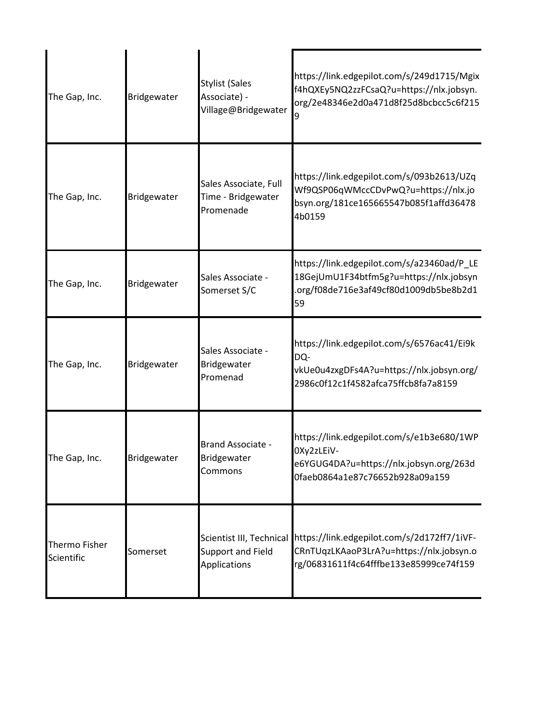| The Gap, Inc.               | Bridgewater | <b>Stylist (Sales</b><br>Associate) -<br>Village@Bridgewater  | https://link.edgepilot.com/s/249d1715/Mgix<br>f4hQXEy5NQ2zzFCsaQ?u=https://nlx.jobsyn.<br>org/2e48346e2d0a471d8f25d8bcbcc5c6f215      |
|-----------------------------|-------------|---------------------------------------------------------------|---------------------------------------------------------------------------------------------------------------------------------------|
| The Gap, Inc.               | Bridgewater | Sales Associate, Full<br>Time - Bridgewater<br>Promenade      | https://link.edgepilot.com/s/093b2613/UZq<br>Wf9QSP06qWMccCDvPwQ?u=https://nlx.jo<br>bsyn.org/181ce165665547b085f1affd36478<br>4b0159 |
| The Gap, Inc.               | Bridgewater | Sales Associate -<br>Somerset S/C                             | https://link.edgepilot.com/s/a23460ad/P_LE<br>18GejUmU1F34btfm5g?u=https://nlx.jobsyn<br>.org/f08de716e3af49cf80d1009db5be8b2d1<br>59 |
| The Gap, Inc.               | Bridgewater | Sales Associate -<br>Bridgewater<br>Promenad                  | https://link.edgepilot.com/s/6576ac41/Ei9k<br>DQ-<br>vkUe0u4zxgDFs4A?u=https://nlx.jobsyn.org/<br>2986c0f12c1f4582afca75ffcb8fa7a8159 |
| The Gap, Inc.               | Bridgewater | <b>Brand Associate -</b><br>Bridgewater<br>Commons            | https://link.edgepilot.com/s/e1b3e680/1WP<br>OXy2zLEiV-<br>e6YGUG4DA?u=https://nlx.jobsyn.org/263d<br>0faeb0864a1e87c76652b928a09a159 |
| Thermo Fisher<br>Scientific | Somerset    | Scientist III, Technical<br>Support and Field<br>Applications | https://link.edgepilot.com/s/2d172ff7/1iVF-<br>CRnTUqzLKAaoP3LrA?u=https://nlx.jobsyn.o<br>rg/06831611f4c64fffbe133e85999ce74f159     |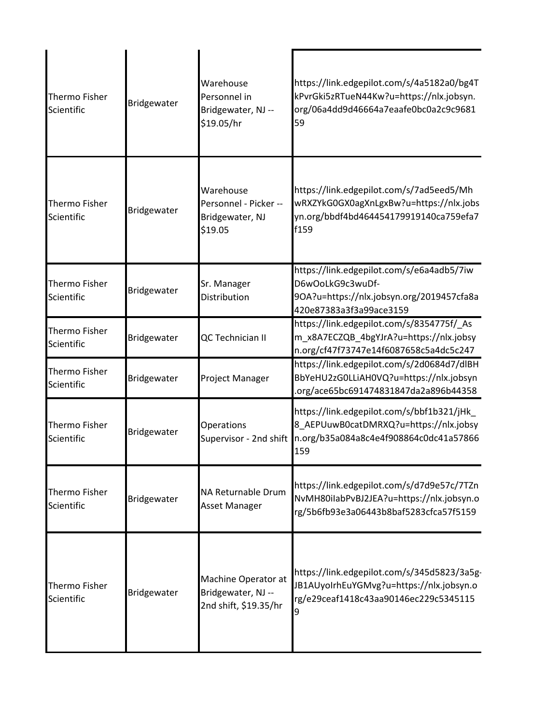| Thermo Fisher<br>Scientific        | Bridgewater | Warehouse<br>Personnel in<br>Bridgewater, NJ --<br>\$19.05/hr      | https://link.edgepilot.com/s/4a5182a0/bg4T<br>kPvrGki5zRTueN44Kw?u=https://nlx.jobsyn.<br>org/06a4dd9d46664a7eaafe0bc0a2c9c9681<br>59 |
|------------------------------------|-------------|--------------------------------------------------------------------|---------------------------------------------------------------------------------------------------------------------------------------|
| <b>Thermo Fisher</b><br>Scientific | Bridgewater | Warehouse<br>Personnel - Picker --<br>Bridgewater, NJ<br>\$19.05   | https://link.edgepilot.com/s/7ad5eed5/Mh<br>wRXZYkG0GX0agXnLgxBw?u=https://nlx.jobs<br>yn.org/bbdf4bd464454179919140ca759efa7<br>f159 |
| <b>Thermo Fisher</b><br>Scientific | Bridgewater | Sr. Manager<br>Distribution                                        | https://link.edgepilot.com/s/e6a4adb5/7iw<br>D6wOoLkG9c3wuDf-<br>9OA?u=https://nlx.jobsyn.org/2019457cfa8a<br>420e87383a3f3a99ace3159 |
| Thermo Fisher<br>Scientific        | Bridgewater | QC Technician II                                                   | https://link.edgepilot.com/s/8354775f/_As<br>m_x8A7ECZQB_4bgYJrA?u=https://nlx.jobsy<br>n.org/cf47f73747e14f6087658c5a4dc5c247        |
| <b>Thermo Fisher</b><br>Scientific | Bridgewater | Project Manager                                                    | https://link.edgepilot.com/s/2d0684d7/dlBH<br>BbYeHU2zG0LLiAH0VQ?u=https://nlx.jobsyn<br>.org/ace65bc691474831847da2a896b44358        |
| <b>Thermo Fisher</b><br>Scientific | Bridgewater | Operations<br>Supervisor - 2nd shift                               | https://link.edgepilot.com/s/bbf1b321/jHk_<br>8 AEPUuwB0catDMRXQ?u=https://nlx.jobsy<br>n.org/b35a084a8c4e4f908864c0dc41a57866<br>159 |
| Thermo Fisher<br>Scientific        | Bridgewater | NA Returnable Drum<br>Asset Manager                                | https://link.edgepilot.com/s/d7d9e57c/7TZn<br>NvMH80ilabPvBJ2JEA?u=https://nlx.jobsyn.o<br>rg/5b6fb93e3a06443b8baf5283cfca57f5159     |
| Thermo Fisher<br>Scientific        | Bridgewater | Machine Operator at<br>Bridgewater, NJ --<br>2nd shift, \$19.35/hr | https://link.edgepilot.com/s/345d5823/3a5g-<br>JB1AUyoIrhEuYGMvg?u=https://nlx.jobsyn.o<br>rg/e29ceaf1418c43aa90146ec229c5345115<br>9 |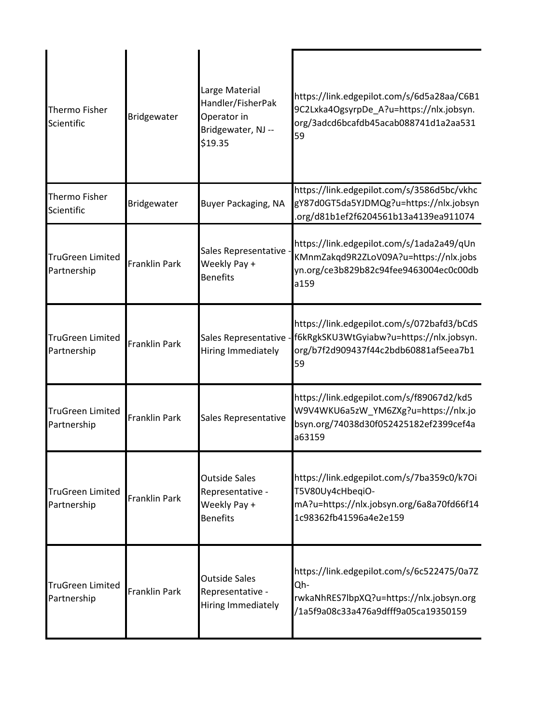| <b>Thermo Fisher</b><br>Scientific     | Bridgewater          | Large Material<br>Handler/FisherPak<br>Operator in<br>Bridgewater, NJ --<br>\$19.35 | https://link.edgepilot.com/s/6d5a28aa/C6B1<br>9C2Lxka4OgsyrpDe_A?u=https://nlx.jobsyn.<br>org/3adcd6bcafdb45acab088741d1a2aa531<br>59 |
|----------------------------------------|----------------------|-------------------------------------------------------------------------------------|---------------------------------------------------------------------------------------------------------------------------------------|
| Thermo Fisher<br>Scientific            | Bridgewater          | <b>Buyer Packaging, NA</b>                                                          | https://link.edgepilot.com/s/3586d5bc/vkhc<br>gY87d0GT5da5YJDMQg?u=https://nlx.jobsyn<br>.org/d81b1ef2f6204561b13a4139ea911074        |
| <b>TruGreen Limited</b><br>Partnership | <b>Franklin Park</b> | Sales Representative<br>Weekly Pay +<br><b>Benefits</b>                             | https://link.edgepilot.com/s/1ada2a49/qUn<br>KMnmZakqd9R2ZLoV09A?u=https://nlx.jobs<br>yn.org/ce3b829b82c94fee9463004ec0c00db<br>a159 |
| <b>TruGreen Limited</b><br>Partnership | <b>Franklin Park</b> | Sales Representative<br>Hiring Immediately                                          | https://link.edgepilot.com/s/072bafd3/bCdS<br>f6kRgkSKU3WtGyiabw?u=https://nlx.jobsyn.<br>org/b7f2d909437f44c2bdb60881af5eea7b1<br>59 |
| <b>TruGreen Limited</b><br>Partnership | <b>Franklin Park</b> | Sales Representative                                                                | https://link.edgepilot.com/s/f89067d2/kd5<br>W9V4WKU6a5zW_YM6ZXg?u=https://nlx.jo<br>bsyn.org/74038d30f052425182ef2399cef4a<br>a63159 |
| <b>TruGreen Limited</b><br>Partnership | <b>Franklin Park</b> | <b>Outside Sales</b><br>Representative -<br>Weekly Pay +<br><b>Benefits</b>         | https://link.edgepilot.com/s/7ba359c0/k7Oi<br>T5V80Uy4cHbeqiO-<br>mA?u=https://nlx.jobsyn.org/6a8a70fd66f14<br>1c98362fb41596a4e2e159 |
| <b>TruGreen Limited</b><br>Partnership | <b>Franklin Park</b> | <b>Outside Sales</b><br>Representative -<br>Hiring Immediately                      | https://link.edgepilot.com/s/6c522475/0a7Z<br>Qh-<br>rwkaNhRES7lbpXQ?u=https://nlx.jobsyn.org<br>/1a5f9a08c33a476a9dfff9a05ca19350159 |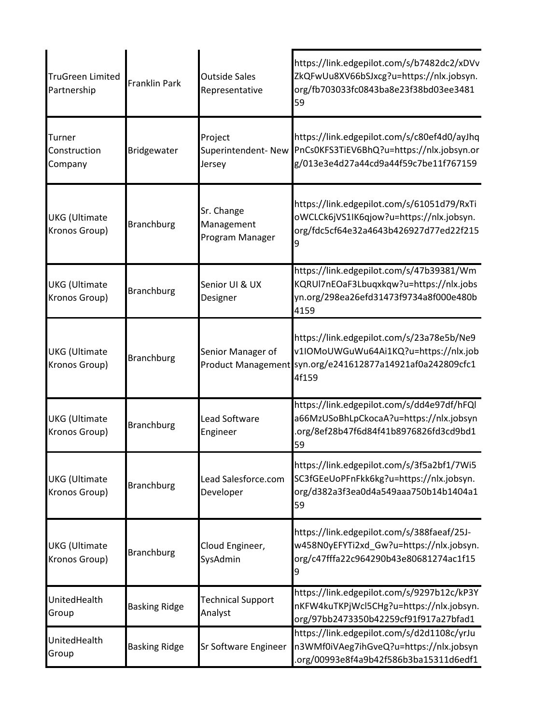| <b>TruGreen Limited</b><br>Partnership | <b>Franklin Park</b> | <b>Outside Sales</b><br>Representative      | https://link.edgepilot.com/s/b7482dc2/xDVv<br>ZkQFwUu8XV66bSJxcg?u=https://nlx.jobsyn.<br>org/fb703033fc0843ba8e23f38bd03ee3481<br>59                    |
|----------------------------------------|----------------------|---------------------------------------------|----------------------------------------------------------------------------------------------------------------------------------------------------------|
| Turner<br>Construction<br>Company      | Bridgewater          | Project<br>Superintendent-New<br>Jersey     | https://link.edgepilot.com/s/c80ef4d0/ayJhq<br>PnCs0KFS3TiEV6BhQ?u=https://nlx.jobsyn.or<br>g/013e3e4d27a44cd9a44f59c7be11f767159                        |
| <b>UKG</b> (Ultimate<br>Kronos Group)  | <b>Branchburg</b>    | Sr. Change<br>Management<br>Program Manager | https://link.edgepilot.com/s/61051d79/RxTi<br>oWCLCk6jVS1IK6qjow?u=https://nlx.jobsyn.<br>org/fdc5cf64e32a4643b426927d77ed22f215<br>9                    |
| <b>UKG</b> (Ultimate<br>Kronos Group)  | <b>Branchburg</b>    | Senior UI & UX<br>Designer                  | https://link.edgepilot.com/s/47b39381/Wm<br>KQRUI7nEOaF3Lbuqxkqw?u=https://nlx.jobs<br>yn.org/298ea26efd31473f9734a8f000e480b<br>4159                    |
| <b>UKG</b> (Ultimate<br>Kronos Group)  | <b>Branchburg</b>    | Senior Manager of                           | https://link.edgepilot.com/s/23a78e5b/Ne9<br>v1IOMoUWGuWu64Ai1KQ?u=https://nlx.job<br>Product Management syn.org/e241612877a14921af0a242809cfc1<br>4f159 |
| <b>UKG</b> (Ultimate<br>Kronos Group)  | <b>Branchburg</b>    | Lead Software<br>Engineer                   | https://link.edgepilot.com/s/dd4e97df/hFQl<br>a66MzUSoBhLpCkocaA?u=https://nlx.jobsyn<br>org/8ef28b47f6d84f41b8976826fd3cd9bd1<br>59                     |
| <b>UKG</b> (Ultimate<br>Kronos Group)  | <b>Branchburg</b>    | Lead Salesforce.com<br>Developer            | https://link.edgepilot.com/s/3f5a2bf1/7Wi5<br>SC3fGEeUoPFnFkk6kg?u=https://nlx.jobsyn.<br>org/d382a3f3ea0d4a549aaa750b14b1404a1<br>59                    |
| <b>UKG</b> (Ultimate<br>Kronos Group)  | <b>Branchburg</b>    | Cloud Engineer,<br>SysAdmin                 | https://link.edgepilot.com/s/388faeaf/25J-<br>w458N0yEFYTi2xd_Gw?u=https://nlx.jobsyn.<br>org/c47fffa22c964290b43e80681274ac1f15<br>9                    |
| UnitedHealth<br>Group                  | <b>Basking Ridge</b> | <b>Technical Support</b><br>Analyst         | https://link.edgepilot.com/s/9297b12c/kP3Y<br>nKFW4kuTKPjWcl5CHg?u=https://nlx.jobsyn.<br>org/97bb2473350b42259cf91f917a27bfad1                          |
| UnitedHealth<br>Group                  | <b>Basking Ridge</b> | <b>Sr Software Engineer</b>                 | https://link.edgepilot.com/s/d2d1108c/yrJu<br>n3WMf0iVAeg7ihGveQ?u=https://nlx.jobsyn<br>.org/00993e8f4a9b42f586b3ba15311d6edf1                          |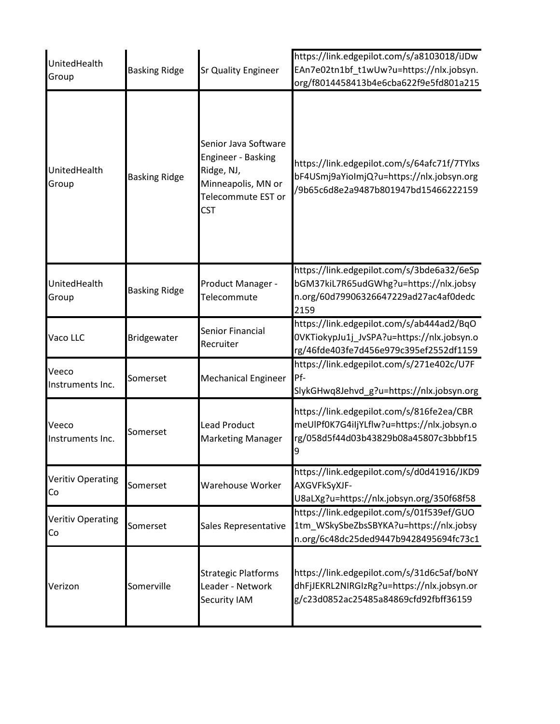| UnitedHealth<br>Group          | <b>Basking Ridge</b> | <b>Sr Quality Engineer</b>                                                                                         | https://link.edgepilot.com/s/a8103018/iJDw<br>EAn7e02tn1bf_t1wUw?u=https://nlx.jobsyn.<br>org/f8014458413b4e6cba622f9e5fd801a215      |
|--------------------------------|----------------------|--------------------------------------------------------------------------------------------------------------------|---------------------------------------------------------------------------------------------------------------------------------------|
| UnitedHealth<br>Group          | <b>Basking Ridge</b> | Senior Java Software<br>Engineer - Basking<br>Ridge, NJ,<br>Minneapolis, MN or<br>Telecommute EST or<br><b>CST</b> | https://link.edgepilot.com/s/64afc71f/7TYlxs<br>bF4USmj9aYioImjQ?u=https://nlx.jobsyn.org<br>/9b65c6d8e2a9487b801947bd15466222159     |
| UnitedHealth<br>Group          | <b>Basking Ridge</b> | Product Manager -<br>Telecommute                                                                                   | https://link.edgepilot.com/s/3bde6a32/6eSp<br>bGM37kiL7R65udGWhg?u=https://nlx.jobsy<br>n.org/60d79906326647229ad27ac4af0dedc<br>2159 |
| Vaco LLC                       | Bridgewater          | Senior Financial<br>Recruiter                                                                                      | https://link.edgepilot.com/s/ab444ad2/BqO<br>0VKTiokypJu1j_JvSPA?u=https://nlx.jobsyn.o<br>rg/46fde403fe7d456e979c395ef2552df1159     |
| Veeco<br>Instruments Inc.      | Somerset             | <b>Mechanical Engineer</b>                                                                                         | https://link.edgepilot.com/s/271e402c/U7F<br>Pf-<br>SlykGHwq8Jehvd_g?u=https://nlx.jobsyn.org                                         |
| Veeco<br>Instruments Inc.      | Somerset             | <b>Lead Product</b><br><b>Marketing Manager</b>                                                                    | https://link.edgepilot.com/s/816fe2ea/CBR<br>meUIPf0K7G4iIjYLflw?u=https://nlx.jobsyn.o<br>rg/058d5f44d03b43829b08a45807c3bbbf15<br>9 |
| <b>Veritiv Operating</b><br>Co | Somerset             | Warehouse Worker                                                                                                   | https://link.edgepilot.com/s/d0d41916/JKD9<br>AXGVFkSyXJF-<br>U8aLXg?u=https://nlx.jobsyn.org/350f68f58                               |
| <b>Veritiv Operating</b><br>Co | Somerset             | Sales Representative                                                                                               | https://link.edgepilot.com/s/01f539ef/GUO<br>1tm_WSkySbeZbsSBYKA?u=https://nlx.jobsy<br>n.org/6c48dc25ded9447b9428495694fc73c1        |
| Verizon                        | Somerville           | <b>Strategic Platforms</b><br>Leader - Network<br>Security IAM                                                     | https://link.edgepilot.com/s/31d6c5af/boNY<br>dhFjJEKRL2NIRGIzRg?u=https://nlx.jobsyn.or<br>g/c23d0852ac25485a84869cfd92fbff36159     |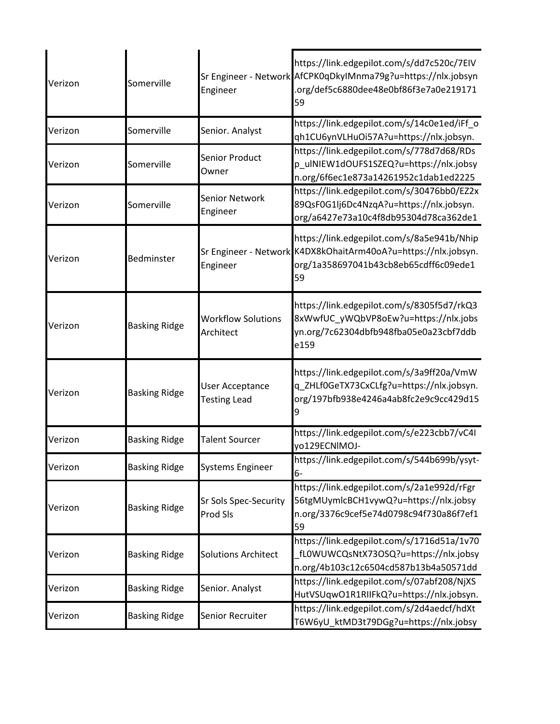| Verizon | Somerville           | Engineer                                      | https://link.edgepilot.com/s/dd7c520c/7EIV<br>Sr Engineer - Network AfCPK0qDkyIMnma79g?u=https://nlx.jobsyn<br>.org/def5c6880dee48e0bf86f3e7a0e219171<br>59 |
|---------|----------------------|-----------------------------------------------|-------------------------------------------------------------------------------------------------------------------------------------------------------------|
| Verizon | Somerville           | Senior. Analyst                               | https://link.edgepilot.com/s/14c0e1ed/iFf_o<br>qh1CU6ynVLHuOi57A?u=https://nlx.jobsyn.                                                                      |
| Verizon | Somerville           | Senior Product<br>Owner                       | https://link.edgepilot.com/s/778d7d68/RDs<br>p ulNIEW1dOUFS1SZEQ?u=https://nlx.jobsy<br>n.org/6f6ec1e873a14261952c1dab1ed2225                               |
| Verizon | Somerville           | <b>Senior Network</b><br>Engineer             | https://link.edgepilot.com/s/30476bb0/EZ2x<br>89QsF0G1lj6Dc4NzqA?u=https://nlx.jobsyn.<br>org/a6427e73a10c4f8db95304d78ca362de1                             |
| Verizon | Bedminster           | Engineer                                      | https://link.edgepilot.com/s/8a5e941b/Nhip<br>Sr Engineer - Network K4DX8kOhaitArm40oA?u=https://nlx.jobsyn.<br>org/1a358697041b43cb8eb65cdff6c09ede1<br>59 |
| Verizon | <b>Basking Ridge</b> | <b>Workflow Solutions</b><br>Architect        | https://link.edgepilot.com/s/8305f5d7/rkQ3<br>8xWwfUC_yWQbVP8oEw?u=https://nlx.jobs<br>yn.org/7c62304dbfb948fba05e0a23cbf7ddb<br>e159                       |
| Verizon | <b>Basking Ridge</b> | <b>User Acceptance</b><br><b>Testing Lead</b> | https://link.edgepilot.com/s/3a9ff20a/VmW<br>q_ZHLf0GeTX73CxCLfg?u=https://nlx.jobsyn.<br>org/197bfb938e4246a4ab8fc2e9c9cc429d15<br>9                       |
| Verizon | <b>Basking Ridge</b> | <b>Talent Sourcer</b>                         | https://link.edgepilot.com/s/e223cbb7/vC4I<br>yo129ECNIMOJ-                                                                                                 |
| Verizon | <b>Basking Ridge</b> | Systems Engineer                              | https://link.edgepilot.com/s/544b699b/ysyt-<br>$6-$                                                                                                         |
| Verizon | <b>Basking Ridge</b> | Sr Sols Spec-Security<br>Prod Sls             | https://link.edgepilot.com/s/2a1e992d/rFgr<br>56tgMUymlcBCH1vywQ?u=https://nlx.jobsy<br>n.org/3376c9cef5e74d0798c94f730a86f7ef1<br>59                       |
| Verizon | <b>Basking Ridge</b> | <b>Solutions Architect</b>                    | https://link.edgepilot.com/s/1716d51a/1v70<br>fL0WUWCQsNtX73OSQ?u=https://nlx.jobsy<br>n.org/4b103c12c6504cd587b13b4a50571dd                                |
| Verizon | <b>Basking Ridge</b> | Senior. Analyst                               | https://link.edgepilot.com/s/07abf208/NjXS<br>HutVSUqwO1R1RIIFkQ?u=https://nlx.jobsyn.                                                                      |
| Verizon | <b>Basking Ridge</b> | Senior Recruiter                              | https://link.edgepilot.com/s/2d4aedcf/hdXt<br>T6W6yU_ktMD3t79DGg?u=https://nlx.jobsy                                                                        |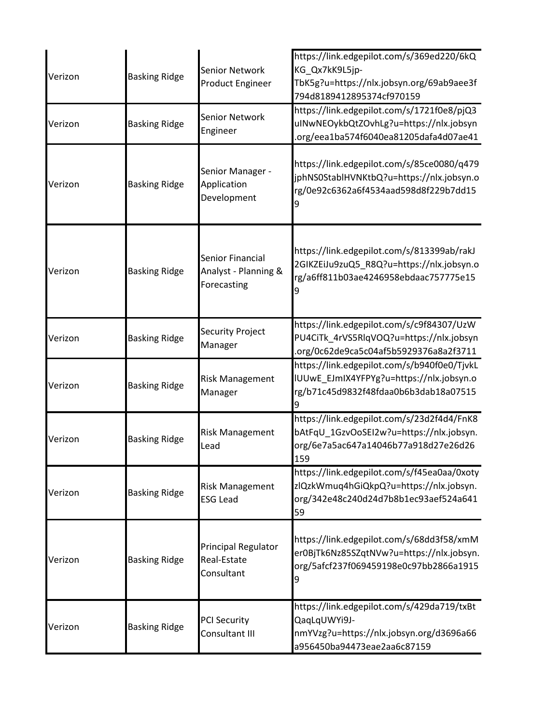| Verizon | <b>Basking Ridge</b> | Senior Network<br><b>Product Engineer</b>               | https://link.edgepilot.com/s/369ed220/6kQ<br>KG_Qx7kK9L5jp-<br>TbK5g?u=https://nlx.jobsyn.org/69ab9aee3f<br>794d8189412895374cf970159 |
|---------|----------------------|---------------------------------------------------------|---------------------------------------------------------------------------------------------------------------------------------------|
| Verizon | <b>Basking Ridge</b> | <b>Senior Network</b><br>Engineer                       | https://link.edgepilot.com/s/1721f0e8/pjQ3<br>uINwNEOykbQtZOvhLg?u=https://nlx.jobsyn<br>.org/eea1ba574f6040ea81205dafa4d07ae41       |
| Verizon | <b>Basking Ridge</b> | Senior Manager -<br>Application<br>Development          | https://link.edgepilot.com/s/85ce0080/q479<br>jphNS0StablHVNKtbQ?u=https://nlx.jobsyn.o<br>rg/0e92c6362a6f4534aad598d8f229b7dd15      |
| Verizon | <b>Basking Ridge</b> | Senior Financial<br>Analyst - Planning &<br>Forecasting | https://link.edgepilot.com/s/813399ab/rakJ<br>2GIKZEiJu9zuQ5_R8Q?u=https://nlx.jobsyn.o<br>rg/a6ff811b03ae4246958ebdaac757775e15<br>9 |
| Verizon | <b>Basking Ridge</b> | Security Project<br>Manager                             | https://link.edgepilot.com/s/c9f84307/UzW<br>PU4CiTk_4rVS5RlqVOQ?u=https://nlx.jobsyn<br>.org/0c62de9ca5c04af5b5929376a8a2f3711       |
| Verizon | <b>Basking Ridge</b> | <b>Risk Management</b><br>Manager                       | https://link.edgepilot.com/s/b940f0e0/TjvkL<br>IUUwE_EJmIX4YFPYg?u=https://nlx.jobsyn.o<br>rg/b71c45d9832f48fdaa0b6b3dab18a07515      |
| Verizon | <b>Basking Ridge</b> | <b>Risk Management</b><br>Lead                          | https://link.edgepilot.com/s/23d2f4d4/FnK8<br>bAtFqU 1GzvOoSEI2w?u=https://nlx.jobsyn.<br>org/6e7a5ac647a14046b77a918d27e26d26<br>159 |
| Verizon | <b>Basking Ridge</b> | <b>Risk Management</b><br><b>ESG Lead</b>               | https://link.edgepilot.com/s/f45ea0aa/0xoty<br>zlQzkWmuq4hGiQkpQ?u=https://nlx.jobsyn.<br>org/342e48c240d24d7b8b1ec93aef524a641<br>59 |
| Verizon | <b>Basking Ridge</b> | Principal Regulator<br>Real-Estate<br>Consultant        | https://link.edgepilot.com/s/68dd3f58/xmM<br>er0BjTk6Nz85SZqtNVw?u=https://nlx.jobsyn.<br>org/5afcf237f069459198e0c97bb2866a1915<br>9 |
| Verizon | <b>Basking Ridge</b> | <b>PCI Security</b><br>Consultant III                   | https://link.edgepilot.com/s/429da719/txBt<br>QaqLqUWYi9J-<br>nmYVzg?u=https://nlx.jobsyn.org/d3696a66<br>a956450ba94473eae2aa6c87159 |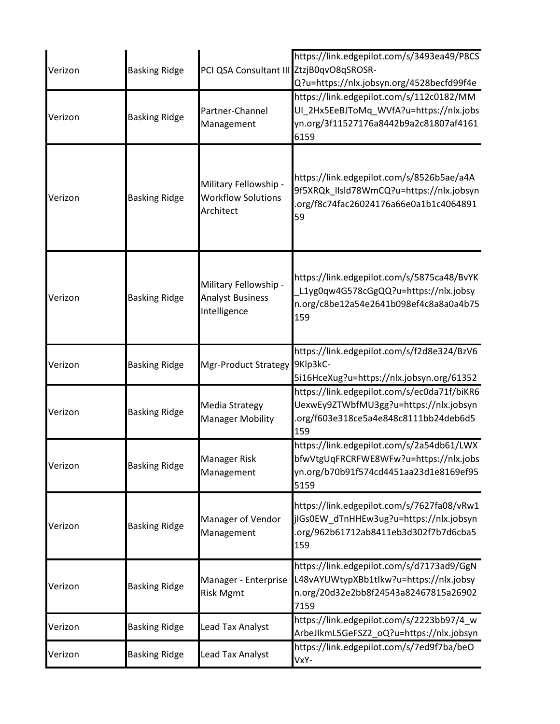| Verizon | <b>Basking Ridge</b> | PCI QSA Consultant III ZtzjB0qvO8qSROSR-                         | https://link.edgepilot.com/s/3493ea49/P8CS<br>Q?u=https://nlx.jobsyn.org/4528becfd99f4e                                               |
|---------|----------------------|------------------------------------------------------------------|---------------------------------------------------------------------------------------------------------------------------------------|
| Verizon | <b>Basking Ridge</b> | Partner-Channel<br>Management                                    | https://link.edgepilot.com/s/112c0182/MM<br>UI 2Hx5EeBJToMq WVfA?u=https://nlx.jobs<br>yn.org/3f11527176a8442b9a2c81807af4161<br>6159 |
| Verizon | <b>Basking Ridge</b> | Military Fellowship -<br><b>Workflow Solutions</b><br>Architect  | https://link.edgepilot.com/s/8526b5ae/a4A<br>9f5XRQk_lIsld78WmCQ?u=https://nlx.jobsyn<br>.org/f8c74fac26024176a66e0a1b1c4064891<br>59 |
| Verizon | <b>Basking Ridge</b> | Military Fellowship -<br><b>Analyst Business</b><br>Intelligence | https://link.edgepilot.com/s/5875ca48/BvYK<br>L1yg0qw4G578cGgQQ?u=https://nlx.jobsy<br>n.org/c8be12a54e2641b098ef4c8a8a0a4b75<br>159  |
| Verizon | <b>Basking Ridge</b> | Mgr-Product Strategy                                             | https://link.edgepilot.com/s/f2d8e324/BzV6<br>9Klp3kC-<br>5i16HceXug?u=https://nlx.jobsyn.org/61352                                   |
| Verizon | <b>Basking Ridge</b> | Media Strategy<br><b>Manager Mobility</b>                        | https://link.edgepilot.com/s/ec0da71f/biKR6<br>UexwEy9ZTWbfMU3gg?u=https://nlx.jobsyn<br>org/f603e318ce5a4e848c8111bb24deb6d5<br>159  |
| Verizon | <b>Basking Ridge</b> | <b>Manager Risk</b><br>Management                                | https://link.edgepilot.com/s/2a54db61/LWX<br>bfwVtgUqFRCRFWE8WFw?u=https://nlx.jobs<br>yn.org/b70b91f574cd4451aa23d1e8169ef95<br>5159 |
| Verizon | <b>Basking Ridge</b> | Manager of Vendor<br>Management                                  | https://link.edgepilot.com/s/7627fa08/vRw1<br>jIGs0EW dTnHHEw3ug?u=https://nlx.jobsyn<br>org/962b61712ab8411eb3d302f7b7d6cba5<br>159  |
| Verizon | <b>Basking Ridge</b> | Manager - Enterprise<br><b>Risk Mgmt</b>                         | https://link.edgepilot.com/s/d7173ad9/GgN<br>L48vAYUWtypXBb1tlkw?u=https://nlx.jobsy<br>n.org/20d32e2bb8f24543a82467815a26902<br>7159 |
| Verizon | <b>Basking Ridge</b> | Lead Tax Analyst                                                 | https://link.edgepilot.com/s/2223bb97/4_w<br>ArbeJIkmL5GeFSZ2_oQ?u=https://nlx.jobsyn                                                 |
| Verizon | <b>Basking Ridge</b> | Lead Tax Analyst                                                 | https://link.edgepilot.com/s/7ed9f7ba/beO<br>VxY-                                                                                     |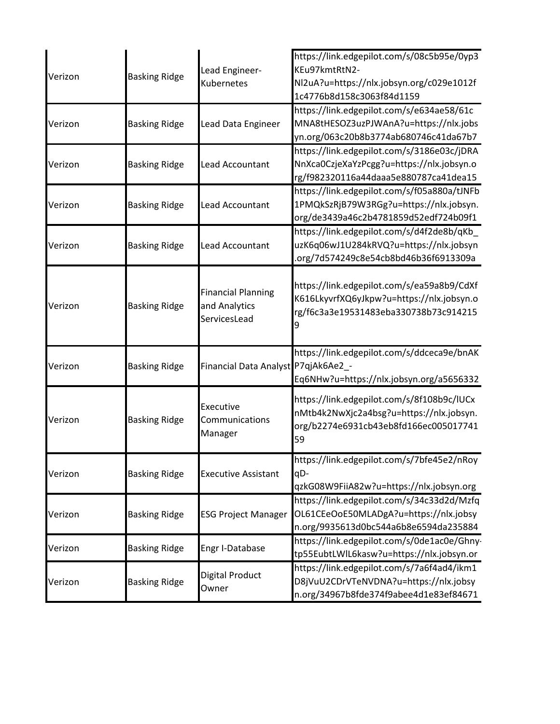| Verizon | <b>Basking Ridge</b> | Lead Engineer-<br><b>Kubernetes</b>                        | https://link.edgepilot.com/s/08c5b95e/0yp3<br>KEu97kmtRtN2-<br>Nl2uA?u=https://nlx.jobsyn.org/c029e1012f<br>1c4776b8d158c3063f84d1159 |
|---------|----------------------|------------------------------------------------------------|---------------------------------------------------------------------------------------------------------------------------------------|
| Verizon | <b>Basking Ridge</b> | Lead Data Engineer                                         | https://link.edgepilot.com/s/e634ae58/61c<br>MNA8tHESOZ3uzPJWAnA?u=https://nlx.jobs<br>yn.org/063c20b8b3774ab680746c41da67b7          |
| Verizon | <b>Basking Ridge</b> | Lead Accountant                                            | https://link.edgepilot.com/s/3186e03c/jDRA<br>NnXca0CzjeXaYzPcgg?u=https://nlx.jobsyn.o<br>rg/f982320116a44daaa5e880787ca41dea15      |
| Verizon | <b>Basking Ridge</b> | <b>Lead Accountant</b>                                     | https://link.edgepilot.com/s/f05a880a/tJNFb<br>1PMQkSzRjB79W3RGg?u=https://nlx.jobsyn.<br>org/de3439a46c2b4781859d52edf724b09f1       |
| Verizon | <b>Basking Ridge</b> | <b>Lead Accountant</b>                                     | https://link.edgepilot.com/s/d4f2de8b/qKb<br>uzK6q06wJ1U284kRVQ?u=https://nlx.jobsyn<br>.org/7d574249c8e54cb8bd46b36f6913309a         |
| Verizon | <b>Basking Ridge</b> | <b>Financial Planning</b><br>and Analytics<br>ServicesLead | https://link.edgepilot.com/s/ea59a8b9/CdXf<br>K616LkyvrfXQ6yJkpw?u=https://nlx.jobsyn.o<br>rg/f6c3a3e19531483eba330738b73c914215      |
| Verizon | <b>Basking Ridge</b> | Financial Data Analyst P7qjAk6Ae2_-                        | https://link.edgepilot.com/s/ddceca9e/bnAK<br>Eq6NHw?u=https://nlx.jobsyn.org/a5656332                                                |
| Verizon | <b>Basking Ridge</b> | Executive<br>Communications<br>Manager                     | https://link.edgepilot.com/s/8f108b9c/IUCx<br>nMtb4k2NwXjc2a4bsg?u=https://nlx.jobsyn.<br>org/b2274e6931cb43eb8fd166ec005017741<br>59 |
| Verizon | <b>Basking Ridge</b> | <b>Executive Assistant</b>                                 | https://link.edgepilot.com/s/7bfe45e2/nRoy<br>qD-<br>qzkG08W9FiiA82w?u=https://nlx.jobsyn.org                                         |
| Verizon | <b>Basking Ridge</b> | <b>ESG Project Manager</b>                                 | https://link.edgepilot.com/s/34c33d2d/Mzfq<br>OL61CEeOoE50MLADgA?u=https://nlx.jobsy<br>n.org/9935613d0bc544a6b8e6594da235884         |
| Verizon | <b>Basking Ridge</b> | Engr I-Database                                            | https://link.edgepilot.com/s/0de1ac0e/Ghny-<br>tp55EubtLWlL6kasw?u=https://nlx.jobsyn.or                                              |
| Verizon | <b>Basking Ridge</b> | Digital Product<br>Owner                                   | https://link.edgepilot.com/s/7a6f4ad4/ikm1<br>D8jVuU2CDrVTeNVDNA?u=https://nlx.jobsy<br>n.org/34967b8fde374f9abee4d1e83ef84671        |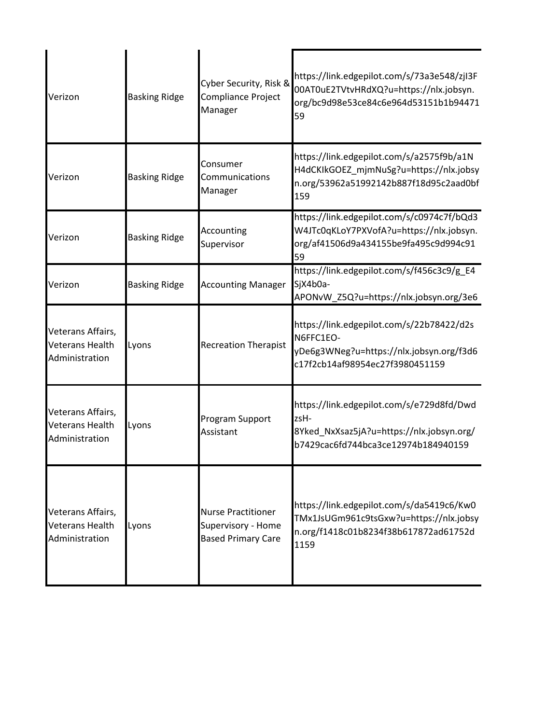| Verizon                                                | <b>Basking Ridge</b> | Cyber Security, Risk &<br>Compliance Project<br>Manager                      | https://link.edgepilot.com/s/73a3e548/zjI3F<br>00AT0uE2TVtvHRdXQ?u=https://nlx.jobsyn.<br>org/bc9d98e53ce84c6e964d53151b1b94471<br>59 |
|--------------------------------------------------------|----------------------|------------------------------------------------------------------------------|---------------------------------------------------------------------------------------------------------------------------------------|
| Verizon                                                | <b>Basking Ridge</b> | Consumer<br>Communications<br>Manager                                        | https://link.edgepilot.com/s/a2575f9b/a1N<br>H4dCKIkGOEZ_mjmNuSg?u=https://nlx.jobsy<br>n.org/53962a51992142b887f18d95c2aad0bf<br>159 |
| Verizon                                                | <b>Basking Ridge</b> | Accounting<br>Supervisor                                                     | https://link.edgepilot.com/s/c0974c7f/bQd3<br>W4JTc0qKLoY7PXVofA?u=https://nlx.jobsyn.<br>org/af41506d9a434155be9fa495c9d994c91<br>59 |
| Verizon                                                | <b>Basking Ridge</b> | <b>Accounting Manager</b>                                                    | https://link.edgepilot.com/s/f456c3c9/g_E4<br>SjX4b0a-<br>APONvW_Z5Q?u=https://nlx.jobsyn.org/3e6                                     |
| Veterans Affairs,<br>Veterans Health<br>Administration | Lyons                | <b>Recreation Therapist</b>                                                  | https://link.edgepilot.com/s/22b78422/d2s<br>N6FFC1EO-<br>yDe6g3WNeg?u=https://nlx.jobsyn.org/f3d6<br>c17f2cb14af98954ec27f3980451159 |
| Veterans Affairs,<br>Veterans Health<br>Administration | Lyons                | Program Support<br>Assistant                                                 | https://link.edgepilot.com/s/e729d8fd/Dwd<br>zsH-<br>8Yked_NxXsaz5jA?u=https://nlx.jobsyn.org/<br>b7429cac6fd744bca3ce12974b184940159 |
| Veterans Affairs,<br>Veterans Health<br>Administration | Lyons                | <b>Nurse Practitioner</b><br>Supervisory - Home<br><b>Based Primary Care</b> | https://link.edgepilot.com/s/da5419c6/Kw0<br>TMx1JsUGm961c9tsGxw?u=https://nlx.jobsy<br>n.org/f1418c01b8234f38b617872ad61752d<br>1159 |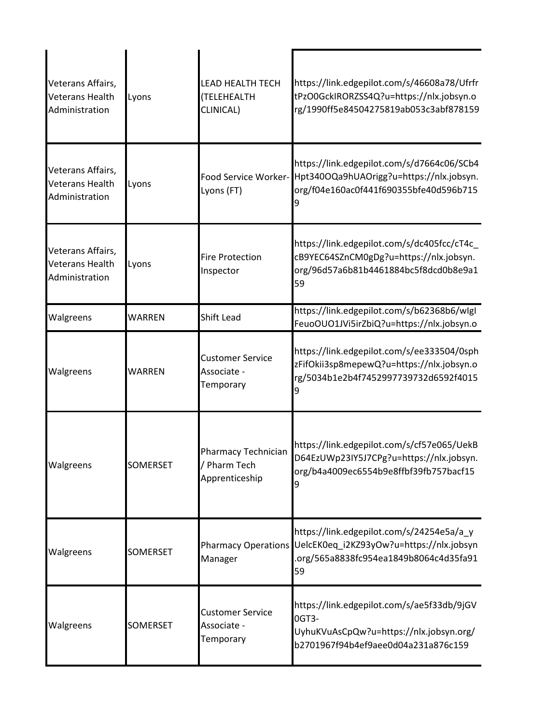| Veterans Affairs,<br><b>Veterans Health</b><br>Administration | Lyons           | <b>LEAD HEALTH TECH</b><br>(TELEHEALTH<br>CLINICAL)   | https://link.edgepilot.com/s/46608a78/Ufrfr<br>tPzO0GckIRORZSS4Q?u=https://nlx.jobsyn.o<br>rg/1990ff5e84504275819ab053c3abf878159                        |
|---------------------------------------------------------------|-----------------|-------------------------------------------------------|----------------------------------------------------------------------------------------------------------------------------------------------------------|
| Veterans Affairs,<br><b>Veterans Health</b><br>Administration | Lyons           | Lyons (FT)                                            | https://link.edgepilot.com/s/d7664c06/SCb4<br>Food Service Worker-Hpt340OQa9hUAOrigg?u=https://nlx.jobsyn.<br>org/f04e160ac0f441f690355bfe40d596b715     |
| Veterans Affairs,<br><b>Veterans Health</b><br>Administration | Lyons           | <b>Fire Protection</b><br>Inspector                   | https://link.edgepilot.com/s/dc405fcc/cT4c<br>cB9YEC64SZnCM0gDg?u=https://nlx.jobsyn.<br>org/96d57a6b81b4461884bc5f8dcd0b8e9a1<br>59                     |
| Walgreens                                                     | WARREN          | Shift Lead                                            | https://link.edgepilot.com/s/b62368b6/wlgl<br>FeuoOUO1JVi5irZbiQ?u=https://nlx.jobsyn.o                                                                  |
| Walgreens                                                     | WARREN          | <b>Customer Service</b><br>Associate -<br>Temporary   | https://link.edgepilot.com/s/ee333504/0sph<br>zFifOkii3sp8mepewQ?u=https://nlx.jobsyn.o<br>rg/5034b1e2b4f7452997739732d6592f4015                         |
| Walgreens                                                     | <b>SOMERSET</b> | Pharmacy Technician<br>/ Pharm Tech<br>Apprenticeship | https://link.edgepilot.com/s/cf57e065/UekB<br>D64EzUWp23IY5J7CPg?u=https://nlx.jobsyn.<br>org/b4a4009ec6554b9e8ffbf39fb757bacf15                         |
| Walgreens                                                     | <b>SOMERSET</b> | Manager                                               | https://link.edgepilot.com/s/24254e5a/a_y<br>Pharmacy Operations UelcEK0eq_i2KZ93yOw?u=https://nlx.jobsyn<br>org/565a8838fc954ea1849b8064c4d35fa91<br>59 |
| Walgreens                                                     | <b>SOMERSET</b> | <b>Customer Service</b><br>Associate -<br>Temporary   | https://link.edgepilot.com/s/ae5f33db/9jGV<br>OGT3-<br>UyhuKVuAsCpQw?u=https://nlx.jobsyn.org/<br>b2701967f94b4ef9aee0d04a231a876c159                    |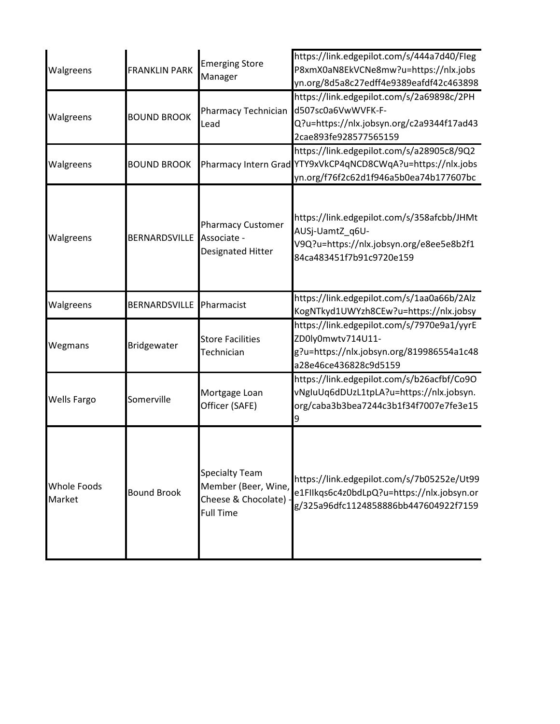| Walgreens                    | <b>FRANKLIN PARK</b> | <b>Emerging Store</b><br>Manager                                                          | https://link.edgepilot.com/s/444a7d40/Fleg<br>P8xmX0aN8EkVCNe8mw?u=https://nlx.jobs<br>yn.org/8d5a8c27edff4e9389eafdf42c463898                     |
|------------------------------|----------------------|-------------------------------------------------------------------------------------------|----------------------------------------------------------------------------------------------------------------------------------------------------|
| Walgreens                    | <b>BOUND BROOK</b>   | Pharmacy Technician<br>Lead                                                               | https://link.edgepilot.com/s/2a69898c/2PH<br>d507sc0a6VwWVFK-F-<br>Q?u=https://nlx.jobsyn.org/c2a9344f17ad43<br>2cae893fe928577565159              |
| Walgreens                    | <b>BOUND BROOK</b>   |                                                                                           | https://link.edgepilot.com/s/a28905c8/9Q2<br>Pharmacy Intern Grad YTY9xVkCP4qNCD8CWqA?u=https://nlx.jobs<br>yn.org/f76f2c62d1f946a5b0ea74b177607bc |
| Walgreens                    | BERNARDSVILLE        | <b>Pharmacy Customer</b><br>Associate -<br>Designated Hitter                              | https://link.edgepilot.com/s/358afcbb/JHMt<br>AUSj-UamtZ_q6U-<br>V9Q?u=https://nlx.jobsyn.org/e8ee5e8b2f1<br>84ca483451f7b91c9720e159              |
| Walgreens                    | BERNARDSVILLE        | Pharmacist                                                                                | https://link.edgepilot.com/s/1aa0a66b/2Alz<br>KogNTkyd1UWYzh8CEw?u=https://nlx.jobsy                                                               |
| Wegmans                      | Bridgewater          | <b>Store Facilities</b><br>Technician                                                     | https://link.edgepilot.com/s/7970e9a1/yyrE<br>ZD0ly0mwtv714U11-<br>g?u=https://nlx.jobsyn.org/819986554a1c48<br>a28e46ce436828c9d5159              |
| <b>Wells Fargo</b>           | Somerville           | Mortgage Loan<br>Officer (SAFE)                                                           | https://link.edgepilot.com/s/b26acfbf/Co9O<br>vNgIuUq6dDUzL1tpLA?u=https://nlx.jobsyn.<br>org/caba3b3bea7244c3b1f34f7007e7fe3e15<br>9              |
| <b>Whole Foods</b><br>Market | <b>Bound Brook</b>   | <b>Specialty Team</b><br>Member (Beer, Wine,<br>Cheese & Chocolate) -<br><b>Full Time</b> | https://link.edgepilot.com/s/7b05252e/Ut99<br>e1Fllkqs6c4z0bdLpQ?u=https://nlx.jobsyn.or<br>g/325a96dfc1124858886bb447604922f7159                  |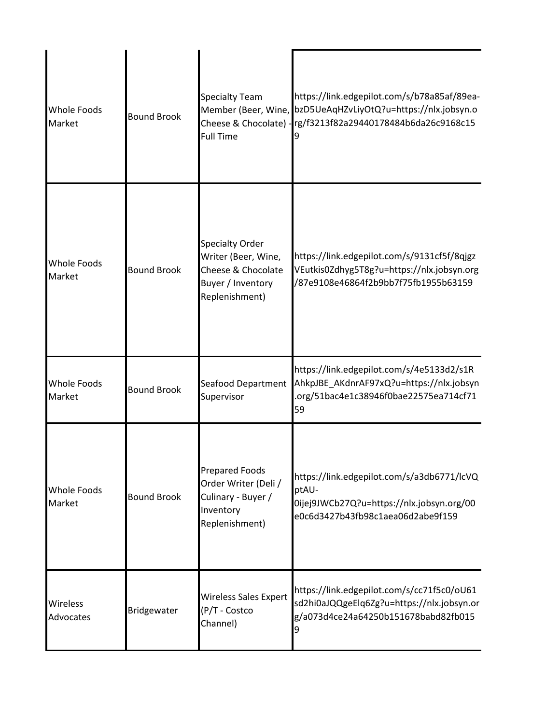| <b>Whole Foods</b><br>Market | <b>Bound Brook</b> | <b>Specialty Team</b><br><b>Full Time</b>                                                                  | https://link.edgepilot.com/s/b78a85af/89ea-<br>Member (Beer, Wine, bzD5UeAqHZvLiyOtQ?u=https://nlx.jobsyn.o<br>Cheese & Chocolate) - rg/f3213f82a29440178484b6da26c9168c15 |
|------------------------------|--------------------|------------------------------------------------------------------------------------------------------------|----------------------------------------------------------------------------------------------------------------------------------------------------------------------------|
| <b>Whole Foods</b><br>Market | <b>Bound Brook</b> | <b>Specialty Order</b><br>Writer (Beer, Wine,<br>Cheese & Chocolate<br>Buyer / Inventory<br>Replenishment) | https://link.edgepilot.com/s/9131cf5f/8qjgz<br>VEutkis0Zdhyg5T8g?u=https://nlx.jobsyn.org<br>/87e9108e46864f2b9bb7f75fb1955b63159                                          |
| <b>Whole Foods</b><br>Market | <b>Bound Brook</b> | Seafood Department<br>Supervisor                                                                           | https://link.edgepilot.com/s/4e5133d2/s1R<br>AhkpJBE_AKdnrAF97xQ?u=https://nlx.jobsyn<br>.org/51bac4e1c38946f0bae22575ea714cf71<br>59                                      |
| <b>Whole Foods</b><br>Market | <b>Bound Brook</b> | <b>Prepared Foods</b><br>Order Writer (Deli /<br>Culinary - Buyer /<br>Inventory<br>Replenishment)         | https://link.edgepilot.com/s/a3db6771/lcVQ<br>ptAU-<br>0ijej9JWCb27Q?u=https://nlx.jobsyn.org/00<br>e0c6d3427b43fb98c1aea06d2abe9f159                                      |
| Wireless<br>Advocates        | Bridgewater        | <b>Wireless Sales Expert</b><br>(P/T - Costco<br>Channel)                                                  | https://link.edgepilot.com/s/cc71f5c0/oU61<br>sd2hi0aJQQgeElq6Zg?u=https://nlx.jobsyn.or<br>g/a073d4ce24a64250b151678babd82fb015<br>9                                      |